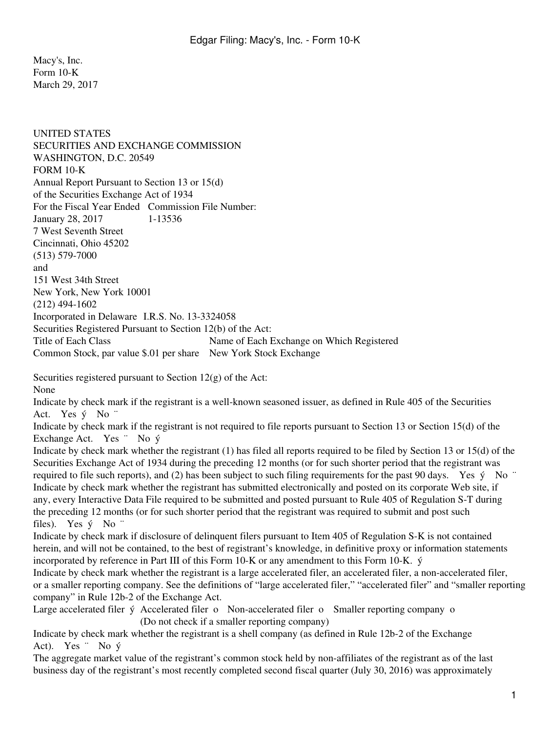Macy's, Inc. Form 10-K March 29, 2017

UNITED STATES SECURITIES AND EXCHANGE COMMISSION WASHINGTON, D.C. 20549 FORM 10-K Annual Report Pursuant to Section 13 or 15(d) of the Securities Exchange Act of 1934 For the Fiscal Year Ended Commission File Number: January 28, 2017 1-13536 7 West Seventh Street Cincinnati, Ohio 45202 (513) 579-7000 and 151 West 34th Street New York, New York 10001 (212) 494-1602 Incorporated in Delaware I.R.S. No. 13-3324058 Securities Registered Pursuant to Section 12(b) of the Act: Title of Each Class Name of Each Exchange on Which Registered Common Stock, par value \$.01 per share New York Stock Exchange Securities registered pursuant to Section  $12(g)$  of the Act: None Indicate by check mark if the registrant is a well-known seasoned issuer, as defined in Rule 405 of the Securities Act. Yes ý No ¨ Indicate by check mark if the registrant is not required to file reports pursuant to Section 13 or Section 15(d) of the Exchange Act. Yes " No ý

Indicate by check mark whether the registrant (1) has filed all reports required to be filed by Section 13 or 15(d) of the Securities Exchange Act of 1934 during the preceding 12 months (or for such shorter period that the registrant was required to file such reports), and (2) has been subject to such filing requirements for the past 90 days. Yes  $\acute{v}$  No  $\degree$ Indicate by check mark whether the registrant has submitted electronically and posted on its corporate Web site, if any, every Interactive Data File required to be submitted and posted pursuant to Rule 405 of Regulation S-T during the preceding 12 months (or for such shorter period that the registrant was required to submit and post such files). Yes ý No "

Indicate by check mark if disclosure of delinquent filers pursuant to Item 405 of Regulation S-K is not contained herein, and will not be contained, to the best of registrant's knowledge, in definitive proxy or information statements incorporated by reference in Part III of this Form 10-K or any amendment to this Form 10-K. ý

Indicate by check mark whether the registrant is a large accelerated filer, an accelerated filer, a non-accelerated filer, or a smaller reporting company. See the definitions of "large accelerated filer," "accelerated filer" and "smaller reporting company" in Rule 12b-2 of the Exchange Act.

Large accelerated filer  $\circ$  Accelerated filer o Non-accelerated filer o Smaller reporting company o (Do not check if a smaller reporting company)

Indicate by check mark whether the registrant is a shell company (as defined in Rule 12b-2 of the Exchange Act). Yes  $\cdot$  No  $\circ$ 

The aggregate market value of the registrant's common stock held by non-affiliates of the registrant as of the last business day of the registrant's most recently completed second fiscal quarter (July 30, 2016) was approximately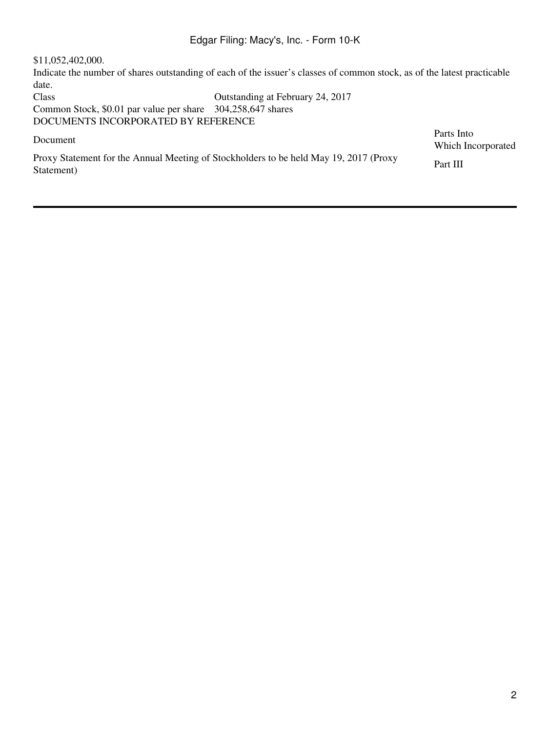## \$11,052,402,000.

Indicate the number of shares outstanding of each of the issuer's classes of common stock, as of the latest practicable date.

Class Outstanding at February 24, 2017 Common Stock, \$0.01 par value per share 304,258,647 shares DOCUMENTS INCORPORATED BY REFERENCE

Proxy Statement for the Annual Meeting of Stockholders to be held May 19, 2017 (Proxy Part III)<br>Statement)

Parts Into Parts Into Parts Into Parts Into Parts Into Parts Into Parts Into Parts Into Parts Into Parts Into Parts Into Parts Into Parts Into Parts Into Parts Into Parts Into Parts Into Parts Into Parts Into Parts Into Pa Which Incorporated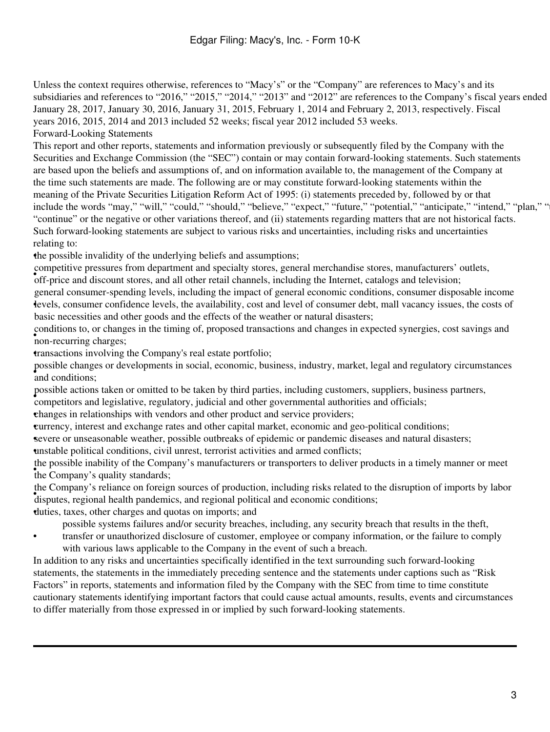Unless the context requires otherwise, references to "Macy's" or the "Company" are references to Macy's and its subsidiaries and references to "2016," "2015," "2014," "2013" and "2012" are references to the Company's fiscal years ended January 28, 2017, January 30, 2016, January 31, 2015, February 1, 2014 and February 2, 2013, respectively. Fiscal years 2016, 2015, 2014 and 2013 included 52 weeks; fiscal year 2012 included 53 weeks.

Forward-Looking Statements

This report and other reports, statements and information previously or subsequently filed by the Company with the Securities and Exchange Commission (the "SEC") contain or may contain forward-looking statements. Such statements are based upon the beliefs and assumptions of, and on information available to, the management of the Company at the time such statements are made. The following are or may constitute forward-looking statements within the meaning of the Private Securities Litigation Reform Act of 1995: (i) statements preceded by, followed by or that include the words "may," "will," "could," "should," "believe," "expect," "future," "potential," "anticipate," "intend," "plan," " "continue" or the negative or other variations thereof, and (ii) statements regarding matters that are not historical facts. Such forward-looking statements are subject to various risks and uncertainties, including risks and uncertainties relating to:

•the possible invalidity of the underlying beliefs and assumptions;

competitive pressures from department and specialty stores, general merchandise stores, manufacturers' outlets,

off-price and discount stores, and all other retail channels, including the Internet, catalogs and television;

• levels, consumer confidence levels, the availability, cost and level of consumer debt, mall vacancy issues, the costs of general consumer-spending levels, including the impact of general economic conditions, consumer disposable income basic necessities and other goods and the effects of the weather or natural disasters;

• **non-recurring charges**; conditions to, or changes in the timing of, proposed transactions and changes in expected synergies, cost savings and

•transactions involving the Company's real estate portfolio;

possible enange possible changes or developments in social, economic, business, industry, market, legal and regulatory circumstances

possible actions taken or omitted to be taken by third parties, including customers, suppliers, business partners,

• competitors and legislative, regulatory, judicial and other governmental authorities and officials;

•changes in relationships with vendors and other product and service providers;

•currency, interest and exchange rates and other capital market, economic and geo-political conditions;

•severe or unseasonable weather, possible outbreaks of epidemic or pandemic diseases and natural disasters; •unstable political conditions, civil unrest, terrorist activities and armed conflicts;

the Company's quality standards; the possible inability of the Company's manufacturers or transporters to deliver products in a timely manner or meet

disputes, regional health pandemics, and regional political and economic conditions; the Company's reliance on foreign sources of production, including risks related to the disruption of imports by labor

•duties, taxes, other charges and quotas on imports; and

•

possible systems failures and/or security breaches, including, any security breach that results in the theft,

transfer or unauthorized disclosure of customer, employee or company information, or the failure to comply with various laws applicable to the Company in the event of such a breach.

In addition to any risks and uncertainties specifically identified in the text surrounding such forward-looking statements, the statements in the immediately preceding sentence and the statements under captions such as "Risk Factors" in reports, statements and information filed by the Company with the SEC from time to time constitute cautionary statements identifying important factors that could cause actual amounts, results, events and circumstances to differ materially from those expressed in or implied by such forward-looking statements.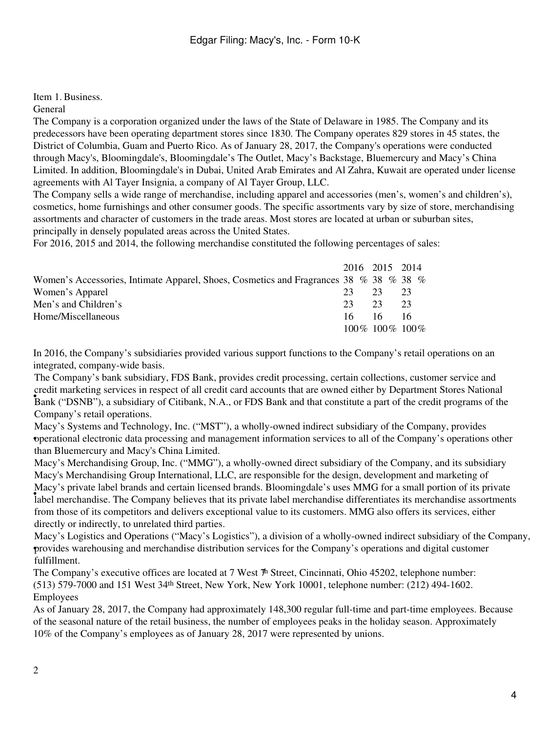Item 1. Business.

General

The Company is a corporation organized under the laws of the State of Delaware in 1985. The Company and its predecessors have been operating department stores since 1830. The Company operates 829 stores in 45 states, the District of Columbia, Guam and Puerto Rico. As of January 28, 2017, the Company's operations were conducted through Macy's, Bloomingdale's, Bloomingdale's The Outlet, Macy's Backstage, Bluemercury and Macy's China Limited. In addition, Bloomingdale's in Dubai, United Arab Emirates and Al Zahra, Kuwait are operated under license agreements with Al Tayer Insignia, a company of Al Tayer Group, LLC.

The Company sells a wide range of merchandise, including apparel and accessories (men's, women's and children's), cosmetics, home furnishings and other consumer goods. The specific assortments vary by size of store, merchandising assortments and character of customers in the trade areas. Most stores are located at urban or suburban sites, principally in densely populated areas across the United States.

For 2016, 2015 and 2014, the following merchandise constituted the following percentages of sales:

|                                                                                                |     |  | 2016 2015 2014      |  |     |  |
|------------------------------------------------------------------------------------------------|-----|--|---------------------|--|-----|--|
| Women's Accessories, Intimate Apparel, Shoes, Cosmetics and Fragrances 38 $\%$ 38 $\%$ 38 $\%$ |     |  |                     |  |     |  |
| Women's Apparel                                                                                | 23. |  | 23                  |  | 23  |  |
| Men's and Children's                                                                           | 23  |  | 23                  |  | 23  |  |
| Home/Miscellaneous                                                                             | 16  |  | -16                 |  | -16 |  |
|                                                                                                |     |  | $100\%$ 100\% 100\% |  |     |  |

In 2016, the Company's subsidiaries provided various support functions to the Company's retail operations on an integrated, company-wide basis.

From marketing services in respect of an erective and accounts that are owned entier by Department stores rational Bank ("DSNB"), a subsidiary of Citibank, N.A., or FDS Bank and that constitute a part of the credit program The Company's bank subsidiary, FDS Bank, provides credit processing, certain collections, customer service and credit marketing services in respect of all credit card accounts that are owned either by Department Stores National Company's retail operations.

• operational electronic data processing and management information services to all of the Company's operations other Macy's Systems and Technology, Inc. ("MST"), a wholly-owned indirect subsidiary of the Company, provides than Bluemercury and Macy's China Limited.

had below a private facer brands and certain neensed brands. Broomingdate s associated of a small portion of its private label merchandise. The Company believes that its private label merchandise differentiates its merchan Macy's Merchandising Group, Inc. ("MMG"), a wholly-owned direct subsidiary of the Company, and its subsidiary Macy's Merchandising Group International, LLC, are responsible for the design, development and marketing of Macy's private label brands and certain licensed brands. Bloomingdale's uses MMG for a small portion of its private from those of its competitors and delivers exceptional value to its customers. MMG also offers its services, either directly or indirectly, to unrelated third parties.

provides warehousing and merchandise distribution services for the Company's operations and digital customer Macy's Logistics and Operations ("Macy's Logistics"), a division of a wholly-owned indirect subsidiary of the Company, fulfillment.

The Company's executive offices are located at 7 West  $\mathcal{P}$  Street, Cincinnati, Ohio 45202, telephone number: (513) 579-7000 and 151 West 34th Street, New York, New York 10001, telephone number: (212) 494-1602. Employees

As of January 28, 2017, the Company had approximately 148,300 regular full-time and part-time employees. Because of the seasonal nature of the retail business, the number of employees peaks in the holiday season. Approximately 10% of the Company's employees as of January 28, 2017 were represented by unions.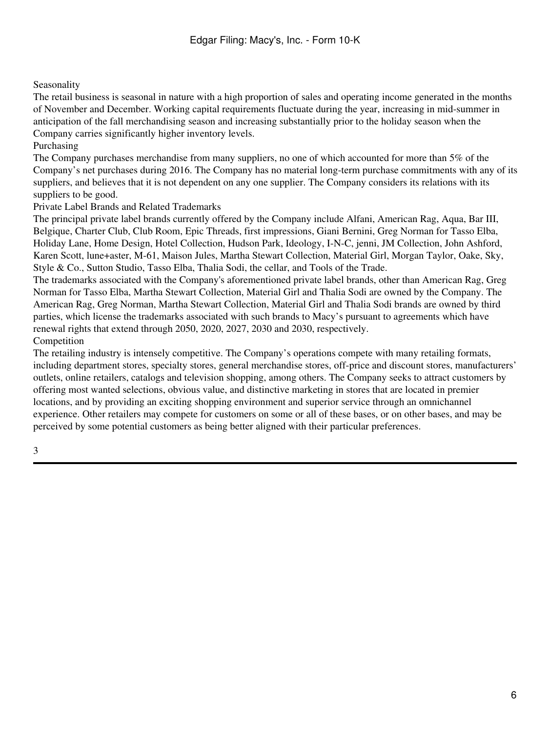# Seasonality

The retail business is seasonal in nature with a high proportion of sales and operating income generated in the months of November and December. Working capital requirements fluctuate during the year, increasing in mid-summer in anticipation of the fall merchandising season and increasing substantially prior to the holiday season when the Company carries significantly higher inventory levels.

## Purchasing

The Company purchases merchandise from many suppliers, no one of which accounted for more than 5% of the Company's net purchases during 2016. The Company has no material long-term purchase commitments with any of its suppliers, and believes that it is not dependent on any one supplier. The Company considers its relations with its suppliers to be good.

Private Label Brands and Related Trademarks

The principal private label brands currently offered by the Company include Alfani, American Rag, Aqua, Bar III, Belgique, Charter Club, Club Room, Epic Threads, first impressions, Giani Bernini, Greg Norman for Tasso Elba, Holiday Lane, Home Design, Hotel Collection, Hudson Park, Ideology, I-N-C, jenni, JM Collection, John Ashford, Karen Scott, lune+aster, M-61, Maison Jules, Martha Stewart Collection, Material Girl, Morgan Taylor, Oake, Sky, Style & Co., Sutton Studio, Tasso Elba, Thalia Sodi, the cellar, and Tools of the Trade.

The trademarks associated with the Company's aforementioned private label brands, other than American Rag, Greg Norman for Tasso Elba, Martha Stewart Collection, Material Girl and Thalia Sodi are owned by the Company. The American Rag, Greg Norman, Martha Stewart Collection, Material Girl and Thalia Sodi brands are owned by third parties, which license the trademarks associated with such brands to Macy's pursuant to agreements which have renewal rights that extend through 2050, 2020, 2027, 2030 and 2030, respectively.

Competition

The retailing industry is intensely competitive. The Company's operations compete with many retailing formats, including department stores, specialty stores, general merchandise stores, off-price and discount stores, manufacturers' outlets, online retailers, catalogs and television shopping, among others. The Company seeks to attract customers by offering most wanted selections, obvious value, and distinctive marketing in stores that are located in premier locations, and by providing an exciting shopping environment and superior service through an omnichannel experience. Other retailers may compete for customers on some or all of these bases, or on other bases, and may be perceived by some potential customers as being better aligned with their particular preferences.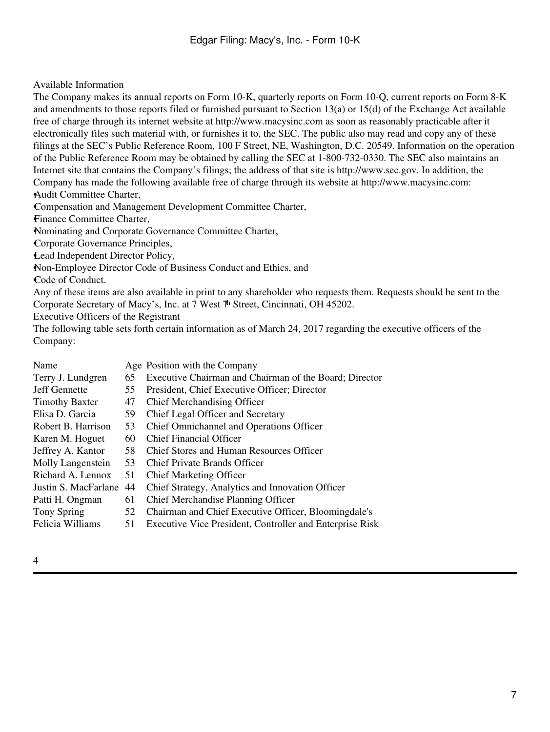# Available Information

The Company makes its annual reports on Form 10-K, quarterly reports on Form 10-Q, current reports on Form 8-K and amendments to those reports filed or furnished pursuant to Section 13(a) or 15(d) of the Exchange Act available free of charge through its internet website at http://www.macysinc.com as soon as reasonably practicable after it electronically files such material with, or furnishes it to, the SEC. The public also may read and copy any of these filings at the SEC's Public Reference Room, 100 F Street, NE, Washington, D.C. 20549. Information on the operation of the Public Reference Room may be obtained by calling the SEC at 1-800-732-0330. The SEC also maintains an Internet site that contains the Company's filings; the address of that site is http://www.sec.gov. In addition, the Company has made the following available free of charge through its website at http://www.macysinc.com: •Audit Committee Charter,

•Compensation and Management Development Committee Charter,

•Finance Committee Charter,

•Nominating and Corporate Governance Committee Charter,

•Corporate Governance Principles,

•Lead Independent Director Policy,

•Non-Employee Director Code of Business Conduct and Ethics, and

Code of Conduct.

Any of these items are also available in print to any shareholder who requests them. Requests should be sent to the Corporate Secretary of Macy's, Inc. at 7 West  $\mathbb{P}^h$  Street, Cincinnati, OH 45202.

Executive Officers of the Registrant

The following table sets forth certain information as of March 24, 2017 regarding the executive officers of the Company:

| Name                  |    | Age Position with the Company                            |
|-----------------------|----|----------------------------------------------------------|
| Terry J. Lundgren     | 65 | Executive Chairman and Chairman of the Board; Director   |
| Jeff Gennette         | 55 | President, Chief Executive Officer; Director             |
| <b>Timothy Baxter</b> | 47 | <b>Chief Merchandising Officer</b>                       |
| Elisa D. Garcia       | 59 | Chief Legal Officer and Secretary                        |
| Robert B. Harrison    | 53 | Chief Omnichannel and Operations Officer                 |
| Karen M. Hoguet       | 60 | <b>Chief Financial Officer</b>                           |
| Jeffrey A. Kantor     | 58 | Chief Stores and Human Resources Officer                 |
| Molly Langenstein     | 53 | <b>Chief Private Brands Officer</b>                      |
| Richard A. Lennox     | 51 | <b>Chief Marketing Officer</b>                           |
| Justin S. MacFarlane  | 44 | Chief Strategy, Analytics and Innovation Officer         |
| Patti H. Ongman       | 61 | Chief Merchandise Planning Officer                       |
| Tony Spring           | 52 | Chairman and Chief Executive Officer, Bloomingdale's     |
| Felicia Williams      | 51 | Executive Vice President, Controller and Enterprise Risk |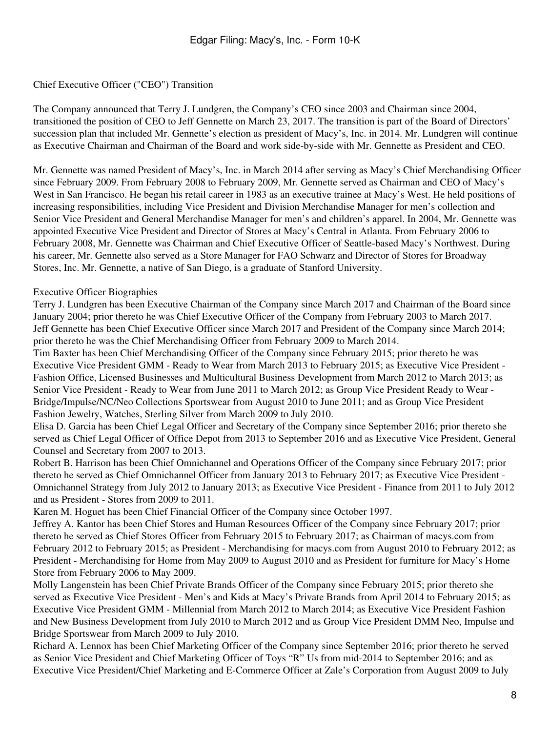# Chief Executive Officer ("CEO") Transition

The Company announced that Terry J. Lundgren, the Company's CEO since 2003 and Chairman since 2004, transitioned the position of CEO to Jeff Gennette on March 23, 2017. The transition is part of the Board of Directors' succession plan that included Mr. Gennette's election as president of Macy's, Inc. in 2014. Mr. Lundgren will continue as Executive Chairman and Chairman of the Board and work side-by-side with Mr. Gennette as President and CEO.

Mr. Gennette was named President of Macy's, Inc. in March 2014 after serving as Macy's Chief Merchandising Officer since February 2009. From February 2008 to February 2009, Mr. Gennette served as Chairman and CEO of Macy's West in San Francisco. He began his retail career in 1983 as an executive trainee at Macy's West. He held positions of increasing responsibilities, including Vice President and Division Merchandise Manager for men's collection and Senior Vice President and General Merchandise Manager for men's and children's apparel. In 2004, Mr. Gennette was appointed Executive Vice President and Director of Stores at Macy's Central in Atlanta. From February 2006 to February 2008, Mr. Gennette was Chairman and Chief Executive Officer of Seattle-based Macy's Northwest. During his career, Mr. Gennette also served as a Store Manager for FAO Schwarz and Director of Stores for Broadway Stores, Inc. Mr. Gennette, a native of San Diego, is a graduate of Stanford University.

# Executive Officer Biographies

Terry J. Lundgren has been Executive Chairman of the Company since March 2017 and Chairman of the Board since January 2004; prior thereto he was Chief Executive Officer of the Company from February 2003 to March 2017. Jeff Gennette has been Chief Executive Officer since March 2017 and President of the Company since March 2014; prior thereto he was the Chief Merchandising Officer from February 2009 to March 2014.

Tim Baxter has been Chief Merchandising Officer of the Company since February 2015; prior thereto he was Executive Vice President GMM - Ready to Wear from March 2013 to February 2015; as Executive Vice President - Fashion Office, Licensed Businesses and Multicultural Business Development from March 2012 to March 2013; as Senior Vice President - Ready to Wear from June 2011 to March 2012; as Group Vice President Ready to Wear - Bridge/Impulse/NC/Neo Collections Sportswear from August 2010 to June 2011; and as Group Vice President Fashion Jewelry, Watches, Sterling Silver from March 2009 to July 2010.

Elisa D. Garcia has been Chief Legal Officer and Secretary of the Company since September 2016; prior thereto she served as Chief Legal Officer of Office Depot from 2013 to September 2016 and as Executive Vice President, General Counsel and Secretary from 2007 to 2013.

Robert B. Harrison has been Chief Omnichannel and Operations Officer of the Company since February 2017; prior thereto he served as Chief Omnichannel Officer from January 2013 to February 2017; as Executive Vice President - Omnichannel Strategy from July 2012 to January 2013; as Executive Vice President - Finance from 2011 to July 2012 and as President - Stores from 2009 to 2011.

Karen M. Hoguet has been Chief Financial Officer of the Company since October 1997.

Jeffrey A. Kantor has been Chief Stores and Human Resources Officer of the Company since February 2017; prior thereto he served as Chief Stores Officer from February 2015 to February 2017; as Chairman of macys.com from February 2012 to February 2015; as President - Merchandising for macys.com from August 2010 to February 2012; as President - Merchandising for Home from May 2009 to August 2010 and as President for furniture for Macy's Home Store from February 2006 to May 2009.

Molly Langenstein has been Chief Private Brands Officer of the Company since February 2015; prior thereto she served as Executive Vice President - Men's and Kids at Macy's Private Brands from April 2014 to February 2015; as Executive Vice President GMM - Millennial from March 2012 to March 2014; as Executive Vice President Fashion and New Business Development from July 2010 to March 2012 and as Group Vice President DMM Neo, Impulse and Bridge Sportswear from March 2009 to July 2010.

Richard A. Lennox has been Chief Marketing Officer of the Company since September 2016; prior thereto he served as Senior Vice President and Chief Marketing Officer of Toys "R" Us from mid-2014 to September 2016; and as Executive Vice President/Chief Marketing and E-Commerce Officer at Zale's Corporation from August 2009 to July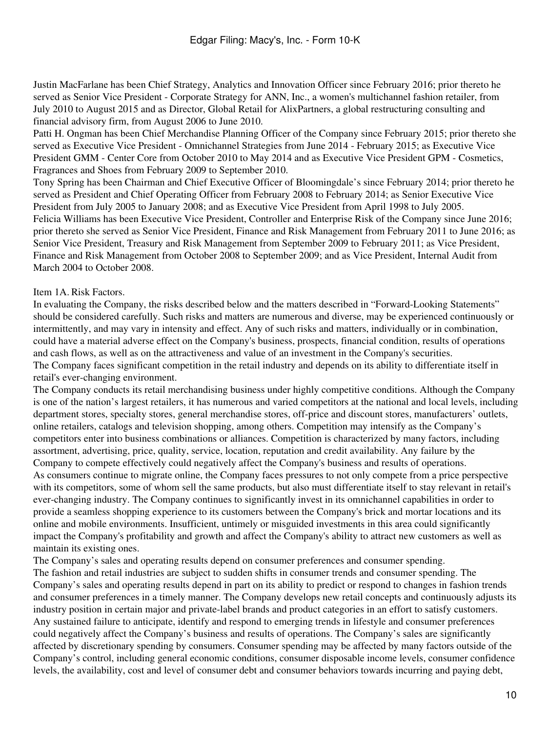Justin MacFarlane has been Chief Strategy, Analytics and Innovation Officer since February 2016; prior thereto he served as Senior Vice President - Corporate Strategy for ANN, Inc., a women's multichannel fashion retailer, from July 2010 to August 2015 and as Director, Global Retail for AlixPartners, a global restructuring consulting and financial advisory firm, from August 2006 to June 2010.

Patti H. Ongman has been Chief Merchandise Planning Officer of the Company since February 2015; prior thereto she served as Executive Vice President - Omnichannel Strategies from June 2014 - February 2015; as Executive Vice President GMM - Center Core from October 2010 to May 2014 and as Executive Vice President GPM - Cosmetics, Fragrances and Shoes from February 2009 to September 2010.

Tony Spring has been Chairman and Chief Executive Officer of Bloomingdale's since February 2014; prior thereto he served as President and Chief Operating Officer from February 2008 to February 2014; as Senior Executive Vice President from July 2005 to January 2008; and as Executive Vice President from April 1998 to July 2005. Felicia Williams has been Executive Vice President, Controller and Enterprise Risk of the Company since June 2016; prior thereto she served as Senior Vice President, Finance and Risk Management from February 2011 to June 2016; as Senior Vice President, Treasury and Risk Management from September 2009 to February 2011; as Vice President, Finance and Risk Management from October 2008 to September 2009; and as Vice President, Internal Audit from March 2004 to October 2008.

## Item 1A. Risk Factors.

In evaluating the Company, the risks described below and the matters described in "Forward-Looking Statements" should be considered carefully. Such risks and matters are numerous and diverse, may be experienced continuously or intermittently, and may vary in intensity and effect. Any of such risks and matters, individually or in combination, could have a material adverse effect on the Company's business, prospects, financial condition, results of operations and cash flows, as well as on the attractiveness and value of an investment in the Company's securities. The Company faces significant competition in the retail industry and depends on its ability to differentiate itself in retail's ever-changing environment.

The Company conducts its retail merchandising business under highly competitive conditions. Although the Company is one of the nation's largest retailers, it has numerous and varied competitors at the national and local levels, including department stores, specialty stores, general merchandise stores, off-price and discount stores, manufacturers' outlets, online retailers, catalogs and television shopping, among others. Competition may intensify as the Company's competitors enter into business combinations or alliances. Competition is characterized by many factors, including assortment, advertising, price, quality, service, location, reputation and credit availability. Any failure by the Company to compete effectively could negatively affect the Company's business and results of operations. As consumers continue to migrate online, the Company faces pressures to not only compete from a price perspective with its competitors, some of whom sell the same products, but also must differentiate itself to stay relevant in retail's ever-changing industry. The Company continues to significantly invest in its omnichannel capabilities in order to provide a seamless shopping experience to its customers between the Company's brick and mortar locations and its online and mobile environments. Insufficient, untimely or misguided investments in this area could significantly impact the Company's profitability and growth and affect the Company's ability to attract new customers as well as maintain its existing ones.

The Company's sales and operating results depend on consumer preferences and consumer spending. The fashion and retail industries are subject to sudden shifts in consumer trends and consumer spending. The Company's sales and operating results depend in part on its ability to predict or respond to changes in fashion trends and consumer preferences in a timely manner. The Company develops new retail concepts and continuously adjusts its industry position in certain major and private-label brands and product categories in an effort to satisfy customers. Any sustained failure to anticipate, identify and respond to emerging trends in lifestyle and consumer preferences could negatively affect the Company's business and results of operations. The Company's sales are significantly affected by discretionary spending by consumers. Consumer spending may be affected by many factors outside of the Company's control, including general economic conditions, consumer disposable income levels, consumer confidence levels, the availability, cost and level of consumer debt and consumer behaviors towards incurring and paying debt,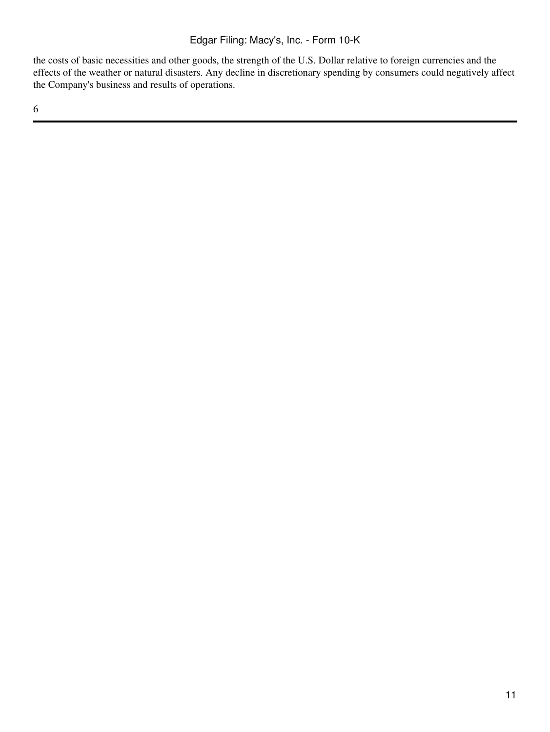the costs of basic necessities and other goods, the strength of the U.S. Dollar relative to foreign currencies and the effects of the weather or natural disasters. Any decline in discretionary spending by consumers could negatively affect the Company's business and results of operations.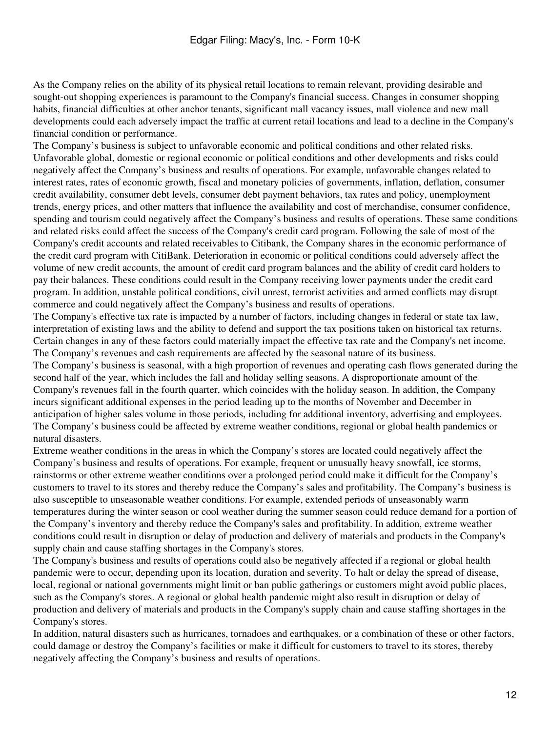As the Company relies on the ability of its physical retail locations to remain relevant, providing desirable and sought-out shopping experiences is paramount to the Company's financial success. Changes in consumer shopping habits, financial difficulties at other anchor tenants, significant mall vacancy issues, mall violence and new mall developments could each adversely impact the traffic at current retail locations and lead to a decline in the Company's financial condition or performance.

The Company's business is subject to unfavorable economic and political conditions and other related risks. Unfavorable global, domestic or regional economic or political conditions and other developments and risks could negatively affect the Company's business and results of operations. For example, unfavorable changes related to interest rates, rates of economic growth, fiscal and monetary policies of governments, inflation, deflation, consumer credit availability, consumer debt levels, consumer debt payment behaviors, tax rates and policy, unemployment trends, energy prices, and other matters that influence the availability and cost of merchandise, consumer confidence, spending and tourism could negatively affect the Company's business and results of operations. These same conditions and related risks could affect the success of the Company's credit card program. Following the sale of most of the Company's credit accounts and related receivables to Citibank, the Company shares in the economic performance of the credit card program with CitiBank. Deterioration in economic or political conditions could adversely affect the volume of new credit accounts, the amount of credit card program balances and the ability of credit card holders to pay their balances. These conditions could result in the Company receiving lower payments under the credit card program. In addition, unstable political conditions, civil unrest, terrorist activities and armed conflicts may disrupt commerce and could negatively affect the Company's business and results of operations.

The Company's effective tax rate is impacted by a number of factors, including changes in federal or state tax law, interpretation of existing laws and the ability to defend and support the tax positions taken on historical tax returns. Certain changes in any of these factors could materially impact the effective tax rate and the Company's net income. The Company's revenues and cash requirements are affected by the seasonal nature of its business.

The Company's business is seasonal, with a high proportion of revenues and operating cash flows generated during the second half of the year, which includes the fall and holiday selling seasons. A disproportionate amount of the Company's revenues fall in the fourth quarter, which coincides with the holiday season. In addition, the Company incurs significant additional expenses in the period leading up to the months of November and December in anticipation of higher sales volume in those periods, including for additional inventory, advertising and employees. The Company's business could be affected by extreme weather conditions, regional or global health pandemics or natural disasters.

Extreme weather conditions in the areas in which the Company's stores are located could negatively affect the Company's business and results of operations. For example, frequent or unusually heavy snowfall, ice storms, rainstorms or other extreme weather conditions over a prolonged period could make it difficult for the Company's customers to travel to its stores and thereby reduce the Company's sales and profitability. The Company's business is also susceptible to unseasonable weather conditions. For example, extended periods of unseasonably warm temperatures during the winter season or cool weather during the summer season could reduce demand for a portion of the Company's inventory and thereby reduce the Company's sales and profitability. In addition, extreme weather conditions could result in disruption or delay of production and delivery of materials and products in the Company's supply chain and cause staffing shortages in the Company's stores.

The Company's business and results of operations could also be negatively affected if a regional or global health pandemic were to occur, depending upon its location, duration and severity. To halt or delay the spread of disease, local, regional or national governments might limit or ban public gatherings or customers might avoid public places, such as the Company's stores. A regional or global health pandemic might also result in disruption or delay of production and delivery of materials and products in the Company's supply chain and cause staffing shortages in the Company's stores.

In addition, natural disasters such as hurricanes, tornadoes and earthquakes, or a combination of these or other factors, could damage or destroy the Company's facilities or make it difficult for customers to travel to its stores, thereby negatively affecting the Company's business and results of operations.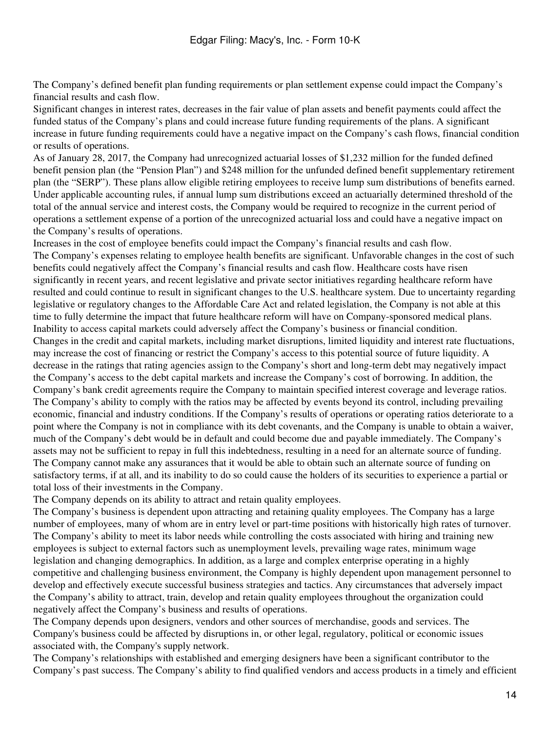The Company's defined benefit plan funding requirements or plan settlement expense could impact the Company's financial results and cash flow.

Significant changes in interest rates, decreases in the fair value of plan assets and benefit payments could affect the funded status of the Company's plans and could increase future funding requirements of the plans. A significant increase in future funding requirements could have a negative impact on the Company's cash flows, financial condition or results of operations.

As of January 28, 2017, the Company had unrecognized actuarial losses of \$1,232 million for the funded defined benefit pension plan (the "Pension Plan") and \$248 million for the unfunded defined benefit supplementary retirement plan (the "SERP"). These plans allow eligible retiring employees to receive lump sum distributions of benefits earned. Under applicable accounting rules, if annual lump sum distributions exceed an actuarially determined threshold of the total of the annual service and interest costs, the Company would be required to recognize in the current period of operations a settlement expense of a portion of the unrecognized actuarial loss and could have a negative impact on the Company's results of operations.

Increases in the cost of employee benefits could impact the Company's financial results and cash flow. The Company's expenses relating to employee health benefits are significant. Unfavorable changes in the cost of such benefits could negatively affect the Company's financial results and cash flow. Healthcare costs have risen significantly in recent years, and recent legislative and private sector initiatives regarding healthcare reform have resulted and could continue to result in significant changes to the U.S. healthcare system. Due to uncertainty regarding legislative or regulatory changes to the Affordable Care Act and related legislation, the Company is not able at this time to fully determine the impact that future healthcare reform will have on Company-sponsored medical plans. Inability to access capital markets could adversely affect the Company's business or financial condition. Changes in the credit and capital markets, including market disruptions, limited liquidity and interest rate fluctuations, may increase the cost of financing or restrict the Company's access to this potential source of future liquidity. A decrease in the ratings that rating agencies assign to the Company's short and long-term debt may negatively impact the Company's access to the debt capital markets and increase the Company's cost of borrowing. In addition, the Company's bank credit agreements require the Company to maintain specified interest coverage and leverage ratios. The Company's ability to comply with the ratios may be affected by events beyond its control, including prevailing economic, financial and industry conditions. If the Company's results of operations or operating ratios deteriorate to a point where the Company is not in compliance with its debt covenants, and the Company is unable to obtain a waiver, much of the Company's debt would be in default and could become due and payable immediately. The Company's assets may not be sufficient to repay in full this indebtedness, resulting in a need for an alternate source of funding. The Company cannot make any assurances that it would be able to obtain such an alternate source of funding on satisfactory terms, if at all, and its inability to do so could cause the holders of its securities to experience a partial or total loss of their investments in the Company.

The Company depends on its ability to attract and retain quality employees.

The Company's business is dependent upon attracting and retaining quality employees. The Company has a large number of employees, many of whom are in entry level or part-time positions with historically high rates of turnover. The Company's ability to meet its labor needs while controlling the costs associated with hiring and training new employees is subject to external factors such as unemployment levels, prevailing wage rates, minimum wage legislation and changing demographics. In addition, as a large and complex enterprise operating in a highly competitive and challenging business environment, the Company is highly dependent upon management personnel to develop and effectively execute successful business strategies and tactics. Any circumstances that adversely impact the Company's ability to attract, train, develop and retain quality employees throughout the organization could negatively affect the Company's business and results of operations.

The Company depends upon designers, vendors and other sources of merchandise, goods and services. The Company's business could be affected by disruptions in, or other legal, regulatory, political or economic issues associated with, the Company's supply network.

The Company's relationships with established and emerging designers have been a significant contributor to the Company's past success. The Company's ability to find qualified vendors and access products in a timely and efficient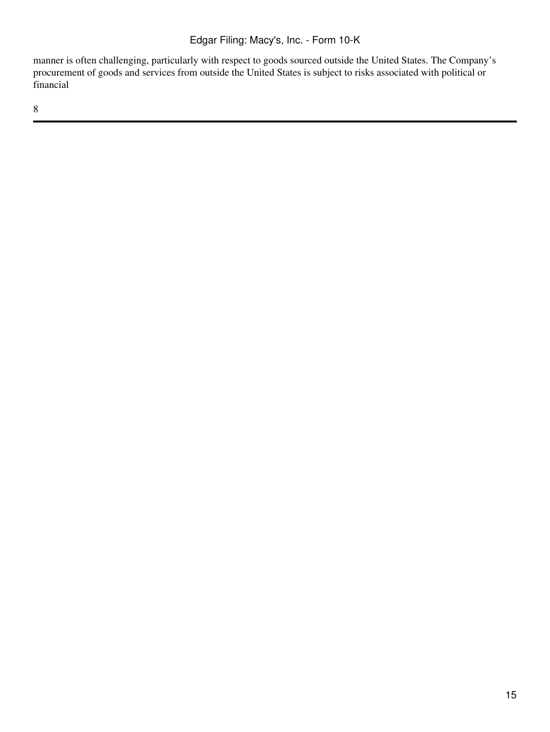manner is often challenging, particularly with respect to goods sourced outside the United States. The Company's procurement of goods and services from outside the United States is subject to risks associated with political or financial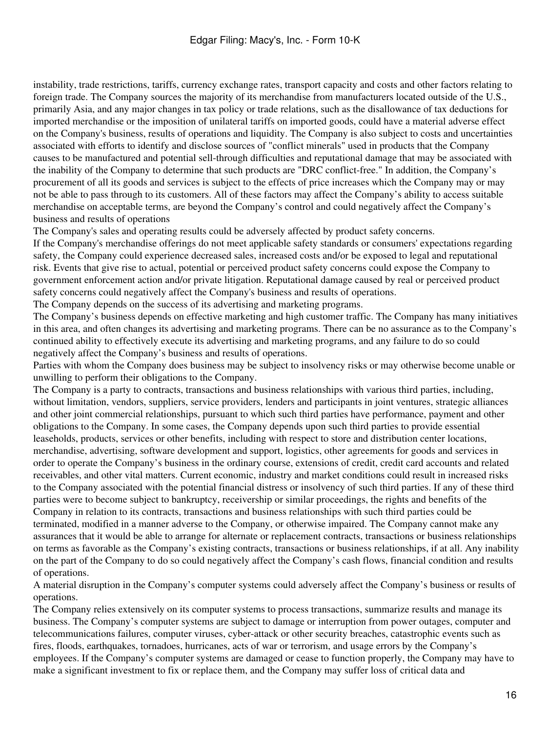instability, trade restrictions, tariffs, currency exchange rates, transport capacity and costs and other factors relating to foreign trade. The Company sources the majority of its merchandise from manufacturers located outside of the U.S., primarily Asia, and any major changes in tax policy or trade relations, such as the disallowance of tax deductions for imported merchandise or the imposition of unilateral tariffs on imported goods, could have a material adverse effect on the Company's business, results of operations and liquidity. The Company is also subject to costs and uncertainties associated with efforts to identify and disclose sources of "conflict minerals" used in products that the Company causes to be manufactured and potential sell-through difficulties and reputational damage that may be associated with the inability of the Company to determine that such products are "DRC conflict-free." In addition, the Company's procurement of all its goods and services is subject to the effects of price increases which the Company may or may not be able to pass through to its customers. All of these factors may affect the Company's ability to access suitable merchandise on acceptable terms, are beyond the Company's control and could negatively affect the Company's business and results of operations

The Company's sales and operating results could be adversely affected by product safety concerns.

If the Company's merchandise offerings do not meet applicable safety standards or consumers' expectations regarding safety, the Company could experience decreased sales, increased costs and/or be exposed to legal and reputational risk. Events that give rise to actual, potential or perceived product safety concerns could expose the Company to government enforcement action and/or private litigation. Reputational damage caused by real or perceived product safety concerns could negatively affect the Company's business and results of operations.

The Company depends on the success of its advertising and marketing programs.

The Company's business depends on effective marketing and high customer traffic. The Company has many initiatives in this area, and often changes its advertising and marketing programs. There can be no assurance as to the Company's continued ability to effectively execute its advertising and marketing programs, and any failure to do so could negatively affect the Company's business and results of operations.

Parties with whom the Company does business may be subject to insolvency risks or may otherwise become unable or unwilling to perform their obligations to the Company.

The Company is a party to contracts, transactions and business relationships with various third parties, including, without limitation, vendors, suppliers, service providers, lenders and participants in joint ventures, strategic alliances and other joint commercial relationships, pursuant to which such third parties have performance, payment and other obligations to the Company. In some cases, the Company depends upon such third parties to provide essential leaseholds, products, services or other benefits, including with respect to store and distribution center locations, merchandise, advertising, software development and support, logistics, other agreements for goods and services in order to operate the Company's business in the ordinary course, extensions of credit, credit card accounts and related receivables, and other vital matters. Current economic, industry and market conditions could result in increased risks to the Company associated with the potential financial distress or insolvency of such third parties. If any of these third parties were to become subject to bankruptcy, receivership or similar proceedings, the rights and benefits of the Company in relation to its contracts, transactions and business relationships with such third parties could be terminated, modified in a manner adverse to the Company, or otherwise impaired. The Company cannot make any assurances that it would be able to arrange for alternate or replacement contracts, transactions or business relationships on terms as favorable as the Company's existing contracts, transactions or business relationships, if at all. Any inability on the part of the Company to do so could negatively affect the Company's cash flows, financial condition and results of operations.

A material disruption in the Company's computer systems could adversely affect the Company's business or results of operations.

The Company relies extensively on its computer systems to process transactions, summarize results and manage its business. The Company's computer systems are subject to damage or interruption from power outages, computer and telecommunications failures, computer viruses, cyber-attack or other security breaches, catastrophic events such as fires, floods, earthquakes, tornadoes, hurricanes, acts of war or terrorism, and usage errors by the Company's employees. If the Company's computer systems are damaged or cease to function properly, the Company may have to make a significant investment to fix or replace them, and the Company may suffer loss of critical data and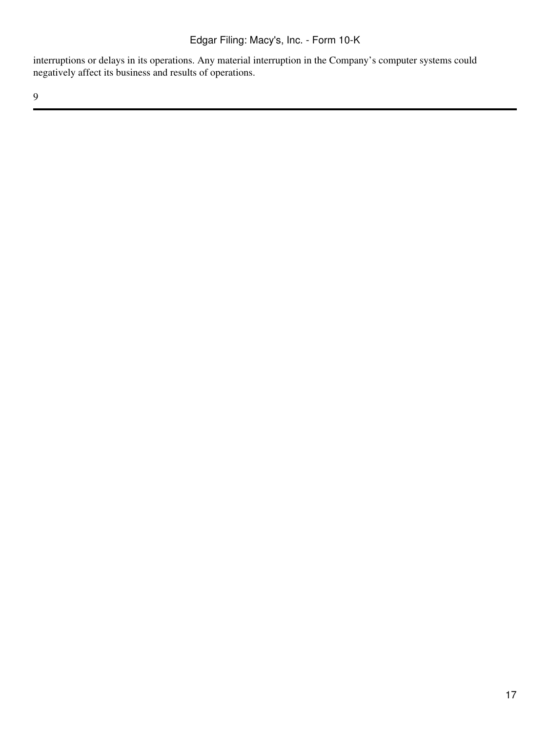interruptions or delays in its operations. Any material interruption in the Company's computer systems could negatively affect its business and results of operations.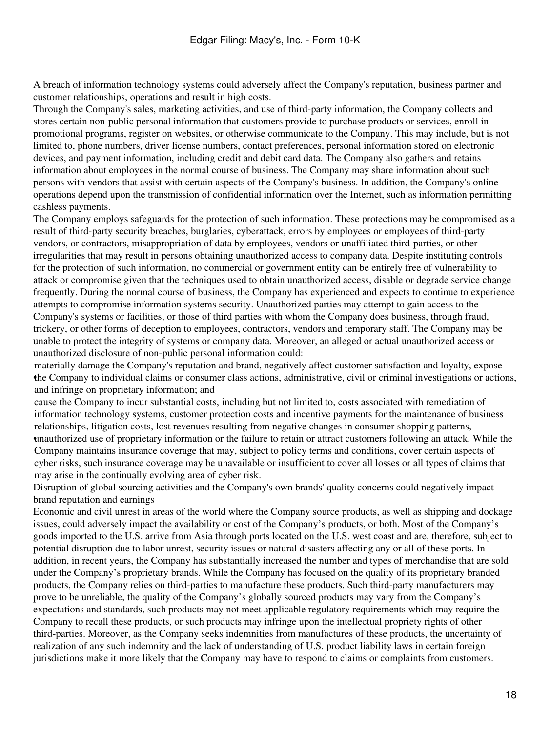A breach of information technology systems could adversely affect the Company's reputation, business partner and customer relationships, operations and result in high costs.

Through the Company's sales, marketing activities, and use of third-party information, the Company collects and stores certain non-public personal information that customers provide to purchase products or services, enroll in promotional programs, register on websites, or otherwise communicate to the Company. This may include, but is not limited to, phone numbers, driver license numbers, contact preferences, personal information stored on electronic devices, and payment information, including credit and debit card data. The Company also gathers and retains information about employees in the normal course of business. The Company may share information about such persons with vendors that assist with certain aspects of the Company's business. In addition, the Company's online operations depend upon the transmission of confidential information over the Internet, such as information permitting cashless payments.

The Company employs safeguards for the protection of such information. These protections may be compromised as a result of third-party security breaches, burglaries, cyberattack, errors by employees or employees of third-party vendors, or contractors, misappropriation of data by employees, vendors or unaffiliated third-parties, or other irregularities that may result in persons obtaining unauthorized access to company data. Despite instituting controls for the protection of such information, no commercial or government entity can be entirely free of vulnerability to attack or compromise given that the techniques used to obtain unauthorized access, disable or degrade service change frequently. During the normal course of business, the Company has experienced and expects to continue to experience attempts to compromise information systems security. Unauthorized parties may attempt to gain access to the Company's systems or facilities, or those of third parties with whom the Company does business, through fraud, trickery, or other forms of deception to employees, contractors, vendors and temporary staff. The Company may be unable to protect the integrity of systems or company data. Moreover, an alleged or actual unauthorized access or unauthorized disclosure of non-public personal information could:

• the Company to individual claims or consumer class actions, administrative, civil or criminal investigations or actions, materially damage the Company's reputation and brand, negatively affect customer satisfaction and loyalty, expose and infringe on proprietary information; and

• unauthorized use of proprietary information or the failure to retain or attract customers following an attack. While the cause the Company to incur substantial costs, including but not limited to, costs associated with remediation of information technology systems, customer protection costs and incentive payments for the maintenance of business relationships, litigation costs, lost revenues resulting from negative changes in consumer shopping patterns, Company maintains insurance coverage that may, subject to policy terms and conditions, cover certain aspects of cyber risks, such insurance coverage may be unavailable or insufficient to cover all losses or all types of claims that may arise in the continually evolving area of cyber risk.

Disruption of global sourcing activities and the Company's own brands' quality concerns could negatively impact brand reputation and earnings

Economic and civil unrest in areas of the world where the Company source products, as well as shipping and dockage issues, could adversely impact the availability or cost of the Company's products, or both. Most of the Company's goods imported to the U.S. arrive from Asia through ports located on the U.S. west coast and are, therefore, subject to potential disruption due to labor unrest, security issues or natural disasters affecting any or all of these ports. In addition, in recent years, the Company has substantially increased the number and types of merchandise that are sold under the Company's proprietary brands. While the Company has focused on the quality of its proprietary branded products, the Company relies on third-parties to manufacture these products. Such third-party manufacturers may prove to be unreliable, the quality of the Company's globally sourced products may vary from the Company's expectations and standards, such products may not meet applicable regulatory requirements which may require the Company to recall these products, or such products may infringe upon the intellectual propriety rights of other third-parties. Moreover, as the Company seeks indemnities from manufactures of these products, the uncertainty of realization of any such indemnity and the lack of understanding of U.S. product liability laws in certain foreign jurisdictions make it more likely that the Company may have to respond to claims or complaints from customers.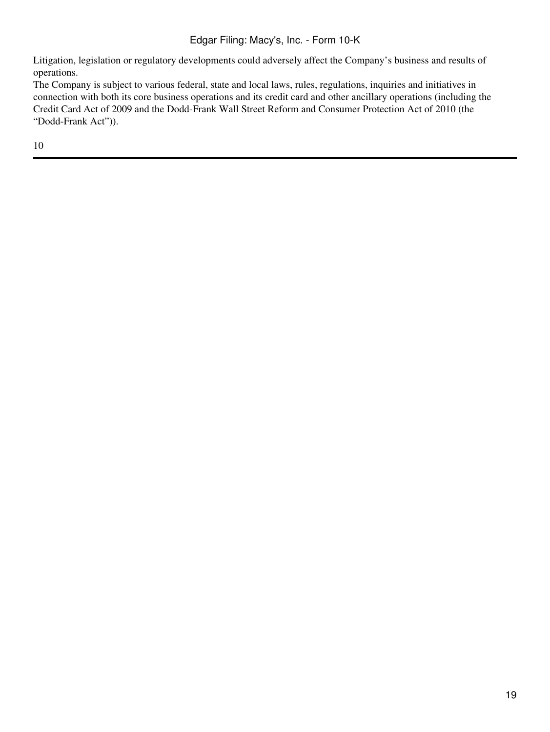Litigation, legislation or regulatory developments could adversely affect the Company's business and results of operations.

The Company is subject to various federal, state and local laws, rules, regulations, inquiries and initiatives in connection with both its core business operations and its credit card and other ancillary operations (including the Credit Card Act of 2009 and the Dodd-Frank Wall Street Reform and Consumer Protection Act of 2010 (the "Dodd-Frank Act")).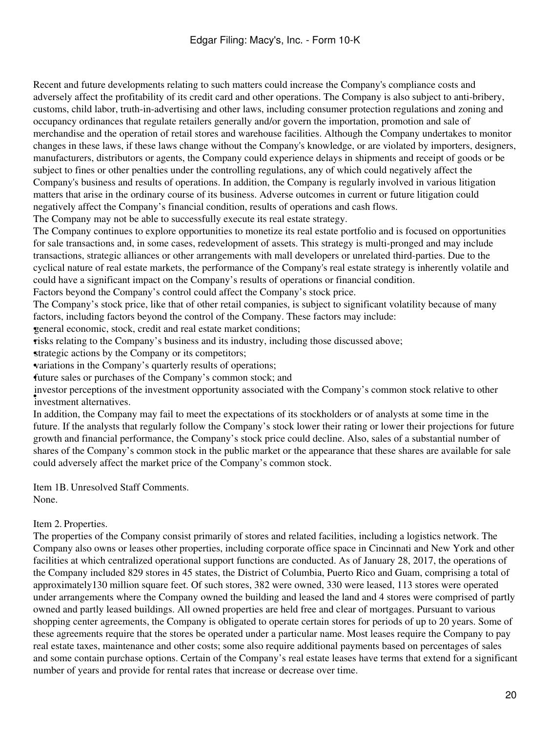Recent and future developments relating to such matters could increase the Company's compliance costs and adversely affect the profitability of its credit card and other operations. The Company is also subject to anti-bribery, customs, child labor, truth-in-advertising and other laws, including consumer protection regulations and zoning and occupancy ordinances that regulate retailers generally and/or govern the importation, promotion and sale of merchandise and the operation of retail stores and warehouse facilities. Although the Company undertakes to monitor changes in these laws, if these laws change without the Company's knowledge, or are violated by importers, designers, manufacturers, distributors or agents, the Company could experience delays in shipments and receipt of goods or be subject to fines or other penalties under the controlling regulations, any of which could negatively affect the Company's business and results of operations. In addition, the Company is regularly involved in various litigation matters that arise in the ordinary course of its business. Adverse outcomes in current or future litigation could negatively affect the Company's financial condition, results of operations and cash flows.

The Company may not be able to successfully execute its real estate strategy.

The Company continues to explore opportunities to monetize its real estate portfolio and is focused on opportunities for sale transactions and, in some cases, redevelopment of assets. This strategy is multi-pronged and may include transactions, strategic alliances or other arrangements with mall developers or unrelated third-parties. Due to the cyclical nature of real estate markets, the performance of the Company's real estate strategy is inherently volatile and could have a significant impact on the Company's results of operations or financial condition.

Factors beyond the Company's control could affect the Company's stock price.

The Company's stock price, like that of other retail companies, is subject to significant volatility because of many factors, including factors beyond the control of the Company. These factors may include:

•general economic, stock, credit and real estate market conditions;

•risks relating to the Company's business and its industry, including those discussed above;

strategic actions by the Company or its competitors;

•variations in the Company's quarterly results of operations;

•future sales or purchases of the Company's common stock; and

**•**<br>investment alternatives. investor perceptions of the investment opportunity associated with the Company's common stock relative to other

In addition, the Company may fail to meet the expectations of its stockholders or of analysts at some time in the future. If the analysts that regularly follow the Company's stock lower their rating or lower their projections for future growth and financial performance, the Company's stock price could decline. Also, sales of a substantial number of shares of the Company's common stock in the public market or the appearance that these shares are available for sale could adversely affect the market price of the Company's common stock.

Item 1B. Unresolved Staff Comments. None.

#### Item 2. Properties.

The properties of the Company consist primarily of stores and related facilities, including a logistics network. The Company also owns or leases other properties, including corporate office space in Cincinnati and New York and other facilities at which centralized operational support functions are conducted. As of January 28, 2017, the operations of the Company included 829 stores in 45 states, the District of Columbia, Puerto Rico and Guam, comprising a total of approximately130 million square feet. Of such stores, 382 were owned, 330 were leased, 113 stores were operated under arrangements where the Company owned the building and leased the land and 4 stores were comprised of partly owned and partly leased buildings. All owned properties are held free and clear of mortgages. Pursuant to various shopping center agreements, the Company is obligated to operate certain stores for periods of up to 20 years. Some of these agreements require that the stores be operated under a particular name. Most leases require the Company to pay real estate taxes, maintenance and other costs; some also require additional payments based on percentages of sales and some contain purchase options. Certain of the Company's real estate leases have terms that extend for a significant number of years and provide for rental rates that increase or decrease over time.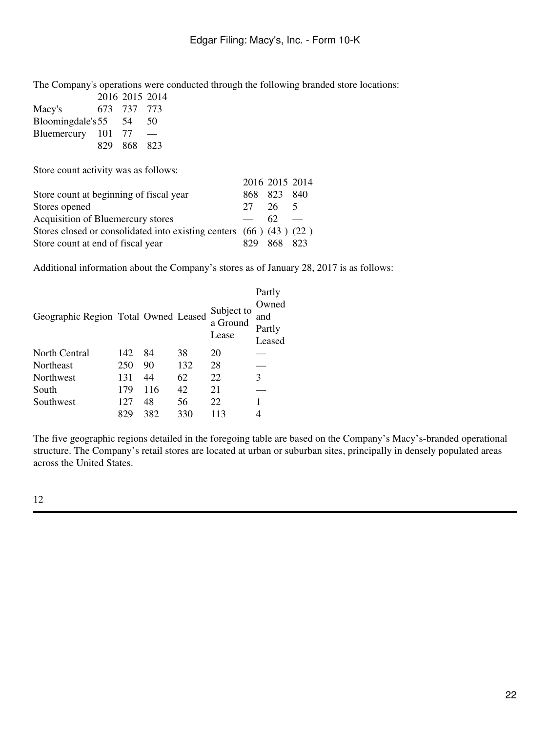The Company's operations were conducted through the following branded store locations:

|                   |      | 2016 2015 2014 |    |
|-------------------|------|----------------|----|
| Macy's            |      | 673 737 773    |    |
| Bloomingdale's 55 |      | 54             | 50 |
| Bluemercury       | -101 | -77            |    |
|                   | 829  | 868 823        |    |

Store count activity was as follows:

|                                                                          | 2016 2015 2014 |         |    |
|--------------------------------------------------------------------------|----------------|---------|----|
| Store count at beginning of fiscal year                                  | 868.           | 823 840 |    |
| Stores opened                                                            | 27             | 26      | -5 |
| Acquisition of Bluemercury stores                                        |                | 62.     |    |
| Stores closed or consolidated into existing centers $(66)$ $(43)$ $(22)$ |                |         |    |
| Store count at end of fiscal year                                        | 829            | 868 823 |    |

Additional information about the Company's stores as of January 28, 2017 is as follows:

| Geographic Region Total Owned Leased |     |     |     | Subject to<br>a Ground<br>Lease | Partly<br>Owned<br>and<br>Partly<br>Leased |
|--------------------------------------|-----|-----|-----|---------------------------------|--------------------------------------------|
| North Central                        | 142 | 84  | 38  | 20                              |                                            |
| <b>Northeast</b>                     | 250 | 90  | 132 | 28                              |                                            |
| <b>Northwest</b>                     | 131 | 44  | 62  | 22                              | 3                                          |
| South                                | 179 | 116 | 42  | 21                              |                                            |
| Southwest                            | 127 | 48  | 56  | 22                              |                                            |
|                                      | 829 | 382 | 330 | 113                             |                                            |

The five geographic regions detailed in the foregoing table are based on the Company's Macy's-branded operational structure. The Company's retail stores are located at urban or suburban sites, principally in densely populated areas across the United States.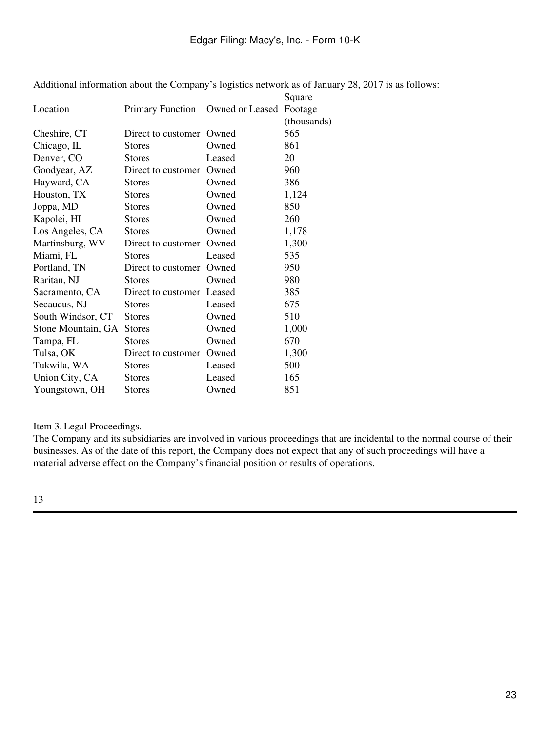|                    |                          |                 | Square      |
|--------------------|--------------------------|-----------------|-------------|
| Location           | <b>Primary Function</b>  | Owned or Leased | Footage     |
|                    |                          |                 | (thousands) |
| Cheshire, CT       | Direct to customer Owned |                 | 565         |
| Chicago, IL        | <b>Stores</b>            | Owned           | 861         |
| Denver, CO         | <b>Stores</b>            | Leased          | 20          |
| Goodyear, AZ       | Direct to customer       | Owned           | 960         |
| Hayward, CA        | <b>Stores</b>            | Owned           | 386         |
| Houston, TX        | <b>Stores</b>            | Owned           | 1,124       |
| Joppa, MD          | <b>Stores</b>            | Owned           | 850         |
| Kapolei, HI        | <b>Stores</b>            | Owned           | 260         |
| Los Angeles, CA    | <b>Stores</b>            | Owned           | 1,178       |
| Martinsburg, WV    | Direct to customer       | Owned           | 1,300       |
| Miami, FL          | <b>Stores</b>            | Leased          | 535         |
| Portland, TN       | Direct to customer       | Owned           | 950         |
| Raritan, NJ        | <b>Stores</b>            | Owned           | 980         |
| Sacramento, CA     | Direct to customer       | Leased          | 385         |
| Secaucus, NJ       | <b>Stores</b>            | Leased          | 675         |
| South Windsor, CT  | <b>Stores</b>            | Owned           | 510         |
| Stone Mountain, GA | <b>Stores</b>            | Owned           | 1,000       |
| Tampa, FL          | <b>Stores</b>            | Owned           | 670         |
| Tulsa, OK          | Direct to customer       | Owned           | 1,300       |
| Tukwila, WA        | <b>Stores</b>            | Leased          | 500         |
| Union City, CA     | <b>Stores</b>            | Leased          | 165         |
| Youngstown, OH     | <b>Stores</b>            | Owned           | 851         |

Additional information about the Company's logistics network as of January 28, 2017 is as follows:

#### Item 3. Legal Proceedings.

The Company and its subsidiaries are involved in various proceedings that are incidental to the normal course of their businesses. As of the date of this report, the Company does not expect that any of such proceedings will have a material adverse effect on the Company's financial position or results of operations.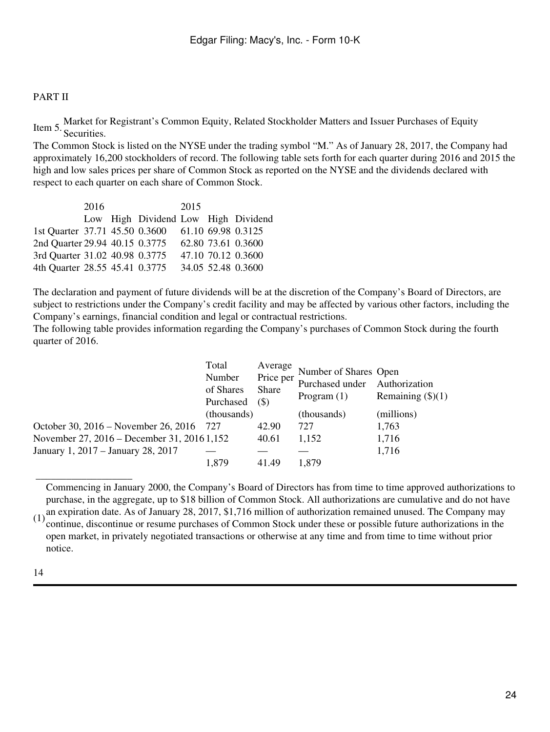# PART II

Item 5. Market for Registrant's Common Equity, Related Stockholder Matters and Issuer Purchases of Equity<br>Securities.

The Common Stock is listed on the NYSE under the trading symbol "M." As of January 28, 2017, the Company had approximately 16,200 stockholders of record. The following table sets forth for each quarter during 2016 and 2015 the high and low sales prices per share of Common Stock as reported on the NYSE and the dividends declared with respect to each quarter on each share of Common Stock.

|                                                   | 2016 |                                     | 2015 |                    |
|---------------------------------------------------|------|-------------------------------------|------|--------------------|
|                                                   |      | Low High Dividend Low High Dividend |      |                    |
| 1st Quarter 37.71 45.50 0.3600 61.10 69.98 0.3125 |      |                                     |      |                    |
| 2nd Quarter 29.94 40.15 0.3775 62.80 73.61 0.3600 |      |                                     |      |                    |
| 3rd Quarter 31.02 40.98 0.3775                    |      |                                     |      | 47.10 70.12 0.3600 |
| 4th Quarter 28.55 45.41 0.3775                    |      |                                     |      | 34.05 52.48 0.3600 |

The declaration and payment of future dividends will be at the discretion of the Company's Board of Directors, are subject to restrictions under the Company's credit facility and may be affected by various other factors, including the Company's earnings, financial condition and legal or contractual restrictions.

The following table provides information regarding the Company's purchases of Common Stock during the fourth quarter of 2016.

|                                             | Total                            | Average                                                | Number of Shares Open                          |                            |
|---------------------------------------------|----------------------------------|--------------------------------------------------------|------------------------------------------------|----------------------------|
|                                             | Number<br>of Shares<br>Purchased | Price per<br><b>Share</b><br>$\left( \text{\$}\right)$ | Purchased under Authorization<br>Program $(1)$ | Remaining $(\text{$}5)(1)$ |
|                                             | (thousands)                      |                                                        | (thousands)                                    | (millions)                 |
| October 30, 2016 – November 26, 2016        | -727                             | 42.90                                                  | 727                                            | 1,763                      |
| November 27, 2016 – December 31, 2016 1,152 |                                  | 40.61                                                  | 1,152                                          | 1,716                      |
| January 1, 2017 – January 28, 2017          |                                  |                                                        |                                                | 1,716                      |
|                                             | 1,879                            | 41.49                                                  | 1,879                                          |                            |

<sup>(1)</sup> an expiration date. As of January 28, 2017, \$1,716 million of authorization remained unused. The Company may<br>(1) sortinue, discontinue or resume purpheses of Comman Steels under these or pessible future sutherizations Commencing in January 2000, the Company's Board of Directors has from time to time approved authorizations to purchase, in the aggregate, up to \$18 billion of Common Stock. All authorizations are cumulative and do not have

continue, discontinue or resume purchases of Common Stock under these or possible future authorizations in the open market, in privately negotiated transactions or otherwise at any time and from time to time without prior notice.

\_\_\_\_\_\_\_\_\_\_\_\_\_\_\_\_\_\_\_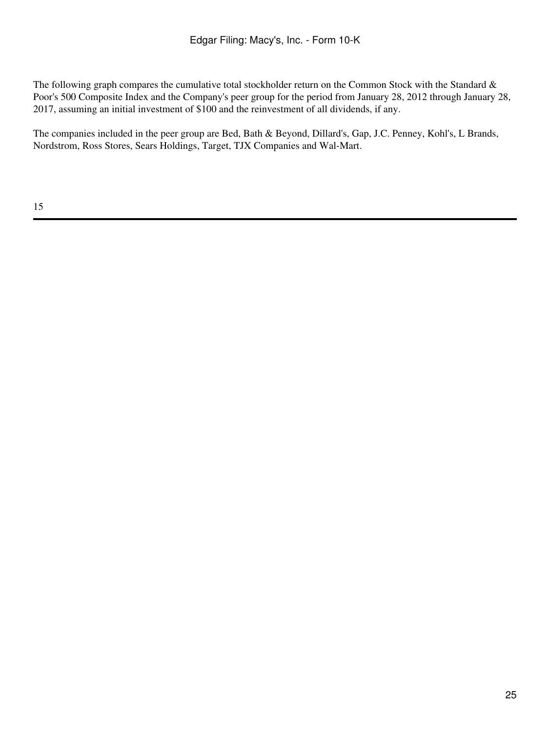The following graph compares the cumulative total stockholder return on the Common Stock with the Standard & Poor's 500 Composite Index and the Company's peer group for the period from January 28, 2012 through January 28, 2017, assuming an initial investment of \$100 and the reinvestment of all dividends, if any.

The companies included in the peer group are Bed, Bath & Beyond, Dillard's, Gap, J.C. Penney, Kohl's, L Brands, Nordstrom, Ross Stores, Sears Holdings, Target, TJX Companies and Wal-Mart.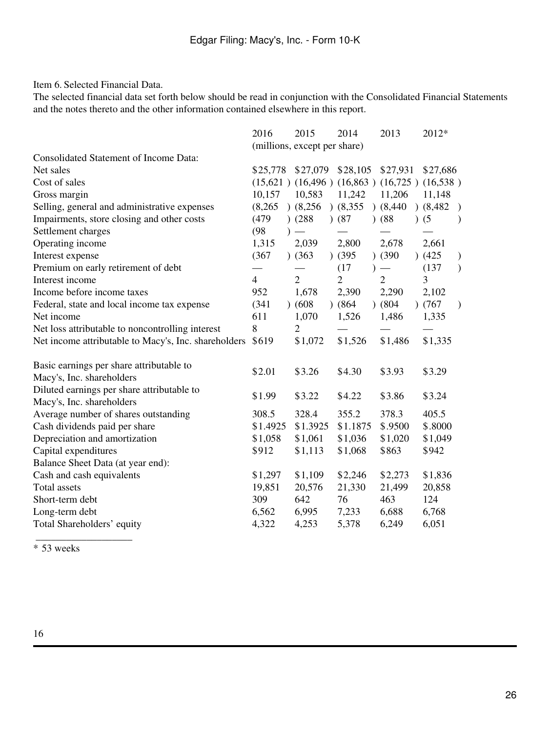## Item 6. Selected Financial Data.

The selected financial data set forth below should be read in conjunction with the Consolidated Financial Statements and the notes thereto and the other information contained elsewhere in this report.

| (millions, except per share)<br>Consolidated Statement of Income Data:                                                    |               |
|---------------------------------------------------------------------------------------------------------------------------|---------------|
|                                                                                                                           |               |
|                                                                                                                           |               |
| Net sales<br>\$25,778<br>\$27,079 \$28,105 \$27,931<br>\$27,686                                                           |               |
| Cost of sales<br>$(15,621)$ $(16,496)$ $(16,863)$ $(16,725)$<br>(16,538)                                                  |               |
| 10,583<br>11,242<br>11,206<br>Gross margin<br>10,157<br>11,148                                                            |               |
| Selling, general and administrative expenses<br>(8,265)<br>(8,256)<br>(8,355)<br>(8,440)<br>(8,482)                       | $\rightarrow$ |
| Impairments, store closing and other costs<br>(88)<br>(5)<br>(479)<br>(288)<br>(87)                                       |               |
| (98)<br>Settlement charges                                                                                                |               |
| Operating income<br>2,678<br>1,315<br>2,039<br>2,800<br>2,661                                                             |               |
| Interest expense<br>(367)<br>(363)<br>(395)<br>) (390)<br>(425)                                                           | $\mathcal{E}$ |
| Premium on early retirement of debt<br>(137)<br>(17)                                                                      | $\mathcal{L}$ |
| 3<br>Interest income<br>$\overline{4}$<br>$\overline{2}$<br>$\overline{2}$<br>$\overline{2}$                              |               |
| Income before income taxes<br>952<br>2,390<br>2,290<br>2,102<br>1,678                                                     |               |
| Federal, state and local income tax expense<br>(341)<br>(608)<br>(864)<br>(804)<br>) (767)                                | $\mathcal{L}$ |
| 611<br>Net income<br>1,070<br>1,526<br>1,486<br>1,335                                                                     |               |
| 8<br>$\overline{2}$<br>Net loss attributable to noncontrolling interest                                                   |               |
| Net income attributable to Macy's, Inc. shareholders<br>\$619<br>\$1,072<br>\$1,526<br>\$1,486<br>\$1,335                 |               |
| Basic earnings per share attributable to<br>\$3.26<br>\$2.01<br>\$4.30<br>\$3.93<br>\$3.29                                |               |
| Macy's, Inc. shareholders                                                                                                 |               |
| Diluted earnings per share attributable to<br>\$1.99<br>\$3.22<br>\$3.86<br>\$3.24<br>\$4.22<br>Macy's, Inc. shareholders |               |
| Average number of shares outstanding<br>308.5<br>328.4<br>355.2<br>378.3<br>405.5                                         |               |
| \$1.3925<br>Cash dividends paid per share<br>\$1.4925<br>\$1.1875<br>\$.9500<br>\$.8000                                   |               |
| Depreciation and amortization<br>\$1,061<br>\$1,058<br>\$1,036<br>\$1,020<br>\$1,049                                      |               |
| Capital expenditures<br>\$912<br>\$1,113<br>\$1,068<br>\$863<br>\$942                                                     |               |
| Balance Sheet Data (at year end):                                                                                         |               |
| \$1,109<br>\$2,246<br>\$2,273<br>\$1,836<br>Cash and cash equivalents<br>\$1,297                                          |               |
| 21,499<br><b>Total assets</b><br>19,851<br>20,576<br>21,330<br>20,858                                                     |               |
| 309<br>642<br>76<br>463<br>124<br>Short-term debt                                                                         |               |
| Long-term debt<br>6,562<br>6,995<br>7,233<br>6,688<br>6,768                                                               |               |
| Total Shareholders' equity<br>4,322<br>4,253<br>5,378<br>6,249<br>6,051                                                   |               |

\* 53 weeks

\_\_\_\_\_\_\_\_\_\_\_\_\_\_\_\_\_\_\_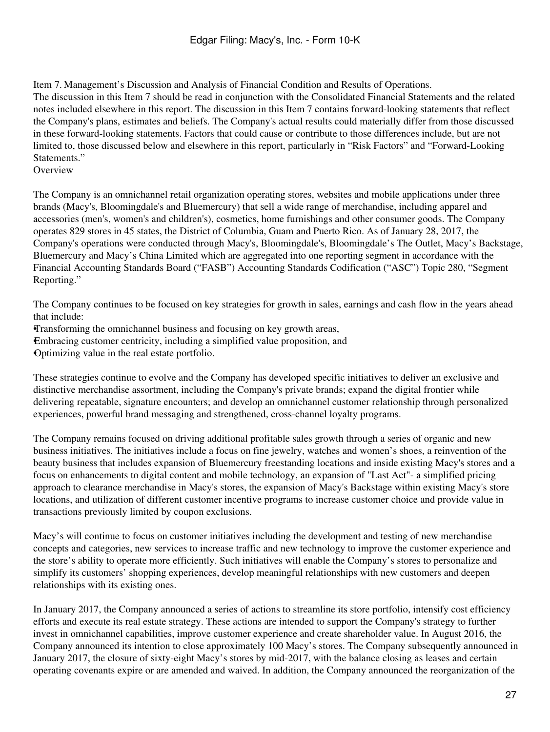Item 7. Management's Discussion and Analysis of Financial Condition and Results of Operations. The discussion in this Item 7 should be read in conjunction with the Consolidated Financial Statements and the related notes included elsewhere in this report. The discussion in this Item 7 contains forward-looking statements that reflect the Company's plans, estimates and beliefs. The Company's actual results could materially differ from those discussed in these forward-looking statements. Factors that could cause or contribute to those differences include, but are not limited to, those discussed below and elsewhere in this report, particularly in "Risk Factors" and "Forward-Looking Statements."

# **Overview**

The Company is an omnichannel retail organization operating stores, websites and mobile applications under three brands (Macy's, Bloomingdale's and Bluemercury) that sell a wide range of merchandise, including apparel and accessories (men's, women's and children's), cosmetics, home furnishings and other consumer goods. The Company operates 829 stores in 45 states, the District of Columbia, Guam and Puerto Rico. As of January 28, 2017, the Company's operations were conducted through Macy's, Bloomingdale's, Bloomingdale's The Outlet, Macy's Backstage, Bluemercury and Macy's China Limited which are aggregated into one reporting segment in accordance with the Financial Accounting Standards Board ("FASB") Accounting Standards Codification ("ASC") Topic 280, "Segment Reporting."

The Company continues to be focused on key strategies for growth in sales, earnings and cash flow in the years ahead that include:

•Transforming the omnichannel business and focusing on key growth areas,

•Embracing customer centricity, including a simplified value proposition, and

•Optimizing value in the real estate portfolio.

These strategies continue to evolve and the Company has developed specific initiatives to deliver an exclusive and distinctive merchandise assortment, including the Company's private brands; expand the digital frontier while delivering repeatable, signature encounters; and develop an omnichannel customer relationship through personalized experiences, powerful brand messaging and strengthened, cross-channel loyalty programs.

The Company remains focused on driving additional profitable sales growth through a series of organic and new business initiatives. The initiatives include a focus on fine jewelry, watches and women's shoes, a reinvention of the beauty business that includes expansion of Bluemercury freestanding locations and inside existing Macy's stores and a focus on enhancements to digital content and mobile technology, an expansion of "Last Act"- a simplified pricing approach to clearance merchandise in Macy's stores, the expansion of Macy's Backstage within existing Macy's store locations, and utilization of different customer incentive programs to increase customer choice and provide value in transactions previously limited by coupon exclusions.

Macy's will continue to focus on customer initiatives including the development and testing of new merchandise concepts and categories, new services to increase traffic and new technology to improve the customer experience and the store's ability to operate more efficiently. Such initiatives will enable the Company's stores to personalize and simplify its customers' shopping experiences, develop meaningful relationships with new customers and deepen relationships with its existing ones.

In January 2017, the Company announced a series of actions to streamline its store portfolio, intensify cost efficiency efforts and execute its real estate strategy. These actions are intended to support the Company's strategy to further invest in omnichannel capabilities, improve customer experience and create shareholder value. In August 2016, the Company announced its intention to close approximately 100 Macy's stores. The Company subsequently announced in January 2017, the closure of sixty-eight Macy's stores by mid-2017, with the balance closing as leases and certain operating covenants expire or are amended and waived. In addition, the Company announced the reorganization of the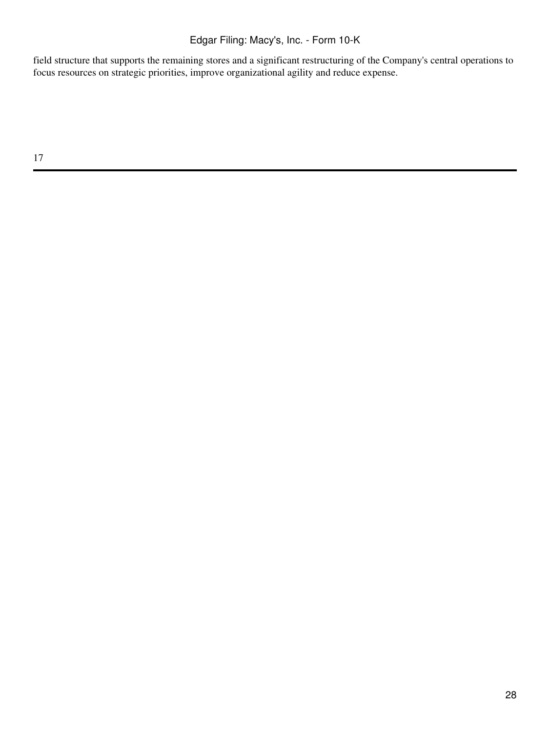# Edgar Filing: Macy's, Inc. - Form 10-K

field structure that supports the remaining stores and a significant restructuring of the Company's central operations to focus resources on strategic priorities, improve organizational agility and reduce expense.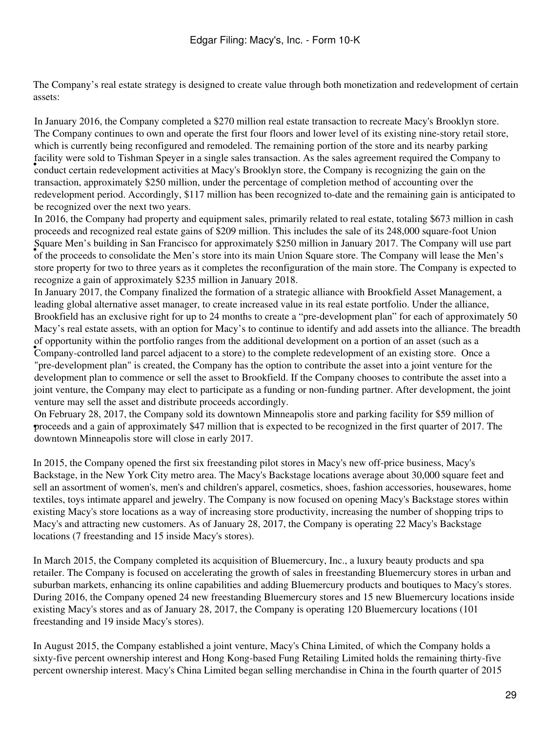The Company's real estate strategy is designed to create value through both monetization and redevelopment of certain assets:

Factively were sold to Tishinan Speyer in a single sates dansaction. This the sates agreement required the Company conduct certain redevelopment activities at Macy's Brooklyn store, the Company is recognizing the gain on t In January 2016, the Company completed a \$270 million real estate transaction to recreate Macy's Brooklyn store. The Company continues to own and operate the first four floors and lower level of its existing nine-story retail store, which is currently being reconfigured and remodeled. The remaining portion of the store and its nearby parking facility were sold to Tishman Speyer in a single sales transaction. As the sales agreement required the Company to transaction, approximately \$250 million, under the percentage of completion method of accounting over the redevelopment period. Accordingly, \$117 million has been recognized to-date and the remaining gain is anticipated to be recognized over the next two years.

of the proceeds to consolidate the Men's store into its main Union Square store. The Company will lease the Men's In 2016, the Company had property and equipment sales, primarily related to real estate, totaling \$673 million in cash proceeds and recognized real estate gains of \$209 million. This includes the sale of its 248,000 square-foot Union Square Men's building in San Francisco for approximately \$250 million in January 2017. The Company will use part store property for two to three years as it completes the reconfiguration of the main store. The Company is expected to recognize a gain of approximately \$235 million in January 2018.

• Company-controlled land parcel adjacent to a store) to the complete redevelopment of an existing store. Once a In January 2017, the Company finalized the formation of a strategic alliance with Brookfield Asset Management, a leading global alternative asset manager, to create increased value in its real estate portfolio. Under the alliance, Brookfield has an exclusive right for up to 24 months to create a "pre-development plan" for each of approximately 50 Macy's real estate assets, with an option for Macy's to continue to identify and add assets into the alliance. The breadth of opportunity within the portfolio ranges from the additional development on a portion of an asset (such as a "pre-development plan" is created, the Company has the option to contribute the asset into a joint venture for the development plan to commence or sell the asset to Brookfield. If the Company chooses to contribute the asset into a joint venture, the Company may elect to participate as a funding or non-funding partner. After development, the joint venture may sell the asset and distribute proceeds accordingly.

• proceeds and a gain of approximately \$47 million that is expected to be recognized in the first quarter of 2017. The On February 28, 2017, the Company sold its downtown Minneapolis store and parking facility for \$59 million of downtown Minneapolis store will close in early 2017.

In 2015, the Company opened the first six freestanding pilot stores in Macy's new off-price business, Macy's Backstage, in the New York City metro area. The Macy's Backstage locations average about 30,000 square feet and sell an assortment of women's, men's and children's apparel, cosmetics, shoes, fashion accessories, housewares, home textiles, toys intimate apparel and jewelry. The Company is now focused on opening Macy's Backstage stores within existing Macy's store locations as a way of increasing store productivity, increasing the number of shopping trips to Macy's and attracting new customers. As of January 28, 2017, the Company is operating 22 Macy's Backstage locations (7 freestanding and 15 inside Macy's stores).

In March 2015, the Company completed its acquisition of Bluemercury, Inc., a luxury beauty products and spa retailer. The Company is focused on accelerating the growth of sales in freestanding Bluemercury stores in urban and suburban markets, enhancing its online capabilities and adding Bluemercury products and boutiques to Macy's stores. During 2016, the Company opened 24 new freestanding Bluemercury stores and 15 new Bluemercury locations inside existing Macy's stores and as of January 28, 2017, the Company is operating 120 Bluemercury locations (101 freestanding and 19 inside Macy's stores).

In August 2015, the Company established a joint venture, Macy's China Limited, of which the Company holds a sixty-five percent ownership interest and Hong Kong-based Fung Retailing Limited holds the remaining thirty-five percent ownership interest. Macy's China Limited began selling merchandise in China in the fourth quarter of 2015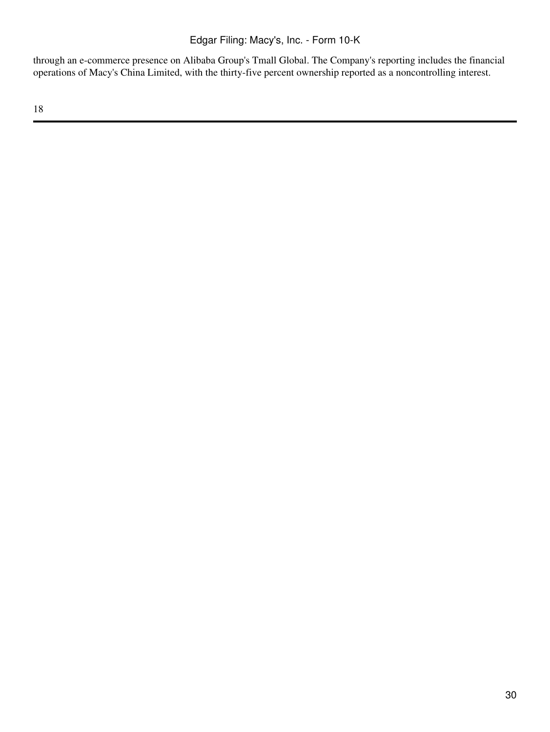through an e-commerce presence on Alibaba Group's Tmall Global. The Company's reporting includes the financial operations of Macy's China Limited, with the thirty-five percent ownership reported as a noncontrolling interest.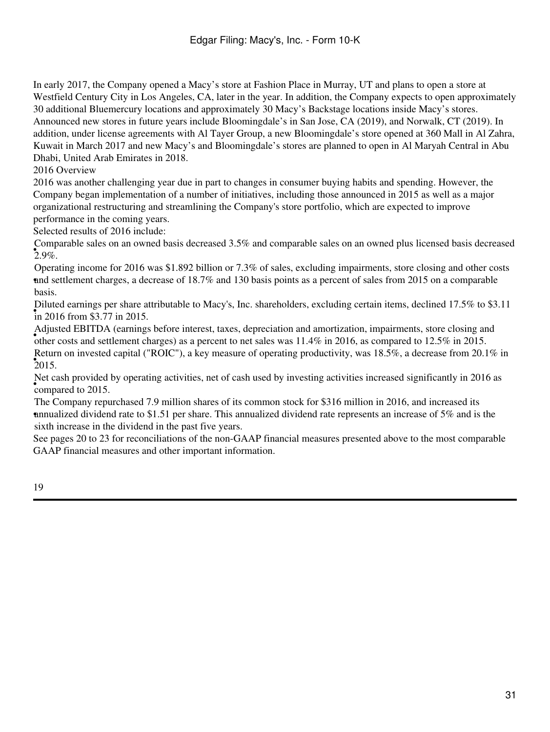In early 2017, the Company opened a Macy's store at Fashion Place in Murray, UT and plans to open a store at Westfield Century City in Los Angeles, CA, later in the year. In addition, the Company expects to open approximately 30 additional Bluemercury locations and approximately 30 Macy's Backstage locations inside Macy's stores. Announced new stores in future years include Bloomingdale's in San Jose, CA (2019), and Norwalk, CT (2019). In addition, under license agreements with Al Tayer Group, a new Bloomingdale's store opened at 360 Mall in Al Zahra, Kuwait in March 2017 and new Macy's and Bloomingdale's stores are planned to open in Al Maryah Central in Abu Dhabi, United Arab Emirates in 2018.

2016 Overview

2016 was another challenging year due in part to changes in consumer buying habits and spending. However, the Company began implementation of a number of initiatives, including those announced in 2015 as well as a major organizational restructuring and streamlining the Company's store portfolio, which are expected to improve performance in the coming years.

Selected results of 2016 include:

 $2.9\%$ . Comparable sales on an owned basis decreased 3.5% and comparable sales on an owned plus licensed basis decreased

• and settlement charges, a decrease of 18.7% and 130 basis points as a percent of sales from 2015 on a comparable Operating income for 2016 was \$1.892 billion or 7.3% of sales, excluding impairments, store closing and other costs basis.

In 2016 from \$3.77 in 2015. Diluted earnings per share attributable to Macy's, Inc. shareholders, excluding certain items, declined 17.5% to \$3.11

other costs and settlement charges) as a percent to net sales was 11.4% in 2016, as compared to 12.5% in 2015. Adjusted EBITDA (earnings before interest, taxes, depreciation and amortization, impairments, store closing and • 2015. Return on invested capital ("ROIC"), a key measure of operating productivity, was 18.5%, a decrease from 20.1% in

compared to 2015. Net cash provided by operating activities, net of cash used by investing activities increased significantly in 2016 as

• annualized dividend rate to \$1.51 per share. This annualized dividend rate represents an increase of 5% and is the The Company repurchased 7.9 million shares of its common stock for \$316 million in 2016, and increased its sixth increase in the dividend in the past five years.

See pages 20 to 23 for reconciliations of the non-GAAP financial measures presented above to the most comparable GAAP financial measures and other important information.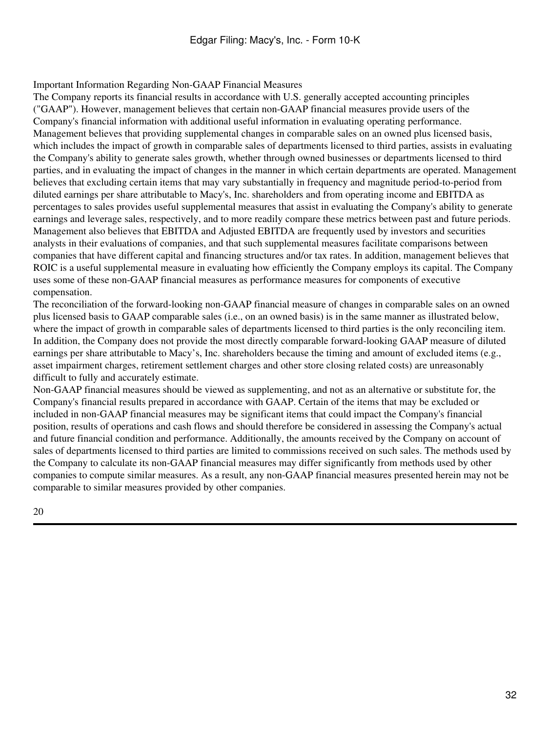## Important Information Regarding Non-GAAP Financial Measures

The Company reports its financial results in accordance with U.S. generally accepted accounting principles ("GAAP"). However, management believes that certain non-GAAP financial measures provide users of the Company's financial information with additional useful information in evaluating operating performance. Management believes that providing supplemental changes in comparable sales on an owned plus licensed basis, which includes the impact of growth in comparable sales of departments licensed to third parties, assists in evaluating the Company's ability to generate sales growth, whether through owned businesses or departments licensed to third parties, and in evaluating the impact of changes in the manner in which certain departments are operated. Management believes that excluding certain items that may vary substantially in frequency and magnitude period-to-period from diluted earnings per share attributable to Macy's, Inc. shareholders and from operating income and EBITDA as percentages to sales provides useful supplemental measures that assist in evaluating the Company's ability to generate earnings and leverage sales, respectively, and to more readily compare these metrics between past and future periods. Management also believes that EBITDA and Adjusted EBITDA are frequently used by investors and securities analysts in their evaluations of companies, and that such supplemental measures facilitate comparisons between companies that have different capital and financing structures and/or tax rates. In addition, management believes that ROIC is a useful supplemental measure in evaluating how efficiently the Company employs its capital. The Company uses some of these non-GAAP financial measures as performance measures for components of executive compensation.

The reconciliation of the forward-looking non-GAAP financial measure of changes in comparable sales on an owned plus licensed basis to GAAP comparable sales (i.e., on an owned basis) is in the same manner as illustrated below, where the impact of growth in comparable sales of departments licensed to third parties is the only reconciling item. In addition, the Company does not provide the most directly comparable forward-looking GAAP measure of diluted earnings per share attributable to Macy's, Inc. shareholders because the timing and amount of excluded items (e.g., asset impairment charges, retirement settlement charges and other store closing related costs) are unreasonably difficult to fully and accurately estimate.

Non-GAAP financial measures should be viewed as supplementing, and not as an alternative or substitute for, the Company's financial results prepared in accordance with GAAP. Certain of the items that may be excluded or included in non-GAAP financial measures may be significant items that could impact the Company's financial position, results of operations and cash flows and should therefore be considered in assessing the Company's actual and future financial condition and performance. Additionally, the amounts received by the Company on account of sales of departments licensed to third parties are limited to commissions received on such sales. The methods used by the Company to calculate its non-GAAP financial measures may differ significantly from methods used by other companies to compute similar measures. As a result, any non-GAAP financial measures presented herein may not be comparable to similar measures provided by other companies.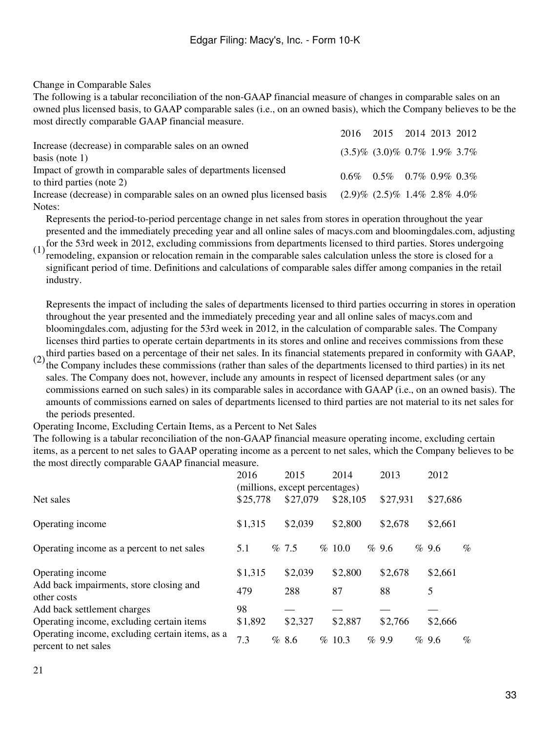## Change in Comparable Sales

The following is a tabular reconciliation of the non-GAAP financial measure of changes in comparable sales on an owned plus licensed basis, to GAAP comparable sales (i.e., on an owned basis), which the Company believes to be the most directly comparable GAAP financial measure. 2016 2015 2014 2013 2012

|                                                                                           | 2016 2015 2014 2013 2012           |  |  |
|-------------------------------------------------------------------------------------------|------------------------------------|--|--|
| Increase (decrease) in comparable sales on an owned<br>basis (note 1)                     | $(3.5)\%$ $(3.0)\%$ 0.7% 1.9% 3.7% |  |  |
| Impact of growth in comparable sales of departments licensed<br>to third parties (note 2) | $0.6\%$ 0.5% 0.7% 0.9% 0.3%        |  |  |
| Increase (decrease) in comparable sales on an owned plus licensed basis<br>Notes:         | $(2.9)\%$ $(2.5)\%$ 1.4% 2.8% 4.0% |  |  |

Represents the period-to-period percentage change in net sales from stores in operation throughout the year presented and the immediately preceding year and all online sales of macys.com and bloomingdales.com, adjusting

(1) for the 53rd week in 2012, excluding commissions from departments licensed to third parties. Stores undergoing  $(1)$  are added to a generalize a graduation complete the stores in algoed for a remodeling, expansion or relocation remain in the comparable sales calculation unless the store is closed for a significant period of time. Definitions and calculations of comparable sales differ among companies in the retail industry.

Represents the impact of including the sales of departments licensed to third parties occurring in stores in operation throughout the year presented and the immediately preceding year and all online sales of macys.com and bloomingdales.com, adjusting for the 53rd week in 2012, in the calculation of comparable sales. The Company licenses third parties to operate certain departments in its stores and online and receives commissions from these

(2) third parties based on a percentage of their net sales. In its financial statements prepared in conformity with GAAP,  $(2)$  the Company includes these commissions (without here seles of the departments licensed to thi the Company includes these commissions (rather than sales of the departments licensed to third parties) in its net sales. The Company does not, however, include any amounts in respect of licensed department sales (or any commissions earned on such sales) in its comparable sales in accordance with GAAP (i.e., on an owned basis). The amounts of commissions earned on sales of departments licensed to third parties are not material to its net sales for the periods presented.

Operating Income, Excluding Certain Items, as a Percent to Net Sales

The following is a tabular reconciliation of the non-GAAP financial measure operating income, excluding certain items, as a percent to net sales to GAAP operating income as a percent to net sales, which the Company believes to be the most directly comparable GAAP financial measure.

|                                                                         | 2016     | 2015<br>(millions, except percentages) | 2014     | 2013     | 2012     |      |
|-------------------------------------------------------------------------|----------|----------------------------------------|----------|----------|----------|------|
| Net sales                                                               | \$25,778 | \$27,079                               | \$28,105 | \$27,931 | \$27,686 |      |
| Operating income                                                        | \$1,315  | \$2,039                                | \$2,800  | \$2,678  | \$2,661  |      |
| Operating income as a percent to net sales                              | 5.1      | % 7.5                                  | % 10.0   | %9.6     | %9.6     | $\%$ |
| Operating income                                                        | \$1,315  | \$2,039                                | \$2,800  | \$2,678  | \$2,661  |      |
| Add back impairments, store closing and<br>other costs                  | 479      | 288                                    | 87       | 88       | 5        |      |
| Add back settlement charges                                             | 98       |                                        |          |          |          |      |
| Operating income, excluding certain items                               | \$1,892  | \$2,327                                | \$2,887  | \$2,766  | \$2,666  |      |
| Operating income, excluding certain items, as a<br>percent to net sales | 7.3      | %8.6                                   | %10.3    | %9.9     | %9.6     | $\%$ |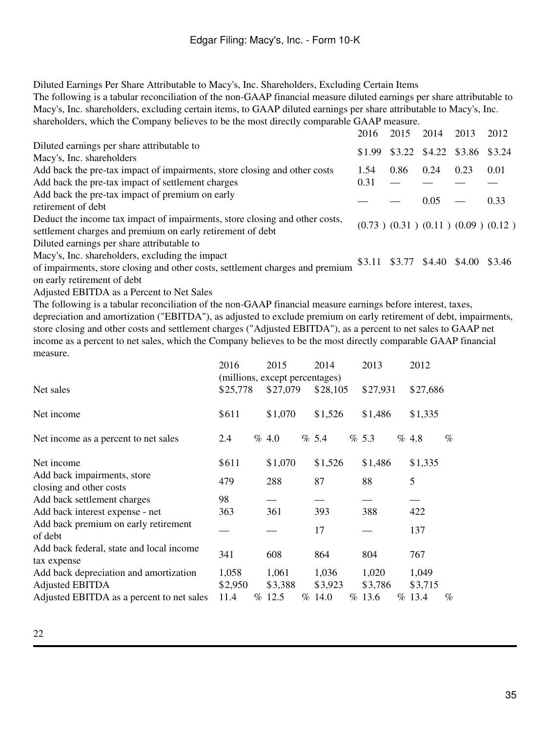Diluted Earnings Per Share Attributable to Macy's, Inc. Shareholders, Excluding Certain Items The following is a tabular reconciliation of the non-GAAP financial measure diluted earnings per share attributable to Macy's, Inc. shareholders, excluding certain items, to GAAP diluted earnings per share attributable to Macy's, Inc. shareholders, which the Company believes to be the most directly comparable GAAP measure.

| 2016                                                                          | 2015 |      |      | 2012                                                                                                                        |
|-------------------------------------------------------------------------------|------|------|------|-----------------------------------------------------------------------------------------------------------------------------|
| \$1.99                                                                        |      |      |      |                                                                                                                             |
|                                                                               |      |      |      |                                                                                                                             |
| 1.54                                                                          | 0.86 | 0.24 |      | 0.01                                                                                                                        |
| 0.31                                                                          |      |      |      |                                                                                                                             |
|                                                                               |      | 0.05 |      | 0.33                                                                                                                        |
|                                                                               |      |      |      |                                                                                                                             |
|                                                                               |      |      |      |                                                                                                                             |
|                                                                               |      |      |      |                                                                                                                             |
|                                                                               |      |      |      | \$3.46                                                                                                                      |
| of impairments, store closing and other costs, settlement charges and premium |      |      | 2014 | 2013<br>\$3.22 \$4.22 \$3.86 \$3.24<br>0.23<br>$(0.73)$ $(0.31)$ $(0.11)$ $(0.09)$ $(0.12)$<br>$$3.11$ \$3.77 \$4.40 \$4.00 |

on early retirement of debt

Adjusted EBITDA as a Percent to Net Sales

The following is a tabular reconciliation of the non-GAAP financial measure earnings before interest, taxes, depreciation and amortization ("EBITDA"), as adjusted to exclude premium on early retirement of debt, impairments, store closing and other costs and settlement charges ("Adjusted EBITDA"), as a percent to net sales to GAAP net income as a percent to net sales, which the Company believes to be the most directly comparable GAAP financial measure.

|                                                 | 2016                           |  | 2015     |      | 2014     |  | 2013     |  | 2012     |      |  |
|-------------------------------------------------|--------------------------------|--|----------|------|----------|--|----------|--|----------|------|--|
|                                                 | (millions, except percentages) |  |          |      |          |  |          |  |          |      |  |
| Net sales                                       | \$25,778                       |  | \$27,079 |      | \$28,105 |  | \$27,931 |  | \$27,686 |      |  |
| Net income                                      | \$611                          |  | \$1,070  |      | \$1,526  |  | \$1,486  |  | \$1,335  |      |  |
| Net income as a percent to net sales            | 2.4                            |  | % 4.0    |      | % 5.4    |  | % 5.3    |  | % 4.8    | $\%$ |  |
| Net income                                      | \$611                          |  | \$1,070  |      | \$1,526  |  | \$1,486  |  | \$1,335  |      |  |
| Add back impairments, store                     | 479                            |  | 288      |      | 87       |  | 88       |  | 5        |      |  |
| closing and other costs                         |                                |  |          |      |          |  |          |  |          |      |  |
| Add back settlement charges                     | 98                             |  |          |      |          |  |          |  |          |      |  |
| Add back interest expense - net                 | 363                            |  | 361      |      | 393      |  | 388      |  | 422      |      |  |
| Add back premium on early retirement<br>of debt |                                |  |          |      | 17       |  |          |  | 137      |      |  |
| Add back federal, state and local income        | 341                            |  | 608      |      | 864      |  | 804      |  | 767      |      |  |
| tax expense                                     |                                |  |          |      |          |  |          |  |          |      |  |
| Add back depreciation and amortization          | 1,058                          |  | 1,061    |      | 1,036    |  | 1,020    |  | 1,049    |      |  |
| Adjusted EBITDA                                 | \$2,950                        |  | \$3,388  |      | \$3,923  |  | \$3,786  |  | \$3,715  |      |  |
| Adjusted EBITDA as a percent to net sales       | 11.4                           |  | % 12.5   | $\%$ | 14.0     |  | % 13.6   |  | % 13.4   | $\%$ |  |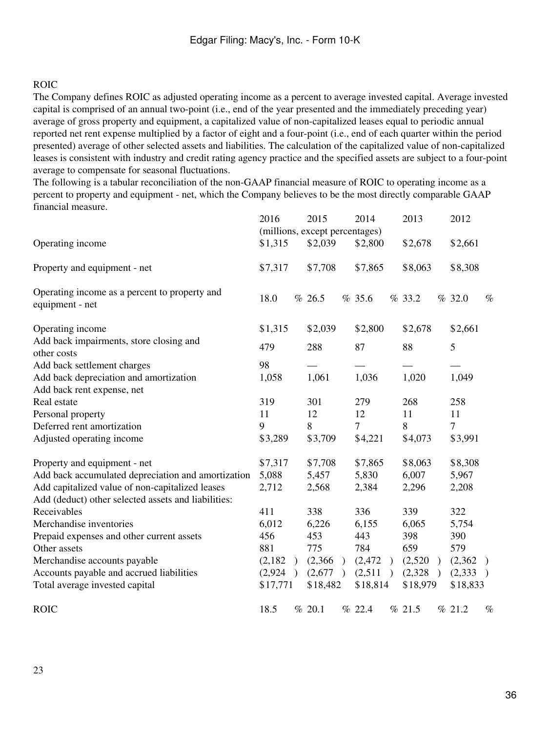## ROIC

The Company defines ROIC as adjusted operating income as a percent to average invested capital. Average invested capital is comprised of an annual two-point (i.e., end of the year presented and the immediately preceding year) average of gross property and equipment, a capitalized value of non-capitalized leases equal to periodic annual reported net rent expense multiplied by a factor of eight and a four-point (i.e., end of each quarter within the period presented) average of other selected assets and liabilities. The calculation of the capitalized value of non-capitalized leases is consistent with industry and credit rating agency practice and the specified assets are subject to a four-point average to compensate for seasonal fluctuations.

The following is a tabular reconciliation of the non-GAAP financial measure of ROIC to operating income as a percent to property and equipment - net, which the Company believes to be the most directly comparable GAAP financial measure.

| (millions, except percentages) |                 |                                      |                                     |                                        |                                     |                                        |                                    |                     |                                                 |
|--------------------------------|-----------------|--------------------------------------|-------------------------------------|----------------------------------------|-------------------------------------|----------------------------------------|------------------------------------|---------------------|-------------------------------------------------|
|                                |                 |                                      |                                     |                                        |                                     |                                        |                                    |                     |                                                 |
| \$7,317                        |                 | \$7,708                              |                                     | \$7,865                                |                                     | \$8,063                                |                                    | \$8,308             |                                                 |
| 18.0                           |                 |                                      |                                     |                                        |                                     |                                        |                                    |                     | $\%$                                            |
| \$1,315                        |                 | \$2,039                              |                                     | \$2,800                                |                                     | \$2,678                                |                                    | \$2,661             |                                                 |
| 479                            |                 | 288                                  |                                     | 87                                     |                                     | 88                                     |                                    | 5                   |                                                 |
| 98                             |                 |                                      |                                     |                                        |                                     |                                        |                                    |                     |                                                 |
| 1,058                          |                 | 1,061                                |                                     | 1,036                                  |                                     | 1,020                                  |                                    | 1,049               |                                                 |
|                                |                 |                                      |                                     |                                        |                                     |                                        |                                    |                     |                                                 |
| 319                            |                 | 301                                  |                                     | 279                                    |                                     | 268                                    |                                    | 258                 |                                                 |
| 11                             |                 | 12                                   |                                     | 12                                     |                                     | 11                                     |                                    | 11                  |                                                 |
| 9                              |                 | 8                                    |                                     | $\overline{7}$                         |                                     | 8                                      |                                    | $\overline{7}$      |                                                 |
| \$3,289                        |                 | \$3,709                              |                                     | \$4,221                                |                                     | \$4,073                                |                                    | \$3,991             |                                                 |
| \$7,317                        |                 | \$7,708                              |                                     | \$7,865                                |                                     | \$8,063                                |                                    | \$8,308             |                                                 |
| 5,088                          |                 | 5,457                                |                                     | 5,830                                  |                                     | 6,007                                  |                                    | 5,967               |                                                 |
| 2,712                          |                 | 2,568                                |                                     | 2,384                                  |                                     | 2,296                                  |                                    | 2,208               |                                                 |
|                                |                 |                                      |                                     |                                        |                                     |                                        |                                    |                     |                                                 |
| 411                            |                 | 338                                  |                                     | 336                                    |                                     | 339                                    |                                    | 322                 |                                                 |
| 6,012                          |                 | 6,226                                |                                     | 6,155                                  |                                     | 6,065                                  |                                    | 5,754               |                                                 |
| 456                            |                 | 453                                  |                                     | 443                                    |                                     | 398                                    |                                    | 390                 |                                                 |
| 881                            |                 | 775                                  |                                     | 784                                    |                                     | 659                                    |                                    | 579                 |                                                 |
| (2,182)                        |                 | (2,366)                              |                                     | (2, 472)                               |                                     | (2,520)                                | $\lambda$                          | (2, 362)            | $\lambda$                                       |
|                                |                 | (2,677)                              |                                     | (2,511)                                |                                     | (2,328)                                |                                    | (2, 333)            | $\rightarrow$                                   |
|                                |                 |                                      |                                     |                                        |                                     |                                        |                                    |                     |                                                 |
| 18.5                           |                 |                                      |                                     |                                        |                                     |                                        |                                    |                     | $\%$                                            |
|                                | 2016<br>\$1,315 | $\rightarrow$<br>(2,924)<br>\$17,771 | 2015<br>\$2,039<br>% 26.5<br>% 20.1 | $\lambda$<br>$\rightarrow$<br>\$18,482 | 2014<br>\$2,800<br>% 35.6<br>% 22.4 | $\lambda$<br>$\rightarrow$<br>\$18,814 | 2013<br>\$2,678<br>%33.2<br>% 21.5 | $\big)$<br>\$18,979 | 2012<br>\$2,661<br>% 32.0<br>\$18,833<br>% 21.2 |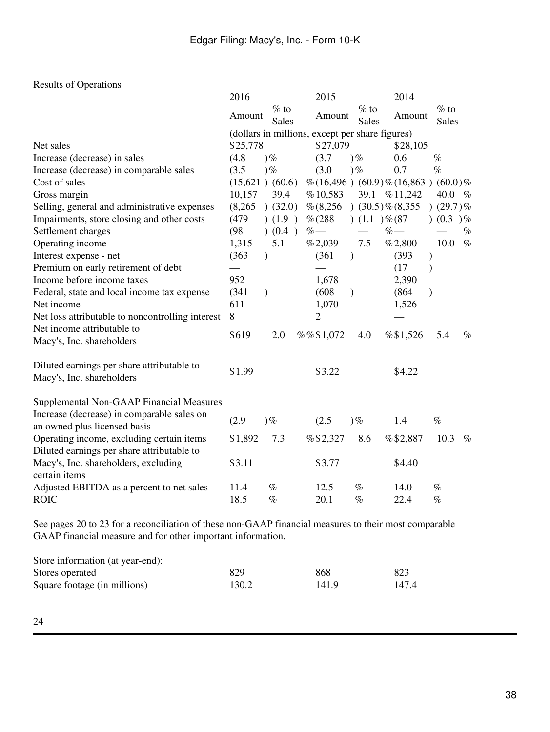# Results of Operations

|                                                                                         | 2016                                            |               |                        | 2015           |               |                        | 2014                         |               |                        |      |
|-----------------------------------------------------------------------------------------|-------------------------------------------------|---------------|------------------------|----------------|---------------|------------------------|------------------------------|---------------|------------------------|------|
|                                                                                         | Amount                                          |               | $%$ to<br><b>Sales</b> | Amount         |               | $%$ to<br><b>Sales</b> | Amount                       |               | $%$ to<br><b>Sales</b> |      |
|                                                                                         | (dollars in millions, except per share figures) |               |                        |                |               |                        |                              |               |                        |      |
| Net sales                                                                               | \$25,778                                        |               |                        | \$27,079       |               |                        | \$28,105                     |               |                        |      |
| Increase (decrease) in sales                                                            | (4.8)                                           |               | $\partial$             | (3.7)          |               | $\mathcal{O}_0$        | 0.6                          |               | $\%$                   |      |
| Increase (decrease) in comparable sales                                                 | (3.5)                                           |               | $\partial$             | (3.0)          |               | $\partial$             | 0.7                          |               | $\%$                   |      |
| Cost of sales                                                                           | $(15,621)$ $(60.6)$                             |               |                        |                |               |                        | $\%$ (16,496)(60.9)%(16,863) |               | $(60.0)\%$             |      |
| Gross margin                                                                            | 10,157                                          |               | 39.4                   | %10,583        |               | 39.1                   | %11,242                      |               | 40.0                   | $\%$ |
| Selling, general and administrative expenses                                            | (8, 265)                                        |               | (32.0)                 | % (8,256)      |               |                        | $(30.5)\%$ $(8,355)$         |               | $(29.7)\%$             |      |
| Impairments, store closing and other costs                                              | (479)                                           |               | (1.9)                  | % (288)        |               | $(1.1) \% (87)$        |                              |               | (0.3)                  | 9%   |
| Settlement charges                                                                      | (98)                                            |               | (0.4)                  | $% -$          |               |                        | $\%$ —                       |               |                        | $\%$ |
| Operating income                                                                        | 1,315                                           |               | 5.1                    | %2,039         |               | 7.5                    | %2,800                       |               | 10.0                   | $\%$ |
| Interest expense - net                                                                  | (363)                                           | $\mathcal{E}$ |                        | (361)          | $\mathcal{E}$ |                        | (393)                        | $\mathcal{Y}$ |                        |      |
| Premium on early retirement of debt                                                     |                                                 |               |                        |                |               |                        | (17)                         | $\mathcal{E}$ |                        |      |
| Income before income taxes                                                              | 952                                             |               |                        | 1,678          |               |                        | 2,390                        |               |                        |      |
| Federal, state and local income tax expense                                             | (341)                                           | $\mathcal{E}$ |                        | (608)          | $\mathcal{E}$ |                        | (864)                        | $\mathcal{E}$ |                        |      |
| Net income                                                                              | 611                                             |               |                        | 1,070          |               |                        | 1,526                        |               |                        |      |
| Net loss attributable to noncontrolling interest                                        | 8                                               |               |                        | $\overline{2}$ |               |                        |                              |               |                        |      |
| Net income attributable to                                                              |                                                 |               |                        |                |               |                        |                              |               |                        |      |
| Macy's, Inc. shareholders                                                               | \$619                                           |               | 2.0                    | $%$ %\$1,072   |               | 4.0                    | % \$1,526                    |               | 5.4                    | $\%$ |
| Diluted earnings per share attributable to<br>Macy's, Inc. shareholders                 | \$1.99                                          |               |                        | \$3.22         |               |                        | \$4.22                       |               |                        |      |
| Supplemental Non-GAAP Financial Measures                                                |                                                 |               |                        |                |               |                        |                              |               |                        |      |
| Increase (decrease) in comparable sales on<br>an owned plus licensed basis              | (2.9)                                           |               | $\partial$             | (2.5)          |               | $\partial$             | 1.4                          |               | $\%$                   |      |
| Operating income, excluding certain items<br>Diluted earnings per share attributable to | \$1,892                                         |               | 7.3                    | % \$2,327      |               | 8.6                    | % \$2,887                    |               | 10.3                   | $\%$ |
| Macy's, Inc. shareholders, excluding<br>certain items                                   | \$3.11                                          |               |                        | \$3.77         |               |                        | \$4.40                       |               |                        |      |
| Adjusted EBITDA as a percent to net sales                                               | 11.4                                            |               | $\%$                   | 12.5           |               | $\%$                   | 14.0                         |               | $\%$                   |      |
| <b>ROIC</b>                                                                             | 18.5                                            |               | $\%$                   | 20.1           |               | $\%$                   | 22.4                         |               | $\%$                   |      |
|                                                                                         |                                                 |               |                        |                |               |                        |                              |               |                        |      |

See pages 20 to 23 for a reconciliation of these non-GAAP financial measures to their most comparable GAAP financial measure and for other important information.

| Store information (at year-end): |       |       |       |
|----------------------------------|-------|-------|-------|
| Stores operated                  | 829   | 868   | 823   |
| Square footage (in millions)     | 130.2 | 141.9 | 147.4 |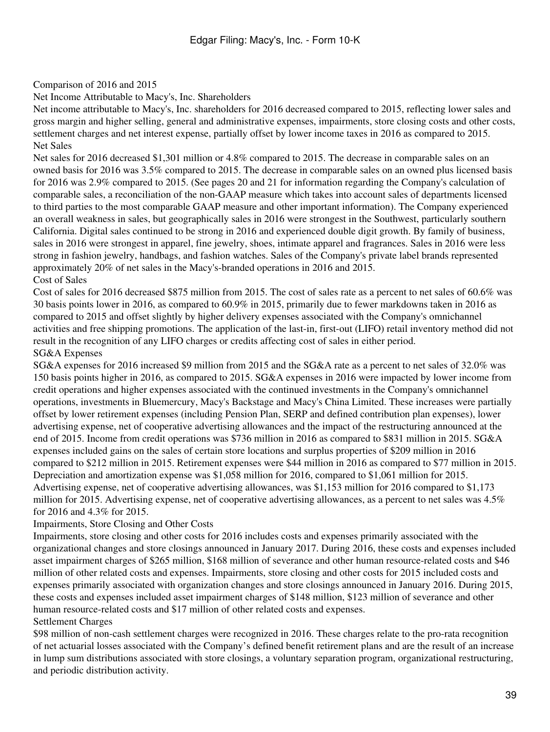Comparison of 2016 and 2015

Net Income Attributable to Macy's, Inc. Shareholders

Net income attributable to Macy's, Inc. shareholders for 2016 decreased compared to 2015, reflecting lower sales and gross margin and higher selling, general and administrative expenses, impairments, store closing costs and other costs, settlement charges and net interest expense, partially offset by lower income taxes in 2016 as compared to 2015. Net Sales

Net sales for 2016 decreased \$1,301 million or 4.8% compared to 2015. The decrease in comparable sales on an owned basis for 2016 was 3.5% compared to 2015. The decrease in comparable sales on an owned plus licensed basis for 2016 was 2.9% compared to 2015. (See pages 20 and 21 for information regarding the Company's calculation of comparable sales, a reconciliation of the non-GAAP measure which takes into account sales of departments licensed to third parties to the most comparable GAAP measure and other important information). The Company experienced an overall weakness in sales, but geographically sales in 2016 were strongest in the Southwest, particularly southern California. Digital sales continued to be strong in 2016 and experienced double digit growth. By family of business, sales in 2016 were strongest in apparel, fine jewelry, shoes, intimate apparel and fragrances. Sales in 2016 were less strong in fashion jewelry, handbags, and fashion watches. Sales of the Company's private label brands represented approximately 20% of net sales in the Macy's-branded operations in 2016 and 2015. Cost of Sales

Cost of sales for 2016 decreased \$875 million from 2015. The cost of sales rate as a percent to net sales of 60.6% was 30 basis points lower in 2016, as compared to 60.9% in 2015, primarily due to fewer markdowns taken in 2016 as compared to 2015 and offset slightly by higher delivery expenses associated with the Company's omnichannel activities and free shipping promotions. The application of the last-in, first-out (LIFO) retail inventory method did not result in the recognition of any LIFO charges or credits affecting cost of sales in either period. SG&A Expenses

SG&A expenses for 2016 increased \$9 million from 2015 and the SG&A rate as a percent to net sales of 32.0% was 150 basis points higher in 2016, as compared to 2015. SG&A expenses in 2016 were impacted by lower income from credit operations and higher expenses associated with the continued investments in the Company's omnichannel operations, investments in Bluemercury, Macy's Backstage and Macy's China Limited. These increases were partially offset by lower retirement expenses (including Pension Plan, SERP and defined contribution plan expenses), lower advertising expense, net of cooperative advertising allowances and the impact of the restructuring announced at the end of 2015. Income from credit operations was \$736 million in 2016 as compared to \$831 million in 2015. SG&A expenses included gains on the sales of certain store locations and surplus properties of \$209 million in 2016 compared to \$212 million in 2015. Retirement expenses were \$44 million in 2016 as compared to \$77 million in 2015. Depreciation and amortization expense was \$1,058 million for 2016, compared to \$1,061 million for 2015. Advertising expense, net of cooperative advertising allowances, was \$1,153 million for 2016 compared to \$1,173 million for 2015. Advertising expense, net of cooperative advertising allowances, as a percent to net sales was 4.5% for 2016 and 4.3% for 2015.

#### Impairments, Store Closing and Other Costs

Impairments, store closing and other costs for 2016 includes costs and expenses primarily associated with the organizational changes and store closings announced in January 2017. During 2016, these costs and expenses included asset impairment charges of \$265 million, \$168 million of severance and other human resource-related costs and \$46 million of other related costs and expenses. Impairments, store closing and other costs for 2015 included costs and expenses primarily associated with organization changes and store closings announced in January 2016. During 2015, these costs and expenses included asset impairment charges of \$148 million, \$123 million of severance and other human resource-related costs and \$17 million of other related costs and expenses.

#### Settlement Charges

\$98 million of non-cash settlement charges were recognized in 2016. These charges relate to the pro-rata recognition of net actuarial losses associated with the Company's defined benefit retirement plans and are the result of an increase in lump sum distributions associated with store closings, a voluntary separation program, organizational restructuring, and periodic distribution activity.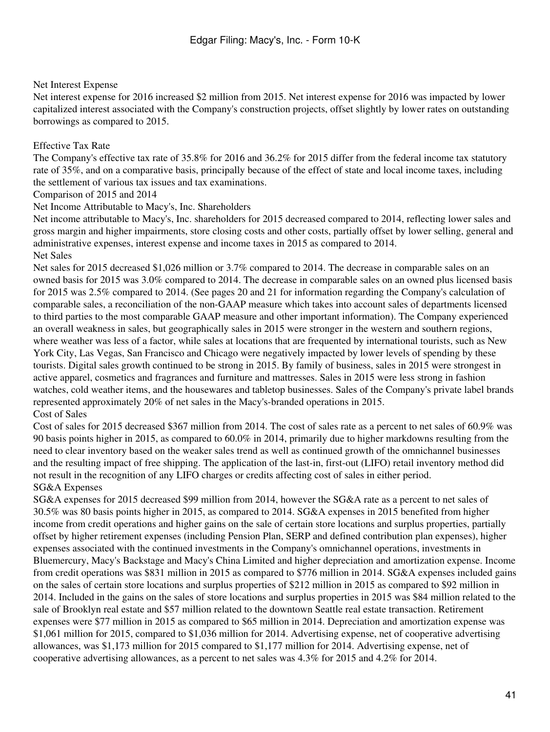### Net Interest Expense

Net interest expense for 2016 increased \$2 million from 2015. Net interest expense for 2016 was impacted by lower capitalized interest associated with the Company's construction projects, offset slightly by lower rates on outstanding borrowings as compared to 2015.

# Effective Tax Rate

The Company's effective tax rate of 35.8% for 2016 and 36.2% for 2015 differ from the federal income tax statutory rate of 35%, and on a comparative basis, principally because of the effect of state and local income taxes, including the settlement of various tax issues and tax examinations.

Comparison of 2015 and 2014

Net Income Attributable to Macy's, Inc. Shareholders

Net income attributable to Macy's, Inc. shareholders for 2015 decreased compared to 2014, reflecting lower sales and gross margin and higher impairments, store closing costs and other costs, partially offset by lower selling, general and administrative expenses, interest expense and income taxes in 2015 as compared to 2014.

Net Sales

Net sales for 2015 decreased \$1,026 million or 3.7% compared to 2014. The decrease in comparable sales on an owned basis for 2015 was 3.0% compared to 2014. The decrease in comparable sales on an owned plus licensed basis for 2015 was 2.5% compared to 2014. (See pages 20 and 21 for information regarding the Company's calculation of comparable sales, a reconciliation of the non-GAAP measure which takes into account sales of departments licensed to third parties to the most comparable GAAP measure and other important information). The Company experienced an overall weakness in sales, but geographically sales in 2015 were stronger in the western and southern regions, where weather was less of a factor, while sales at locations that are frequented by international tourists, such as New York City, Las Vegas, San Francisco and Chicago were negatively impacted by lower levels of spending by these tourists. Digital sales growth continued to be strong in 2015. By family of business, sales in 2015 were strongest in active apparel, cosmetics and fragrances and furniture and mattresses. Sales in 2015 were less strong in fashion watches, cold weather items, and the housewares and tabletop businesses. Sales of the Company's private label brands represented approximately 20% of net sales in the Macy's-branded operations in 2015. Cost of Sales

Cost of sales for 2015 decreased \$367 million from 2014. The cost of sales rate as a percent to net sales of 60.9% was 90 basis points higher in 2015, as compared to 60.0% in 2014, primarily due to higher markdowns resulting from the need to clear inventory based on the weaker sales trend as well as continued growth of the omnichannel businesses and the resulting impact of free shipping. The application of the last-in, first-out (LIFO) retail inventory method did not result in the recognition of any LIFO charges or credits affecting cost of sales in either period. SG&A Expenses

SG&A expenses for 2015 decreased \$99 million from 2014, however the SG&A rate as a percent to net sales of 30.5% was 80 basis points higher in 2015, as compared to 2014. SG&A expenses in 2015 benefited from higher income from credit operations and higher gains on the sale of certain store locations and surplus properties, partially offset by higher retirement expenses (including Pension Plan, SERP and defined contribution plan expenses), higher expenses associated with the continued investments in the Company's omnichannel operations, investments in Bluemercury, Macy's Backstage and Macy's China Limited and higher depreciation and amortization expense. Income from credit operations was \$831 million in 2015 as compared to \$776 million in 2014. SG&A expenses included gains on the sales of certain store locations and surplus properties of \$212 million in 2015 as compared to \$92 million in 2014. Included in the gains on the sales of store locations and surplus properties in 2015 was \$84 million related to the sale of Brooklyn real estate and \$57 million related to the downtown Seattle real estate transaction. Retirement expenses were \$77 million in 2015 as compared to \$65 million in 2014. Depreciation and amortization expense was \$1,061 million for 2015, compared to \$1,036 million for 2014. Advertising expense, net of cooperative advertising allowances, was \$1,173 million for 2015 compared to \$1,177 million for 2014. Advertising expense, net of cooperative advertising allowances, as a percent to net sales was 4.3% for 2015 and 4.2% for 2014.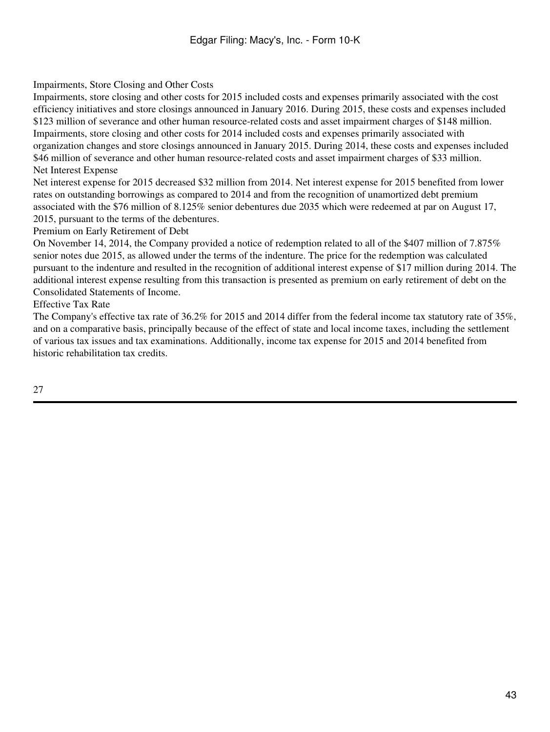Impairments, Store Closing and Other Costs

Impairments, store closing and other costs for 2015 included costs and expenses primarily associated with the cost efficiency initiatives and store closings announced in January 2016. During 2015, these costs and expenses included \$123 million of severance and other human resource-related costs and asset impairment charges of \$148 million. Impairments, store closing and other costs for 2014 included costs and expenses primarily associated with organization changes and store closings announced in January 2015. During 2014, these costs and expenses included \$46 million of severance and other human resource-related costs and asset impairment charges of \$33 million. Net Interest Expense

Net interest expense for 2015 decreased \$32 million from 2014. Net interest expense for 2015 benefited from lower rates on outstanding borrowings as compared to 2014 and from the recognition of unamortized debt premium associated with the \$76 million of 8.125% senior debentures due 2035 which were redeemed at par on August 17, 2015, pursuant to the terms of the debentures.

Premium on Early Retirement of Debt

On November 14, 2014, the Company provided a notice of redemption related to all of the \$407 million of 7.875% senior notes due 2015, as allowed under the terms of the indenture. The price for the redemption was calculated pursuant to the indenture and resulted in the recognition of additional interest expense of \$17 million during 2014. The additional interest expense resulting from this transaction is presented as premium on early retirement of debt on the Consolidated Statements of Income.

#### Effective Tax Rate

The Company's effective tax rate of 36.2% for 2015 and 2014 differ from the federal income tax statutory rate of 35%, and on a comparative basis, principally because of the effect of state and local income taxes, including the settlement of various tax issues and tax examinations. Additionally, income tax expense for 2015 and 2014 benefited from historic rehabilitation tax credits.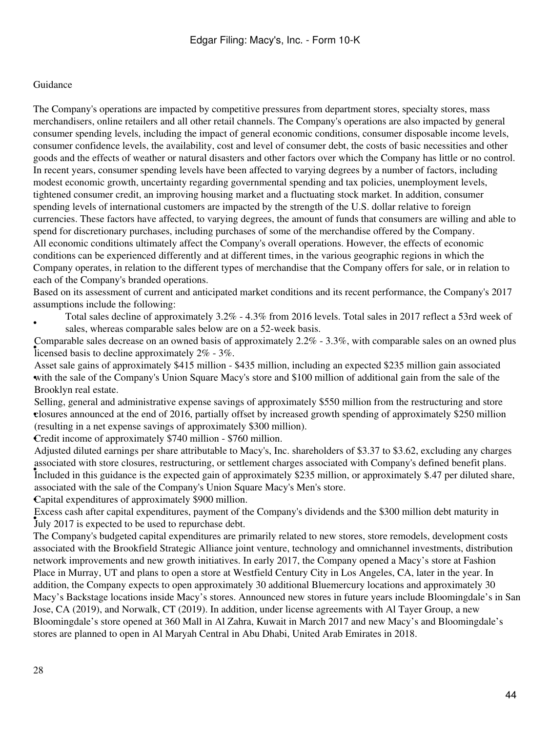# Guidance

The Company's operations are impacted by competitive pressures from department stores, specialty stores, mass merchandisers, online retailers and all other retail channels. The Company's operations are also impacted by general consumer spending levels, including the impact of general economic conditions, consumer disposable income levels, consumer confidence levels, the availability, cost and level of consumer debt, the costs of basic necessities and other goods and the effects of weather or natural disasters and other factors over which the Company has little or no control. In recent years, consumer spending levels have been affected to varying degrees by a number of factors, including modest economic growth, uncertainty regarding governmental spending and tax policies, unemployment levels, tightened consumer credit, an improving housing market and a fluctuating stock market. In addition, consumer spending levels of international customers are impacted by the strength of the U.S. dollar relative to foreign currencies. These factors have affected, to varying degrees, the amount of funds that consumers are willing and able to spend for discretionary purchases, including purchases of some of the merchandise offered by the Company. All economic conditions ultimately affect the Company's overall operations. However, the effects of economic conditions can be experienced differently and at different times, in the various geographic regions in which the Company operates, in relation to the different types of merchandise that the Company offers for sale, or in relation to each of the Company's branded operations.

Based on its assessment of current and anticipated market conditions and its recent performance, the Company's 2017 assumptions include the following:

• Total sales decline of approximately 3.2% - 4.3% from 2016 levels. Total sales in 2017 reflect a 53rd week of sales, whereas comparable sales below are on a 52-week basis.

• licensed basis to decline approximately 2% - 3%. Comparable sales decrease on an owned basis of approximately 2.2% - 3.3%, with comparable sales on an owned plus

with the sale of the Company's Union Square Macy's store and \$100 million of additional gain from the sale of the Asset sale gains of approximately \$415 million - \$435 million, including an expected \$235 million gain associated Brooklyn real estate.

• closures announced at the end of 2016, partially offset by increased growth spending of approximately \$250 million Selling, general and administrative expense savings of approximately \$550 million from the restructuring and store (resulting in a net expense savings of approximately \$300 million).

•Credit income of approximately \$740 million - \$760 million.

associated with store closures, restructuring, or settlement charges associated with company stermed benefit plans.<br>Included in this guidance is the expected gain of approximately \$235 million, or approximately \$.47 per di Adjusted diluted earnings per share attributable to Macy's, Inc. shareholders of \$3.37 to \$3.62, excluding any charges associated with store closures, restructuring, or settlement charges associated with Company's defined benefit plans. associated with the sale of the Company's Union Square Macy's Men's store.

•Capital expenditures of approximately \$900 million.

• July 2017 is expected to be used to repurchase debt. Excess cash after capital expenditures, payment of the Company's dividends and the \$300 million debt maturity in

The Company's budgeted capital expenditures are primarily related to new stores, store remodels, development costs associated with the Brookfield Strategic Alliance joint venture, technology and omnichannel investments, distribution network improvements and new growth initiatives. In early 2017, the Company opened a Macy's store at Fashion Place in Murray, UT and plans to open a store at Westfield Century City in Los Angeles, CA, later in the year. In addition, the Company expects to open approximately 30 additional Bluemercury locations and approximately 30 Macy's Backstage locations inside Macy's stores. Announced new stores in future years include Bloomingdale's in San Jose, CA (2019), and Norwalk, CT (2019). In addition, under license agreements with Al Tayer Group, a new Bloomingdale's store opened at 360 Mall in Al Zahra, Kuwait in March 2017 and new Macy's and Bloomingdale's stores are planned to open in Al Maryah Central in Abu Dhabi, United Arab Emirates in 2018.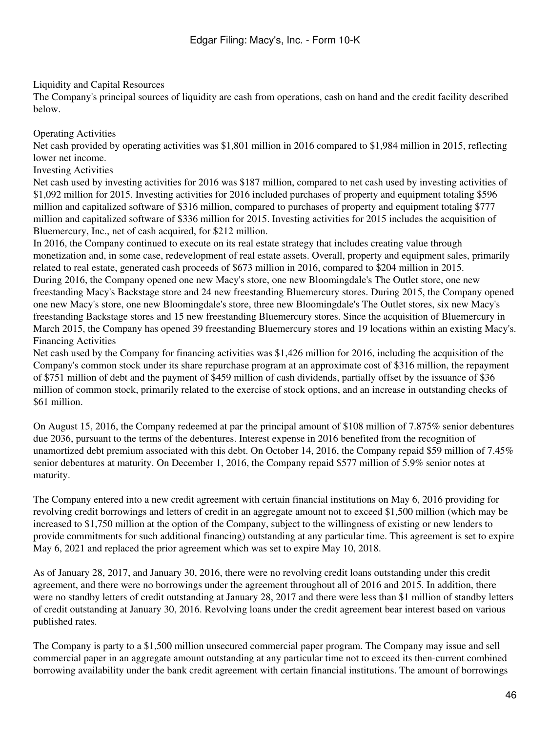# Liquidity and Capital Resources

The Company's principal sources of liquidity are cash from operations, cash on hand and the credit facility described below.

### Operating Activities

Net cash provided by operating activities was \$1,801 million in 2016 compared to \$1,984 million in 2015, reflecting lower net income.

#### Investing Activities

Net cash used by investing activities for 2016 was \$187 million, compared to net cash used by investing activities of \$1,092 million for 2015. Investing activities for 2016 included purchases of property and equipment totaling \$596 million and capitalized software of \$316 million, compared to purchases of property and equipment totaling \$777 million and capitalized software of \$336 million for 2015. Investing activities for 2015 includes the acquisition of Bluemercury, Inc., net of cash acquired, for \$212 million.

In 2016, the Company continued to execute on its real estate strategy that includes creating value through monetization and, in some case, redevelopment of real estate assets. Overall, property and equipment sales, primarily related to real estate, generated cash proceeds of \$673 million in 2016, compared to \$204 million in 2015. During 2016, the Company opened one new Macy's store, one new Bloomingdale's The Outlet store, one new freestanding Macy's Backstage store and 24 new freestanding Bluemercury stores. During 2015, the Company opened one new Macy's store, one new Bloomingdale's store, three new Bloomingdale's The Outlet stores, six new Macy's freestanding Backstage stores and 15 new freestanding Bluemercury stores. Since the acquisition of Bluemercury in March 2015, the Company has opened 39 freestanding Bluemercury stores and 19 locations within an existing Macy's. Financing Activities

Net cash used by the Company for financing activities was \$1,426 million for 2016, including the acquisition of the Company's common stock under its share repurchase program at an approximate cost of \$316 million, the repayment of \$751 million of debt and the payment of \$459 million of cash dividends, partially offset by the issuance of \$36 million of common stock, primarily related to the exercise of stock options, and an increase in outstanding checks of \$61 million.

On August 15, 2016, the Company redeemed at par the principal amount of \$108 million of 7.875% senior debentures due 2036, pursuant to the terms of the debentures. Interest expense in 2016 benefited from the recognition of unamortized debt premium associated with this debt. On October 14, 2016, the Company repaid \$59 million of 7.45% senior debentures at maturity. On December 1, 2016, the Company repaid \$577 million of 5.9% senior notes at maturity.

The Company entered into a new credit agreement with certain financial institutions on May 6, 2016 providing for revolving credit borrowings and letters of credit in an aggregate amount not to exceed \$1,500 million (which may be increased to \$1,750 million at the option of the Company, subject to the willingness of existing or new lenders to provide commitments for such additional financing) outstanding at any particular time. This agreement is set to expire May 6, 2021 and replaced the prior agreement which was set to expire May 10, 2018.

As of January 28, 2017, and January 30, 2016, there were no revolving credit loans outstanding under this credit agreement, and there were no borrowings under the agreement throughout all of 2016 and 2015. In addition, there were no standby letters of credit outstanding at January 28, 2017 and there were less than \$1 million of standby letters of credit outstanding at January 30, 2016. Revolving loans under the credit agreement bear interest based on various published rates.

The Company is party to a \$1,500 million unsecured commercial paper program. The Company may issue and sell commercial paper in an aggregate amount outstanding at any particular time not to exceed its then-current combined borrowing availability under the bank credit agreement with certain financial institutions. The amount of borrowings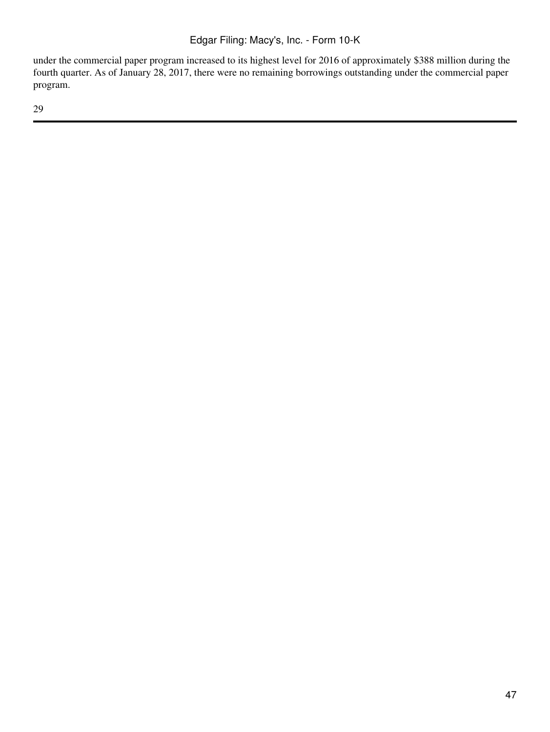under the commercial paper program increased to its highest level for 2016 of approximately \$388 million during the fourth quarter. As of January 28, 2017, there were no remaining borrowings outstanding under the commercial paper program.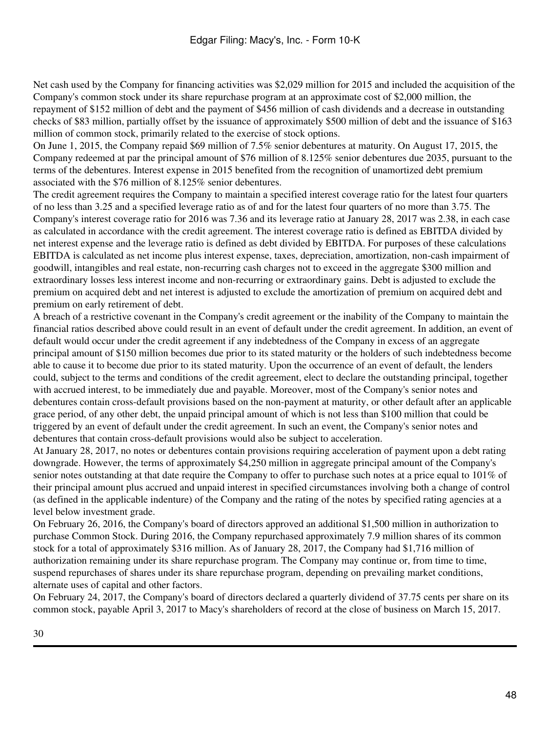Net cash used by the Company for financing activities was \$2,029 million for 2015 and included the acquisition of the Company's common stock under its share repurchase program at an approximate cost of \$2,000 million, the repayment of \$152 million of debt and the payment of \$456 million of cash dividends and a decrease in outstanding checks of \$83 million, partially offset by the issuance of approximately \$500 million of debt and the issuance of \$163 million of common stock, primarily related to the exercise of stock options.

On June 1, 2015, the Company repaid \$69 million of 7.5% senior debentures at maturity. On August 17, 2015, the Company redeemed at par the principal amount of \$76 million of 8.125% senior debentures due 2035, pursuant to the terms of the debentures. Interest expense in 2015 benefited from the recognition of unamortized debt premium associated with the \$76 million of 8.125% senior debentures.

The credit agreement requires the Company to maintain a specified interest coverage ratio for the latest four quarters of no less than 3.25 and a specified leverage ratio as of and for the latest four quarters of no more than 3.75. The Company's interest coverage ratio for 2016 was 7.36 and its leverage ratio at January 28, 2017 was 2.38, in each case as calculated in accordance with the credit agreement. The interest coverage ratio is defined as EBITDA divided by net interest expense and the leverage ratio is defined as debt divided by EBITDA. For purposes of these calculations EBITDA is calculated as net income plus interest expense, taxes, depreciation, amortization, non-cash impairment of goodwill, intangibles and real estate, non-recurring cash charges not to exceed in the aggregate \$300 million and extraordinary losses less interest income and non-recurring or extraordinary gains. Debt is adjusted to exclude the premium on acquired debt and net interest is adjusted to exclude the amortization of premium on acquired debt and premium on early retirement of debt.

A breach of a restrictive covenant in the Company's credit agreement or the inability of the Company to maintain the financial ratios described above could result in an event of default under the credit agreement. In addition, an event of default would occur under the credit agreement if any indebtedness of the Company in excess of an aggregate principal amount of \$150 million becomes due prior to its stated maturity or the holders of such indebtedness become able to cause it to become due prior to its stated maturity. Upon the occurrence of an event of default, the lenders could, subject to the terms and conditions of the credit agreement, elect to declare the outstanding principal, together with accrued interest, to be immediately due and payable. Moreover, most of the Company's senior notes and debentures contain cross-default provisions based on the non-payment at maturity, or other default after an applicable grace period, of any other debt, the unpaid principal amount of which is not less than \$100 million that could be triggered by an event of default under the credit agreement. In such an event, the Company's senior notes and debentures that contain cross-default provisions would also be subject to acceleration.

At January 28, 2017, no notes or debentures contain provisions requiring acceleration of payment upon a debt rating downgrade. However, the terms of approximately \$4,250 million in aggregate principal amount of the Company's senior notes outstanding at that date require the Company to offer to purchase such notes at a price equal to 101% of their principal amount plus accrued and unpaid interest in specified circumstances involving both a change of control (as defined in the applicable indenture) of the Company and the rating of the notes by specified rating agencies at a level below investment grade.

On February 26, 2016, the Company's board of directors approved an additional \$1,500 million in authorization to purchase Common Stock. During 2016, the Company repurchased approximately 7.9 million shares of its common stock for a total of approximately \$316 million. As of January 28, 2017, the Company had \$1,716 million of authorization remaining under its share repurchase program. The Company may continue or, from time to time, suspend repurchases of shares under its share repurchase program, depending on prevailing market conditions, alternate uses of capital and other factors.

On February 24, 2017, the Company's board of directors declared a quarterly dividend of 37.75 cents per share on its common stock, payable April 3, 2017 to Macy's shareholders of record at the close of business on March 15, 2017.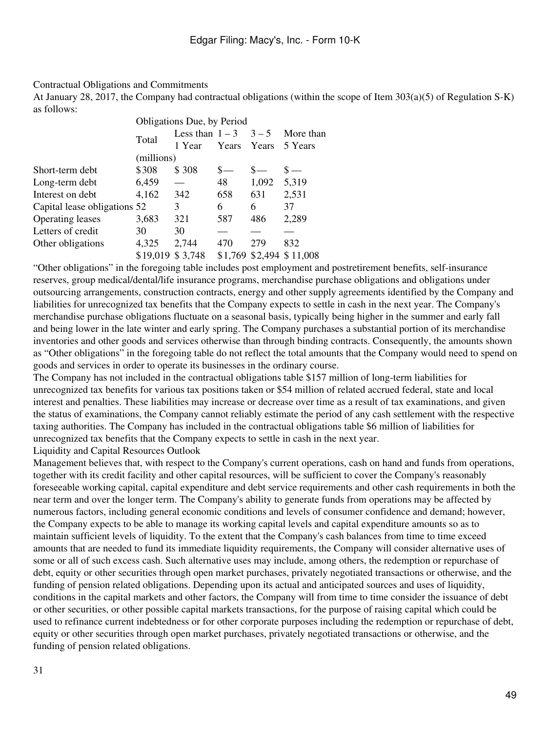#### Contractual Obligations and Commitments

At January 28, 2017, the Company had contractual obligations (within the scope of Item 303(a)(5) of Regulation S-K) as follows:

|                              |                  | Obligations Due, by Period |       |         |                          |
|------------------------------|------------------|----------------------------|-------|---------|--------------------------|
|                              |                  | Less than $1-3$            |       | $3 - 5$ | More than                |
|                              | Total            | 1 Year                     | Years | Years   | 5 Years                  |
|                              | (millions)       |                            |       |         |                          |
| Short-term debt              | \$308            | \$308                      |       |         |                          |
| Long-term debt               | 6,459            |                            | 48    | 1,092   | 5,319                    |
| Interest on debt             | 4,162            | 342                        | 658   | 631     | 2,531                    |
| Capital lease obligations 52 |                  | 3                          | 6     | 6       | 37                       |
| <b>Operating leases</b>      | 3,683            | 321                        | 587   | 486     | 2,289                    |
| Letters of credit            | 30               | 30                         |       |         |                          |
| Other obligations            | 4,325            | 2,744                      | 470   | 279     | 832                      |
|                              | \$19,019 \$3,748 |                            |       |         | \$1,769 \$2,494 \$11,008 |

"Other obligations" in the foregoing table includes post employment and postretirement benefits, self-insurance reserves, group medical/dental/life insurance programs, merchandise purchase obligations and obligations under outsourcing arrangements, construction contracts, energy and other supply agreements identified by the Company and liabilities for unrecognized tax benefits that the Company expects to settle in cash in the next year. The Company's merchandise purchase obligations fluctuate on a seasonal basis, typically being higher in the summer and early fall and being lower in the late winter and early spring. The Company purchases a substantial portion of its merchandise inventories and other goods and services otherwise than through binding contracts. Consequently, the amounts shown as "Other obligations" in the foregoing table do not reflect the total amounts that the Company would need to spend on goods and services in order to operate its businesses in the ordinary course.

The Company has not included in the contractual obligations table \$157 million of long-term liabilities for unrecognized tax benefits for various tax positions taken or \$54 million of related accrued federal, state and local interest and penalties. These liabilities may increase or decrease over time as a result of tax examinations, and given the status of examinations, the Company cannot reliably estimate the period of any cash settlement with the respective taxing authorities. The Company has included in the contractual obligations table \$6 million of liabilities for unrecognized tax benefits that the Company expects to settle in cash in the next year.

Liquidity and Capital Resources Outlook

Management believes that, with respect to the Company's current operations, cash on hand and funds from operations, together with its credit facility and other capital resources, will be sufficient to cover the Company's reasonably foreseeable working capital, capital expenditure and debt service requirements and other cash requirements in both the near term and over the longer term. The Company's ability to generate funds from operations may be affected by numerous factors, including general economic conditions and levels of consumer confidence and demand; however, the Company expects to be able to manage its working capital levels and capital expenditure amounts so as to maintain sufficient levels of liquidity. To the extent that the Company's cash balances from time to time exceed amounts that are needed to fund its immediate liquidity requirements, the Company will consider alternative uses of some or all of such excess cash. Such alternative uses may include, among others, the redemption or repurchase of debt, equity or other securities through open market purchases, privately negotiated transactions or otherwise, and the funding of pension related obligations. Depending upon its actual and anticipated sources and uses of liquidity, conditions in the capital markets and other factors, the Company will from time to time consider the issuance of debt or other securities, or other possible capital markets transactions, for the purpose of raising capital which could be used to refinance current indebtedness or for other corporate purposes including the redemption or repurchase of debt, equity or other securities through open market purchases, privately negotiated transactions or otherwise, and the funding of pension related obligations.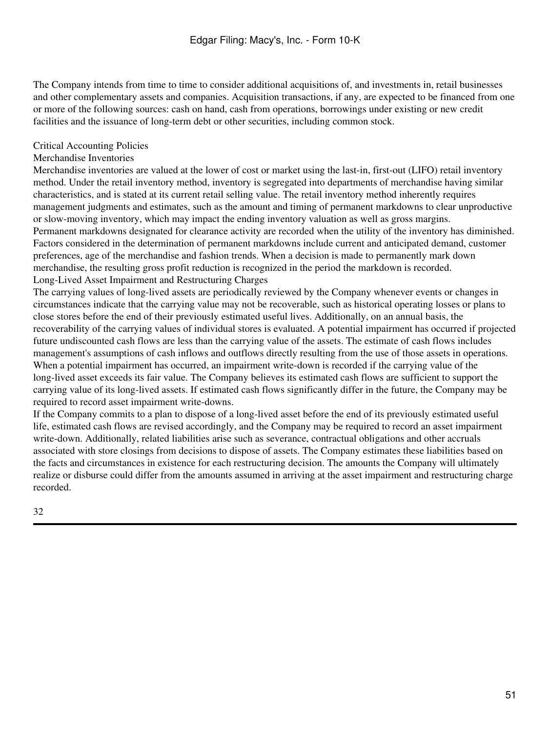The Company intends from time to time to consider additional acquisitions of, and investments in, retail businesses and other complementary assets and companies. Acquisition transactions, if any, are expected to be financed from one or more of the following sources: cash on hand, cash from operations, borrowings under existing or new credit facilities and the issuance of long-term debt or other securities, including common stock.

### Critical Accounting Policies

### Merchandise Inventories

Merchandise inventories are valued at the lower of cost or market using the last-in, first-out (LIFO) retail inventory method. Under the retail inventory method, inventory is segregated into departments of merchandise having similar characteristics, and is stated at its current retail selling value. The retail inventory method inherently requires management judgments and estimates, such as the amount and timing of permanent markdowns to clear unproductive or slow-moving inventory, which may impact the ending inventory valuation as well as gross margins. Permanent markdowns designated for clearance activity are recorded when the utility of the inventory has diminished. Factors considered in the determination of permanent markdowns include current and anticipated demand, customer preferences, age of the merchandise and fashion trends. When a decision is made to permanently mark down merchandise, the resulting gross profit reduction is recognized in the period the markdown is recorded. Long-Lived Asset Impairment and Restructuring Charges

The carrying values of long-lived assets are periodically reviewed by the Company whenever events or changes in circumstances indicate that the carrying value may not be recoverable, such as historical operating losses or plans to close stores before the end of their previously estimated useful lives. Additionally, on an annual basis, the recoverability of the carrying values of individual stores is evaluated. A potential impairment has occurred if projected future undiscounted cash flows are less than the carrying value of the assets. The estimate of cash flows includes management's assumptions of cash inflows and outflows directly resulting from the use of those assets in operations. When a potential impairment has occurred, an impairment write-down is recorded if the carrying value of the long-lived asset exceeds its fair value. The Company believes its estimated cash flows are sufficient to support the carrying value of its long-lived assets. If estimated cash flows significantly differ in the future, the Company may be required to record asset impairment write-downs.

If the Company commits to a plan to dispose of a long-lived asset before the end of its previously estimated useful life, estimated cash flows are revised accordingly, and the Company may be required to record an asset impairment write-down. Additionally, related liabilities arise such as severance, contractual obligations and other accruals associated with store closings from decisions to dispose of assets. The Company estimates these liabilities based on the facts and circumstances in existence for each restructuring decision. The amounts the Company will ultimately realize or disburse could differ from the amounts assumed in arriving at the asset impairment and restructuring charge recorded.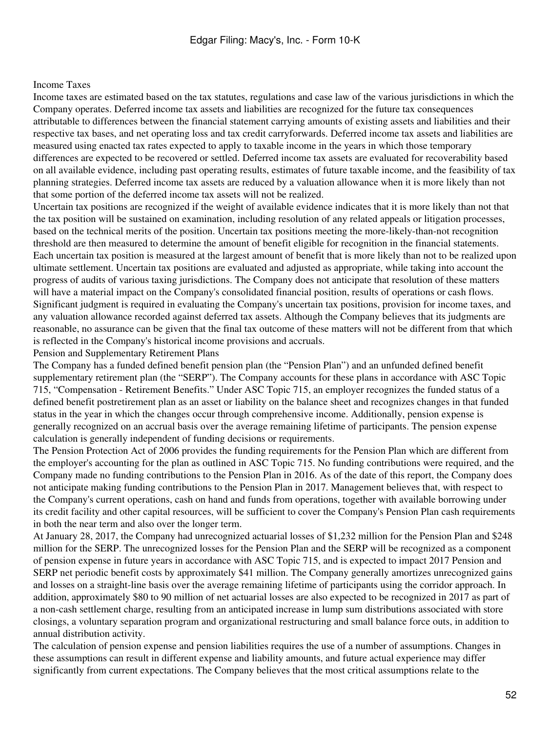#### Income Taxes

Income taxes are estimated based on the tax statutes, regulations and case law of the various jurisdictions in which the Company operates. Deferred income tax assets and liabilities are recognized for the future tax consequences attributable to differences between the financial statement carrying amounts of existing assets and liabilities and their respective tax bases, and net operating loss and tax credit carryforwards. Deferred income tax assets and liabilities are measured using enacted tax rates expected to apply to taxable income in the years in which those temporary differences are expected to be recovered or settled. Deferred income tax assets are evaluated for recoverability based on all available evidence, including past operating results, estimates of future taxable income, and the feasibility of tax planning strategies. Deferred income tax assets are reduced by a valuation allowance when it is more likely than not that some portion of the deferred income tax assets will not be realized.

Uncertain tax positions are recognized if the weight of available evidence indicates that it is more likely than not that the tax position will be sustained on examination, including resolution of any related appeals or litigation processes, based on the technical merits of the position. Uncertain tax positions meeting the more-likely-than-not recognition threshold are then measured to determine the amount of benefit eligible for recognition in the financial statements. Each uncertain tax position is measured at the largest amount of benefit that is more likely than not to be realized upon ultimate settlement. Uncertain tax positions are evaluated and adjusted as appropriate, while taking into account the progress of audits of various taxing jurisdictions. The Company does not anticipate that resolution of these matters will have a material impact on the Company's consolidated financial position, results of operations or cash flows. Significant judgment is required in evaluating the Company's uncertain tax positions, provision for income taxes, and any valuation allowance recorded against deferred tax assets. Although the Company believes that its judgments are reasonable, no assurance can be given that the final tax outcome of these matters will not be different from that which is reflected in the Company's historical income provisions and accruals.

Pension and Supplementary Retirement Plans

The Company has a funded defined benefit pension plan (the "Pension Plan") and an unfunded defined benefit supplementary retirement plan (the "SERP"). The Company accounts for these plans in accordance with ASC Topic 715, "Compensation - Retirement Benefits." Under ASC Topic 715, an employer recognizes the funded status of a defined benefit postretirement plan as an asset or liability on the balance sheet and recognizes changes in that funded status in the year in which the changes occur through comprehensive income. Additionally, pension expense is generally recognized on an accrual basis over the average remaining lifetime of participants. The pension expense calculation is generally independent of funding decisions or requirements.

The Pension Protection Act of 2006 provides the funding requirements for the Pension Plan which are different from the employer's accounting for the plan as outlined in ASC Topic 715. No funding contributions were required, and the Company made no funding contributions to the Pension Plan in 2016. As of the date of this report, the Company does not anticipate making funding contributions to the Pension Plan in 2017. Management believes that, with respect to the Company's current operations, cash on hand and funds from operations, together with available borrowing under its credit facility and other capital resources, will be sufficient to cover the Company's Pension Plan cash requirements in both the near term and also over the longer term.

At January 28, 2017, the Company had unrecognized actuarial losses of \$1,232 million for the Pension Plan and \$248 million for the SERP. The unrecognized losses for the Pension Plan and the SERP will be recognized as a component of pension expense in future years in accordance with ASC Topic 715, and is expected to impact 2017 Pension and SERP net periodic benefit costs by approximately \$41 million. The Company generally amortizes unrecognized gains and losses on a straight-line basis over the average remaining lifetime of participants using the corridor approach. In addition, approximately \$80 to 90 million of net actuarial losses are also expected to be recognized in 2017 as part of a non-cash settlement charge, resulting from an anticipated increase in lump sum distributions associated with store closings, a voluntary separation program and organizational restructuring and small balance force outs, in addition to annual distribution activity.

The calculation of pension expense and pension liabilities requires the use of a number of assumptions. Changes in these assumptions can result in different expense and liability amounts, and future actual experience may differ significantly from current expectations. The Company believes that the most critical assumptions relate to the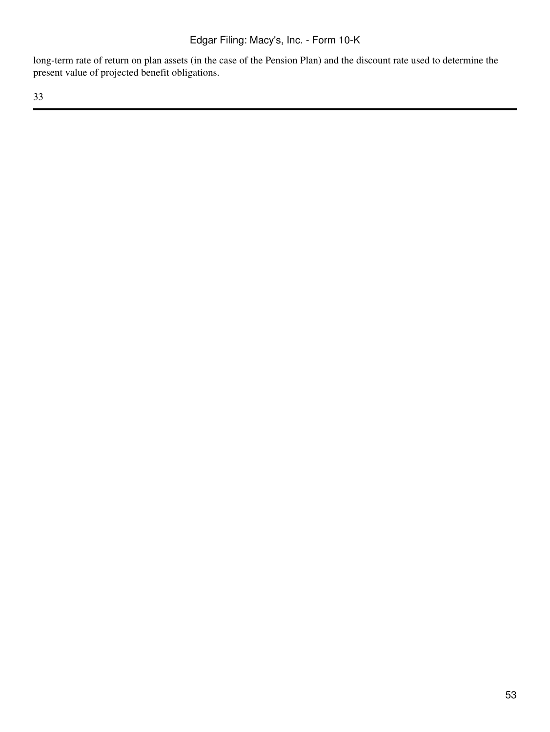long-term rate of return on plan assets (in the case of the Pension Plan) and the discount rate used to determine the present value of projected benefit obligations.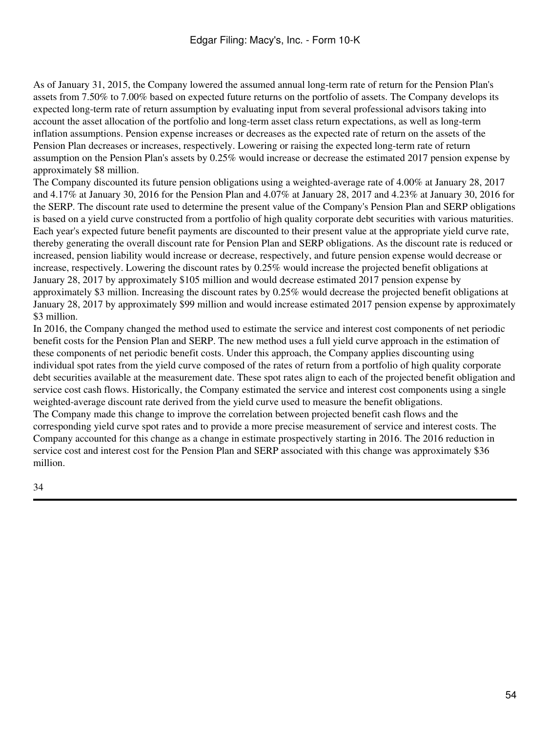As of January 31, 2015, the Company lowered the assumed annual long-term rate of return for the Pension Plan's assets from 7.50% to 7.00% based on expected future returns on the portfolio of assets. The Company develops its expected long-term rate of return assumption by evaluating input from several professional advisors taking into account the asset allocation of the portfolio and long-term asset class return expectations, as well as long-term inflation assumptions. Pension expense increases or decreases as the expected rate of return on the assets of the Pension Plan decreases or increases, respectively. Lowering or raising the expected long-term rate of return assumption on the Pension Plan's assets by 0.25% would increase or decrease the estimated 2017 pension expense by approximately \$8 million.

The Company discounted its future pension obligations using a weighted-average rate of 4.00% at January 28, 2017 and 4.17% at January 30, 2016 for the Pension Plan and 4.07% at January 28, 2017 and 4.23% at January 30, 2016 for the SERP. The discount rate used to determine the present value of the Company's Pension Plan and SERP obligations is based on a yield curve constructed from a portfolio of high quality corporate debt securities with various maturities. Each year's expected future benefit payments are discounted to their present value at the appropriate yield curve rate, thereby generating the overall discount rate for Pension Plan and SERP obligations. As the discount rate is reduced or increased, pension liability would increase or decrease, respectively, and future pension expense would decrease or increase, respectively. Lowering the discount rates by 0.25% would increase the projected benefit obligations at January 28, 2017 by approximately \$105 million and would decrease estimated 2017 pension expense by approximately \$3 million. Increasing the discount rates by 0.25% would decrease the projected benefit obligations at January 28, 2017 by approximately \$99 million and would increase estimated 2017 pension expense by approximately \$3 million.

In 2016, the Company changed the method used to estimate the service and interest cost components of net periodic benefit costs for the Pension Plan and SERP. The new method uses a full yield curve approach in the estimation of these components of net periodic benefit costs. Under this approach, the Company applies discounting using individual spot rates from the yield curve composed of the rates of return from a portfolio of high quality corporate debt securities available at the measurement date. These spot rates align to each of the projected benefit obligation and service cost cash flows. Historically, the Company estimated the service and interest cost components using a single weighted-average discount rate derived from the yield curve used to measure the benefit obligations. The Company made this change to improve the correlation between projected benefit cash flows and the corresponding yield curve spot rates and to provide a more precise measurement of service and interest costs. The Company accounted for this change as a change in estimate prospectively starting in 2016. The 2016 reduction in service cost and interest cost for the Pension Plan and SERP associated with this change was approximately \$36 million.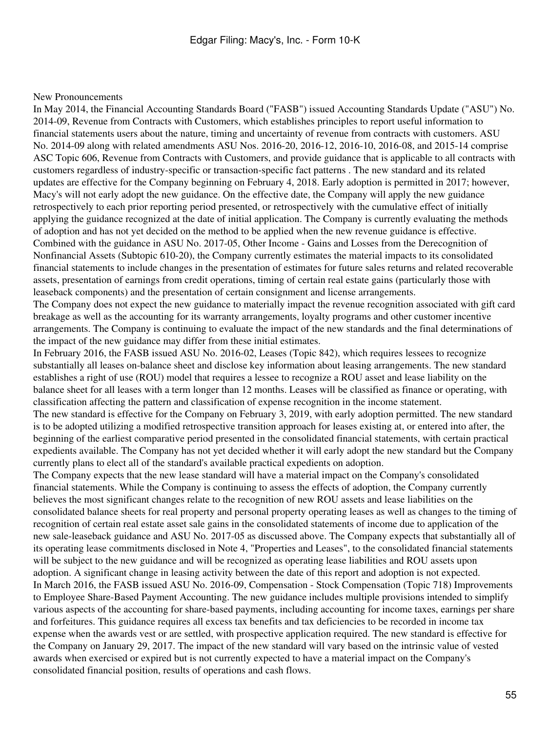#### New Pronouncements

In May 2014, the Financial Accounting Standards Board ("FASB") issued Accounting Standards Update ("ASU") No. 2014-09, Revenue from Contracts with Customers, which establishes principles to report useful information to financial statements users about the nature, timing and uncertainty of revenue from contracts with customers. ASU No. 2014-09 along with related amendments ASU Nos. 2016-20, 2016-12, 2016-10, 2016-08, and 2015-14 comprise ASC Topic 606, Revenue from Contracts with Customers, and provide guidance that is applicable to all contracts with customers regardless of industry-specific or transaction-specific fact patterns . The new standard and its related updates are effective for the Company beginning on February 4, 2018. Early adoption is permitted in 2017; however, Macy's will not early adopt the new guidance. On the effective date, the Company will apply the new guidance retrospectively to each prior reporting period presented, or retrospectively with the cumulative effect of initially applying the guidance recognized at the date of initial application. The Company is currently evaluating the methods of adoption and has not yet decided on the method to be applied when the new revenue guidance is effective. Combined with the guidance in ASU No. 2017-05, Other Income - Gains and Losses from the Derecognition of Nonfinancial Assets (Subtopic 610-20), the Company currently estimates the material impacts to its consolidated financial statements to include changes in the presentation of estimates for future sales returns and related recoverable assets, presentation of earnings from credit operations, timing of certain real estate gains (particularly those with leaseback components) and the presentation of certain consignment and license arrangements.

The Company does not expect the new guidance to materially impact the revenue recognition associated with gift card breakage as well as the accounting for its warranty arrangements, loyalty programs and other customer incentive arrangements. The Company is continuing to evaluate the impact of the new standards and the final determinations of the impact of the new guidance may differ from these initial estimates.

In February 2016, the FASB issued ASU No. 2016-02, Leases (Topic 842), which requires lessees to recognize substantially all leases on-balance sheet and disclose key information about leasing arrangements. The new standard establishes a right of use (ROU) model that requires a lessee to recognize a ROU asset and lease liability on the balance sheet for all leases with a term longer than 12 months. Leases will be classified as finance or operating, with classification affecting the pattern and classification of expense recognition in the income statement.

The new standard is effective for the Company on February 3, 2019, with early adoption permitted. The new standard is to be adopted utilizing a modified retrospective transition approach for leases existing at, or entered into after, the beginning of the earliest comparative period presented in the consolidated financial statements, with certain practical expedients available. The Company has not yet decided whether it will early adopt the new standard but the Company currently plans to elect all of the standard's available practical expedients on adoption.

The Company expects that the new lease standard will have a material impact on the Company's consolidated financial statements. While the Company is continuing to assess the effects of adoption, the Company currently believes the most significant changes relate to the recognition of new ROU assets and lease liabilities on the consolidated balance sheets for real property and personal property operating leases as well as changes to the timing of recognition of certain real estate asset sale gains in the consolidated statements of income due to application of the new sale-leaseback guidance and ASU No. 2017-05 as discussed above. The Company expects that substantially all of its operating lease commitments disclosed in Note 4, "Properties and Leases", to the consolidated financial statements will be subject to the new guidance and will be recognized as operating lease liabilities and ROU assets upon adoption. A significant change in leasing activity between the date of this report and adoption is not expected. In March 2016, the FASB issued ASU No. 2016-09, Compensation - Stock Compensation (Topic 718) Improvements to Employee Share-Based Payment Accounting. The new guidance includes multiple provisions intended to simplify various aspects of the accounting for share-based payments, including accounting for income taxes, earnings per share and forfeitures. This guidance requires all excess tax benefits and tax deficiencies to be recorded in income tax expense when the awards vest or are settled, with prospective application required. The new standard is effective for the Company on January 29, 2017. The impact of the new standard will vary based on the intrinsic value of vested awards when exercised or expired but is not currently expected to have a material impact on the Company's consolidated financial position, results of operations and cash flows.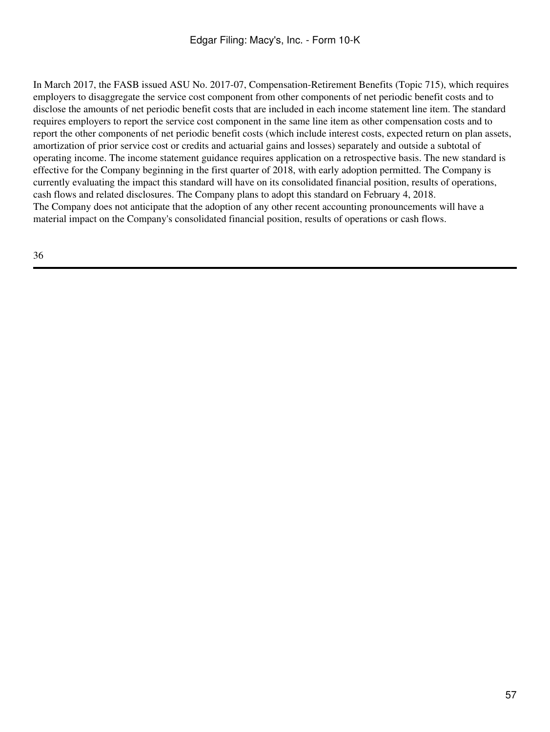In March 2017, the FASB issued ASU No. 2017-07, Compensation-Retirement Benefits (Topic 715), which requires employers to disaggregate the service cost component from other components of net periodic benefit costs and to disclose the amounts of net periodic benefit costs that are included in each income statement line item. The standard requires employers to report the service cost component in the same line item as other compensation costs and to report the other components of net periodic benefit costs (which include interest costs, expected return on plan assets, amortization of prior service cost or credits and actuarial gains and losses) separately and outside a subtotal of operating income. The income statement guidance requires application on a retrospective basis. The new standard is effective for the Company beginning in the first quarter of 2018, with early adoption permitted. The Company is currently evaluating the impact this standard will have on its consolidated financial position, results of operations, cash flows and related disclosures. The Company plans to adopt this standard on February 4, 2018. The Company does not anticipate that the adoption of any other recent accounting pronouncements will have a material impact on the Company's consolidated financial position, results of operations or cash flows.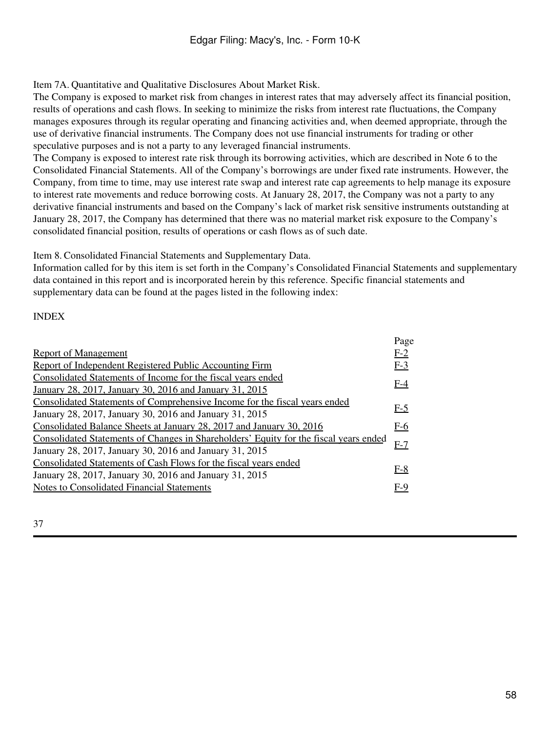Item 7A. Quantitative and Qualitative Disclosures About Market Risk.

The Company is exposed to market risk from changes in interest rates that may adversely affect its financial position, results of operations and cash flows. In seeking to minimize the risks from interest rate fluctuations, the Company manages exposures through its regular operating and financing activities and, when deemed appropriate, through the use of derivative financial instruments. The Company does not use financial instruments for trading or other speculative purposes and is not a party to any leveraged financial instruments.

The Company is exposed to interest rate risk through its borrowing activities, which are described in Note 6 to the Consolidated Financial Statements. All of the Company's borrowings are under fixed rate instruments. However, the Company, from time to time, may use interest rate swap and interest rate cap agreements to help manage its exposure to interest rate movements and reduce borrowing costs. At January 28, 2017, the Company was not a party to any derivative financial instruments and based on the Company's lack of market risk sensitive instruments outstanding at January 28, 2017, the Company has determined that there was no material market risk exposure to the Company's consolidated financial position, results of operations or cash flows as of such date.

Item 8. Consolidated Financial Statements and Supplementary Data.

Information called for by this item is set forth in the Company's Consolidated Financial Statements and supplementary data contained in this report and is incorporated herein by this reference. Specific financial statements and supplementary data can be found at the pages listed in the following index:

# INDEX

| Page  |
|-------|
| $F-2$ |
| $F-3$ |
| $F-4$ |
|       |
|       |
| $F-5$ |
| F-6   |
| $F-7$ |
|       |
| $F-8$ |
|       |
| F-9   |
|       |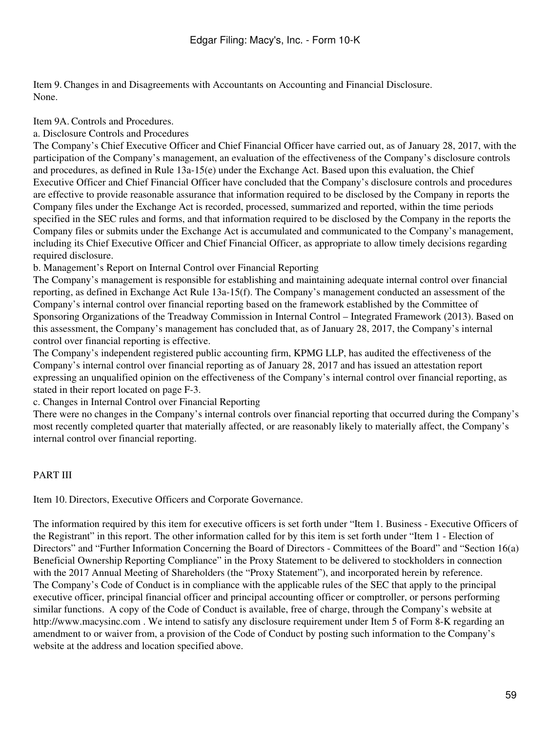Item 9. Changes in and Disagreements with Accountants on Accounting and Financial Disclosure. None.

Item 9A. Controls and Procedures.

# a. Disclosure Controls and Procedures

The Company's Chief Executive Officer and Chief Financial Officer have carried out, as of January 28, 2017, with the participation of the Company's management, an evaluation of the effectiveness of the Company's disclosure controls and procedures, as defined in Rule 13a-15(e) under the Exchange Act. Based upon this evaluation, the Chief Executive Officer and Chief Financial Officer have concluded that the Company's disclosure controls and procedures are effective to provide reasonable assurance that information required to be disclosed by the Company in reports the Company files under the Exchange Act is recorded, processed, summarized and reported, within the time periods specified in the SEC rules and forms, and that information required to be disclosed by the Company in the reports the Company files or submits under the Exchange Act is accumulated and communicated to the Company's management, including its Chief Executive Officer and Chief Financial Officer, as appropriate to allow timely decisions regarding required disclosure.

b. Management's Report on Internal Control over Financial Reporting

The Company's management is responsible for establishing and maintaining adequate internal control over financial reporting, as defined in Exchange Act Rule 13a-15(f). The Company's management conducted an assessment of the Company's internal control over financial reporting based on the framework established by the Committee of Sponsoring Organizations of the Treadway Commission in Internal Control – Integrated Framework (2013). Based on this assessment, the Company's management has concluded that, as of January 28, 2017, the Company's internal control over financial reporting is effective.

The Company's independent registered public accounting firm, KPMG LLP, has audited the effectiveness of the Company's internal control over financial reporting as of January 28, 2017 and has issued an attestation report expressing an unqualified opinion on the effectiveness of the Company's internal control over financial reporting, as stated in their report located on page F-3.

c. Changes in Internal Control over Financial Reporting

There were no changes in the Company's internal controls over financial reporting that occurred during the Company's most recently completed quarter that materially affected, or are reasonably likely to materially affect, the Company's internal control over financial reporting.

# PART III

Item 10. Directors, Executive Officers and Corporate Governance.

The information required by this item for executive officers is set forth under "Item 1. Business - Executive Officers of the Registrant" in this report. The other information called for by this item is set forth under "Item 1 - Election of Directors" and "Further Information Concerning the Board of Directors - Committees of the Board" and "Section 16(a) Beneficial Ownership Reporting Compliance" in the Proxy Statement to be delivered to stockholders in connection with the 2017 Annual Meeting of Shareholders (the "Proxy Statement"), and incorporated herein by reference. The Company's Code of Conduct is in compliance with the applicable rules of the SEC that apply to the principal executive officer, principal financial officer and principal accounting officer or comptroller, or persons performing similar functions. A copy of the Code of Conduct is available, free of charge, through the Company's website at http://www.macysinc.com . We intend to satisfy any disclosure requirement under Item 5 of Form 8-K regarding an amendment to or waiver from, a provision of the Code of Conduct by posting such information to the Company's website at the address and location specified above.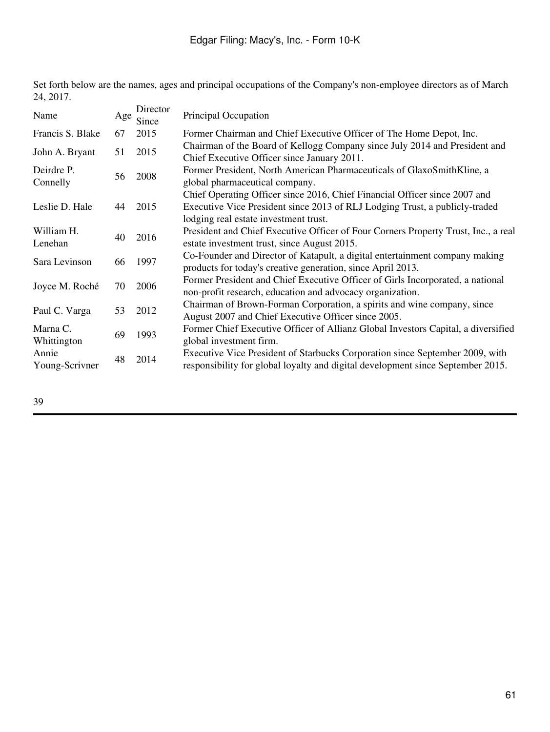Set forth below are the names, ages and principal occupations of the Company's non-employee directors as of March 24, 2017.

| Age | Director<br>Since | Principal Occupation                                                                                                                                                                               |
|-----|-------------------|----------------------------------------------------------------------------------------------------------------------------------------------------------------------------------------------------|
| 67  | 2015              | Former Chairman and Chief Executive Officer of The Home Depot, Inc.                                                                                                                                |
| 51  |                   | Chairman of the Board of Kellogg Company since July 2014 and President and<br>Chief Executive Officer since January 2011.                                                                          |
| 56  |                   | Former President, North American Pharmaceuticals of GlaxoSmithKline, a<br>global pharmaceutical company.                                                                                           |
| 44  |                   | Chief Operating Officer since 2016, Chief Financial Officer since 2007 and<br>Executive Vice President since 2013 of RLJ Lodging Trust, a publicly-traded<br>lodging real estate investment trust. |
| 40  |                   | President and Chief Executive Officer of Four Corners Property Trust, Inc., a real<br>estate investment trust, since August 2015.                                                                  |
| 66  | 1997              | Co-Founder and Director of Katapult, a digital entertainment company making<br>products for today's creative generation, since April 2013.                                                         |
| 70  |                   | Former President and Chief Executive Officer of Girls Incorporated, a national<br>non-profit research, education and advocacy organization.                                                        |
| 53  |                   | Chairman of Brown-Forman Corporation, a spirits and wine company, since<br>August 2007 and Chief Executive Officer since 2005.                                                                     |
| 69  | 1993              | Former Chief Executive Officer of Allianz Global Investors Capital, a diversified<br>global investment firm.                                                                                       |
| 48  |                   | Executive Vice President of Starbucks Corporation since September 2009, with<br>responsibility for global loyalty and digital development since September 2015.                                    |
|     |                   | 2015<br>2008<br>2015<br>2016<br>2006<br>2012<br>2014                                                                                                                                               |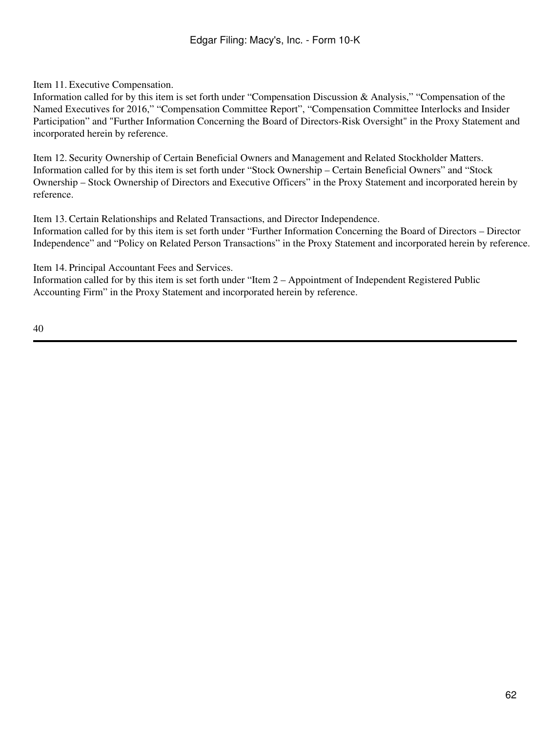Item 11. Executive Compensation.

Information called for by this item is set forth under "Compensation Discussion & Analysis," "Compensation of the Named Executives for 2016," "Compensation Committee Report", "Compensation Committee Interlocks and Insider Participation" and "Further Information Concerning the Board of Directors-Risk Oversight" in the Proxy Statement and incorporated herein by reference.

Item 12. Security Ownership of Certain Beneficial Owners and Management and Related Stockholder Matters. Information called for by this item is set forth under "Stock Ownership – Certain Beneficial Owners" and "Stock Ownership – Stock Ownership of Directors and Executive Officers" in the Proxy Statement and incorporated herein by reference.

Item 13. Certain Relationships and Related Transactions, and Director Independence.

Information called for by this item is set forth under "Further Information Concerning the Board of Directors – Director Independence" and "Policy on Related Person Transactions" in the Proxy Statement and incorporated herein by reference.

Item 14. Principal Accountant Fees and Services.

Information called for by this item is set forth under "Item 2 – Appointment of Independent Registered Public Accounting Firm" in the Proxy Statement and incorporated herein by reference.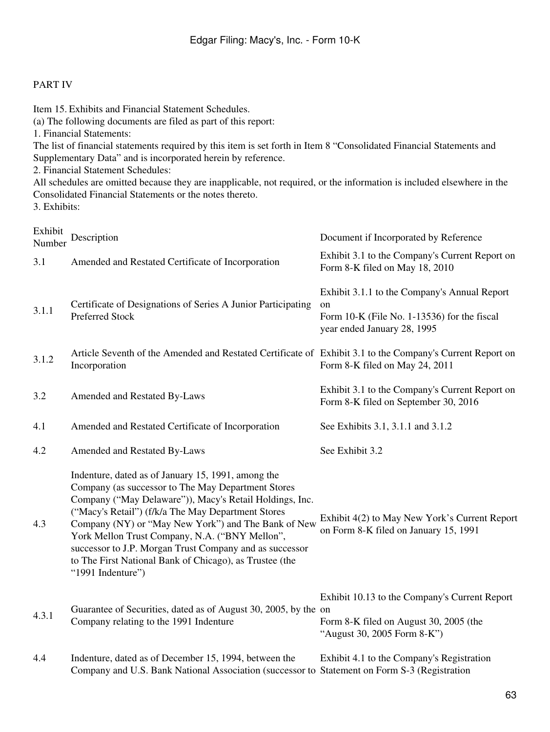# PART IV

Item 15. Exhibits and Financial Statement Schedules. (a) The following documents are filed as part of this report: 1. Financial Statements: The list of financial statements required by this item is set forth in Item 8 "Consolidated Financial Statements and Supplementary Data" and is incorporated herein by reference. 2. Financial Statement Schedules: All schedules are omitted because they are inapplicable, not required, or the information is included elsewhere in the Consolidated Financial Statements or the notes thereto. 3. Exhibits: Exhibit EXILION Description Document if Incorporated by Reference 3.1 Amended and Restated Certificate of Incorporation Exhibit 3.1 to the Company's Current Report on Form 8-K filed on May 18, 2010 3.1.1 Certificate of Designations of Series A Junior Participating Preferred Stock Exhibit 3.1.1 to the Company's Annual Report on Form 10-K (File No. 1-13536) for the fiscal year ended January 28, 1995 3.1.2 Article Seventh of the Amended and Restated Certificate of Exhibit 3.1 to the Company's Current Report on<br>
Form 8 K filed on May 24, 2011 Incorporation Form 8-K filed on May 24, 2011 3.2 Amended and Restated By-Laws Exhibit 3.1 to the Company's Current Report on Form 8-K filed on September 30, 2016 4.1 Amended and Restated Certificate of Incorporation See Exhibits 3.1, 3.1.1 and 3.1.2 4.2 Amended and Restated By-Laws See Exhibit 3.2 4.3 Indenture, dated as of January 15, 1991, among the Company (as successor to The May Department Stores Company ("May Delaware")), Macy's Retail Holdings, Inc. ("Macy's Retail") (f/k/a The May Department Stores Company (NY) or "May New York") and The Bank of New York Mellon Trust Company, N.A. ("BNY Mellon", successor to J.P. Morgan Trust Company and as successor to The First National Bank of Chicago), as Trustee (the "1991 Indenture") Exhibit 4(2) to May New York's Current Report on Form 8-K filed on January 15, 1991 4.3.1 Guarantee of Securities, dated as of August 30, 2005, by the on<br>Company relating to the 1001 Indenture Company relating to the 1991 Indenture Exhibit 10.13 to the Company's Current Report Form 8-K filed on August 30, 2005 (the "August 30, 2005 Form 8-K") 4.4 Indenture, dated as of December 15, 1994, between the Company and U.S. Bank National Association (successor to Statement on Form S-3 (Registration Exhibit 4.1 to the Company's Registration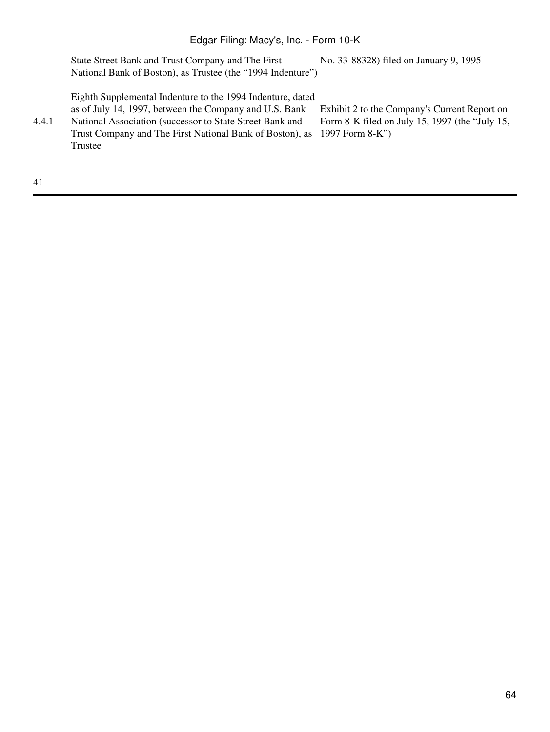#### Edgar Filing: Macy's, Inc. - Form 10-K

State Street Bank and Trust Company and The First National Bank of Boston), as Trustee (the "1994 Indenture") No. 33-88328) filed on January 9, 1995

Eighth Supplemental Indenture to the 1994 Indenture, dated

4.4.1 as of July 14, 1997, between the Company and U.S. Bank National Association (successor to State Street Bank and Trust Company and The First National Bank of Boston), as 1997 Form 8-K") Trustee

Exhibit 2 to the Company's Current Report on Form 8-K filed on July 15, 1997 (the "July 15,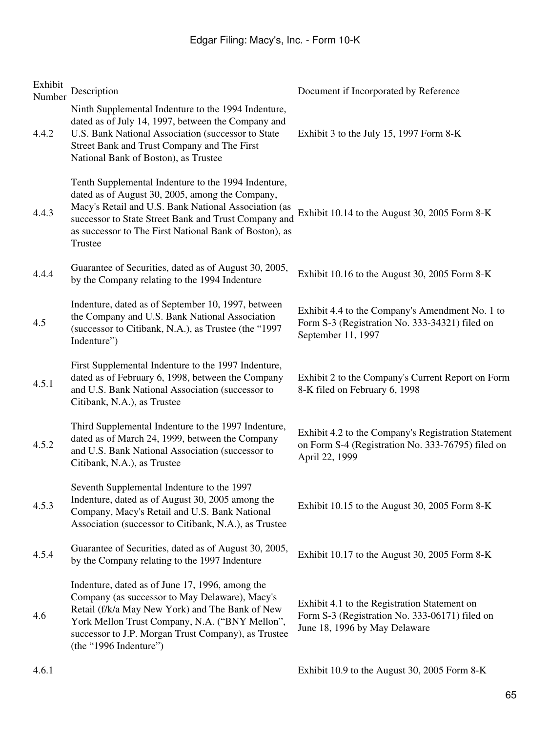| Exhibit<br>Number | Description                                                                                                                                                                                                                                                                                 | Document if Incorporated by Reference                                                                                           |
|-------------------|---------------------------------------------------------------------------------------------------------------------------------------------------------------------------------------------------------------------------------------------------------------------------------------------|---------------------------------------------------------------------------------------------------------------------------------|
| 4.4.2             | Ninth Supplemental Indenture to the 1994 Indenture,<br>dated as of July 14, 1997, between the Company and<br>U.S. Bank National Association (successor to State<br>Street Bank and Trust Company and The First<br>National Bank of Boston), as Trustee                                      | Exhibit 3 to the July 15, 1997 Form 8-K                                                                                         |
| 4.4.3             | Tenth Supplemental Indenture to the 1994 Indenture,<br>dated as of August 30, 2005, among the Company,<br>Macy's Retail and U.S. Bank National Association (as<br>successor to State Street Bank and Trust Company and<br>as successor to The First National Bank of Boston), as<br>Trustee | Exhibit 10.14 to the August 30, 2005 Form 8-K                                                                                   |
| 4.4.4             | Guarantee of Securities, dated as of August 30, 2005,<br>by the Company relating to the 1994 Indenture                                                                                                                                                                                      | Exhibit 10.16 to the August 30, 2005 Form 8-K                                                                                   |
| 4.5               | Indenture, dated as of September 10, 1997, between<br>the Company and U.S. Bank National Association<br>(successor to Citibank, N.A.), as Trustee (the "1997<br>Indenture")                                                                                                                 | Exhibit 4.4 to the Company's Amendment No. 1 to<br>Form S-3 (Registration No. 333-34321) filed on<br>September 11, 1997         |
| 4.5.1             | First Supplemental Indenture to the 1997 Indenture,<br>dated as of February 6, 1998, between the Company<br>and U.S. Bank National Association (successor to<br>Citibank, N.A.), as Trustee                                                                                                 | Exhibit 2 to the Company's Current Report on Form<br>8-K filed on February 6, 1998                                              |
| 4.5.2             | Third Supplemental Indenture to the 1997 Indenture,<br>dated as of March 24, 1999, between the Company<br>and U.S. Bank National Association (successor to<br>Citibank, N.A.), as Trustee                                                                                                   | Exhibit 4.2 to the Company's Registration Statement<br>on Form S-4 (Registration No. 333-76795) filed on<br>April 22, 1999      |
| 4.5.3             | Seventh Supplemental Indenture to the 1997<br>Indenture, dated as of August 30, 2005 among the<br>Company, Macy's Retail and U.S. Bank National<br>Association (successor to Citibank, N.A.), as Trustee                                                                                    | Exhibit 10.15 to the August 30, 2005 Form 8-K                                                                                   |
| 4.5.4             | Guarantee of Securities, dated as of August 30, 2005,<br>by the Company relating to the 1997 Indenture                                                                                                                                                                                      | Exhibit 10.17 to the August 30, 2005 Form 8-K                                                                                   |
| 4.6               | Indenture, dated as of June 17, 1996, among the<br>Company (as successor to May Delaware), Macy's<br>Retail (f/k/a May New York) and The Bank of New<br>York Mellon Trust Company, N.A. ("BNY Mellon",<br>successor to J.P. Morgan Trust Company), as Trustee<br>(the "1996 Indenture")     | Exhibit 4.1 to the Registration Statement on<br>Form S-3 (Registration No. 333-06171) filed on<br>June 18, 1996 by May Delaware |
| 4.6.1             |                                                                                                                                                                                                                                                                                             | Exhibit 10.9 to the August 30, 2005 Form 8-K                                                                                    |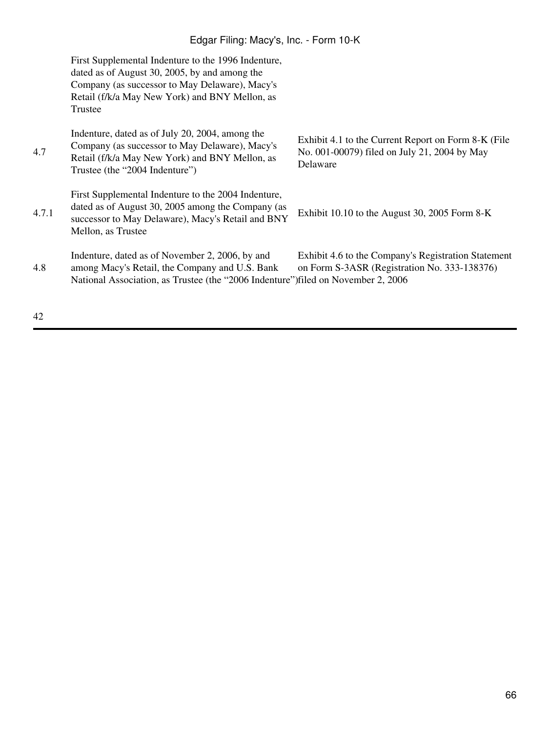|       | First Supplemental Indenture to the 1996 Indenture,<br>dated as of August 30, 2005, by and among the<br>Company (as successor to May Delaware), Macy's<br>Retail (f/k/a May New York) and BNY Mellon, as<br>Trustee |                                                                                                                 |
|-------|---------------------------------------------------------------------------------------------------------------------------------------------------------------------------------------------------------------------|-----------------------------------------------------------------------------------------------------------------|
| 4.7   | Indenture, dated as of July 20, 2004, among the<br>Company (as successor to May Delaware), Macy's<br>Retail (f/k/a May New York) and BNY Mellon, as<br>Trustee (the "2004 Indenture")                               | Exhibit 4.1 to the Current Report on Form 8-K (File<br>No. 001-00079) filed on July 21, 2004 by May<br>Delaware |
| 4.7.1 | First Supplemental Indenture to the 2004 Indenture,<br>dated as of August 30, 2005 among the Company (as<br>successor to May Delaware), Macy's Retail and BNY<br>Mellon, as Trustee                                 | Exhibit 10.10 to the August 30, 2005 Form 8-K                                                                   |
| 4.8   | Indenture, dated as of November 2, 2006, by and<br>among Macy's Retail, the Company and U.S. Bank<br>National Association, as Trustee (the "2006 Indenture") filed on November 2, 2006                              | Exhibit 4.6 to the Company's Registration Statement<br>on Form S-3ASR (Registration No. 333-138376)             |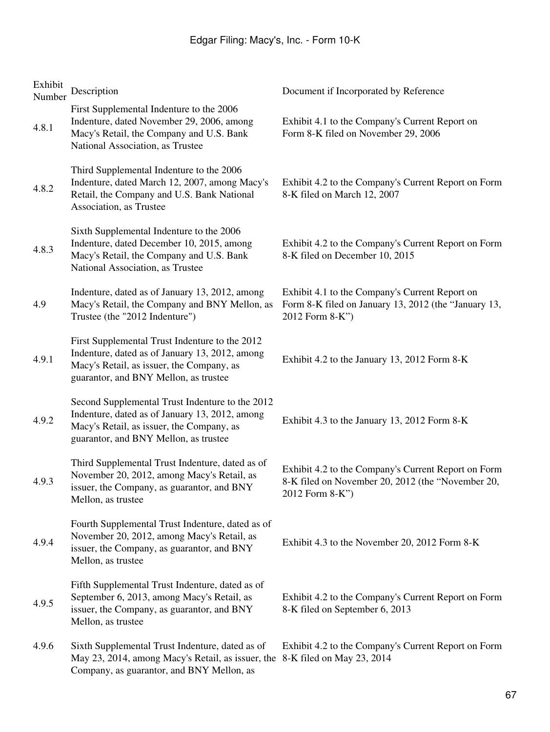| Exhibit<br>Number | Description                                                                                                                                                                             | Document if Incorporated by Reference                                                                                       |
|-------------------|-----------------------------------------------------------------------------------------------------------------------------------------------------------------------------------------|-----------------------------------------------------------------------------------------------------------------------------|
| 4.8.1             | First Supplemental Indenture to the 2006<br>Indenture, dated November 29, 2006, among<br>Macy's Retail, the Company and U.S. Bank<br>National Association, as Trustee                   | Exhibit 4.1 to the Company's Current Report on<br>Form 8-K filed on November 29, 2006                                       |
| 4.8.2             | Third Supplemental Indenture to the 2006<br>Indenture, dated March 12, 2007, among Macy's<br>Retail, the Company and U.S. Bank National<br>Association, as Trustee                      | Exhibit 4.2 to the Company's Current Report on Form<br>8-K filed on March 12, 2007                                          |
| 4.8.3             | Sixth Supplemental Indenture to the 2006<br>Indenture, dated December 10, 2015, among<br>Macy's Retail, the Company and U.S. Bank<br>National Association, as Trustee                   | Exhibit 4.2 to the Company's Current Report on Form<br>8-K filed on December 10, 2015                                       |
| 4.9               | Indenture, dated as of January 13, 2012, among<br>Macy's Retail, the Company and BNY Mellon, as<br>Trustee (the "2012 Indenture")                                                       | Exhibit 4.1 to the Company's Current Report on<br>Form 8-K filed on January 13, 2012 (the "January 13,<br>2012 Form 8-K")   |
| 4.9.1             | First Supplemental Trust Indenture to the 2012<br>Indenture, dated as of January 13, 2012, among<br>Macy's Retail, as issuer, the Company, as<br>guarantor, and BNY Mellon, as trustee  | Exhibit 4.2 to the January 13, 2012 Form 8-K                                                                                |
| 4.9.2             | Second Supplemental Trust Indenture to the 2012<br>Indenture, dated as of January 13, 2012, among<br>Macy's Retail, as issuer, the Company, as<br>guarantor, and BNY Mellon, as trustee | Exhibit 4.3 to the January 13, 2012 Form 8-K                                                                                |
| 4.9.3             | Third Supplemental Trust Indenture, dated as of<br>November 20, 2012, among Macy's Retail, as<br>issuer, the Company, as guarantor, and BNY<br>Mellon, as trustee                       | Exhibit 4.2 to the Company's Current Report on Form<br>8-K filed on November 20, 2012 (the "November 20,<br>2012 Form 8-K") |
| 4.9.4             | Fourth Supplemental Trust Indenture, dated as of<br>November 20, 2012, among Macy's Retail, as<br>issuer, the Company, as guarantor, and BNY<br>Mellon, as trustee                      | Exhibit 4.3 to the November 20, 2012 Form 8-K                                                                               |
| 4.9.5             | Fifth Supplemental Trust Indenture, dated as of<br>September 6, 2013, among Macy's Retail, as<br>issuer, the Company, as guarantor, and BNY<br>Mellon, as trustee                       | Exhibit 4.2 to the Company's Current Report on Form<br>8-K filed on September 6, 2013                                       |
| 4.9.6             | Sixth Supplemental Trust Indenture, dated as of<br>May 23, 2014, among Macy's Retail, as issuer, the 8-K filed on May 23, 2014<br>Company, as guarantor, and BNY Mellon, as             | Exhibit 4.2 to the Company's Current Report on Form                                                                         |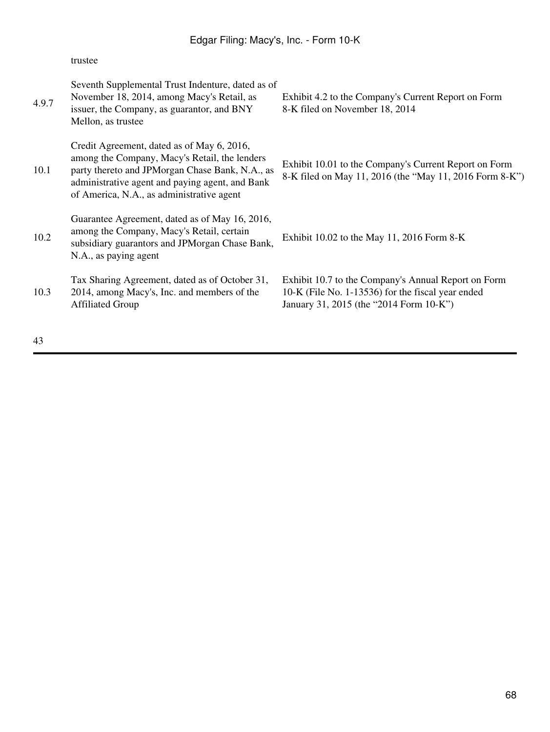#### trustee

| 4.9.7 | Seventh Supplemental Trust Indenture, dated as of<br>November 18, 2014, among Macy's Retail, as<br>issuer, the Company, as guarantor, and BNY<br>Mellon, as trustee                                                                            | Exhibit 4.2 to the Company's Current Report on Form<br>8-K filed on November 18, 2014                                                               |
|-------|------------------------------------------------------------------------------------------------------------------------------------------------------------------------------------------------------------------------------------------------|-----------------------------------------------------------------------------------------------------------------------------------------------------|
| 10.1  | Credit Agreement, dated as of May 6, 2016,<br>among the Company, Macy's Retail, the lenders<br>party thereto and JPMorgan Chase Bank, N.A., as<br>administrative agent and paying agent, and Bank<br>of America, N.A., as administrative agent | Exhibit 10.01 to the Company's Current Report on Form<br>8-K filed on May 11, 2016 (the "May 11, 2016 Form 8-K")                                    |
| 10.2  | Guarantee Agreement, dated as of May 16, 2016,<br>among the Company, Macy's Retail, certain<br>subsidiary guarantors and JPM organ Chase Bank,<br>N.A., as paying agent                                                                        | Exhibit 10.02 to the May 11, 2016 Form $8-K$                                                                                                        |
| 10.3  | Tax Sharing Agreement, dated as of October 31,<br>2014, among Macy's, Inc. and members of the<br><b>Affiliated Group</b>                                                                                                                       | Exhibit 10.7 to the Company's Annual Report on Form<br>10-K (File No. 1-13536) for the fiscal year ended<br>January 31, 2015 (the "2014 Form 10-K") |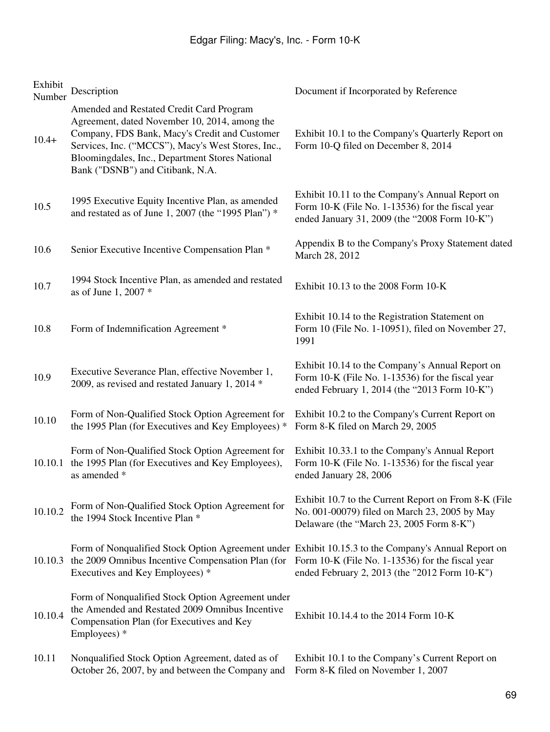| Exhibit<br>Number | Description                                                                                                                                                                                                                                                                             | Document if Incorporated by Reference                                                                                                                |
|-------------------|-----------------------------------------------------------------------------------------------------------------------------------------------------------------------------------------------------------------------------------------------------------------------------------------|------------------------------------------------------------------------------------------------------------------------------------------------------|
| $10.4+$           | Amended and Restated Credit Card Program<br>Agreement, dated November 10, 2014, among the<br>Company, FDS Bank, Macy's Credit and Customer<br>Services, Inc. ("MCCS"), Macy's West Stores, Inc.,<br>Bloomingdales, Inc., Department Stores National<br>Bank ("DSNB") and Citibank, N.A. | Exhibit 10.1 to the Company's Quarterly Report on<br>Form 10-Q filed on December 8, 2014                                                             |
| 10.5              | 1995 Executive Equity Incentive Plan, as amended<br>and restated as of June 1, 2007 (the "1995 Plan") *                                                                                                                                                                                 | Exhibit 10.11 to the Company's Annual Report on<br>Form 10-K (File No. 1-13536) for the fiscal year<br>ended January 31, 2009 (the "2008 Form 10-K") |
| 10.6              | Senior Executive Incentive Compensation Plan *                                                                                                                                                                                                                                          | Appendix B to the Company's Proxy Statement dated<br>March 28, 2012                                                                                  |
| 10.7              | 1994 Stock Incentive Plan, as amended and restated<br>as of June 1, 2007 *                                                                                                                                                                                                              | Exhibit 10.13 to the 2008 Form 10-K                                                                                                                  |
| 10.8              | Form of Indemnification Agreement *                                                                                                                                                                                                                                                     | Exhibit 10.14 to the Registration Statement on<br>Form 10 (File No. 1-10951), filed on November 27,<br>1991                                          |
| 10.9              | Executive Severance Plan, effective November 1,<br>2009, as revised and restated January 1, 2014 *                                                                                                                                                                                      | Exhibit 10.14 to the Company's Annual Report on<br>Form 10-K (File No. 1-13536) for the fiscal year<br>ended February 1, 2014 (the "2013 Form 10-K") |
| 10.10             | Form of Non-Qualified Stock Option Agreement for<br>the 1995 Plan (for Executives and Key Employees) *                                                                                                                                                                                  | Exhibit 10.2 to the Company's Current Report on<br>Form 8-K filed on March 29, 2005                                                                  |
| 10.10.1           | Form of Non-Qualified Stock Option Agreement for<br>the 1995 Plan (for Executives and Key Employees),<br>as amended *                                                                                                                                                                   | Exhibit 10.33.1 to the Company's Annual Report<br>Form 10-K (File No. 1-13536) for the fiscal year<br>ended January 28, 2006                         |
| 10.10.2           | Form of Non-Qualified Stock Option Agreement for<br>the 1994 Stock Incentive Plan *                                                                                                                                                                                                     | Exhibit 10.7 to the Current Report on From 8-K (File<br>No. 001-00079) filed on March 23, 2005 by May<br>Delaware (the "March 23, 2005 Form 8-K")    |
| 10.10.3           | Form of Nonqualified Stock Option Agreement under Exhibit 10.15.3 to the Company's Annual Report on<br>the 2009 Omnibus Incentive Compensation Plan (for Form 10-K (File No. 1-13536) for the fiscal year<br>Executives and Key Employees) *                                            | ended February 2, 2013 (the "2012 Form 10-K")                                                                                                        |
| 10.10.4           | Form of Nonqualified Stock Option Agreement under<br>the Amended and Restated 2009 Omnibus Incentive<br>Compensation Plan (for Executives and Key<br>Employees) *                                                                                                                       | Exhibit 10.14.4 to the 2014 Form $10-K$                                                                                                              |
| 10.11             | Nonqualified Stock Option Agreement, dated as of<br>October 26, 2007, by and between the Company and                                                                                                                                                                                    | Exhibit 10.1 to the Company's Current Report on<br>Form 8-K filed on November 1, 2007                                                                |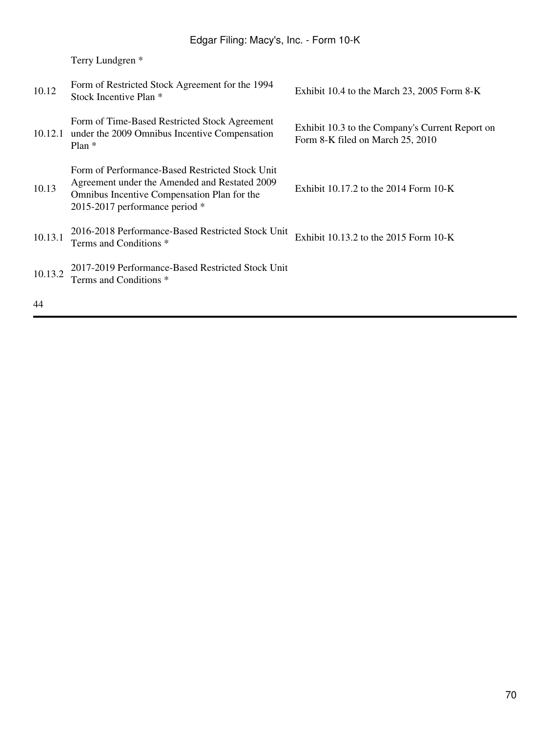Terry Lundgren \*

| 10.12   | Form of Restricted Stock Agreement for the 1994<br>Stock Incentive Plan *                                                                                                         | Exhibit 10.4 to the March 23, 2005 Form 8-K                                         |
|---------|-----------------------------------------------------------------------------------------------------------------------------------------------------------------------------------|-------------------------------------------------------------------------------------|
|         | Form of Time-Based Restricted Stock Agreement<br>10.12.1 under the 2009 Omnibus Incentive Compensation<br>Plan $*$                                                                | Exhibit 10.3 to the Company's Current Report on<br>Form 8-K filed on March 25, 2010 |
| 10.13   | Form of Performance-Based Restricted Stock Unit<br>Agreement under the Amended and Restated 2009<br>Omnibus Incentive Compensation Plan for the<br>2015-2017 performance period * | Exhibit 10.17.2 to the 2014 Form $10-K$                                             |
| 10.13.1 | 2016-2018 Performance-Based Restricted Stock Unit<br>Terms and Conditions *                                                                                                       | Exhibit 10.13.2 to the 2015 Form $10-K$                                             |
| 10.13.2 | 2017-2019 Performance-Based Restricted Stock Unit<br>Terms and Conditions *                                                                                                       |                                                                                     |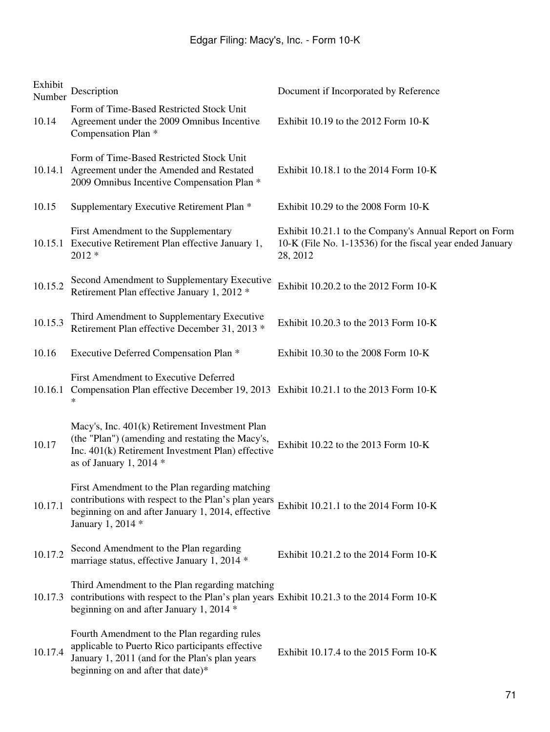| Exhibit<br>Number | Description                                                                                                                                                                              | Document if Incorporated by Reference                                                                                           |
|-------------------|------------------------------------------------------------------------------------------------------------------------------------------------------------------------------------------|---------------------------------------------------------------------------------------------------------------------------------|
| 10.14             | Form of Time-Based Restricted Stock Unit<br>Agreement under the 2009 Omnibus Incentive<br>Compensation Plan *                                                                            | Exhibit 10.19 to the 2012 Form 10-K                                                                                             |
| 10.14.1           | Form of Time-Based Restricted Stock Unit<br>Agreement under the Amended and Restated<br>2009 Omnibus Incentive Compensation Plan *                                                       | Exhibit 10.18.1 to the 2014 Form 10-K                                                                                           |
| 10.15             | Supplementary Executive Retirement Plan *                                                                                                                                                | Exhibit 10.29 to the 2008 Form 10-K                                                                                             |
| 10.15.1           | First Amendment to the Supplementary<br>Executive Retirement Plan effective January 1,<br>$2012 *$                                                                                       | Exhibit 10.21.1 to the Company's Annual Report on Form<br>10-K (File No. 1-13536) for the fiscal year ended January<br>28, 2012 |
| 10.15.2           | Second Amendment to Supplementary Executive<br>Retirement Plan effective January 1, 2012 *                                                                                               | Exhibit 10.20.2 to the 2012 Form 10-K                                                                                           |
| 10.15.3           | Third Amendment to Supplementary Executive<br>Retirement Plan effective December 31, 2013 *                                                                                              | Exhibit 10.20.3 to the 2013 Form 10-K                                                                                           |
| 10.16             | Executive Deferred Compensation Plan *                                                                                                                                                   | Exhibit 10.30 to the 2008 Form 10-K                                                                                             |
| 10.16.1           | First Amendment to Executive Deferred<br>Compensation Plan effective December 19, 2013 Exhibit 10.21.1 to the 2013 Form 10-K<br>$\ast$                                                   |                                                                                                                                 |
| 10.17             | Macy's, Inc. 401(k) Retirement Investment Plan<br>(the "Plan") (amending and restating the Macy's,<br>Inc. 401(k) Retirement Investment Plan) effective<br>as of January 1, 2014 $*$     | Exhibit 10.22 to the 2013 Form 10-K                                                                                             |
| 10.17.1           | First Amendment to the Plan regarding matching<br>contributions with respect to the Plan's plan years<br>beginning on and after January 1, 2014, effective<br>January 1, 2014 *          | Exhibit 10.21.1 to the 2014 Form 10-K                                                                                           |
| 10.17.2           | Second Amendment to the Plan regarding<br>marriage status, effective January 1, 2014 *                                                                                                   | Exhibit 10.21.2 to the 2014 Form 10-K                                                                                           |
| 10.17.3           | Third Amendment to the Plan regarding matching<br>contributions with respect to the Plan's plan years Exhibit 10.21.3 to the 2014 Form 10-K<br>beginning on and after January 1, 2014 *  |                                                                                                                                 |
| 10.17.4           | Fourth Amendment to the Plan regarding rules<br>applicable to Puerto Rico participants effective<br>January 1, 2011 (and for the Plan's plan years<br>beginning on and after that date)* | Exhibit 10.17.4 to the 2015 Form 10-K                                                                                           |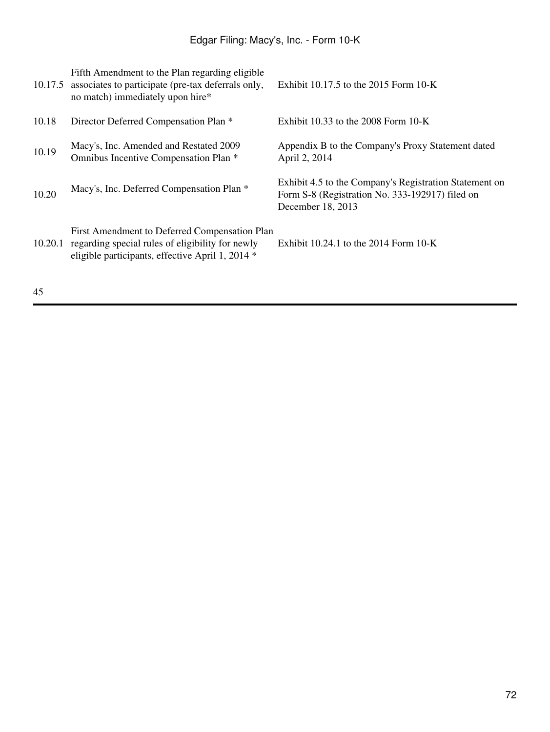|         | Fifth Amendment to the Plan regarding eligible<br>10.17.5 associates to participate (pre-tax deferrals only,<br>no match) immediately upon hire*      | Exhibit 10.17.5 to the 2015 Form $10-K$                                                                                        |
|---------|-------------------------------------------------------------------------------------------------------------------------------------------------------|--------------------------------------------------------------------------------------------------------------------------------|
| 10.18   | Director Deferred Compensation Plan *                                                                                                                 | Exhibit 10.33 to the 2008 Form $10-K$                                                                                          |
| 10.19   | Macy's, Inc. Amended and Restated 2009<br>Omnibus Incentive Compensation Plan *                                                                       | Appendix B to the Company's Proxy Statement dated<br>April 2, 2014                                                             |
| 10.20   | Macy's, Inc. Deferred Compensation Plan *                                                                                                             | Exhibit 4.5 to the Company's Registration Statement on<br>Form S-8 (Registration No. 333-192917) filed on<br>December 18, 2013 |
| 10.20.1 | First Amendment to Deferred Compensation Plan<br>regarding special rules of eligibility for newly<br>eligible participants, effective April 1, 2014 * | Exhibit $10.24.1$ to the 2014 Form $10-K$                                                                                      |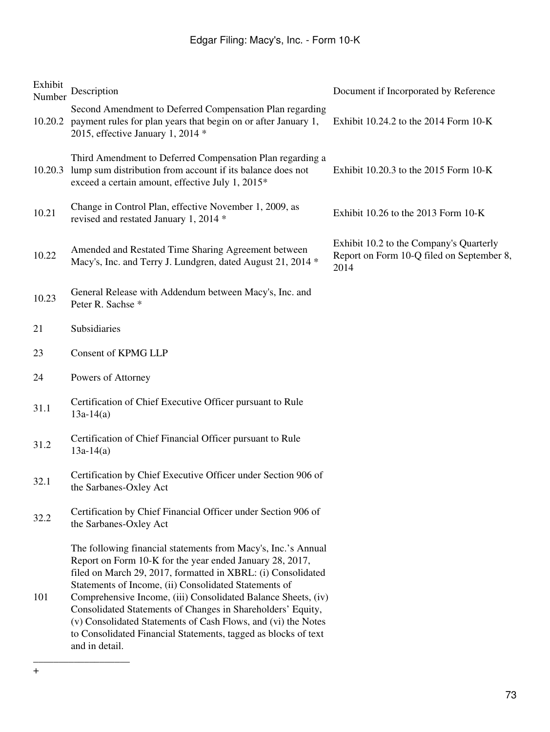| Exhibit<br>Number | Description                                                                                                                                                                                                                                                                                                                                                                                                                                                                                                                             | Document if Incorporated by Reference                                                        |
|-------------------|-----------------------------------------------------------------------------------------------------------------------------------------------------------------------------------------------------------------------------------------------------------------------------------------------------------------------------------------------------------------------------------------------------------------------------------------------------------------------------------------------------------------------------------------|----------------------------------------------------------------------------------------------|
| 10.20.2           | Second Amendment to Deferred Compensation Plan regarding<br>payment rules for plan years that begin on or after January 1,<br>2015, effective January 1, 2014 $*$                                                                                                                                                                                                                                                                                                                                                                       | Exhibit 10.24.2 to the 2014 Form 10-K                                                        |
| 10.20.3           | Third Amendment to Deferred Compensation Plan regarding a<br>lump sum distribution from account if its balance does not<br>exceed a certain amount, effective July 1, 2015*                                                                                                                                                                                                                                                                                                                                                             | Exhibit 10.20.3 to the 2015 Form 10-K                                                        |
| 10.21             | Change in Control Plan, effective November 1, 2009, as<br>revised and restated January 1, 2014 *                                                                                                                                                                                                                                                                                                                                                                                                                                        | Exhibit 10.26 to the 2013 Form 10-K                                                          |
| 10.22             | Amended and Restated Time Sharing Agreement between<br>Macy's, Inc. and Terry J. Lundgren, dated August 21, 2014 *                                                                                                                                                                                                                                                                                                                                                                                                                      | Exhibit 10.2 to the Company's Quarterly<br>Report on Form 10-Q filed on September 8,<br>2014 |
| 10.23             | General Release with Addendum between Macy's, Inc. and<br>Peter R. Sachse *                                                                                                                                                                                                                                                                                                                                                                                                                                                             |                                                                                              |
| 21                | Subsidiaries                                                                                                                                                                                                                                                                                                                                                                                                                                                                                                                            |                                                                                              |
| 23                | <b>Consent of KPMG LLP</b>                                                                                                                                                                                                                                                                                                                                                                                                                                                                                                              |                                                                                              |
| 24                | Powers of Attorney                                                                                                                                                                                                                                                                                                                                                                                                                                                                                                                      |                                                                                              |
| 31.1              | Certification of Chief Executive Officer pursuant to Rule<br>$13a-14(a)$                                                                                                                                                                                                                                                                                                                                                                                                                                                                |                                                                                              |
| 31.2              | Certification of Chief Financial Officer pursuant to Rule<br>$13a-14(a)$                                                                                                                                                                                                                                                                                                                                                                                                                                                                |                                                                                              |
| 32.1              | Certification by Chief Executive Officer under Section 906 of<br>the Sarbanes-Oxley Act                                                                                                                                                                                                                                                                                                                                                                                                                                                 |                                                                                              |
| 32.2              | Certification by Chief Financial Officer under Section 906 of<br>the Sarbanes-Oxley Act                                                                                                                                                                                                                                                                                                                                                                                                                                                 |                                                                                              |
| 101               | The following financial statements from Macy's, Inc.'s Annual<br>Report on Form 10-K for the year ended January 28, 2017,<br>filed on March 29, 2017, formatted in XBRL: (i) Consolidated<br>Statements of Income, (ii) Consolidated Statements of<br>Comprehensive Income, (iii) Consolidated Balance Sheets, (iv)<br>Consolidated Statements of Changes in Shareholders' Equity,<br>(v) Consolidated Statements of Cash Flows, and (vi) the Notes<br>to Consolidated Financial Statements, tagged as blocks of text<br>and in detail. |                                                                                              |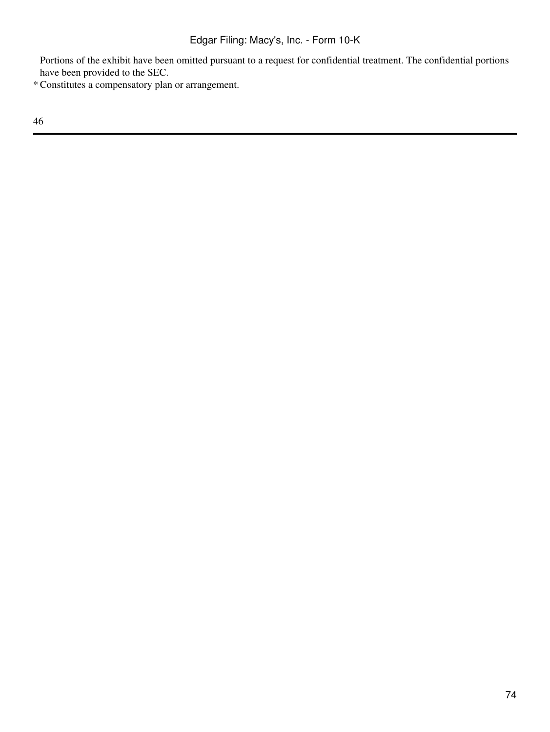Portions of the exhibit have been omitted pursuant to a request for confidential treatment. The confidential portions have been provided to the SEC.

\*Constitutes a compensatory plan or arrangement.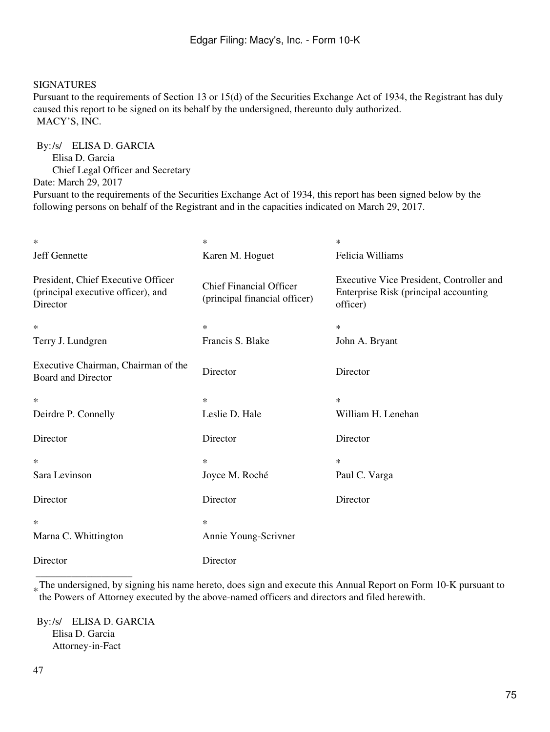## SIGNATURES

Pursuant to the requirements of Section 13 or 15(d) of the Securities Exchange Act of 1934, the Registrant has duly caused this report to be signed on its behalf by the undersigned, thereunto duly authorized. MACY'S, INC.

By:/s/ ELISA D. GARCIA Elisa D. Garcia Chief Legal Officer and Secretary

Date: March 29, 2017

Pursuant to the requirements of the Securities Exchange Act of 1934, this report has been signed below by the following persons on behalf of the Registrant and in the capacities indicated on March 29, 2017.

| $\ast$                                                                               | $\ast$                                                          | $\ast$                                                                                        |
|--------------------------------------------------------------------------------------|-----------------------------------------------------------------|-----------------------------------------------------------------------------------------------|
| <b>Jeff Gennette</b>                                                                 | Karen M. Hoguet                                                 | Felicia Williams                                                                              |
| President, Chief Executive Officer<br>(principal executive officer), and<br>Director | <b>Chief Financial Officer</b><br>(principal financial officer) | Executive Vice President, Controller and<br>Enterprise Risk (principal accounting<br>officer) |
| $\ast$                                                                               | $\ast$                                                          | $\ast$                                                                                        |
| Terry J. Lundgren                                                                    | Francis S. Blake                                                | John A. Bryant                                                                                |
| Executive Chairman, Chairman of the<br><b>Board and Director</b>                     | Director                                                        | Director                                                                                      |
| $\ast$                                                                               | $\ast$                                                          | $\ast$                                                                                        |
| Deirdre P. Connelly                                                                  | Leslie D. Hale                                                  | William H. Lenehan                                                                            |
| Director                                                                             | Director                                                        | Director                                                                                      |
| $\ast$                                                                               | $\ast$                                                          | $\ast$                                                                                        |
| Sara Levinson                                                                        | Joyce M. Roché                                                  | Paul C. Varga                                                                                 |
| Director                                                                             | Director                                                        | Director                                                                                      |
| $\ast$                                                                               | $\ast$                                                          |                                                                                               |
| Marna C. Whittington                                                                 | Annie Young-Scrivner                                            |                                                                                               |
| Director                                                                             | Director                                                        |                                                                                               |
|                                                                                      |                                                                 |                                                                                               |

<sup>\*</sup>The undersigned, by signing his name hereto, does sign and execute this Annual Report on Form 10-K pursuant to<br>\* the Dowers of Attorney around by the shave named officers and directors and filed herewith the Powers of Attorney executed by the above-named officers and directors and filed herewith.

By:/s/ ELISA D. GARCIA Elisa D. Garcia Attorney-in-Fact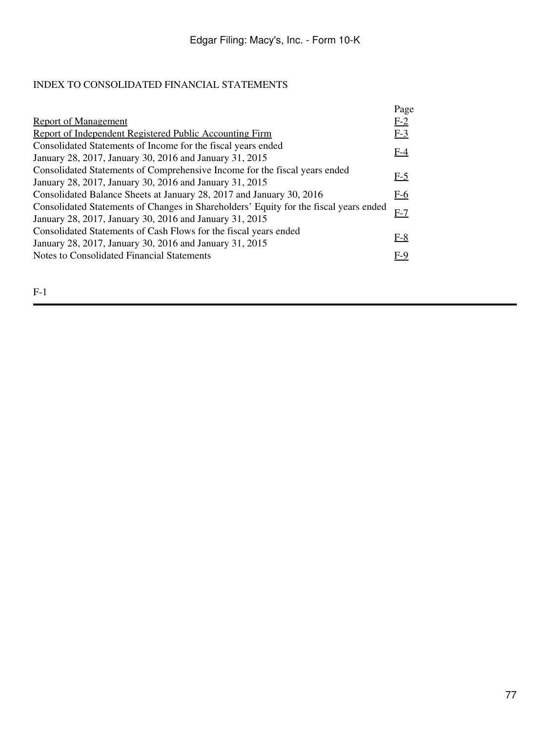## INDEX TO CONSOLIDATED FINANCIAL STATEMENTS

|                                                                                       | Page  |
|---------------------------------------------------------------------------------------|-------|
| <b>Report of Management</b>                                                           | $E-2$ |
| Report of Independent Registered Public Accounting Firm                               | $F-3$ |
| Consolidated Statements of Income for the fiscal years ended                          | $F-4$ |
| January 28, 2017, January 30, 2016 and January 31, 2015                               |       |
| Consolidated Statements of Comprehensive Income for the fiscal years ended            | $F-5$ |
| January 28, 2017, January 30, 2016 and January 31, 2015                               |       |
| Consolidated Balance Sheets at January 28, 2017 and January 30, 2016                  | $F-6$ |
| Consolidated Statements of Changes in Shareholders' Equity for the fiscal years ended | $F-7$ |
| January 28, 2017, January 30, 2016 and January 31, 2015                               |       |
| Consolidated Statements of Cash Flows for the fiscal years ended                      | $F-8$ |
| January 28, 2017, January 30, 2016 and January 31, 2015                               |       |
| Notes to Consolidated Financial Statements                                            | $F-9$ |
|                                                                                       |       |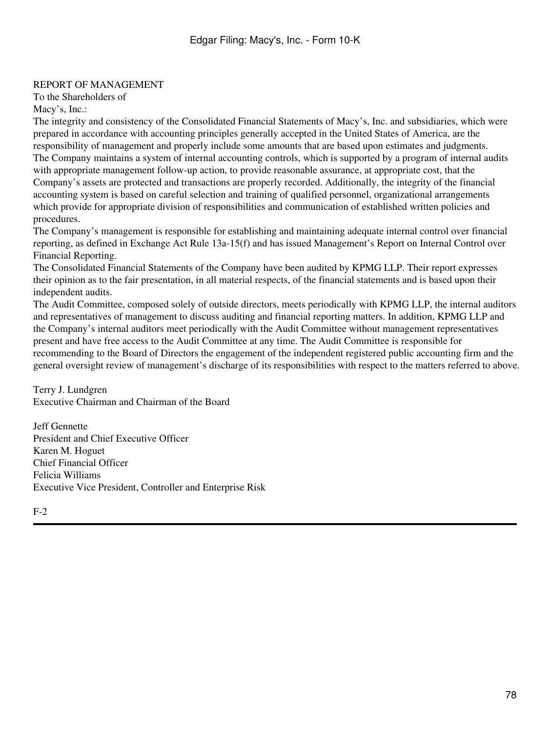## <span id="page-77-0"></span>REPORT OF MANAGEMENT

To the Shareholders of Macy's, Inc.:

The integrity and consistency of the Consolidated Financial Statements of Macy's, Inc. and subsidiaries, which were prepared in accordance with accounting principles generally accepted in the United States of America, are the responsibility of management and properly include some amounts that are based upon estimates and judgments. The Company maintains a system of internal accounting controls, which is supported by a program of internal audits with appropriate management follow-up action, to provide reasonable assurance, at appropriate cost, that the Company's assets are protected and transactions are properly recorded. Additionally, the integrity of the financial accounting system is based on careful selection and training of qualified personnel, organizational arrangements which provide for appropriate division of responsibilities and communication of established written policies and procedures.

The Company's management is responsible for establishing and maintaining adequate internal control over financial reporting, as defined in Exchange Act Rule 13a-15(f) and has issued Management's Report on Internal Control over Financial Reporting.

The Consolidated Financial Statements of the Company have been audited by KPMG LLP. Their report expresses their opinion as to the fair presentation, in all material respects, of the financial statements and is based upon their independent audits.

The Audit Committee, composed solely of outside directors, meets periodically with KPMG LLP, the internal auditors and representatives of management to discuss auditing and financial reporting matters. In addition, KPMG LLP and the Company's internal auditors meet periodically with the Audit Committee without management representatives present and have free access to the Audit Committee at any time. The Audit Committee is responsible for recommending to the Board of Directors the engagement of the independent registered public accounting firm and the general oversight review of management's discharge of its responsibilities with respect to the matters referred to above.

Terry J. Lundgren Executive Chairman and Chairman of the Board

Jeff Gennette President and Chief Executive Officer Karen M. Hoguet Chief Financial Officer Felicia Williams Executive Vice President, Controller and Enterprise Risk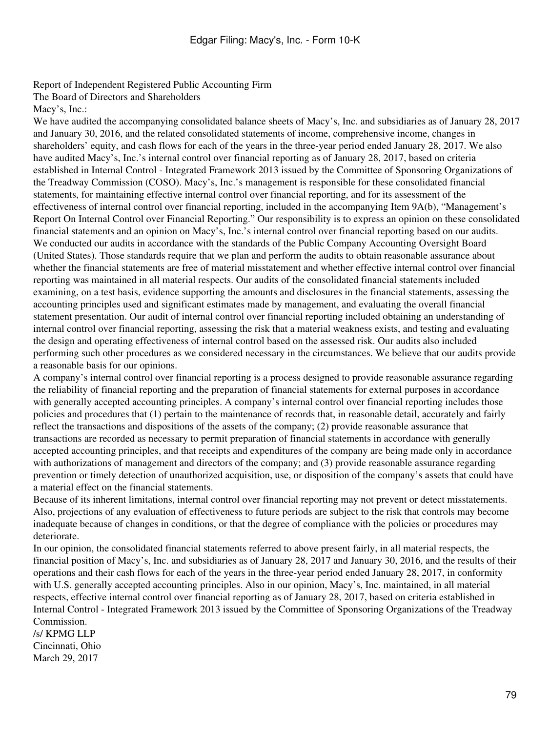<span id="page-78-0"></span>Report of Independent Registered Public Accounting Firm The Board of Directors and Shareholders Macy's, Inc.:

We have audited the accompanying consolidated balance sheets of Macy's, Inc. and subsidiaries as of January 28, 2017 and January 30, 2016, and the related consolidated statements of income, comprehensive income, changes in shareholders' equity, and cash flows for each of the years in the three-year period ended January 28, 2017. We also have audited Macy's, Inc.'s internal control over financial reporting as of January 28, 2017, based on criteria established in Internal Control - Integrated Framework 2013 issued by the Committee of Sponsoring Organizations of the Treadway Commission (COSO). Macy's, Inc.'s management is responsible for these consolidated financial statements, for maintaining effective internal control over financial reporting, and for its assessment of the effectiveness of internal control over financial reporting, included in the accompanying Item 9A(b), "Management's Report On Internal Control over Financial Reporting." Our responsibility is to express an opinion on these consolidated financial statements and an opinion on Macy's, Inc.'s internal control over financial reporting based on our audits. We conducted our audits in accordance with the standards of the Public Company Accounting Oversight Board (United States). Those standards require that we plan and perform the audits to obtain reasonable assurance about whether the financial statements are free of material misstatement and whether effective internal control over financial reporting was maintained in all material respects. Our audits of the consolidated financial statements included examining, on a test basis, evidence supporting the amounts and disclosures in the financial statements, assessing the accounting principles used and significant estimates made by management, and evaluating the overall financial statement presentation. Our audit of internal control over financial reporting included obtaining an understanding of internal control over financial reporting, assessing the risk that a material weakness exists, and testing and evaluating the design and operating effectiveness of internal control based on the assessed risk. Our audits also included performing such other procedures as we considered necessary in the circumstances. We believe that our audits provide a reasonable basis for our opinions.

A company's internal control over financial reporting is a process designed to provide reasonable assurance regarding the reliability of financial reporting and the preparation of financial statements for external purposes in accordance with generally accepted accounting principles. A company's internal control over financial reporting includes those policies and procedures that (1) pertain to the maintenance of records that, in reasonable detail, accurately and fairly reflect the transactions and dispositions of the assets of the company; (2) provide reasonable assurance that transactions are recorded as necessary to permit preparation of financial statements in accordance with generally accepted accounting principles, and that receipts and expenditures of the company are being made only in accordance with authorizations of management and directors of the company; and (3) provide reasonable assurance regarding prevention or timely detection of unauthorized acquisition, use, or disposition of the company's assets that could have a material effect on the financial statements.

Because of its inherent limitations, internal control over financial reporting may not prevent or detect misstatements. Also, projections of any evaluation of effectiveness to future periods are subject to the risk that controls may become inadequate because of changes in conditions, or that the degree of compliance with the policies or procedures may deteriorate.

In our opinion, the consolidated financial statements referred to above present fairly, in all material respects, the financial position of Macy's, Inc. and subsidiaries as of January 28, 2017 and January 30, 2016, and the results of their operations and their cash flows for each of the years in the three-year period ended January 28, 2017, in conformity with U.S. generally accepted accounting principles. Also in our opinion, Macy's, Inc. maintained, in all material respects, effective internal control over financial reporting as of January 28, 2017, based on criteria established in Internal Control - Integrated Framework 2013 issued by the Committee of Sponsoring Organizations of the Treadway Commission.

/s/ KPMG LLP Cincinnati, Ohio March 29, 2017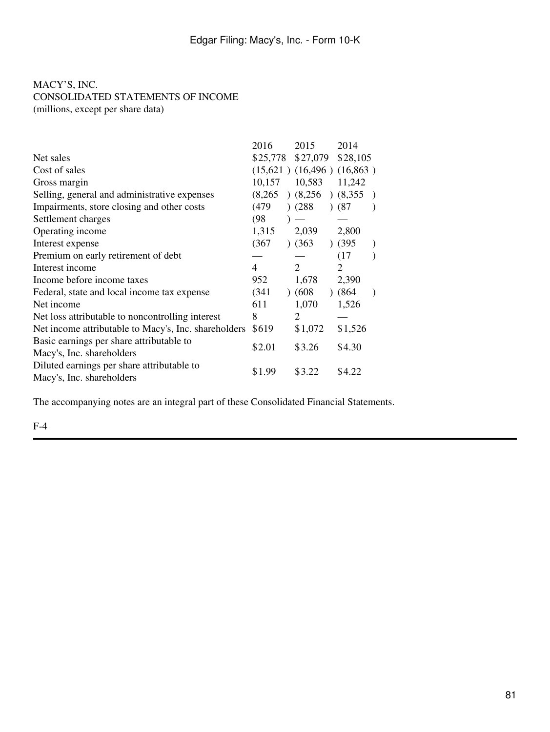## <span id="page-80-0"></span>MACY'S, INC. CONSOLIDATED STATEMENTS OF INCOME (millions, except per share data)

|                                                      | 2016     | 2015           | 2014                             |               |
|------------------------------------------------------|----------|----------------|----------------------------------|---------------|
| Net sales                                            | \$25,778 | \$27,079       | \$28,105                         |               |
| Cost of sales                                        |          |                | $(15,621)$ $(16,496)$ $(16,863)$ |               |
| Gross margin                                         | 10,157   | 10,583         | 11,242                           |               |
| Selling, general and administrative expenses         | (8,265)  | (8,256)        | (8,355)                          | $\rightarrow$ |
| Impairments, store closing and other costs           | (479)    | (288)          | (87)                             |               |
| Settlement charges                                   | (98      |                |                                  |               |
| Operating income                                     | 1,315    | 2,039          | 2,800                            |               |
| Interest expense                                     | (367)    | (363)          | (395)                            |               |
| Premium on early retirement of debt                  |          |                | (17)                             |               |
| Interest income                                      | 4        | $\overline{2}$ | 2                                |               |
| Income before income taxes                           | 952      | 1,678          | 2,390                            |               |
| Federal, state and local income tax expense          | (341)    | (608)          | (864)                            |               |
| Net income                                           | 611      | 1,070          | 1,526                            |               |
| Net loss attributable to noncontrolling interest     | 8        | 2              |                                  |               |
| Net income attributable to Macy's, Inc. shareholders | \$619    | \$1,072        | \$1,526                          |               |
| Basic earnings per share attributable to             | \$2.01   | \$3.26         | \$4.30                           |               |
| Macy's, Inc. shareholders                            |          |                |                                  |               |
| Diluted earnings per share attributable to           | \$1.99   | \$3.22         | \$4.22                           |               |
| Macy's, Inc. shareholders                            |          |                |                                  |               |

The accompanying notes are an integral part of these Consolidated Financial Statements.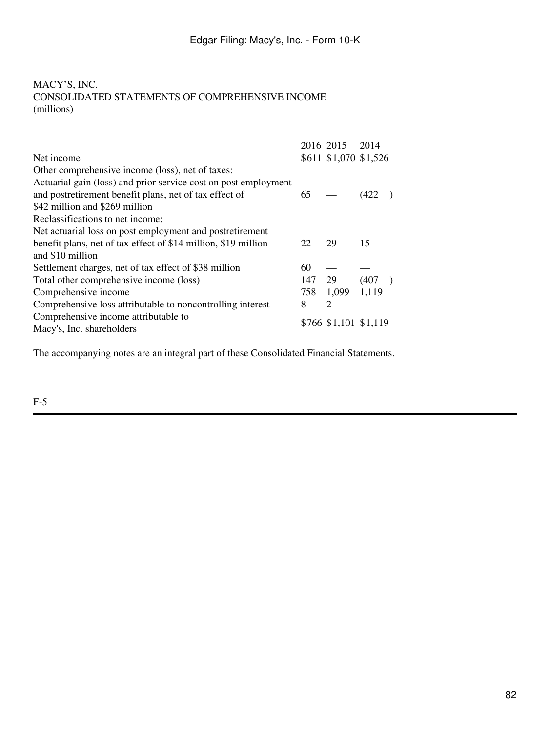## <span id="page-81-0"></span>MACY'S, INC. CONSOLIDATED STATEMENTS OF COMPREHENSIVE INCOME (millions)

|                                                                 |     | 2016 2015 2014        |       |
|-----------------------------------------------------------------|-----|-----------------------|-------|
| Net income                                                      |     | \$611 \$1,070 \$1,526 |       |
| Other comprehensive income (loss), net of taxes:                |     |                       |       |
| Actuarial gain (loss) and prior service cost on post employment |     |                       |       |
| and postretirement benefit plans, net of tax effect of          | 65  |                       | (422) |
| \$42 million and \$269 million                                  |     |                       |       |
| Reclassifications to net income:                                |     |                       |       |
| Net actuarial loss on post employment and postretirement        |     |                       |       |
| benefit plans, net of tax effect of \$14 million, \$19 million  | 22  | 29                    | 15    |
| and \$10 million                                                |     |                       |       |
| Settlement charges, net of tax effect of \$38 million           | 60  |                       |       |
| Total other comprehensive income (loss)                         | 147 | 29                    | (407) |
| Comprehensive income                                            | 758 | 1,099                 | 1,119 |
| Comprehensive loss attributable to noncontrolling interest      | 8   | 2                     |       |
| Comprehensive income attributable to                            |     | \$766 \$1,101 \$1,119 |       |
| Macy's, Inc. shareholders                                       |     |                       |       |

The accompanying notes are an integral part of these Consolidated Financial Statements.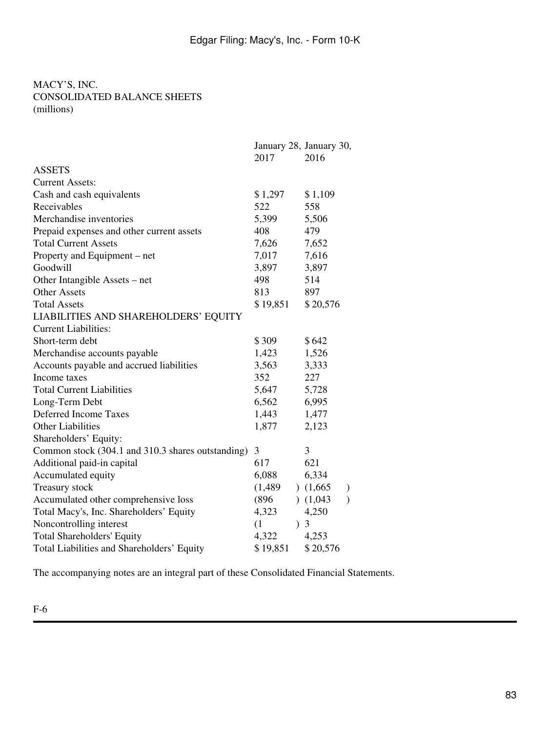## <span id="page-82-0"></span>MACY'S, INC. CONSOLIDATED BALANCE SHEETS (millions)

|                                                   |          | January 28, January 30,  |
|---------------------------------------------------|----------|--------------------------|
|                                                   | 2017     | 2016                     |
| <b>ASSETS</b>                                     |          |                          |
| <b>Current Assets:</b>                            |          |                          |
| Cash and cash equivalents                         | \$1,297  | \$1,109                  |
| Receivables                                       | 522      | 558                      |
| Merchandise inventories                           | 5,399    | 5,506                    |
| Prepaid expenses and other current assets         | 408      | 479                      |
| <b>Total Current Assets</b>                       | 7,626    | 7,652                    |
| Property and Equipment – net                      | 7,017    | 7,616                    |
| Goodwill                                          | 3,897    | 3,897                    |
| Other Intangible Assets – net                     | 498      | 514                      |
| <b>Other Assets</b>                               | 813      | 897                      |
| <b>Total Assets</b>                               | \$19,851 | \$20,576                 |
| LIABILITIES AND SHAREHOLDERS' EQUITY              |          |                          |
| <b>Current Liabilities:</b>                       |          |                          |
| Short-term debt                                   | \$309    | \$642                    |
| Merchandise accounts payable                      | 1,423    | 1,526                    |
| Accounts payable and accrued liabilities          | 3,563    | 3,333                    |
| Income taxes                                      | 352      | 227                      |
| <b>Total Current Liabilities</b>                  | 5,647    | 5,728                    |
| Long-Term Debt                                    | 6,562    | 6,995                    |
| <b>Deferred Income Taxes</b>                      | 1,443    | 1,477                    |
| <b>Other Liabilities</b>                          | 1,877    | 2,123                    |
| Shareholders' Equity:                             |          |                          |
| Common stock (304.1 and 310.3 shares outstanding) | 3        | 3                        |
| Additional paid-in capital                        | 617      | 621                      |
| Accumulated equity                                | 6,088    | 6,334                    |
| Treasury stock                                    | (1, 489) | (1,665)<br>$\mathcal{)}$ |
| Accumulated other comprehensive loss              | (896)    | (1,043)<br>$\lambda$     |
| Total Macy's, Inc. Shareholders' Equity           | 4,323    | 4,250                    |
| Noncontrolling interest                           | (1)      | )3                       |
| <b>Total Shareholders' Equity</b>                 | 4,322    | 4,253                    |
| Total Liabilities and Shareholders' Equity        | \$19,851 | \$20,576                 |

The accompanying notes are an integral part of these Consolidated Financial Statements.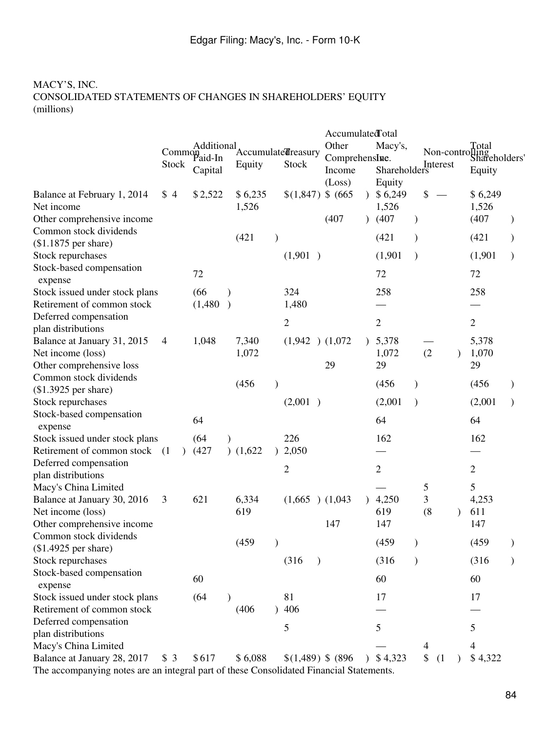## <span id="page-83-0"></span>MACY'S, INC. CONSOLIDATED STATEMENTS OF CHANGES IN SHAREHOLDERS' EQUITY (millions)

|                                                                                         |                      |                                                                    |               |                                             |               |                     | Accumulated Total                           |                                   |               |                      |           |                                                                |  |
|-----------------------------------------------------------------------------------------|----------------------|--------------------------------------------------------------------|---------------|---------------------------------------------|---------------|---------------------|---------------------------------------------|-----------------------------------|---------------|----------------------|-----------|----------------------------------------------------------------|--|
|                                                                                         | Stock                | $\displaystyle\underset{\text{Paid-In}}{\text{Commop}}$<br>Capital |               | Additional<br>Accumulated reasury<br>Equity |               | Stock               | Other<br>ComprehensIne.<br>Income<br>(Loss) | Macy's,<br>Shareholders<br>Equity |               | Interest             |           | Total<br>Non-controlling<br>Literation Shareholders'<br>Equity |  |
| Balance at February 1, 2014<br>Net income<br>Other comprehensive income                 | \$4                  | \$2,522                                                            |               | \$6,235<br>1,526                            |               | \$(1,847)           | \$ (665)<br>(407)                           | \$6,249<br>1,526<br>(407)         | $\mathcal{E}$ | \$                   |           | \$6,249<br>1,526<br>(407)                                      |  |
| Common stock dividends                                                                  |                      |                                                                    |               | (421)                                       |               |                     |                                             | (421)                             | $\mathcal{E}$ |                      |           | (421)                                                          |  |
| $($1.1875$ per share)<br>Stock repurchases                                              |                      |                                                                    |               |                                             |               | (1,901)             |                                             | (1,901)                           | $\mathcal{E}$ |                      |           | (1,901)                                                        |  |
| Stock-based compensation<br>expense                                                     |                      | 72                                                                 |               |                                             |               |                     |                                             | 72                                |               |                      |           | 72                                                             |  |
| Stock issued under stock plans                                                          |                      | (66)                                                               |               |                                             |               | 324                 |                                             | 258                               |               |                      |           | 258                                                            |  |
| Retirement of common stock                                                              |                      | (1,480)                                                            | $\rightarrow$ |                                             |               | 1,480               |                                             |                                   |               |                      |           |                                                                |  |
| Deferred compensation<br>plan distributions                                             |                      |                                                                    |               |                                             |               | $\overline{2}$      |                                             | $\overline{2}$                    |               |                      |           | $\overline{2}$                                                 |  |
| Balance at January 31, 2015<br>Net income (loss)                                        | 4                    | 1,048                                                              |               | 7,340<br>1,072                              |               | $(1,942)$ $(1,072)$ |                                             | 5,378<br>1,072                    |               | (2)                  | $\lambda$ | 5,378<br>1,070                                                 |  |
| Other comprehensive loss                                                                |                      |                                                                    |               |                                             |               |                     | 29                                          | 29                                |               |                      |           | 29                                                             |  |
| Common stock dividends                                                                  |                      |                                                                    |               |                                             |               |                     |                                             |                                   |               |                      |           |                                                                |  |
| $($1.3925$ per share)                                                                   |                      |                                                                    |               | (456)                                       |               |                     |                                             | (456)                             | $\mathcal{E}$ |                      |           | (456)                                                          |  |
| Stock repurchases                                                                       |                      |                                                                    |               |                                             |               | (2,001)             |                                             | (2,001)                           | $\mathcal{E}$ |                      |           | (2,001)                                                        |  |
| Stock-based compensation<br>expense                                                     |                      | 64                                                                 |               |                                             |               |                     |                                             | 64                                |               |                      |           | 64                                                             |  |
| Stock issued under stock plans                                                          |                      | (64)                                                               |               |                                             |               | 226                 |                                             | 162                               |               |                      |           | 162                                                            |  |
| Retirement of common stock                                                              | (1)<br>$\mathcal{L}$ | (427)                                                              |               | (1,622)                                     |               | 2,050               |                                             |                                   |               |                      |           |                                                                |  |
| Deferred compensation<br>plan distributions                                             |                      |                                                                    |               |                                             |               | $\overline{2}$      |                                             | 2                                 |               |                      |           | $\overline{2}$                                                 |  |
| Macy's China Limited                                                                    |                      |                                                                    |               |                                             |               |                     |                                             |                                   |               | 5                    |           | 5                                                              |  |
| Balance at January 30, 2016                                                             | 3                    | 621                                                                |               | 6,334                                       |               | $(1,665)$ $(1,043)$ |                                             | 4,250                             |               | 3                    |           | 4,253                                                          |  |
| Net income (loss)                                                                       |                      |                                                                    |               | 619                                         |               |                     |                                             | 619                               |               | (8)                  | $\lambda$ | 611                                                            |  |
| Other comprehensive income                                                              |                      |                                                                    |               |                                             |               |                     | 147                                         | 147                               |               |                      |           | 147                                                            |  |
| Common stock dividends                                                                  |                      |                                                                    |               | (459)                                       | $\rightarrow$ |                     |                                             | (459)                             | $\mathcal{L}$ |                      |           | (459)                                                          |  |
| $($1.4925$ per share)                                                                   |                      |                                                                    |               |                                             |               |                     |                                             |                                   |               |                      |           |                                                                |  |
| Stock repurchases<br>Stock-based compensation                                           |                      |                                                                    |               |                                             |               | (316)               |                                             | (316)                             |               |                      |           | (316)                                                          |  |
| expense                                                                                 |                      | 60                                                                 |               |                                             |               |                     |                                             | 60                                |               |                      |           | 60                                                             |  |
| Stock issued under stock plans                                                          |                      | (64)                                                               |               |                                             |               | 81                  |                                             | 17                                |               |                      |           | 17                                                             |  |
| Retirement of common stock                                                              |                      |                                                                    |               | (406)                                       |               | )406                |                                             |                                   |               |                      |           |                                                                |  |
| Deferred compensation<br>plan distributions                                             |                      |                                                                    |               |                                             |               | 5                   |                                             | 5                                 |               |                      |           | 5                                                              |  |
| Macy's China Limited                                                                    |                      |                                                                    |               |                                             |               |                     |                                             |                                   |               |                      |           | 4                                                              |  |
| Balance at January 28, 2017                                                             | \$3                  | \$617                                                              |               | \$6,088                                     |               | $$(1,489)$ \; (896) |                                             | \$4,323                           |               | $\mathcal{S}$<br>(1) |           | \$4,322                                                        |  |
| The accompanying notes are an integral part of these Consolidated Financial Statements. |                      |                                                                    |               |                                             |               |                     |                                             |                                   |               |                      |           |                                                                |  |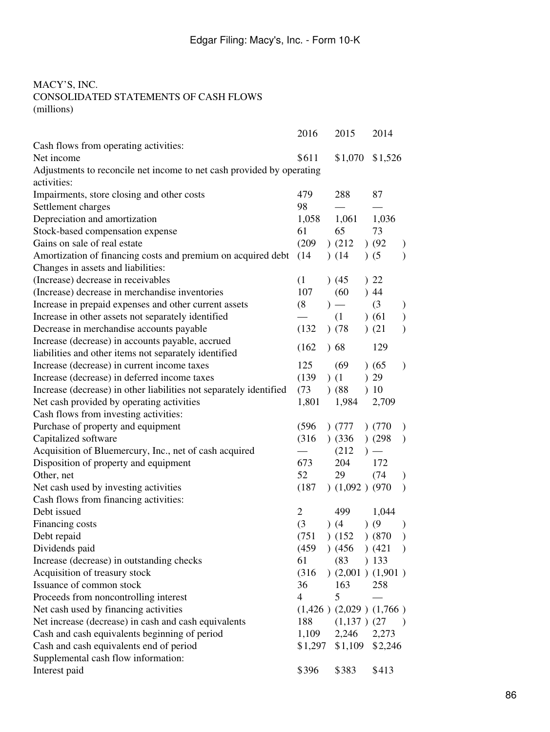## <span id="page-85-0"></span>MACY'S, INC. CONSOLIDATED STATEMENTS OF CASH FLOWS (millions)

|                                                                       | 2016           | 2015             | 2014                          |               |
|-----------------------------------------------------------------------|----------------|------------------|-------------------------------|---------------|
| Cash flows from operating activities:                                 |                |                  |                               |               |
| Net income                                                            | \$611          | \$1,070          | \$1,526                       |               |
| Adjustments to reconcile net income to net cash provided by operating |                |                  |                               |               |
| activities:                                                           |                |                  |                               |               |
| Impairments, store closing and other costs                            | 479            | 288              | 87                            |               |
| Settlement charges                                                    | 98             |                  |                               |               |
| Depreciation and amortization                                         | 1,058          | 1,061            | 1,036                         |               |
| Stock-based compensation expense                                      | 61             | 65               | 73                            |               |
| Gains on sale of real estate                                          | (209)          | (212)            | ) (92)                        | $\mathcal{E}$ |
| Amortization of financing costs and premium on acquired debt          | (14)           | (14)             | (5)                           | $\mathcal{E}$ |
| Changes in assets and liabilities:                                    |                |                  |                               |               |
| (Increase) decrease in receivables                                    | (1)            | (45)             | 22                            |               |
| (Increase) decrease in merchandise inventories                        | 107            | (60)             | )44                           |               |
| Increase in prepaid expenses and other current assets                 | (8)            | $)$ —            | (3)                           | $\mathcal{Y}$ |
| Increase in other assets not separately identified                    |                | $(1 -$           | ) (61)                        | $\mathcal{E}$ |
| Decrease in merchandise accounts payable                              | (132)          | ) (78)           | $)$ (21)                      | $\lambda$     |
| Increase (decrease) in accounts payable, accrued                      |                |                  |                               |               |
| liabilities and other items not separately identified                 | (162)          | 68               | 129                           |               |
| Increase (decrease) in current income taxes                           | 125            | (69)             | (65)                          | $\mathcal{L}$ |
| Increase (decrease) in deferred income taxes                          | (139)          | (1)              | )29                           |               |
| Increase (decrease) in other liabilities not separately identified    | (73)           | $)$ (88)         | 10                            |               |
| Net cash provided by operating activities                             | 1,801          | 1,984            | 2,709                         |               |
| Cash flows from investing activities:                                 |                |                  |                               |               |
| Purchase of property and equipment                                    | (596)          | (777)            | (770)                         | $\mathcal{Y}$ |
| Capitalized software                                                  | (316)          | ) (336)          | (298)                         | $\mathcal{L}$ |
| Acquisition of Bluemercury, Inc., net of cash acquired                |                | (212)            |                               |               |
| Disposition of property and equipment                                 | 673            | 204              | 172                           |               |
| Other, net                                                            | 52             | 29               | (74)                          | $\mathcal{Y}$ |
| Net cash used by investing activities                                 | (187)          | $(1,092)$ (970)  |                               | $\lambda$     |
| Cash flows from financing activities:                                 |                |                  |                               |               |
| Debt issued                                                           | $\overline{2}$ | 499              | 1,044                         |               |
| Financing costs                                                       | (3)            | (4)              | (9)                           | $\lambda$     |
| Debt repaid                                                           | (751)          | (152)            | $)$ (870)                     | $\mathcal{E}$ |
| Dividends paid                                                        | (459)          | (456)            | ) (421)                       | $\rightarrow$ |
| Increase (decrease) in outstanding checks                             | 61             | (83)             | ) 133                         |               |
| Acquisition of treasury stock                                         | (316)          |                  | $(2,001)$ $(1,901)$           |               |
| Issuance of common stock                                              | 36             | 163              | 258                           |               |
| Proceeds from noncontrolling interest                                 | $\overline{4}$ | 5                |                               |               |
| Net cash used by financing activities                                 |                |                  | $(1,426)$ $(2,029)$ $(1,766)$ |               |
| Net increase (decrease) in cash and cash equivalents                  | 188            | $(1,137)$ $(27)$ |                               | $\rightarrow$ |
| Cash and cash equivalents beginning of period                         | 1,109          | 2,246            | 2,273                         |               |
| Cash and cash equivalents end of period                               | \$1,297        | \$1,109          | \$2,246                       |               |
| Supplemental cash flow information:                                   |                |                  |                               |               |
| Interest paid                                                         | \$396          | \$383            | \$413                         |               |
|                                                                       |                |                  |                               |               |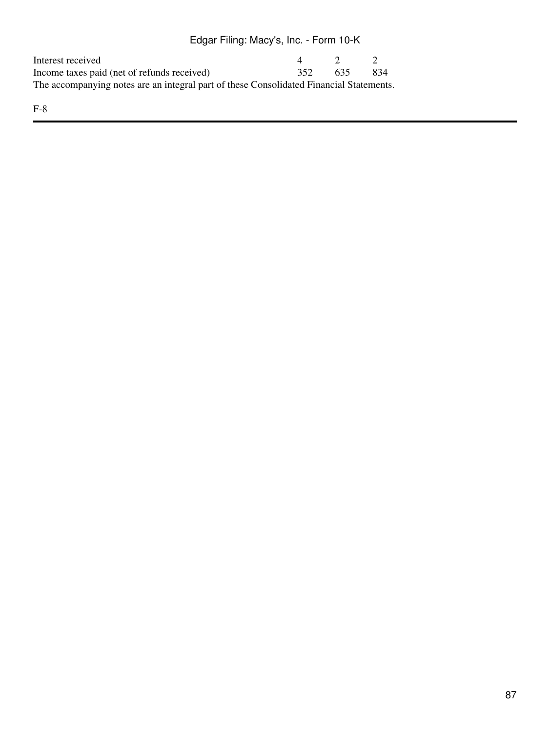# Edgar Filing: Macy's, Inc. - Form 10-K

| Interest received                                                                       | 4 2     |       |
|-----------------------------------------------------------------------------------------|---------|-------|
| Income taxes paid (net of refunds received)                                             | 352 635 | - 834 |
| The accompanying notes are an integral part of these Consolidated Financial Statements. |         |       |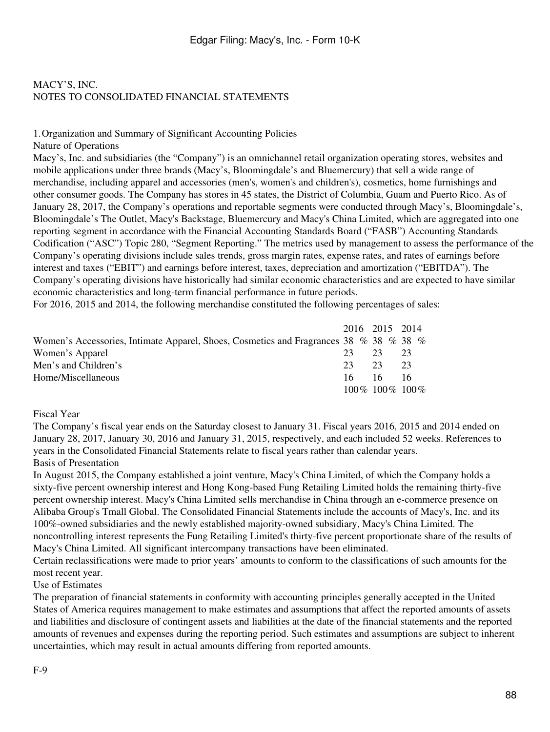## <span id="page-87-0"></span>MACY'S, INC. NOTES TO CONSOLIDATED FINANCIAL STATEMENTS

## 1.Organization and Summary of Significant Accounting Policies

Nature of Operations

Macy's, Inc. and subsidiaries (the "Company") is an omnichannel retail organization operating stores, websites and mobile applications under three brands (Macy's, Bloomingdale's and Bluemercury) that sell a wide range of merchandise, including apparel and accessories (men's, women's and children's), cosmetics, home furnishings and other consumer goods. The Company has stores in 45 states, the District of Columbia, Guam and Puerto Rico. As of January 28, 2017, the Company's operations and reportable segments were conducted through Macy's, Bloomingdale's, Bloomingdale's The Outlet, Macy's Backstage, Bluemercury and Macy's China Limited, which are aggregated into one reporting segment in accordance with the Financial Accounting Standards Board ("FASB") Accounting Standards Codification ("ASC") Topic 280, "Segment Reporting." The metrics used by management to assess the performance of the Company's operating divisions include sales trends, gross margin rates, expense rates, and rates of earnings before interest and taxes ("EBIT") and earnings before interest, taxes, depreciation and amortization ("EBITDA"). The Company's operating divisions have historically had similar economic characteristics and are expected to have similar economic characteristics and long-term financial performance in future periods.

For 2016, 2015 and 2014, the following merchandise constituted the following percentages of sales:

|                                                                                       |     | 2016 2015 2014      |     |  |
|---------------------------------------------------------------------------------------|-----|---------------------|-----|--|
| Women's Accessories, Intimate Apparel, Shoes, Cosmetics and Fragrances 38 % 38 % 38 % |     |                     |     |  |
| Women's Apparel                                                                       | 23  | 23                  | 23  |  |
| Men's and Children's                                                                  | 23  | 23                  | 23  |  |
| Home/Miscellaneous                                                                    | 16. | -16 -               | -16 |  |
|                                                                                       |     | $100\%$ 100\% 100\% |     |  |

#### Fiscal Year

The Company's fiscal year ends on the Saturday closest to January 31. Fiscal years 2016, 2015 and 2014 ended on January 28, 2017, January 30, 2016 and January 31, 2015, respectively, and each included 52 weeks. References to years in the Consolidated Financial Statements relate to fiscal years rather than calendar years. Basis of Presentation

In August 2015, the Company established a joint venture, Macy's China Limited, of which the Company holds a sixty-five percent ownership interest and Hong Kong-based Fung Retailing Limited holds the remaining thirty-five percent ownership interest. Macy's China Limited sells merchandise in China through an e-commerce presence on Alibaba Group's Tmall Global. The Consolidated Financial Statements include the accounts of Macy's, Inc. and its 100%-owned subsidiaries and the newly established majority-owned subsidiary, Macy's China Limited. The noncontrolling interest represents the Fung Retailing Limited's thirty-five percent proportionate share of the results of Macy's China Limited. All significant intercompany transactions have been eliminated.

Certain reclassifications were made to prior years' amounts to conform to the classifications of such amounts for the most recent year.

Use of Estimates

The preparation of financial statements in conformity with accounting principles generally accepted in the United States of America requires management to make estimates and assumptions that affect the reported amounts of assets and liabilities and disclosure of contingent assets and liabilities at the date of the financial statements and the reported amounts of revenues and expenses during the reporting period. Such estimates and assumptions are subject to inherent uncertainties, which may result in actual amounts differing from reported amounts.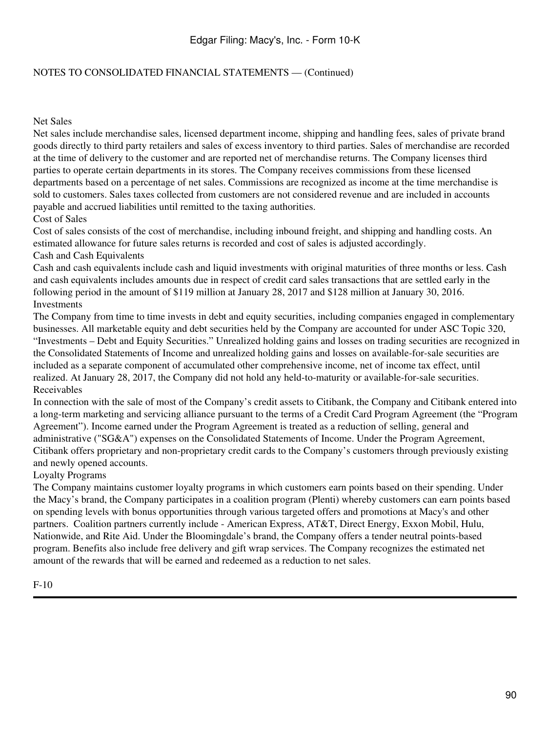Net Sales

Net sales include merchandise sales, licensed department income, shipping and handling fees, sales of private brand goods directly to third party retailers and sales of excess inventory to third parties. Sales of merchandise are recorded at the time of delivery to the customer and are reported net of merchandise returns. The Company licenses third parties to operate certain departments in its stores. The Company receives commissions from these licensed departments based on a percentage of net sales. Commissions are recognized as income at the time merchandise is sold to customers. Sales taxes collected from customers are not considered revenue and are included in accounts payable and accrued liabilities until remitted to the taxing authorities.

Cost of Sales

Cost of sales consists of the cost of merchandise, including inbound freight, and shipping and handling costs. An estimated allowance for future sales returns is recorded and cost of sales is adjusted accordingly. Cash and Cash Equivalents

Cash and cash equivalents include cash and liquid investments with original maturities of three months or less. Cash and cash equivalents includes amounts due in respect of credit card sales transactions that are settled early in the following period in the amount of \$119 million at January 28, 2017 and \$128 million at January 30, 2016. Investments

The Company from time to time invests in debt and equity securities, including companies engaged in complementary businesses. All marketable equity and debt securities held by the Company are accounted for under ASC Topic 320, "Investments – Debt and Equity Securities." Unrealized holding gains and losses on trading securities are recognized in the Consolidated Statements of Income and unrealized holding gains and losses on available-for-sale securities are included as a separate component of accumulated other comprehensive income, net of income tax effect, until realized. At January 28, 2017, the Company did not hold any held-to-maturity or available-for-sale securities. Receivables

In connection with the sale of most of the Company's credit assets to Citibank, the Company and Citibank entered into a long-term marketing and servicing alliance pursuant to the terms of a Credit Card Program Agreement (the "Program Agreement"). Income earned under the Program Agreement is treated as a reduction of selling, general and administrative ("SG&A") expenses on the Consolidated Statements of Income. Under the Program Agreement, Citibank offers proprietary and non-proprietary credit cards to the Company's customers through previously existing and newly opened accounts.

## Loyalty Programs

The Company maintains customer loyalty programs in which customers earn points based on their spending. Under the Macy's brand, the Company participates in a coalition program (Plenti) whereby customers can earn points based on spending levels with bonus opportunities through various targeted offers and promotions at Macy's and other partners. Coalition partners currently include - American Express, AT&T, Direct Energy, Exxon Mobil, Hulu, Nationwide, and Rite Aid. Under the Bloomingdale's brand, the Company offers a tender neutral points-based program. Benefits also include free delivery and gift wrap services. The Company recognizes the estimated net amount of the rewards that will be earned and redeemed as a reduction to net sales.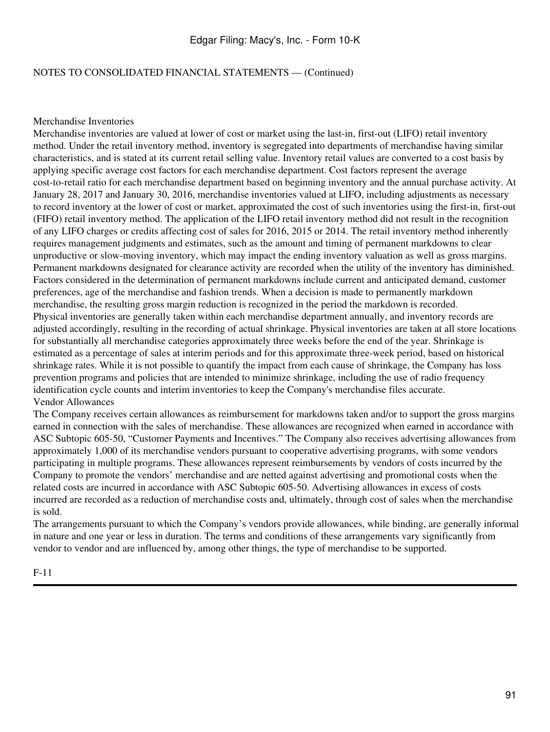#### Merchandise Inventories

Merchandise inventories are valued at lower of cost or market using the last-in, first-out (LIFO) retail inventory method. Under the retail inventory method, inventory is segregated into departments of merchandise having similar characteristics, and is stated at its current retail selling value. Inventory retail values are converted to a cost basis by applying specific average cost factors for each merchandise department. Cost factors represent the average cost-to-retail ratio for each merchandise department based on beginning inventory and the annual purchase activity. At January 28, 2017 and January 30, 2016, merchandise inventories valued at LIFO, including adjustments as necessary to record inventory at the lower of cost or market, approximated the cost of such inventories using the first-in, first-out (FIFO) retail inventory method. The application of the LIFO retail inventory method did not result in the recognition of any LIFO charges or credits affecting cost of sales for 2016, 2015 or 2014. The retail inventory method inherently requires management judgments and estimates, such as the amount and timing of permanent markdowns to clear unproductive or slow-moving inventory, which may impact the ending inventory valuation as well as gross margins. Permanent markdowns designated for clearance activity are recorded when the utility of the inventory has diminished. Factors considered in the determination of permanent markdowns include current and anticipated demand, customer preferences, age of the merchandise and fashion trends. When a decision is made to permanently markdown merchandise, the resulting gross margin reduction is recognized in the period the markdown is recorded. Physical inventories are generally taken within each merchandise department annually, and inventory records are adjusted accordingly, resulting in the recording of actual shrinkage. Physical inventories are taken at all store locations for substantially all merchandise categories approximately three weeks before the end of the year. Shrinkage is estimated as a percentage of sales at interim periods and for this approximate three-week period, based on historical shrinkage rates. While it is not possible to quantify the impact from each cause of shrinkage, the Company has loss prevention programs and policies that are intended to minimize shrinkage, including the use of radio frequency identification cycle counts and interim inventories to keep the Company's merchandise files accurate. Vendor Allowances

The Company receives certain allowances as reimbursement for markdowns taken and/or to support the gross margins earned in connection with the sales of merchandise. These allowances are recognized when earned in accordance with ASC Subtopic 605-50, "Customer Payments and Incentives." The Company also receives advertising allowances from approximately 1,000 of its merchandise vendors pursuant to cooperative advertising programs, with some vendors participating in multiple programs. These allowances represent reimbursements by vendors of costs incurred by the Company to promote the vendors' merchandise and are netted against advertising and promotional costs when the related costs are incurred in accordance with ASC Subtopic 605-50. Advertising allowances in excess of costs incurred are recorded as a reduction of merchandise costs and, ultimately, through cost of sales when the merchandise is sold.

The arrangements pursuant to which the Company's vendors provide allowances, while binding, are generally informal in nature and one year or less in duration. The terms and conditions of these arrangements vary significantly from vendor to vendor and are influenced by, among other things, the type of merchandise to be supported.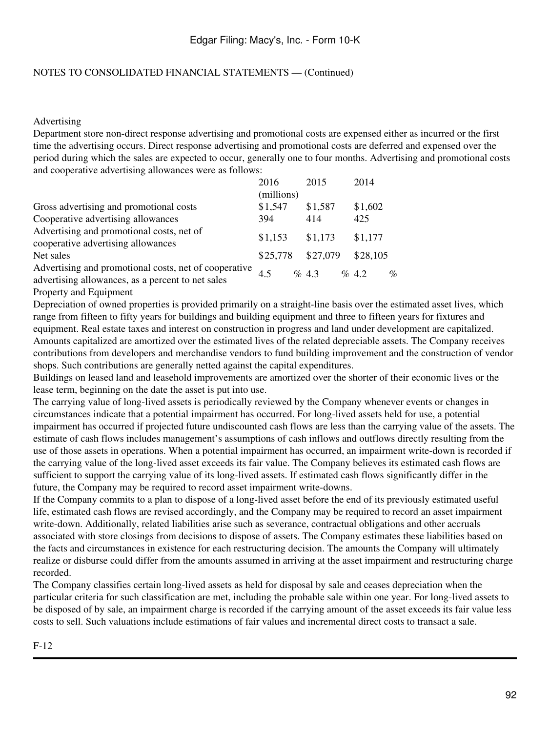#### Advertising

Department store non-direct response advertising and promotional costs are expensed either as incurred or the first time the advertising occurs. Direct response advertising and promotional costs are deferred and expensed over the period during which the sales are expected to occur, generally one to four months. Advertising and promotional costs and cooperative advertising allowances were as follows:

|                                                                                                            | 2016       | 2015     | 2014             |
|------------------------------------------------------------------------------------------------------------|------------|----------|------------------|
|                                                                                                            | (millions) |          |                  |
| Gross advertising and promotional costs                                                                    | \$1,547    | \$1,587  | \$1,602          |
| Cooperative advertising allowances                                                                         | 394        | 414      | 425              |
| Advertising and promotional costs, net of<br>cooperative advertising allowances                            | \$1,153    | \$1,173  | \$1,177          |
| Net sales                                                                                                  | \$25,778   | \$27,079 | \$28,105         |
| Advertising and promotional costs, net of cooperative<br>advertising allowances, as a percent to net sales | 4.5        | $\%$ 43  | $\%$ 4.2<br>$\%$ |

Property and Equipment

Depreciation of owned properties is provided primarily on a straight-line basis over the estimated asset lives, which range from fifteen to fifty years for buildings and building equipment and three to fifteen years for fixtures and equipment. Real estate taxes and interest on construction in progress and land under development are capitalized. Amounts capitalized are amortized over the estimated lives of the related depreciable assets. The Company receives contributions from developers and merchandise vendors to fund building improvement and the construction of vendor shops. Such contributions are generally netted against the capital expenditures.

Buildings on leased land and leasehold improvements are amortized over the shorter of their economic lives or the lease term, beginning on the date the asset is put into use.

The carrying value of long-lived assets is periodically reviewed by the Company whenever events or changes in circumstances indicate that a potential impairment has occurred. For long-lived assets held for use, a potential impairment has occurred if projected future undiscounted cash flows are less than the carrying value of the assets. The estimate of cash flows includes management's assumptions of cash inflows and outflows directly resulting from the use of those assets in operations. When a potential impairment has occurred, an impairment write-down is recorded if the carrying value of the long-lived asset exceeds its fair value. The Company believes its estimated cash flows are sufficient to support the carrying value of its long-lived assets. If estimated cash flows significantly differ in the future, the Company may be required to record asset impairment write-downs.

If the Company commits to a plan to dispose of a long-lived asset before the end of its previously estimated useful life, estimated cash flows are revised accordingly, and the Company may be required to record an asset impairment write-down. Additionally, related liabilities arise such as severance, contractual obligations and other accruals associated with store closings from decisions to dispose of assets. The Company estimates these liabilities based on the facts and circumstances in existence for each restructuring decision. The amounts the Company will ultimately realize or disburse could differ from the amounts assumed in arriving at the asset impairment and restructuring charge recorded.

The Company classifies certain long-lived assets as held for disposal by sale and ceases depreciation when the particular criteria for such classification are met, including the probable sale within one year. For long-lived assets to be disposed of by sale, an impairment charge is recorded if the carrying amount of the asset exceeds its fair value less costs to sell. Such valuations include estimations of fair values and incremental direct costs to transact a sale.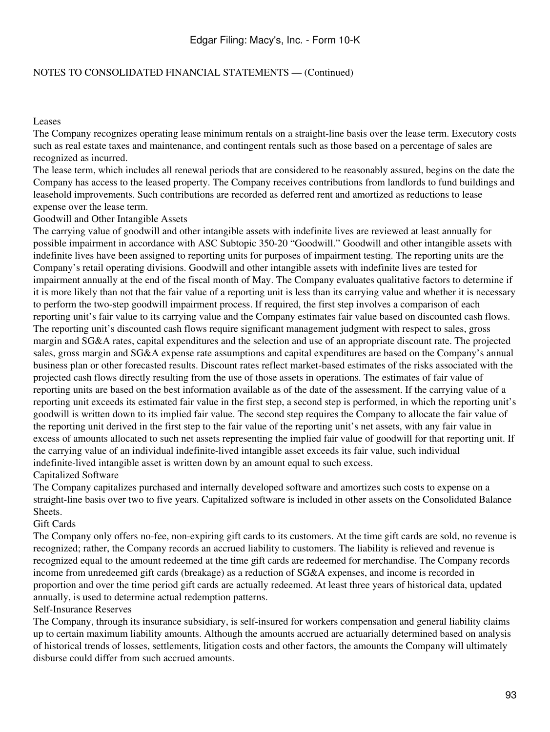Leases

The Company recognizes operating lease minimum rentals on a straight-line basis over the lease term. Executory costs such as real estate taxes and maintenance, and contingent rentals such as those based on a percentage of sales are recognized as incurred.

The lease term, which includes all renewal periods that are considered to be reasonably assured, begins on the date the Company has access to the leased property. The Company receives contributions from landlords to fund buildings and leasehold improvements. Such contributions are recorded as deferred rent and amortized as reductions to lease expense over the lease term.

Goodwill and Other Intangible Assets

The carrying value of goodwill and other intangible assets with indefinite lives are reviewed at least annually for possible impairment in accordance with ASC Subtopic 350-20 "Goodwill." Goodwill and other intangible assets with indefinite lives have been assigned to reporting units for purposes of impairment testing. The reporting units are the Company's retail operating divisions. Goodwill and other intangible assets with indefinite lives are tested for impairment annually at the end of the fiscal month of May. The Company evaluates qualitative factors to determine if it is more likely than not that the fair value of a reporting unit is less than its carrying value and whether it is necessary to perform the two-step goodwill impairment process. If required, the first step involves a comparison of each reporting unit's fair value to its carrying value and the Company estimates fair value based on discounted cash flows. The reporting unit's discounted cash flows require significant management judgment with respect to sales, gross margin and SG&A rates, capital expenditures and the selection and use of an appropriate discount rate. The projected sales, gross margin and SG&A expense rate assumptions and capital expenditures are based on the Company's annual business plan or other forecasted results. Discount rates reflect market-based estimates of the risks associated with the projected cash flows directly resulting from the use of those assets in operations. The estimates of fair value of reporting units are based on the best information available as of the date of the assessment. If the carrying value of a reporting unit exceeds its estimated fair value in the first step, a second step is performed, in which the reporting unit's goodwill is written down to its implied fair value. The second step requires the Company to allocate the fair value of the reporting unit derived in the first step to the fair value of the reporting unit's net assets, with any fair value in excess of amounts allocated to such net assets representing the implied fair value of goodwill for that reporting unit. If the carrying value of an individual indefinite-lived intangible asset exceeds its fair value, such individual indefinite-lived intangible asset is written down by an amount equal to such excess. Capitalized Software

The Company capitalizes purchased and internally developed software and amortizes such costs to expense on a straight-line basis over two to five years. Capitalized software is included in other assets on the Consolidated Balance Sheets.

#### Gift Cards

The Company only offers no-fee, non-expiring gift cards to its customers. At the time gift cards are sold, no revenue is recognized; rather, the Company records an accrued liability to customers. The liability is relieved and revenue is recognized equal to the amount redeemed at the time gift cards are redeemed for merchandise. The Company records income from unredeemed gift cards (breakage) as a reduction of SG&A expenses, and income is recorded in proportion and over the time period gift cards are actually redeemed. At least three years of historical data, updated annually, is used to determine actual redemption patterns.

Self-Insurance Reserves

The Company, through its insurance subsidiary, is self-insured for workers compensation and general liability claims up to certain maximum liability amounts. Although the amounts accrued are actuarially determined based on analysis of historical trends of losses, settlements, litigation costs and other factors, the amounts the Company will ultimately disburse could differ from such accrued amounts.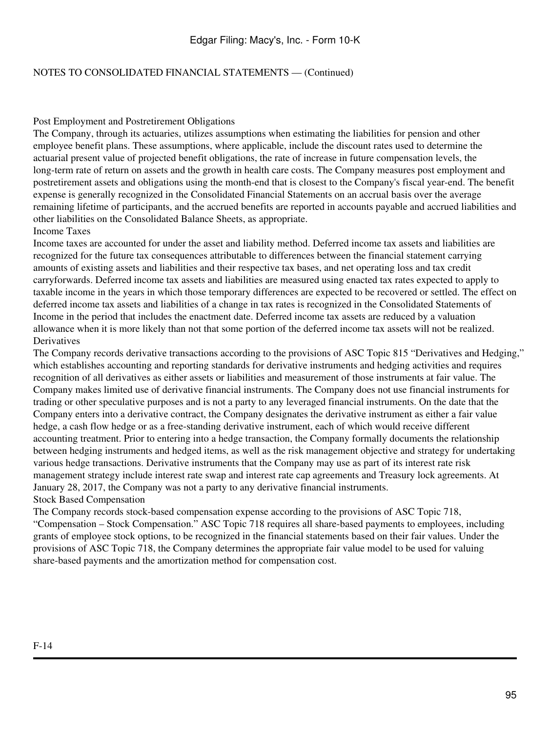#### Post Employment and Postretirement Obligations

The Company, through its actuaries, utilizes assumptions when estimating the liabilities for pension and other employee benefit plans. These assumptions, where applicable, include the discount rates used to determine the actuarial present value of projected benefit obligations, the rate of increase in future compensation levels, the long-term rate of return on assets and the growth in health care costs. The Company measures post employment and postretirement assets and obligations using the month-end that is closest to the Company's fiscal year-end. The benefit expense is generally recognized in the Consolidated Financial Statements on an accrual basis over the average remaining lifetime of participants, and the accrued benefits are reported in accounts payable and accrued liabilities and other liabilities on the Consolidated Balance Sheets, as appropriate.

Income Taxes

Income taxes are accounted for under the asset and liability method. Deferred income tax assets and liabilities are recognized for the future tax consequences attributable to differences between the financial statement carrying amounts of existing assets and liabilities and their respective tax bases, and net operating loss and tax credit carryforwards. Deferred income tax assets and liabilities are measured using enacted tax rates expected to apply to taxable income in the years in which those temporary differences are expected to be recovered or settled. The effect on deferred income tax assets and liabilities of a change in tax rates is recognized in the Consolidated Statements of Income in the period that includes the enactment date. Deferred income tax assets are reduced by a valuation allowance when it is more likely than not that some portion of the deferred income tax assets will not be realized. **Derivatives** 

The Company records derivative transactions according to the provisions of ASC Topic 815 "Derivatives and Hedging," which establishes accounting and reporting standards for derivative instruments and hedging activities and requires recognition of all derivatives as either assets or liabilities and measurement of those instruments at fair value. The Company makes limited use of derivative financial instruments. The Company does not use financial instruments for trading or other speculative purposes and is not a party to any leveraged financial instruments. On the date that the Company enters into a derivative contract, the Company designates the derivative instrument as either a fair value hedge, a cash flow hedge or as a free-standing derivative instrument, each of which would receive different accounting treatment. Prior to entering into a hedge transaction, the Company formally documents the relationship between hedging instruments and hedged items, as well as the risk management objective and strategy for undertaking various hedge transactions. Derivative instruments that the Company may use as part of its interest rate risk management strategy include interest rate swap and interest rate cap agreements and Treasury lock agreements. At January 28, 2017, the Company was not a party to any derivative financial instruments. Stock Based Compensation

The Company records stock-based compensation expense according to the provisions of ASC Topic 718, "Compensation – Stock Compensation." ASC Topic 718 requires all share-based payments to employees, including grants of employee stock options, to be recognized in the financial statements based on their fair values. Under the provisions of ASC Topic 718, the Company determines the appropriate fair value model to be used for valuing share-based payments and the amortization method for compensation cost.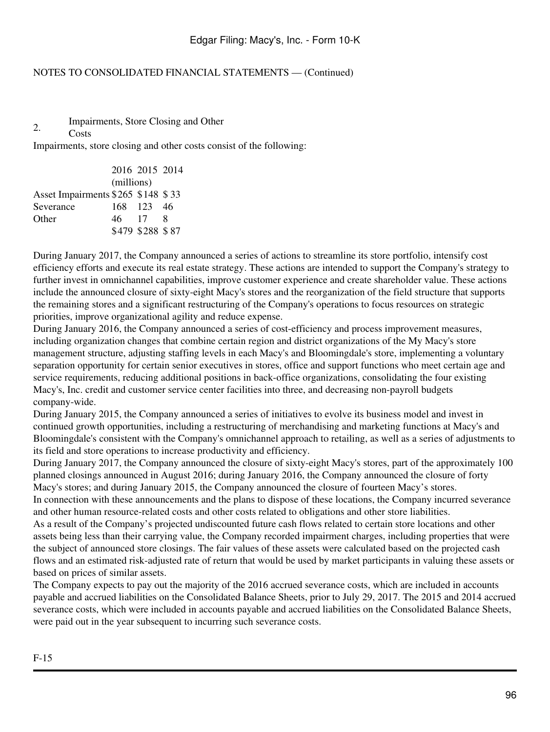2. Impairments, Store Closing and Other

Costs

Impairments, store closing and other costs consist of the following:

|                                    |            | 2016 2015 2014   |     |
|------------------------------------|------------|------------------|-----|
|                                    | (millions) |                  |     |
| Asset Impairments \$265 \$148 \$33 |            |                  |     |
| Severance                          | 168 123    |                  | -46 |
| Other                              | 46 17      |                  | 8   |
|                                    |            | \$479 \$288 \$87 |     |

During January 2017, the Company announced a series of actions to streamline its store portfolio, intensify cost efficiency efforts and execute its real estate strategy. These actions are intended to support the Company's strategy to further invest in omnichannel capabilities, improve customer experience and create shareholder value. These actions include the announced closure of sixty-eight Macy's stores and the reorganization of the field structure that supports the remaining stores and a significant restructuring of the Company's operations to focus resources on strategic priorities, improve organizational agility and reduce expense.

During January 2016, the Company announced a series of cost-efficiency and process improvement measures, including organization changes that combine certain region and district organizations of the My Macy's store management structure, adjusting staffing levels in each Macy's and Bloomingdale's store, implementing a voluntary separation opportunity for certain senior executives in stores, office and support functions who meet certain age and service requirements, reducing additional positions in back-office organizations, consolidating the four existing Macy's, Inc. credit and customer service center facilities into three, and decreasing non-payroll budgets company-wide.

During January 2015, the Company announced a series of initiatives to evolve its business model and invest in continued growth opportunities, including a restructuring of merchandising and marketing functions at Macy's and Bloomingdale's consistent with the Company's omnichannel approach to retailing, as well as a series of adjustments to its field and store operations to increase productivity and efficiency.

During January 2017, the Company announced the closure of sixty-eight Macy's stores, part of the approximately 100 planned closings announced in August 2016; during January 2016, the Company announced the closure of forty Macy's stores; and during January 2015, the Company announced the closure of fourteen Macy's stores.

In connection with these announcements and the plans to dispose of these locations, the Company incurred severance and other human resource-related costs and other costs related to obligations and other store liabilities.

As a result of the Company's projected undiscounted future cash flows related to certain store locations and other assets being less than their carrying value, the Company recorded impairment charges, including properties that were the subject of announced store closings. The fair values of these assets were calculated based on the projected cash flows and an estimated risk-adjusted rate of return that would be used by market participants in valuing these assets or based on prices of similar assets.

The Company expects to pay out the majority of the 2016 accrued severance costs, which are included in accounts payable and accrued liabilities on the Consolidated Balance Sheets, prior to July 29, 2017. The 2015 and 2014 accrued severance costs, which were included in accounts payable and accrued liabilities on the Consolidated Balance Sheets, were paid out in the year subsequent to incurring such severance costs.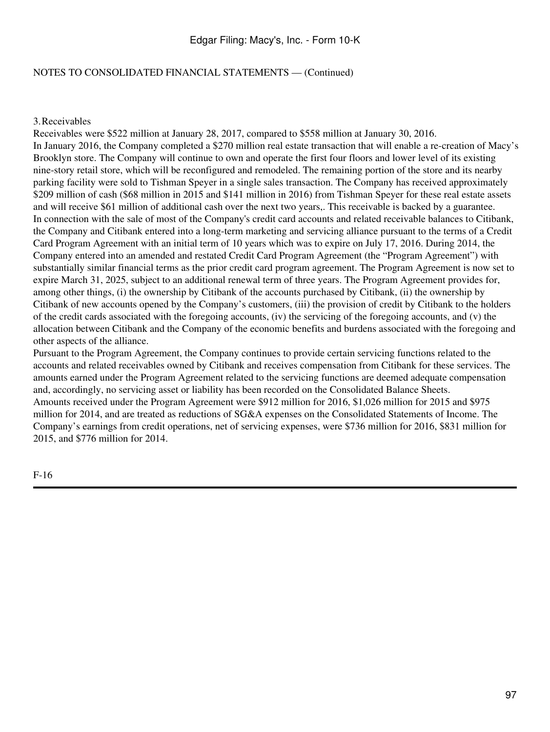#### 3.Receivables

Receivables were \$522 million at January 28, 2017, compared to \$558 million at January 30, 2016. In January 2016, the Company completed a \$270 million real estate transaction that will enable a re-creation of Macy's Brooklyn store. The Company will continue to own and operate the first four floors and lower level of its existing nine-story retail store, which will be reconfigured and remodeled. The remaining portion of the store and its nearby parking facility were sold to Tishman Speyer in a single sales transaction. The Company has received approximately \$209 million of cash (\$68 million in 2015 and \$141 million in 2016) from Tishman Speyer for these real estate assets and will receive \$61 million of additional cash over the next two years,. This receivable is backed by a guarantee. In connection with the sale of most of the Company's credit card accounts and related receivable balances to Citibank, the Company and Citibank entered into a long-term marketing and servicing alliance pursuant to the terms of a Credit Card Program Agreement with an initial term of 10 years which was to expire on July 17, 2016. During 2014, the Company entered into an amended and restated Credit Card Program Agreement (the "Program Agreement") with substantially similar financial terms as the prior credit card program agreement. The Program Agreement is now set to expire March 31, 2025, subject to an additional renewal term of three years. The Program Agreement provides for, among other things, (i) the ownership by Citibank of the accounts purchased by Citibank, (ii) the ownership by Citibank of new accounts opened by the Company's customers, (iii) the provision of credit by Citibank to the holders of the credit cards associated with the foregoing accounts, (iv) the servicing of the foregoing accounts, and (v) the allocation between Citibank and the Company of the economic benefits and burdens associated with the foregoing and other aspects of the alliance.

Pursuant to the Program Agreement, the Company continues to provide certain servicing functions related to the accounts and related receivables owned by Citibank and receives compensation from Citibank for these services. The amounts earned under the Program Agreement related to the servicing functions are deemed adequate compensation and, accordingly, no servicing asset or liability has been recorded on the Consolidated Balance Sheets. Amounts received under the Program Agreement were \$912 million for 2016, \$1,026 million for 2015 and \$975 million for 2014, and are treated as reductions of SG&A expenses on the Consolidated Statements of Income. The Company's earnings from credit operations, net of servicing expenses, were \$736 million for 2016, \$831 million for 2015, and \$776 million for 2014.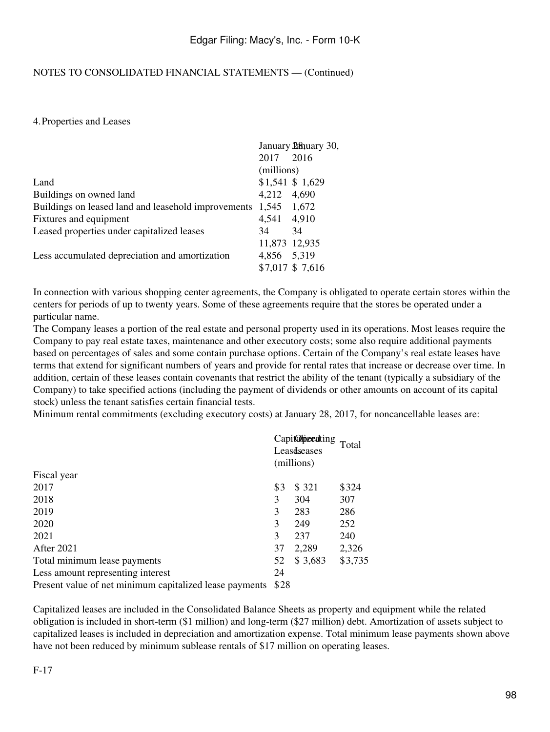#### 4.Properties and Leases

|                                                     | January Lanuary 30, |                   |  |
|-----------------------------------------------------|---------------------|-------------------|--|
|                                                     | 2017 2016           |                   |  |
|                                                     | (millions)          |                   |  |
| Land                                                |                     | $$1,541$ \$ 1,629 |  |
| Buildings on owned land                             | 4,212 4,690         |                   |  |
| Buildings on leased land and leasehold improvements | 1,545 1,672         |                   |  |
| Fixtures and equipment                              | 4,541 4,910         |                   |  |
| Leased properties under capitalized leases          | 34                  | 34                |  |
|                                                     |                     | 11,873 12,935     |  |
| Less accumulated depreciation and amortization      | 4,856               | 5,319             |  |
|                                                     |                     | \$7,017 \$7,616   |  |

In connection with various shopping center agreements, the Company is obligated to operate certain stores within the centers for periods of up to twenty years. Some of these agreements require that the stores be operated under a particular name.

The Company leases a portion of the real estate and personal property used in its operations. Most leases require the Company to pay real estate taxes, maintenance and other executory costs; some also require additional payments based on percentages of sales and some contain purchase options. Certain of the Company's real estate leases have terms that extend for significant numbers of years and provide for rental rates that increase or decrease over time. In addition, certain of these leases contain covenants that restrict the ability of the tenant (typically a subsidiary of the Company) to take specified actions (including the payment of dividends or other amounts on account of its capital stock) unless the tenant satisfies certain financial tests.

Minimum rental commitments (excluding executory costs) at January 28, 2017, for noncancellable leases are:

|                                                         |      | Capitolpized ting<br>Total<br>Leasdseases |         |  |
|---------------------------------------------------------|------|-------------------------------------------|---------|--|
|                                                         |      | (millions)                                |         |  |
| Fiscal year                                             |      |                                           |         |  |
| 2017                                                    | \$3  | \$ 321                                    | \$324   |  |
| 2018                                                    | 3    | 304                                       | 307     |  |
| 2019                                                    | 3    | 283                                       | 286     |  |
| 2020                                                    | 3    | 249                                       | 252     |  |
| 2021                                                    | 3    | 237                                       | 240     |  |
| After 2021                                              | 37   | 2,289                                     | 2,326   |  |
| Total minimum lease payments                            | 52   | \$3,683                                   | \$3,735 |  |
| Less amount representing interest                       | 24   |                                           |         |  |
| Present value of net minimum capitalized lease payments | \$28 |                                           |         |  |

Capitalized leases are included in the Consolidated Balance Sheets as property and equipment while the related obligation is included in short-term (\$1 million) and long-term (\$27 million) debt. Amortization of assets subject to capitalized leases is included in depreciation and amortization expense. Total minimum lease payments shown above have not been reduced by minimum sublease rentals of \$17 million on operating leases.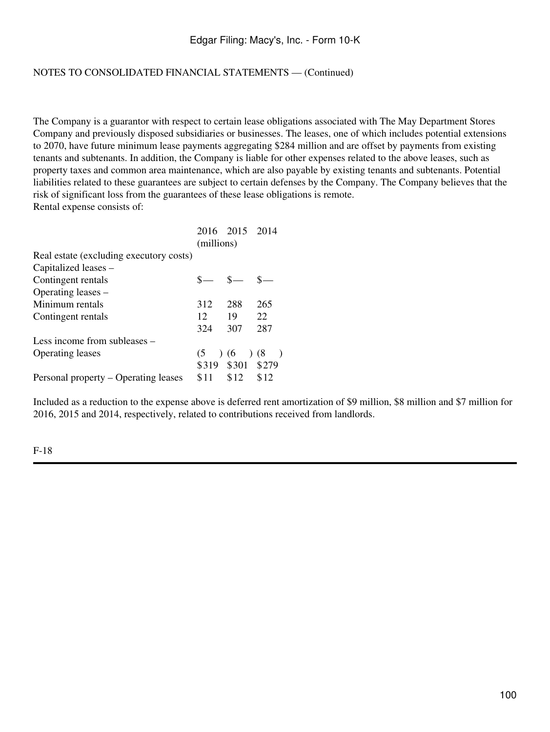The Company is a guarantor with respect to certain lease obligations associated with The May Department Stores Company and previously disposed subsidiaries or businesses. The leases, one of which includes potential extensions to 2070, have future minimum lease payments aggregating \$284 million and are offset by payments from existing tenants and subtenants. In addition, the Company is liable for other expenses related to the above leases, such as property taxes and common area maintenance, which are also payable by existing tenants and subtenants. Potential liabilities related to these guarantees are subject to certain defenses by the Company. The Company believes that the risk of significant loss from the guarantees of these lease obligations is remote. Rental expense consists of:

|                                         | (millions)      | 2016 2015 2014    |      |
|-----------------------------------------|-----------------|-------------------|------|
| Real estate (excluding executory costs) |                 |                   |      |
| Capitalized leases –                    |                 |                   |      |
| Contingent rentals                      |                 | $s-$              |      |
| Operating leases –                      |                 |                   |      |
| Minimum rentals                         | 312             | 288               | 265  |
| Contingent rentals                      | 12 <sub>1</sub> | 19                | 22   |
|                                         | 324             | 307               | 287  |
| Less income from subleases –            |                 |                   |      |
| <b>Operating leases</b>                 |                 | (5) (6) (8)       |      |
|                                         |                 | \$319 \$301 \$279 |      |
| Personal property – Operating leases    | \$11            | \$12              | \$12 |

Included as a reduction to the expense above is deferred rent amortization of \$9 million, \$8 million and \$7 million for 2016, 2015 and 2014, respectively, related to contributions received from landlords.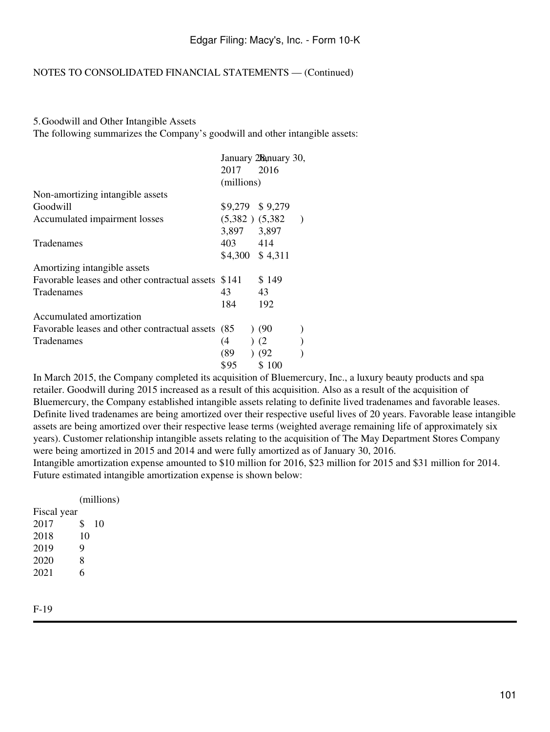#### 5.Goodwill and Other Intangible Assets

The following summarizes the Company's goodwill and other intangible assets:

|                                                     | January 28 muary 30, |       |  |
|-----------------------------------------------------|----------------------|-------|--|
|                                                     | 2017 2016            |       |  |
|                                                     | (millions)           |       |  |
| Non-amortizing intangible assets                    |                      |       |  |
| Goodwill                                            | \$9,279 \$9,279      |       |  |
| Accumulated impairment losses                       | $(5,382)$ $(5,382)$  |       |  |
|                                                     | 3,897 3,897          |       |  |
| <b>Tradenames</b>                                   | 403 414              |       |  |
|                                                     | $$4,300 \$4,311$     |       |  |
| Amortizing intangible assets                        |                      |       |  |
| Favorable leases and other contractual assets \$141 |                      | \$149 |  |
| Tradenames                                          | 43                   | 43    |  |
|                                                     | 184                  | 192   |  |
| Accumulated amortization                            |                      |       |  |
| Favorable leases and other contractual assets (85   |                      | (90)  |  |
| <b>Tradenames</b>                                   | $(4 -$               | (2)   |  |
|                                                     | (89) (92)            |       |  |
|                                                     | \$95                 | \$100 |  |

In March 2015, the Company completed its acquisition of Bluemercury, Inc., a luxury beauty products and spa retailer. Goodwill during 2015 increased as a result of this acquisition. Also as a result of the acquisition of Bluemercury, the Company established intangible assets relating to definite lived tradenames and favorable leases. Definite lived tradenames are being amortized over their respective useful lives of 20 years. Favorable lease intangible assets are being amortized over their respective lease terms (weighted average remaining life of approximately six years). Customer relationship intangible assets relating to the acquisition of The May Department Stores Company were being amortized in 2015 and 2014 and were fully amortized as of January 30, 2016. Intangible amortization expense amounted to \$10 million for 2016, \$23 million for 2015 and \$31 million for 2014. Future estimated intangible amortization expense is shown below:

|             | (millions) |    |  |
|-------------|------------|----|--|
| Fiscal year |            |    |  |
| 2017        | S.         | 10 |  |
| 2018        | 10         |    |  |
| 2019        | q          |    |  |
| 2020        | 8          |    |  |
| 2021        | 6          |    |  |
|             |            |    |  |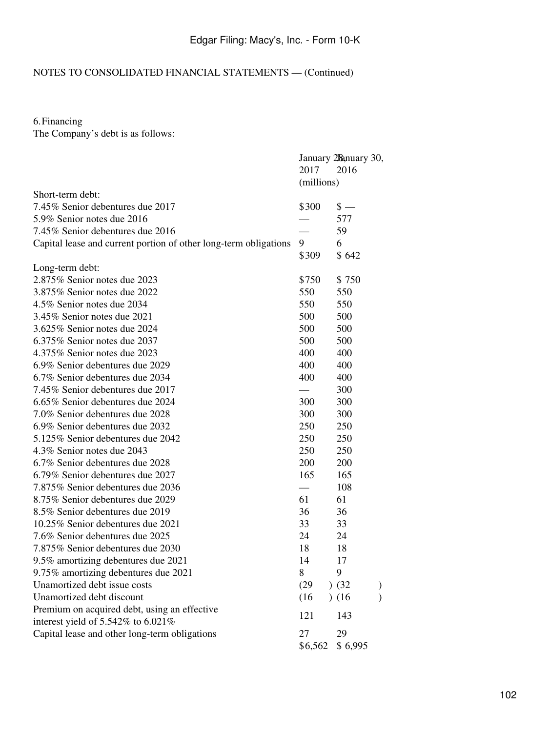6.Financing

The Company's debt is as follows:

|                                                                  |            | January 28 muary 30, |               |
|------------------------------------------------------------------|------------|----------------------|---------------|
|                                                                  | 2017       | 2016                 |               |
|                                                                  | (millions) |                      |               |
| Short-term debt:                                                 |            |                      |               |
| 7.45% Senior debentures due 2017                                 | \$300      | $\frac{1}{2}$        |               |
| 5.9% Senior notes due 2016                                       |            | 577                  |               |
| 7.45% Senior debentures due 2016                                 |            | 59                   |               |
| Capital lease and current portion of other long-term obligations | 9<br>\$309 | 6<br>\$642           |               |
| Long-term debt:                                                  |            |                      |               |
| 2.875% Senior notes due 2023                                     | \$750      | \$750                |               |
| 3.875% Senior notes due 2022                                     | 550        | 550                  |               |
| 4.5% Senior notes due 2034                                       | 550        | 550                  |               |
| 3.45% Senior notes due 2021                                      | 500        | 500                  |               |
| 3.625% Senior notes due 2024                                     | 500        | 500                  |               |
| 6.375% Senior notes due 2037                                     | 500        | 500                  |               |
| 4.375% Senior notes due 2023                                     | 400        | 400                  |               |
| 6.9% Senior debentures due 2029                                  | 400        | 400                  |               |
| 6.7% Senior debentures due 2034                                  | 400        | 400                  |               |
| 7.45% Senior debentures due 2017                                 |            | 300                  |               |
| 6.65% Senior debentures due 2024                                 | 300        | 300                  |               |
| 7.0% Senior debentures due 2028                                  | 300        | 300                  |               |
| 6.9% Senior debentures due 2032                                  | 250        | 250                  |               |
| 5.125% Senior debentures due 2042                                | 250        | 250                  |               |
| 4.3% Senior notes due 2043                                       | 250        | 250                  |               |
| 6.7% Senior debentures due 2028                                  | 200        | 200                  |               |
| 6.79% Senior debentures due 2027                                 | 165        | 165                  |               |
| 7.875% Senior debentures due 2036                                |            | 108                  |               |
| 8.75% Senior debentures due 2029                                 | 61         | 61                   |               |
| 8.5% Senior debentures due 2019                                  | 36         | 36                   |               |
| 10.25% Senior debentures due 2021                                | 33         | 33                   |               |
| 7.6% Senior debentures due 2025                                  | 24         | 24                   |               |
| 7.875% Senior debentures due 2030                                | 18         | 18                   |               |
| 9.5% amortizing debentures due 2021                              | 14         | 17                   |               |
| 9.75% amortizing debentures due 2021                             | 8          | 9                    |               |
| Unamortized debt issue costs                                     | (29)       | ) (32)               | $\mathcal{E}$ |
| Unamortized debt discount                                        | (16)       | (16)                 |               |
| Premium on acquired debt, using an effective                     | 121        | 143                  |               |
| interest yield of $5.542\%$ to $6.021\%$                         |            |                      |               |
| Capital lease and other long-term obligations                    | 27         | 29                   |               |
|                                                                  | \$6,562    | \$6,995              |               |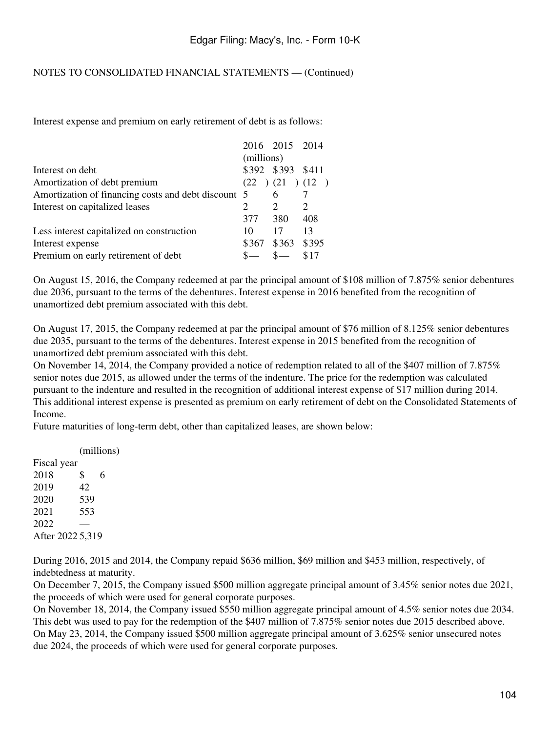Interest expense and premium on early retirement of debt is as follows:

|                                                     |            | 2016 2015 2014    |                      |
|-----------------------------------------------------|------------|-------------------|----------------------|
|                                                     | (millions) |                   |                      |
| Interest on debt                                    |            | \$392 \$393 \$411 |                      |
| Amortization of debt premium                        |            |                   | $(22)$ $(21)$ $(12)$ |
| Amortization of financing costs and debt discount 5 |            | 6                 |                      |
| Interest on capitalized leases                      |            |                   | 2                    |
|                                                     | 377        | 380               | 408                  |
| Less interest capitalized on construction           | 10         | 17                | 13                   |
| Interest expense                                    | \$367      | \$363             | \$395                |
| Premium on early retirement of debt                 |            |                   | \$17                 |

On August 15, 2016, the Company redeemed at par the principal amount of \$108 million of 7.875% senior debentures due 2036, pursuant to the terms of the debentures. Interest expense in 2016 benefited from the recognition of unamortized debt premium associated with this debt.

On August 17, 2015, the Company redeemed at par the principal amount of \$76 million of 8.125% senior debentures due 2035, pursuant to the terms of the debentures. Interest expense in 2015 benefited from the recognition of unamortized debt premium associated with this debt.

On November 14, 2014, the Company provided a notice of redemption related to all of the \$407 million of 7.875% senior notes due 2015, as allowed under the terms of the indenture. The price for the redemption was calculated pursuant to the indenture and resulted in the recognition of additional interest expense of \$17 million during 2014. This additional interest expense is presented as premium on early retirement of debt on the Consolidated Statements of Income.

Future maturities of long-term debt, other than capitalized leases, are shown below:

(millions) Fiscal year 2018 \$ 6 2019 42 2020 539 2021 553  $2022 -$ After 2022 5,319

During 2016, 2015 and 2014, the Company repaid \$636 million, \$69 million and \$453 million, respectively, of indebtedness at maturity.

On December 7, 2015, the Company issued \$500 million aggregate principal amount of 3.45% senior notes due 2021, the proceeds of which were used for general corporate purposes.

On November 18, 2014, the Company issued \$550 million aggregate principal amount of 4.5% senior notes due 2034. This debt was used to pay for the redemption of the \$407 million of 7.875% senior notes due 2015 described above. On May 23, 2014, the Company issued \$500 million aggregate principal amount of 3.625% senior unsecured notes due 2024, the proceeds of which were used for general corporate purposes.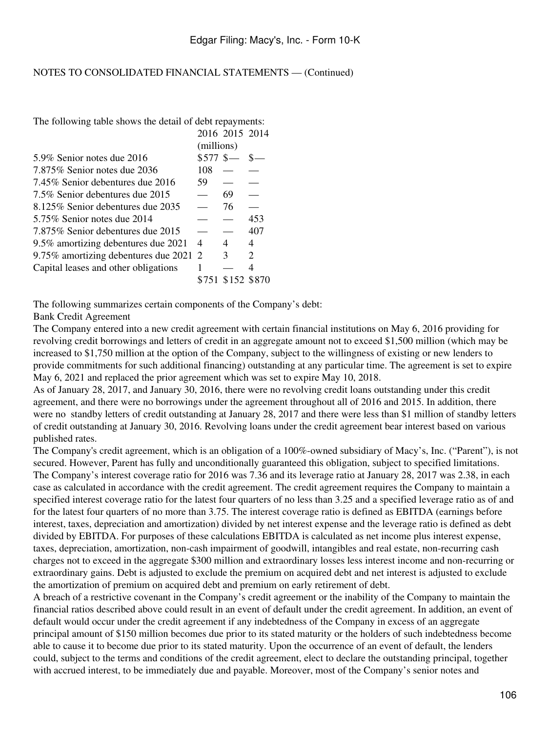The following table shows the detail of debt repayments: 2016 2015 2014

|                                        |            | 2010 2013 2014           |                          |
|----------------------------------------|------------|--------------------------|--------------------------|
|                                        | (millions) |                          |                          |
| 5.9% Senior notes due 2016             | $$577S-$   |                          | $S-$                     |
| 7.875\% Senior notes due 2036          | 108        | $\overline{\phantom{a}}$ |                          |
| 7.45% Senior debentures due 2016       | 59         |                          |                          |
| 7.5% Senior debentures due 2015        |            | 69                       | $\overline{\phantom{0}}$ |
| 8.125\% Senior debentures due 2035     |            | 76                       |                          |
| 5.75% Senior notes due 2014            |            | $\overline{\phantom{0}}$ | 453                      |
| 7.875\% Senior debentures due 2015     |            |                          | 407                      |
| 9.5% amortizing debentures due 2021    | 4          | $\overline{4}$           | 4                        |
| 9.75% amortizing debentures due 2021 2 |            | 3                        | 2                        |
| Capital leases and other obligations   |            |                          | 4                        |
|                                        |            | \$751 \$152 \$870        |                          |

The following summarizes certain components of the Company's debt:

#### Bank Credit Agreement

The Company entered into a new credit agreement with certain financial institutions on May 6, 2016 providing for revolving credit borrowings and letters of credit in an aggregate amount not to exceed \$1,500 million (which may be increased to \$1,750 million at the option of the Company, subject to the willingness of existing or new lenders to provide commitments for such additional financing) outstanding at any particular time. The agreement is set to expire May 6, 2021 and replaced the prior agreement which was set to expire May 10, 2018.

As of January 28, 2017, and January 30, 2016, there were no revolving credit loans outstanding under this credit agreement, and there were no borrowings under the agreement throughout all of 2016 and 2015. In addition, there were no standby letters of credit outstanding at January 28, 2017 and there were less than \$1 million of standby letters of credit outstanding at January 30, 2016. Revolving loans under the credit agreement bear interest based on various published rates.

The Company's credit agreement, which is an obligation of a 100%-owned subsidiary of Macy's, Inc. ("Parent"), is not secured. However, Parent has fully and unconditionally guaranteed this obligation, subject to specified limitations. The Company's interest coverage ratio for 2016 was 7.36 and its leverage ratio at January 28, 2017 was 2.38, in each case as calculated in accordance with the credit agreement. The credit agreement requires the Company to maintain a specified interest coverage ratio for the latest four quarters of no less than 3.25 and a specified leverage ratio as of and for the latest four quarters of no more than 3.75. The interest coverage ratio is defined as EBITDA (earnings before interest, taxes, depreciation and amortization) divided by net interest expense and the leverage ratio is defined as debt divided by EBITDA. For purposes of these calculations EBITDA is calculated as net income plus interest expense, taxes, depreciation, amortization, non-cash impairment of goodwill, intangibles and real estate, non-recurring cash charges not to exceed in the aggregate \$300 million and extraordinary losses less interest income and non-recurring or extraordinary gains. Debt is adjusted to exclude the premium on acquired debt and net interest is adjusted to exclude the amortization of premium on acquired debt and premium on early retirement of debt.

A breach of a restrictive covenant in the Company's credit agreement or the inability of the Company to maintain the financial ratios described above could result in an event of default under the credit agreement. In addition, an event of default would occur under the credit agreement if any indebtedness of the Company in excess of an aggregate principal amount of \$150 million becomes due prior to its stated maturity or the holders of such indebtedness become able to cause it to become due prior to its stated maturity. Upon the occurrence of an event of default, the lenders could, subject to the terms and conditions of the credit agreement, elect to declare the outstanding principal, together with accrued interest, to be immediately due and payable. Moreover, most of the Company's senior notes and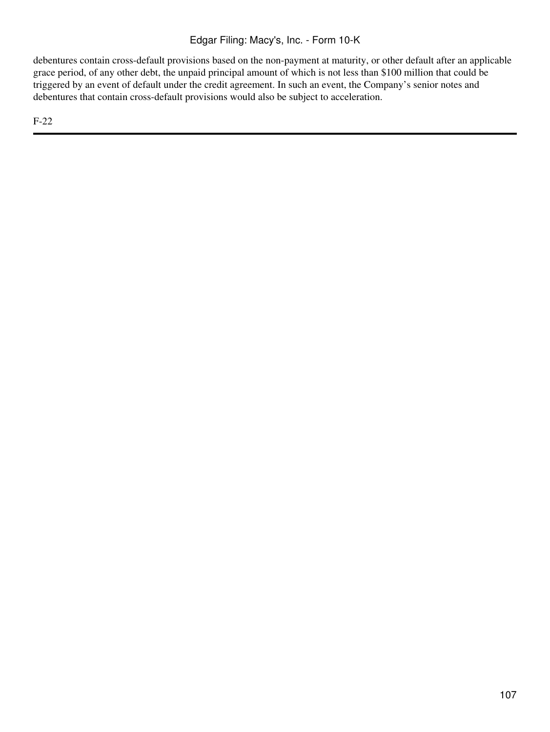## Edgar Filing: Macy's, Inc. - Form 10-K

debentures contain cross-default provisions based on the non-payment at maturity, or other default after an applicable grace period, of any other debt, the unpaid principal amount of which is not less than \$100 million that could be triggered by an event of default under the credit agreement. In such an event, the Company's senior notes and debentures that contain cross-default provisions would also be subject to acceleration.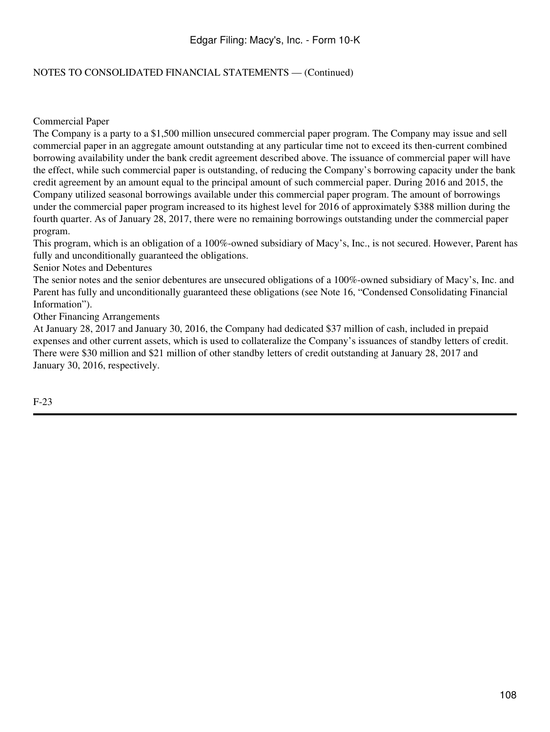Commercial Paper

The Company is a party to a \$1,500 million unsecured commercial paper program. The Company may issue and sell commercial paper in an aggregate amount outstanding at any particular time not to exceed its then-current combined borrowing availability under the bank credit agreement described above. The issuance of commercial paper will have the effect, while such commercial paper is outstanding, of reducing the Company's borrowing capacity under the bank credit agreement by an amount equal to the principal amount of such commercial paper. During 2016 and 2015, the Company utilized seasonal borrowings available under this commercial paper program. The amount of borrowings under the commercial paper program increased to its highest level for 2016 of approximately \$388 million during the fourth quarter. As of January 28, 2017, there were no remaining borrowings outstanding under the commercial paper program.

This program, which is an obligation of a 100%-owned subsidiary of Macy's, Inc., is not secured. However, Parent has fully and unconditionally guaranteed the obligations.

Senior Notes and Debentures

The senior notes and the senior debentures are unsecured obligations of a 100%-owned subsidiary of Macy's, Inc. and Parent has fully and unconditionally guaranteed these obligations (see Note 16, "Condensed Consolidating Financial Information").

Other Financing Arrangements

At January 28, 2017 and January 30, 2016, the Company had dedicated \$37 million of cash, included in prepaid expenses and other current assets, which is used to collateralize the Company's issuances of standby letters of credit. There were \$30 million and \$21 million of other standby letters of credit outstanding at January 28, 2017 and January 30, 2016, respectively.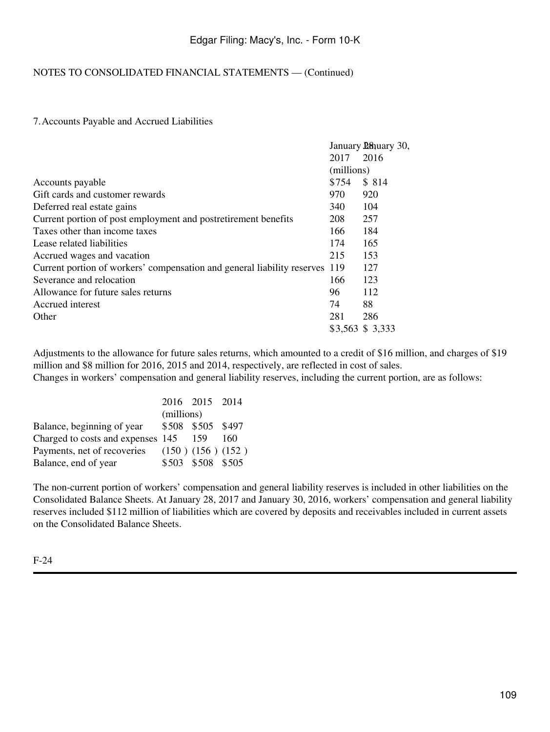### 7.Accounts Payable and Accrued Liabilities

|                                                                         |            | January <b>Lines</b> 20, |
|-------------------------------------------------------------------------|------------|--------------------------|
|                                                                         | 2017       | 2016                     |
|                                                                         | (millions) |                          |
| Accounts payable                                                        | \$754      | \$ 814                   |
| Gift cards and customer rewards                                         | 970        | 920                      |
| Deferred real estate gains                                              | 340        | 104                      |
| Current portion of post employment and postretirement benefits          | 208        | 257                      |
| Taxes other than income taxes                                           | 166        | 184                      |
| Lease related liabilities                                               | 174        | 165                      |
| Accrued wages and vacation                                              | 215        | 153                      |
| Current portion of workers' compensation and general liability reserves | 119        | 127                      |
| Severance and relocation                                                | 166        | 123                      |
| Allowance for future sales returns                                      | 96         | 112                      |
| Accrued interest                                                        | 74         | 88                       |
| Other                                                                   | 281        | 286                      |
|                                                                         |            | \$3,563 \$ 3,333         |

Adjustments to the allowance for future sales returns, which amounted to a credit of \$16 million, and charges of \$19 million and \$8 million for 2016, 2015 and 2014, respectively, are reflected in cost of sales. Changes in workers' compensation and general liability reserves, including the current portion, are as follows:

|                                   |            | 2016 2015 2014          |     |
|-----------------------------------|------------|-------------------------|-----|
|                                   | (millions) |                         |     |
| Balance, beginning of year        |            | \$508 \$505 \$497       |     |
| Charged to costs and expenses 145 |            | - 159                   | 160 |
| Payments, net of recoveries       |            | $(150)$ $(156)$ $(152)$ |     |
| Balance, end of year              |            | \$503 \$508 \$505       |     |

The non-current portion of workers' compensation and general liability reserves is included in other liabilities on the Consolidated Balance Sheets. At January 28, 2017 and January 30, 2016, workers' compensation and general liability reserves included \$112 million of liabilities which are covered by deposits and receivables included in current assets on the Consolidated Balance Sheets.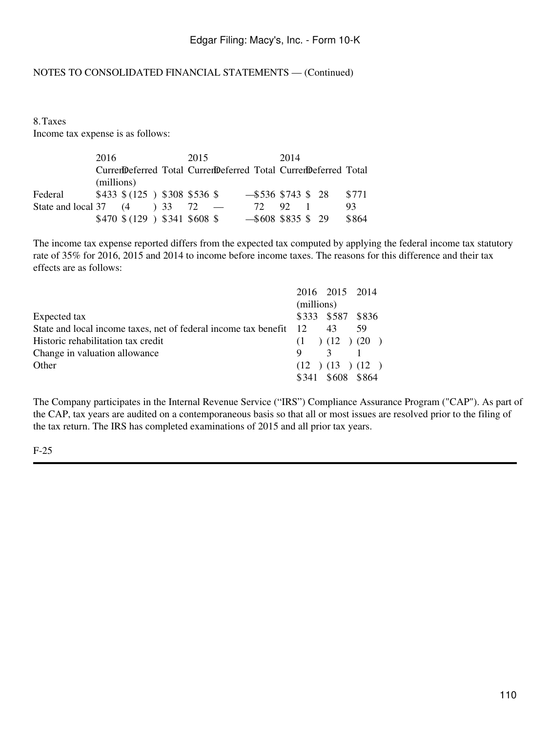## NOTES TO CONSOLIDATED FINANCIAL STATEMENTS — (Continued)

8.Taxes Income tax expense is as follows:

|                              | 2016       |                                |  | 2015 |                                                                |  | 2014                 |  |       |
|------------------------------|------------|--------------------------------|--|------|----------------------------------------------------------------|--|----------------------|--|-------|
|                              |            |                                |  |      | CurrenDeferred Total CurrenDeferred Total CurrenDeferred Total |  |                      |  |       |
|                              | (millions) |                                |  |      |                                                                |  |                      |  |       |
| Federal                      |            | $$433 \$ (125) \$308 \$536 \$$ |  |      |                                                                |  | $-$ \$536 \$743 \$28 |  | \$771 |
| State and local 37 (4) 33 72 |            |                                |  |      |                                                                |  | 72 92 1              |  | 93    |
|                              |            | $$470 \$ (129) \$341 \$608 \$$ |  |      |                                                                |  | $-$ \$608 \$835 \$29 |  | \$864 |

The income tax expense reported differs from the expected tax computed by applying the federal income tax statutory rate of 35% for 2016, 2015 and 2014 to income before income taxes. The reasons for this difference and their tax effects are as follows:

|                                                                    |            | 2016 2015 2014                         |                      |
|--------------------------------------------------------------------|------------|----------------------------------------|----------------------|
|                                                                    | (millions) |                                        |                      |
| Expected tax                                                       |            | \$333 \$587 \$836                      |                      |
| State and local income taxes, net of federal income tax benefit 12 |            | 43                                     | 59                   |
| Historic rehabilitation tax credit                                 |            |                                        | $(1)$ $(12)$ $(20)$  |
| Change in valuation allowance                                      | Q          | $\begin{array}{ccc} 3 & 1 \end{array}$ |                      |
| Other                                                              |            |                                        | $(12)$ $(13)$ $(12)$ |
|                                                                    |            | \$341 \$608 \$864                      |                      |

The Company participates in the Internal Revenue Service ("IRS") Compliance Assurance Program ("CAP"). As part of the CAP, tax years are audited on a contemporaneous basis so that all or most issues are resolved prior to the filing of the tax return. The IRS has completed examinations of 2015 and all prior tax years.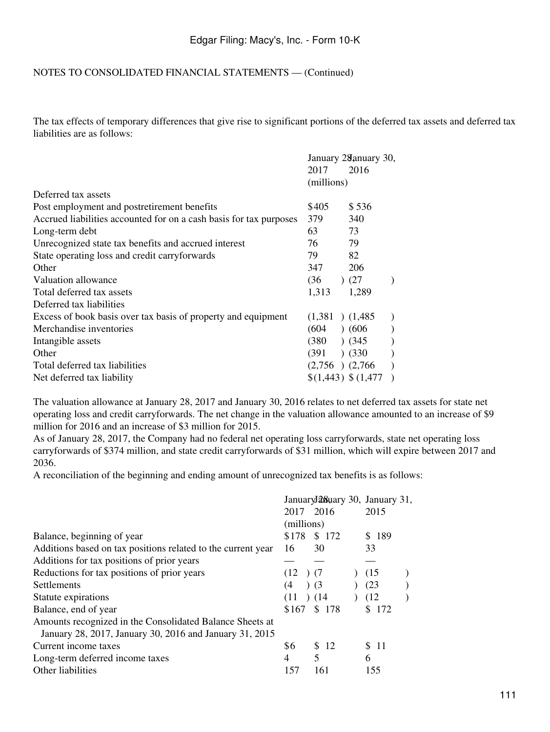The tax effects of temporary differences that give rise to significant portions of the deferred tax assets and deferred tax liabilities are as follows:

|                                                                    | January 28 anuary 30, |                       |  |
|--------------------------------------------------------------------|-----------------------|-----------------------|--|
|                                                                    | 2017                  | 2016                  |  |
|                                                                    | (millions)            |                       |  |
| Deferred tax assets                                                |                       |                       |  |
| Post employment and postretirement benefits                        | \$405                 | \$536                 |  |
| Accrued liabilities accounted for on a cash basis for tax purposes | 379                   | 340                   |  |
| Long-term debt                                                     | 63                    | 73                    |  |
| Unrecognized state tax benefits and accrued interest               | 76                    | 79                    |  |
| State operating loss and credit carryforwards                      | 79                    | 82                    |  |
| Other                                                              | 347                   | 206                   |  |
| Valuation allowance                                                | (36)                  | (27)                  |  |
| Total deferred tax assets                                          | 1,313                 | 1,289                 |  |
| Deferred tax liabilities                                           |                       |                       |  |
| Excess of book basis over tax basis of property and equipment      |                       | $(1,381)$ $(1,485)$   |  |
| Merchandise inventories                                            | (604)                 | (606)                 |  |
| Intangible assets                                                  | (380                  | (345)                 |  |
| Other                                                              | (391                  | (330)                 |  |
| Total deferred tax liabilities                                     |                       | $(2,756)$ $(2,766)$   |  |
| Net deferred tax liability                                         |                       | $$(1,443)$ $$(1,477)$ |  |

The valuation allowance at January 28, 2017 and January 30, 2016 relates to net deferred tax assets for state net operating loss and credit carryforwards. The net change in the valuation allowance amounted to an increase of \$9 million for 2016 and an increase of \$3 million for 2015.

As of January 28, 2017, the Company had no federal net operating loss carryforwards, state net operating loss carryforwards of \$374 million, and state credit carryforwards of \$31 million, which will expire between 2017 and 2036.

A reconciliation of the beginning and ending amount of unrecognized tax benefits is as follows:

|                                                              |               | JanuaryJ288yary 30, January 31, |       |  |
|--------------------------------------------------------------|---------------|---------------------------------|-------|--|
|                                                              |               | 2017 2016                       | 2015  |  |
|                                                              | (millions)    |                                 |       |  |
| Balance, beginning of year                                   | \$178         | \$172                           | \$189 |  |
| Additions based on tax positions related to the current year | 16            | 30                              | 33    |  |
| Additions for tax positions of prior years                   |               |                                 |       |  |
| Reductions for tax positions of prior years                  | $(12)$ $(7)$  |                                 | (15   |  |
| <b>Settlements</b>                                           | (4)           | $\left(3\right)$                | (23)  |  |
| Statute expirations                                          | $(11)$ $(14)$ |                                 | (12)  |  |
| Balance, end of year                                         |               | \$167 \$178                     | \$172 |  |
| Amounts recognized in the Consolidated Balance Sheets at     |               |                                 |       |  |
| January 28, 2017, January 30, 2016 and January 31, 2015      |               |                                 |       |  |
| Current income taxes                                         | \$6           | \$12                            | \$ 11 |  |
| Long-term deferred income taxes                              | 4             | 5                               | 6     |  |
| Other liabilities                                            | 157           | 161                             | 155   |  |
|                                                              |               |                                 |       |  |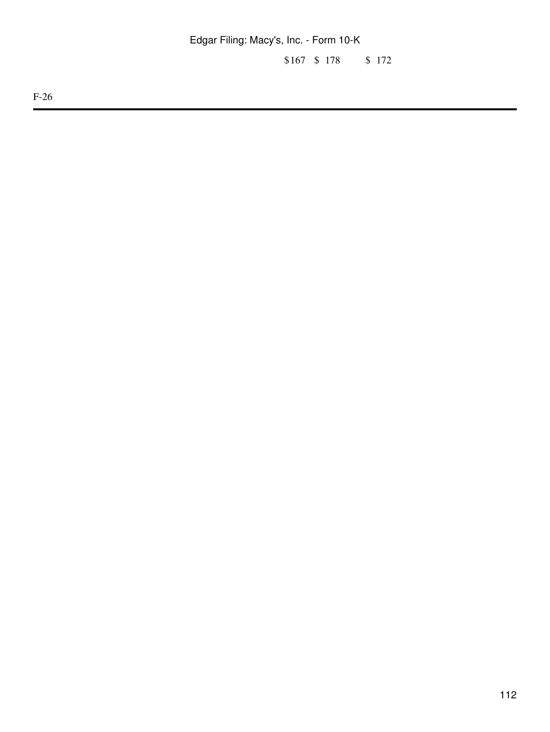\$167 \$ 178 \$ 172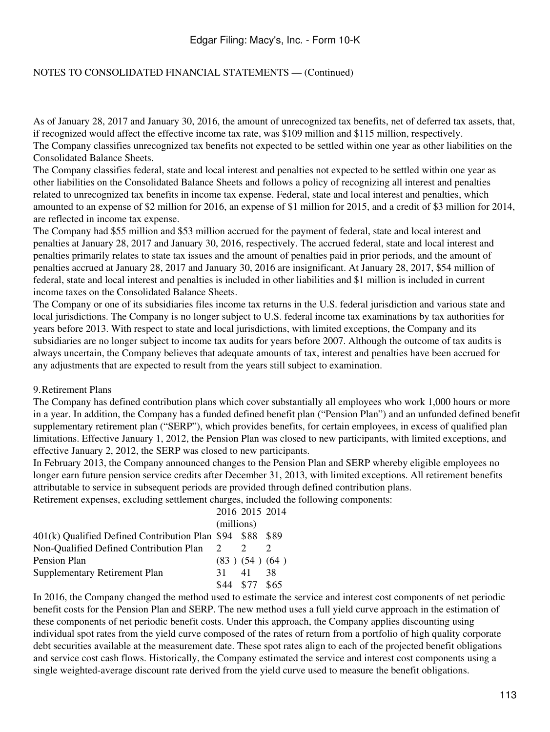As of January 28, 2017 and January 30, 2016, the amount of unrecognized tax benefits, net of deferred tax assets, that, if recognized would affect the effective income tax rate, was \$109 million and \$115 million, respectively. The Company classifies unrecognized tax benefits not expected to be settled within one year as other liabilities on the Consolidated Balance Sheets.

The Company classifies federal, state and local interest and penalties not expected to be settled within one year as other liabilities on the Consolidated Balance Sheets and follows a policy of recognizing all interest and penalties related to unrecognized tax benefits in income tax expense. Federal, state and local interest and penalties, which amounted to an expense of \$2 million for 2016, an expense of \$1 million for 2015, and a credit of \$3 million for 2014, are reflected in income tax expense.

The Company had \$55 million and \$53 million accrued for the payment of federal, state and local interest and penalties at January 28, 2017 and January 30, 2016, respectively. The accrued federal, state and local interest and penalties primarily relates to state tax issues and the amount of penalties paid in prior periods, and the amount of penalties accrued at January 28, 2017 and January 30, 2016 are insignificant. At January 28, 2017, \$54 million of federal, state and local interest and penalties is included in other liabilities and \$1 million is included in current income taxes on the Consolidated Balance Sheets.

The Company or one of its subsidiaries files income tax returns in the U.S. federal jurisdiction and various state and local jurisdictions. The Company is no longer subject to U.S. federal income tax examinations by tax authorities for years before 2013. With respect to state and local jurisdictions, with limited exceptions, the Company and its subsidiaries are no longer subject to income tax audits for years before 2007. Although the outcome of tax audits is always uncertain, the Company believes that adequate amounts of tax, interest and penalties have been accrued for any adjustments that are expected to result from the years still subject to examination.

### 9.Retirement Plans

The Company has defined contribution plans which cover substantially all employees who work 1,000 hours or more in a year. In addition, the Company has a funded defined benefit plan ("Pension Plan") and an unfunded defined benefit supplementary retirement plan ("SERP"), which provides benefits, for certain employees, in excess of qualified plan limitations. Effective January 1, 2012, the Pension Plan was closed to new participants, with limited exceptions, and effective January 2, 2012, the SERP was closed to new participants.

In February 2013, the Company announced changes to the Pension Plan and SERP whereby eligible employees no longer earn future pension service credits after December 31, 2013, with limited exceptions. All retirement benefits attributable to service in subsequent periods are provided through defined contribution plans.

Retirement expenses, excluding settlement charges, included the following components:

|                                                           |            | 2016 2015 2014       |  |
|-----------------------------------------------------------|------------|----------------------|--|
|                                                           | (millions) |                      |  |
| 401(k) Qualified Defined Contribution Plan \$94 \$88 \$89 |            |                      |  |
| Non-Qualified Defined Contribution Plan 2                 |            |                      |  |
| Pension Plan                                              |            | $(83)$ $(54)$ $(64)$ |  |
| Supplementary Retirement Plan                             | 31         | 41 38                |  |
|                                                           |            | \$44 \$77 \$65       |  |

In 2016, the Company changed the method used to estimate the service and interest cost components of net periodic benefit costs for the Pension Plan and SERP. The new method uses a full yield curve approach in the estimation of these components of net periodic benefit costs. Under this approach, the Company applies discounting using individual spot rates from the yield curve composed of the rates of return from a portfolio of high quality corporate debt securities available at the measurement date. These spot rates align to each of the projected benefit obligations and service cost cash flows. Historically, the Company estimated the service and interest cost components using a single weighted-average discount rate derived from the yield curve used to measure the benefit obligations.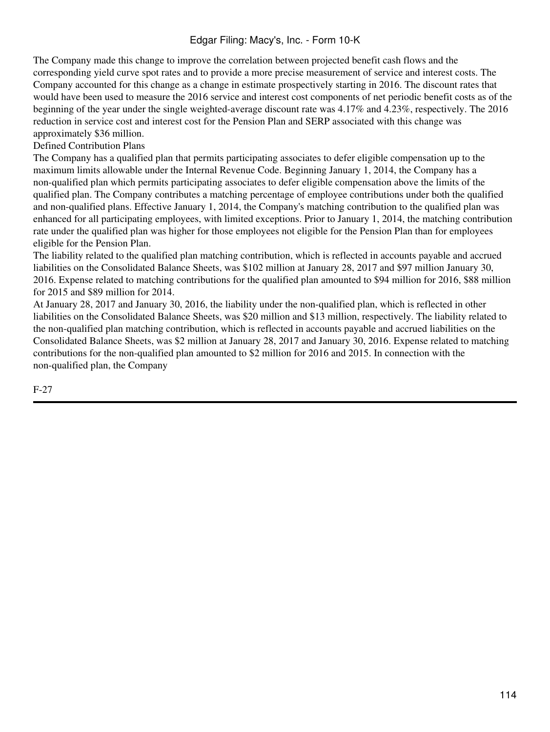The Company made this change to improve the correlation between projected benefit cash flows and the corresponding yield curve spot rates and to provide a more precise measurement of service and interest costs. The Company accounted for this change as a change in estimate prospectively starting in 2016. The discount rates that would have been used to measure the 2016 service and interest cost components of net periodic benefit costs as of the beginning of the year under the single weighted-average discount rate was 4.17% and 4.23%, respectively. The 2016 reduction in service cost and interest cost for the Pension Plan and SERP associated with this change was approximately \$36 million.

Defined Contribution Plans

The Company has a qualified plan that permits participating associates to defer eligible compensation up to the maximum limits allowable under the Internal Revenue Code. Beginning January 1, 2014, the Company has a non-qualified plan which permits participating associates to defer eligible compensation above the limits of the qualified plan. The Company contributes a matching percentage of employee contributions under both the qualified and non-qualified plans. Effective January 1, 2014, the Company's matching contribution to the qualified plan was enhanced for all participating employees, with limited exceptions. Prior to January 1, 2014, the matching contribution rate under the qualified plan was higher for those employees not eligible for the Pension Plan than for employees eligible for the Pension Plan.

The liability related to the qualified plan matching contribution, which is reflected in accounts payable and accrued liabilities on the Consolidated Balance Sheets, was \$102 million at January 28, 2017 and \$97 million January 30, 2016. Expense related to matching contributions for the qualified plan amounted to \$94 million for 2016, \$88 million for 2015 and \$89 million for 2014.

At January 28, 2017 and January 30, 2016, the liability under the non-qualified plan, which is reflected in other liabilities on the Consolidated Balance Sheets, was \$20 million and \$13 million, respectively. The liability related to the non-qualified plan matching contribution, which is reflected in accounts payable and accrued liabilities on the Consolidated Balance Sheets, was \$2 million at January 28, 2017 and January 30, 2016. Expense related to matching contributions for the non-qualified plan amounted to \$2 million for 2016 and 2015. In connection with the non-qualified plan, the Company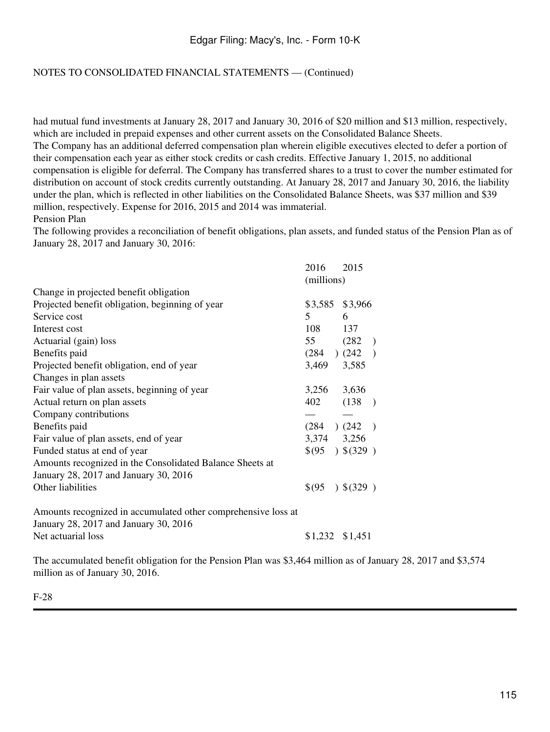had mutual fund investments at January 28, 2017 and January 30, 2016 of \$20 million and \$13 million, respectively, which are included in prepaid expenses and other current assets on the Consolidated Balance Sheets.

The Company has an additional deferred compensation plan wherein eligible executives elected to defer a portion of their compensation each year as either stock credits or cash credits. Effective January 1, 2015, no additional compensation is eligible for deferral. The Company has transferred shares to a trust to cover the number estimated for distribution on account of stock credits currently outstanding. At January 28, 2017 and January 30, 2016, the liability under the plan, which is reflected in other liabilities on the Consolidated Balance Sheets, was \$37 million and \$39 million, respectively. Expense for 2016, 2015 and 2014 was immaterial.

Pension Plan

The following provides a reconciliation of benefit obligations, plan assets, and funded status of the Pension Plan as of January 28, 2017 and January 30, 2016:

|                                                               | 2016                 | 2015              |
|---------------------------------------------------------------|----------------------|-------------------|
|                                                               | (millions)           |                   |
| Change in projected benefit obligation                        |                      |                   |
| Projected benefit obligation, beginning of year               |                      | \$3,585 \$3,966   |
| Service cost                                                  | 5<br>$6\overline{6}$ |                   |
| Interest cost                                                 | 108 137              |                   |
| Actuarial (gain) loss                                         |                      | 55 (282)          |
| Benefits paid                                                 |                      | (284) (242)       |
| Projected benefit obligation, end of year                     | 3,469 3,585          |                   |
| Changes in plan assets                                        |                      |                   |
| Fair value of plan assets, beginning of year                  | 3,256 3,636          |                   |
| Actual return on plan assets                                  |                      | 402 (138)         |
| Company contributions                                         |                      |                   |
| Benefits paid                                                 |                      | (284) (242)       |
| Fair value of plan assets, end of year                        |                      | 3,374 3,256       |
| Funded status at end of year                                  |                      | \$(95) \$(329)    |
| Amounts recognized in the Consolidated Balance Sheets at      |                      |                   |
| January 28, 2017 and January 30, 2016                         |                      |                   |
| Other liabilities                                             |                      | \$(95) \$(329)    |
| Amounts recognized in accumulated other comprehensive loss at |                      |                   |
| January 28, 2017 and January 30, 2016                         |                      |                   |
| Net actuarial loss                                            |                      | $$1,232$ $$1,451$ |

The accumulated benefit obligation for the Pension Plan was \$3,464 million as of January 28, 2017 and \$3,574 million as of January 30, 2016.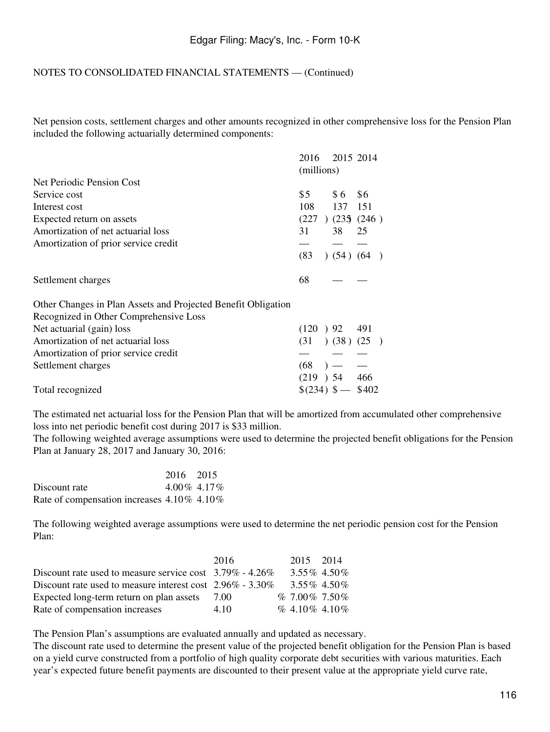Net pension costs, settlement charges and other amounts recognized in other comprehensive loss for the Pension Plan included the following actuarially determined components:

|                                                               | 2016<br>(millions)      |                                                                                              | 2015 2014 |  |
|---------------------------------------------------------------|-------------------------|----------------------------------------------------------------------------------------------|-----------|--|
| Net Periodic Pension Cost                                     |                         |                                                                                              |           |  |
| Service cost                                                  | \$5                     | \$6                                                                                          | \$6       |  |
| Interest cost                                                 | 108                     | 137                                                                                          | 151       |  |
| Expected return on assets                                     | $(227)$ $(235)$ $(246)$ |                                                                                              |           |  |
| Amortization of net actuarial loss                            | 31                      | 38                                                                                           | 25        |  |
| Amortization of prior service credit                          |                         |                                                                                              |           |  |
|                                                               | (83)                    |                                                                                              | (54)(64)  |  |
| Settlement charges                                            | 68                      |                                                                                              |           |  |
| Other Changes in Plan Assets and Projected Benefit Obligation |                         |                                                                                              |           |  |
| Recognized in Other Comprehensive Loss                        |                         |                                                                                              |           |  |
| Net actuarial (gain) loss                                     | (120) 92                |                                                                                              | 491       |  |
| Amortization of net actuarial loss                            | (31)                    |                                                                                              | )(38)(25) |  |
| Amortization of prior service credit                          |                         |                                                                                              |           |  |
| Settlement charges                                            | (68)                    | $\hspace{1.6cm} \hspace{1.2cm} \longleftarrow \hspace{1.2cm} \longrightarrow \hspace{1.2cm}$ |           |  |
|                                                               | $(219)$ 54 466          |                                                                                              |           |  |
| Total recognized                                              | $$(234)$ \$ - \$402     |                                                                                              |           |  |

The estimated net actuarial loss for the Pension Plan that will be amortized from accumulated other comprehensive loss into net periodic benefit cost during 2017 is \$33 million.

The following weighted average assumptions were used to determine the projected benefit obligations for the Pension Plan at January 28, 2017 and January 30, 2016:

|                                               | 2016 2015       |  |
|-----------------------------------------------|-----------------|--|
| Discount rate                                 | $4.00\%$ 4.17\% |  |
| Rate of compensation increases $4.10\%$ 4.10% |                 |  |

The following weighted average assumptions were used to determine the net periodic pension cost for the Pension Plan:

|                                                              | 2016 | 2015 2014          |  |
|--------------------------------------------------------------|------|--------------------|--|
| Discount rate used to measure service cost $3.79\%$ - 4.26%  |      | 3.55% 4.50%        |  |
| Discount rate used to measure interest cost $2.96\%$ - 3.30% |      | $3.55\%$ 4.50%     |  |
| Expected long-term return on plan assets                     | 7.00 | $\%$ 7.00% 7.50%   |  |
| Rate of compensation increases                               | 4.10 | $\%$ 4.10\% 4.10\% |  |

The Pension Plan's assumptions are evaluated annually and updated as necessary.

The discount rate used to determine the present value of the projected benefit obligation for the Pension Plan is based on a yield curve constructed from a portfolio of high quality corporate debt securities with various maturities. Each year's expected future benefit payments are discounted to their present value at the appropriate yield curve rate,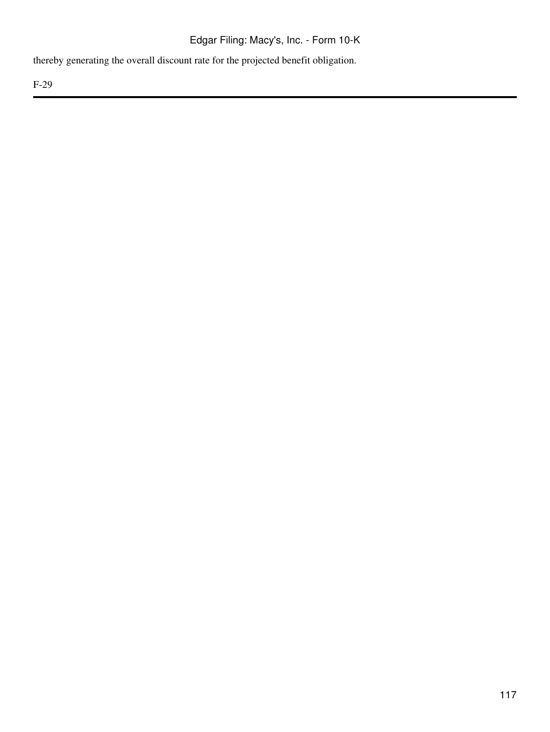thereby generating the overall discount rate for the projected benefit obligation.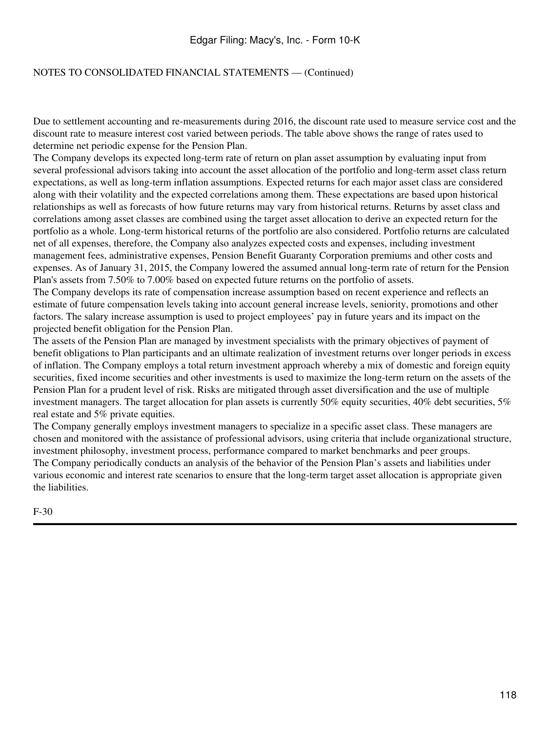Due to settlement accounting and re-measurements during 2016, the discount rate used to measure service cost and the discount rate to measure interest cost varied between periods. The table above shows the range of rates used to determine net periodic expense for the Pension Plan.

The Company develops its expected long-term rate of return on plan asset assumption by evaluating input from several professional advisors taking into account the asset allocation of the portfolio and long-term asset class return expectations, as well as long-term inflation assumptions. Expected returns for each major asset class are considered along with their volatility and the expected correlations among them. These expectations are based upon historical relationships as well as forecasts of how future returns may vary from historical returns. Returns by asset class and correlations among asset classes are combined using the target asset allocation to derive an expected return for the portfolio as a whole. Long-term historical returns of the portfolio are also considered. Portfolio returns are calculated net of all expenses, therefore, the Company also analyzes expected costs and expenses, including investment management fees, administrative expenses, Pension Benefit Guaranty Corporation premiums and other costs and expenses. As of January 31, 2015, the Company lowered the assumed annual long-term rate of return for the Pension Plan's assets from 7.50% to 7.00% based on expected future returns on the portfolio of assets.

The Company develops its rate of compensation increase assumption based on recent experience and reflects an estimate of future compensation levels taking into account general increase levels, seniority, promotions and other factors. The salary increase assumption is used to project employees' pay in future years and its impact on the projected benefit obligation for the Pension Plan.

The assets of the Pension Plan are managed by investment specialists with the primary objectives of payment of benefit obligations to Plan participants and an ultimate realization of investment returns over longer periods in excess of inflation. The Company employs a total return investment approach whereby a mix of domestic and foreign equity securities, fixed income securities and other investments is used to maximize the long-term return on the assets of the Pension Plan for a prudent level of risk. Risks are mitigated through asset diversification and the use of multiple investment managers. The target allocation for plan assets is currently 50% equity securities, 40% debt securities, 5% real estate and 5% private equities.

The Company generally employs investment managers to specialize in a specific asset class. These managers are chosen and monitored with the assistance of professional advisors, using criteria that include organizational structure, investment philosophy, investment process, performance compared to market benchmarks and peer groups. The Company periodically conducts an analysis of the behavior of the Pension Plan's assets and liabilities under various economic and interest rate scenarios to ensure that the long-term target asset allocation is appropriate given the liabilities.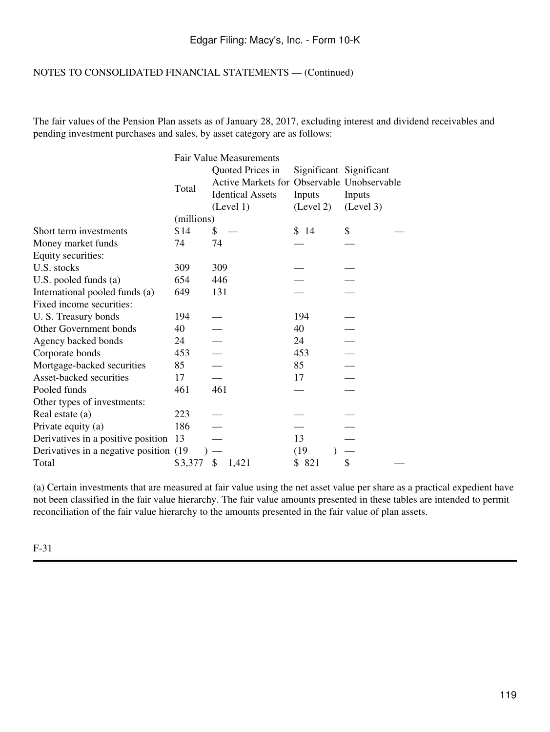The fair values of the Pension Plan assets as of January 28, 2017, excluding interest and dividend receivables and pending investment purchases and sales, by asset category are as follows:

|                                         |            | <b>Fair Value Measurements</b>             |                         |           |
|-----------------------------------------|------------|--------------------------------------------|-------------------------|-----------|
|                                         |            | Quoted Prices in                           | Significant Significant |           |
|                                         | Total      | Active Markets for Observable Unobservable |                         |           |
|                                         |            | <b>Identical Assets</b>                    | Inputs                  | Inputs    |
|                                         |            | (Level 1)                                  | (Level 2)               | (Level 3) |
|                                         | (millions) |                                            |                         |           |
| Short term investments                  | \$14       | \$                                         | \$14                    | \$        |
| Money market funds                      | 74         | 74                                         |                         |           |
| Equity securities:                      |            |                                            |                         |           |
| U.S. stocks                             | 309        | 309                                        |                         |           |
| U.S. pooled funds (a)                   | 654        | 446                                        |                         |           |
| International pooled funds (a)          | 649        | 131                                        |                         |           |
| Fixed income securities:                |            |                                            |                         |           |
| U.S. Treasury bonds                     | 194        |                                            | 194                     |           |
| Other Government bonds                  | 40         |                                            | 40                      |           |
| Agency backed bonds                     | 24         |                                            | 24                      |           |
| Corporate bonds                         | 453        |                                            | 453                     |           |
| Mortgage-backed securities              | 85         |                                            | 85                      |           |
| Asset-backed securities                 | 17         |                                            | 17                      |           |
| Pooled funds                            | 461        | 461                                        |                         |           |
| Other types of investments:             |            |                                            |                         |           |
| Real estate (a)                         | 223        |                                            |                         |           |
| Private equity (a)                      | 186        |                                            |                         |           |
| Derivatives in a positive position      | 13         |                                            | 13                      |           |
| Derivatives in a negative position (19) |            |                                            | (19)                    |           |
| Total                                   | \$3,377    | \$<br>1,421                                | \$821                   | \$        |

(a) Certain investments that are measured at fair value using the net asset value per share as a practical expedient have not been classified in the fair value hierarchy. The fair value amounts presented in these tables are intended to permit reconciliation of the fair value hierarchy to the amounts presented in the fair value of plan assets.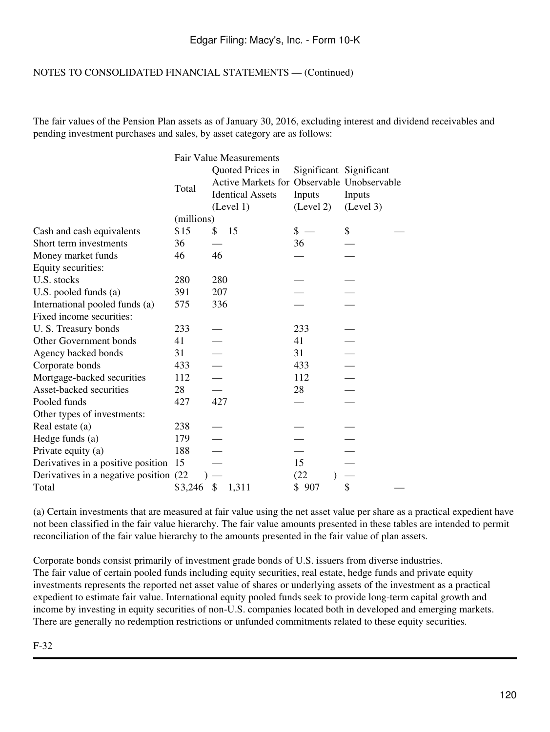The fair values of the Pension Plan assets as of January 30, 2016, excluding interest and dividend receivables and pending investment purchases and sales, by asset category are as follows:

|                                         |            | <b>Fair Value Measurements</b>             |           |                         |
|-----------------------------------------|------------|--------------------------------------------|-----------|-------------------------|
|                                         |            | Quoted Prices in                           |           | Significant Significant |
|                                         | Total      | Active Markets for Observable Unobservable |           |                         |
|                                         |            | <b>Identical Assets</b>                    | Inputs    | Inputs                  |
|                                         |            | (Level 1)                                  | (Level 2) | (Level 3)               |
|                                         | (millions) |                                            |           |                         |
| Cash and cash equivalents               | \$15       | \$<br>15                                   | \$        | \$                      |
| Short term investments                  | 36         |                                            | 36        |                         |
| Money market funds                      | 46         | 46                                         |           |                         |
| Equity securities:                      |            |                                            |           |                         |
| U.S. stocks                             | 280        | 280                                        |           |                         |
| U.S. pooled funds (a)                   | 391        | 207                                        |           |                         |
| International pooled funds (a)          | 575        | 336                                        |           |                         |
| Fixed income securities:                |            |                                            |           |                         |
| U. S. Treasury bonds                    | 233        |                                            | 233       |                         |
| Other Government bonds                  | 41         |                                            | 41        |                         |
| Agency backed bonds                     | 31         |                                            | 31        |                         |
| Corporate bonds                         | 433        |                                            | 433       |                         |
| Mortgage-backed securities              | 112        |                                            | 112       |                         |
| Asset-backed securities                 | 28         |                                            | 28        |                         |
| Pooled funds                            | 427        | 427                                        |           |                         |
| Other types of investments:             |            |                                            |           |                         |
| Real estate (a)                         | 238        |                                            |           |                         |
| Hedge funds (a)                         | 179        |                                            |           |                         |
| Private equity (a)                      | 188        |                                            |           |                         |
| Derivatives in a positive position      | 15         |                                            | 15        |                         |
| Derivatives in a negative position (22) |            |                                            | (22)      |                         |
| Total                                   | \$3,246    | \$<br>1,311                                | \$907     | \$                      |

(a) Certain investments that are measured at fair value using the net asset value per share as a practical expedient have not been classified in the fair value hierarchy. The fair value amounts presented in these tables are intended to permit reconciliation of the fair value hierarchy to the amounts presented in the fair value of plan assets.

Corporate bonds consist primarily of investment grade bonds of U.S. issuers from diverse industries. The fair value of certain pooled funds including equity securities, real estate, hedge funds and private equity investments represents the reported net asset value of shares or underlying assets of the investment as a practical expedient to estimate fair value. International equity pooled funds seek to provide long-term capital growth and income by investing in equity securities of non-U.S. companies located both in developed and emerging markets. There are generally no redemption restrictions or unfunded commitments related to these equity securities.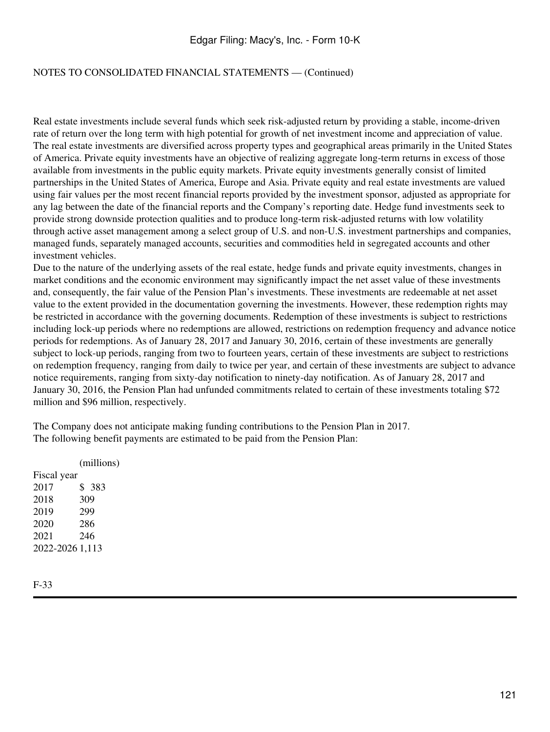Real estate investments include several funds which seek risk-adjusted return by providing a stable, income-driven rate of return over the long term with high potential for growth of net investment income and appreciation of value. The real estate investments are diversified across property types and geographical areas primarily in the United States of America. Private equity investments have an objective of realizing aggregate long-term returns in excess of those available from investments in the public equity markets. Private equity investments generally consist of limited partnerships in the United States of America, Europe and Asia. Private equity and real estate investments are valued using fair values per the most recent financial reports provided by the investment sponsor, adjusted as appropriate for any lag between the date of the financial reports and the Company's reporting date. Hedge fund investments seek to provide strong downside protection qualities and to produce long-term risk-adjusted returns with low volatility through active asset management among a select group of U.S. and non-U.S. investment partnerships and companies, managed funds, separately managed accounts, securities and commodities held in segregated accounts and other investment vehicles.

Due to the nature of the underlying assets of the real estate, hedge funds and private equity investments, changes in market conditions and the economic environment may significantly impact the net asset value of these investments and, consequently, the fair value of the Pension Plan's investments. These investments are redeemable at net asset value to the extent provided in the documentation governing the investments. However, these redemption rights may be restricted in accordance with the governing documents. Redemption of these investments is subject to restrictions including lock-up periods where no redemptions are allowed, restrictions on redemption frequency and advance notice periods for redemptions. As of January 28, 2017 and January 30, 2016, certain of these investments are generally subject to lock-up periods, ranging from two to fourteen years, certain of these investments are subject to restrictions on redemption frequency, ranging from daily to twice per year, and certain of these investments are subject to advance notice requirements, ranging from sixty-day notification to ninety-day notification. As of January 28, 2017 and January 30, 2016, the Pension Plan had unfunded commitments related to certain of these investments totaling \$72 million and \$96 million, respectively.

The Company does not anticipate making funding contributions to the Pension Plan in 2017. The following benefit payments are estimated to be paid from the Pension Plan: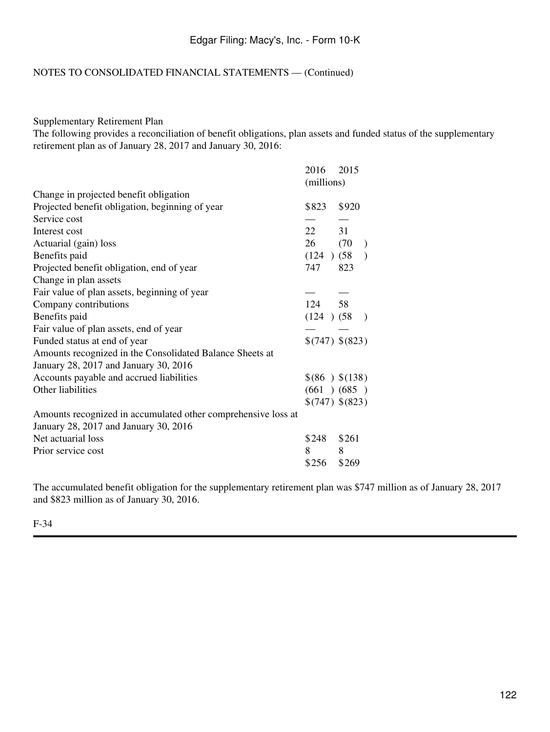### Supplementary Retirement Plan

The following provides a reconciliation of benefit obligations, plan assets and funded status of the supplementary retirement plan as of January 28, 2017 and January 30, 2016:

|                                                               | 2016<br>(millions) | 2015            |
|---------------------------------------------------------------|--------------------|-----------------|
| Change in projected benefit obligation                        |                    |                 |
| Projected benefit obligation, beginning of year               | \$823              | \$920           |
| Service cost                                                  |                    |                 |
| Interest cost                                                 | 22                 | 31              |
| Actuarial (gain) loss                                         | 26                 | (70)            |
| Benefits paid                                                 | $(124)$ $(58)$     | $\lambda$       |
| Projected benefit obligation, end of year                     | 747                | 823             |
| Change in plan assets                                         |                    |                 |
| Fair value of plan assets, beginning of year                  |                    |                 |
| Company contributions                                         | 124                | 58              |
| Benefits paid                                                 | $(124)$ $(58)$     | $\rightarrow$   |
| Fair value of plan assets, end of year                        |                    |                 |
| Funded status at end of year                                  |                    | \$(747) \$(823) |
| Amounts recognized in the Consolidated Balance Sheets at      |                    |                 |
| January 28, 2017 and January 30, 2016                         |                    |                 |
| Accounts payable and accrued liabilities                      |                    | \$(86) \$(138)  |
| Other liabilities                                             |                    | $(661)$ $(685)$ |
|                                                               |                    | \$(747) \$(823) |
| Amounts recognized in accumulated other comprehensive loss at |                    |                 |
| January 28, 2017 and January 30, 2016                         |                    |                 |
| Net actuarial loss                                            | \$248              | \$261           |
| Prior service cost                                            | 8                  | 8               |
|                                                               | \$256              | \$269           |

The accumulated benefit obligation for the supplementary retirement plan was \$747 million as of January 28, 2017 and \$823 million as of January 30, 2016.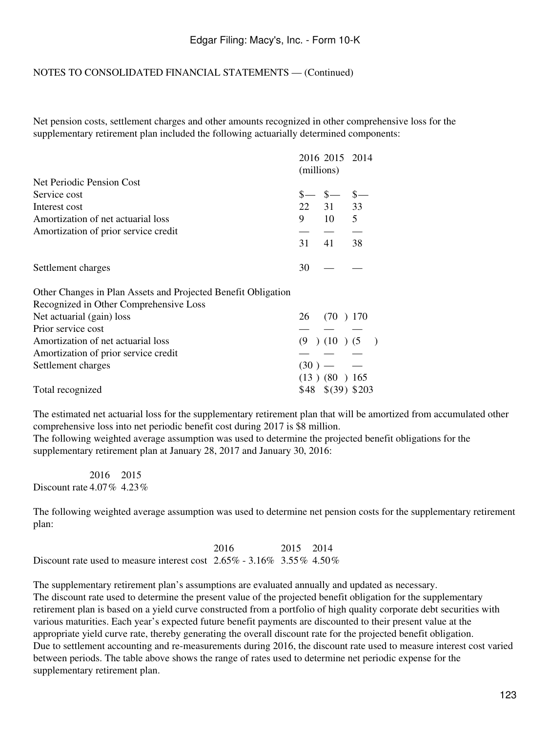Net pension costs, settlement charges and other amounts recognized in other comprehensive loss for the supplementary retirement plan included the following actuarially determined components:

|                                                               |    | 2016 2015 2014<br>(millions) |                          |  |
|---------------------------------------------------------------|----|------------------------------|--------------------------|--|
| Net Periodic Pension Cost                                     |    |                              |                          |  |
| Service cost                                                  |    | $\frac{1}{2}$                |                          |  |
| Interest cost                                                 |    | 22 31 33                     |                          |  |
| Amortization of net actuarial loss                            | 9  | 10                           | $\mathfrak{S}$           |  |
| Amortization of prior service credit                          |    |                              | $\overline{\phantom{0}}$ |  |
|                                                               | 31 | 41                           | 38                       |  |
| Settlement charges                                            | 30 |                              |                          |  |
| Other Changes in Plan Assets and Projected Benefit Obligation |    |                              |                          |  |
| Recognized in Other Comprehensive Loss                        |    |                              |                          |  |
| Net actuarial (gain) loss                                     | 26 | $(70)$ 170                   |                          |  |
| Prior service cost                                            |    |                              |                          |  |
| Amortization of net actuarial loss                            |    |                              | (9) (10) (5)             |  |
| Amortization of prior service credit                          |    |                              |                          |  |
| Settlement charges                                            |    | $(30)$ —                     |                          |  |
|                                                               |    | (13)(80)165                  |                          |  |
| Total recognized                                              |    | $$48 \t$(39) $203$           |                          |  |

The estimated net actuarial loss for the supplementary retirement plan that will be amortized from accumulated other comprehensive loss into net periodic benefit cost during 2017 is \$8 million.

The following weighted average assumption was used to determine the projected benefit obligations for the supplementary retirement plan at January 28, 2017 and January 30, 2016:

2016 2015 Discount rate  $4.07\%$  4.23%

The following weighted average assumption was used to determine net pension costs for the supplementary retirement plan:

2016 2015 2014 Discount rate used to measure interest cost 2.65% - 3.16% 3.55% 4.50%

The supplementary retirement plan's assumptions are evaluated annually and updated as necessary. The discount rate used to determine the present value of the projected benefit obligation for the supplementary retirement plan is based on a yield curve constructed from a portfolio of high quality corporate debt securities with various maturities. Each year's expected future benefit payments are discounted to their present value at the appropriate yield curve rate, thereby generating the overall discount rate for the projected benefit obligation. Due to settlement accounting and re-measurements during 2016, the discount rate used to measure interest cost varied between periods. The table above shows the range of rates used to determine net periodic expense for the supplementary retirement plan.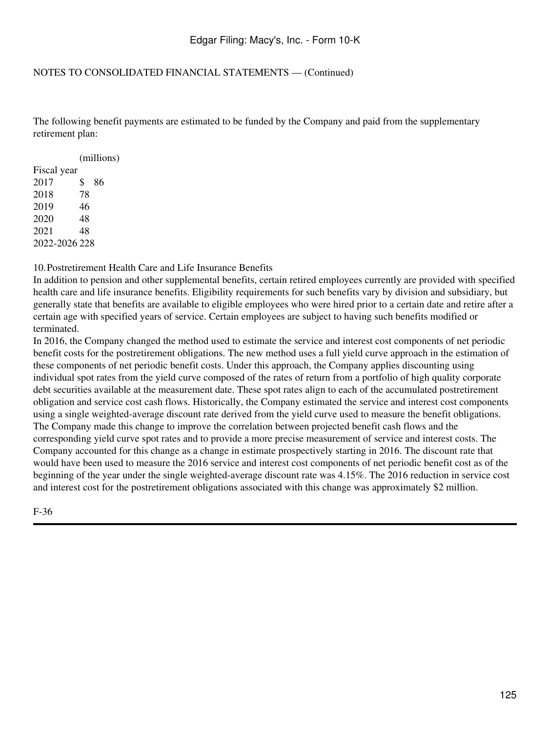The following benefit payments are estimated to be funded by the Company and paid from the supplementary retirement plan:

|               | (millions) |     |  |  |  |  |
|---------------|------------|-----|--|--|--|--|
| Fiscal year   |            |     |  |  |  |  |
| 2017          | \$.        | -86 |  |  |  |  |
| 2018          | 78         |     |  |  |  |  |
| 2019          | 46         |     |  |  |  |  |
| 2020          | 48         |     |  |  |  |  |
| 2021          | 48         |     |  |  |  |  |
| 2022-2026 228 |            |     |  |  |  |  |

10.Postretirement Health Care and Life Insurance Benefits

In addition to pension and other supplemental benefits, certain retired employees currently are provided with specified health care and life insurance benefits. Eligibility requirements for such benefits vary by division and subsidiary, but generally state that benefits are available to eligible employees who were hired prior to a certain date and retire after a certain age with specified years of service. Certain employees are subject to having such benefits modified or terminated.

In 2016, the Company changed the method used to estimate the service and interest cost components of net periodic benefit costs for the postretirement obligations. The new method uses a full yield curve approach in the estimation of these components of net periodic benefit costs. Under this approach, the Company applies discounting using individual spot rates from the yield curve composed of the rates of return from a portfolio of high quality corporate debt securities available at the measurement date. These spot rates align to each of the accumulated postretirement obligation and service cost cash flows. Historically, the Company estimated the service and interest cost components using a single weighted-average discount rate derived from the yield curve used to measure the benefit obligations. The Company made this change to improve the correlation between projected benefit cash flows and the corresponding yield curve spot rates and to provide a more precise measurement of service and interest costs. The Company accounted for this change as a change in estimate prospectively starting in 2016. The discount rate that would have been used to measure the 2016 service and interest cost components of net periodic benefit cost as of the beginning of the year under the single weighted-average discount rate was 4.15%. The 2016 reduction in service cost and interest cost for the postretirement obligations associated with this change was approximately \$2 million.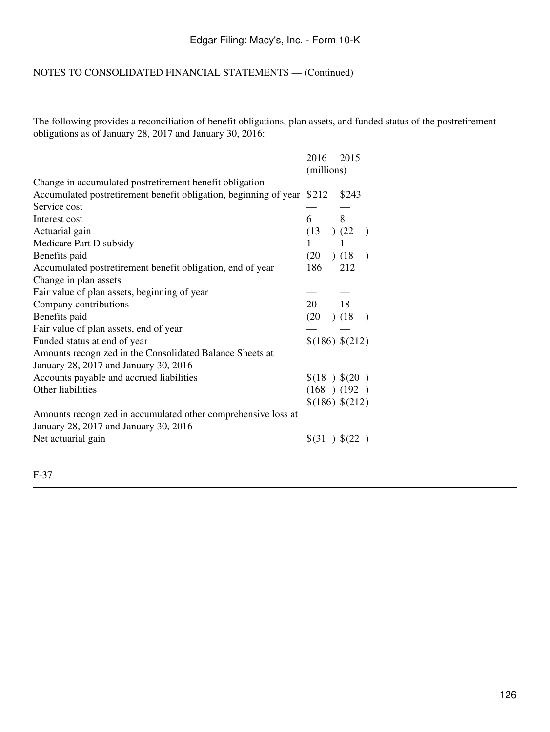The following provides a reconciliation of benefit obligations, plan assets, and funded status of the postretirement obligations as of January 28, 2017 and January 30, 2016:

|                                                                  | 2016<br>(millions) | 2015         |               |
|------------------------------------------------------------------|--------------------|--------------|---------------|
| Change in accumulated postretirement benefit obligation          |                    |              |               |
| Accumulated postretirement benefit obligation, beginning of year | \$212              | \$243        |               |
| Service cost                                                     |                    |              |               |
| Interest cost                                                    | $6 \qquad$         | 8            |               |
| Actuarial gain                                                   | (13)(22)           |              |               |
| Medicare Part D subsidy                                          | 1                  | $\mathbf{1}$ |               |
| Benefits paid                                                    | $(20)$ $(18)$      |              | $\rightarrow$ |
| Accumulated postretirement benefit obligation, end of year       | 186                | 212          |               |
| Change in plan assets                                            |                    |              |               |
| Fair value of plan assets, beginning of year                     |                    |              |               |
| Company contributions                                            | 20                 | 18           |               |
| Benefits paid                                                    | $(20)$ $(18)$      |              |               |
| Fair value of plan assets, end of year                           |                    |              |               |
| Funded status at end of year                                     | \$(186) \$(212)    |              |               |
| Amounts recognized in the Consolidated Balance Sheets at         |                    |              |               |
| January 28, 2017 and January 30, 2016                            |                    |              |               |
| Accounts payable and accrued liabilities                         | \$(18) \$(20)      |              |               |
| Other liabilities                                                | (168) (192)        |              |               |
|                                                                  | \$(186) \$(212)    |              |               |
| Amounts recognized in accumulated other comprehensive loss at    |                    |              |               |
| January 28, 2017 and January 30, 2016                            |                    |              |               |
| Net actuarial gain                                               | \$(31) \$(22)      |              |               |
|                                                                  |                    |              |               |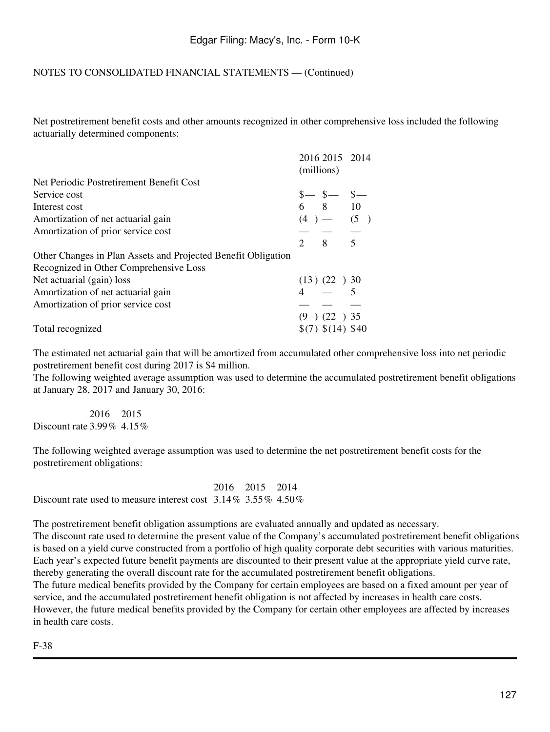Net postretirement benefit costs and other amounts recognized in other comprehensive loss included the following actuarially determined components:

|                                                               | 2016 2015 2014                               |  |
|---------------------------------------------------------------|----------------------------------------------|--|
|                                                               | (millions)                                   |  |
| Net Periodic Postretirement Benefit Cost                      |                                              |  |
| Service cost                                                  | $s - s - s -$                                |  |
| Interest cost                                                 | $\begin{array}{cccc} 6 & 8 & 10 \end{array}$ |  |
| Amortization of net actuarial gain                            | $(4)$ - $(5)$                                |  |
| Amortization of prior service cost                            |                                              |  |
|                                                               | $\frac{-}{2}$ $\frac{-}{8}$ $\frac{-}{5}$    |  |
| Other Changes in Plan Assets and Projected Benefit Obligation |                                              |  |
| Recognized in Other Comprehensive Loss                        |                                              |  |
| Net actuarial (gain) loss                                     | (13)(22)30                                   |  |
| Amortization of net actuarial gain                            | $4 \quad - \quad 5$                          |  |
| Amortization of prior service cost                            |                                              |  |
|                                                               | $(9)$ $(22)$ $35$                            |  |
| Total recognized                                              | \$(7) \$(14) \$40                            |  |

The estimated net actuarial gain that will be amortized from accumulated other comprehensive loss into net periodic postretirement benefit cost during 2017 is \$4 million.

The following weighted average assumption was used to determine the accumulated postretirement benefit obligations at January 28, 2017 and January 30, 2016:

2016 2015 Discount rate 3.99% 4.15%

The following weighted average assumption was used to determine the net postretirement benefit costs for the postretirement obligations:

2016 2015 2014 Discount rate used to measure interest cost 3.14% 3.55% 4.50%

The postretirement benefit obligation assumptions are evaluated annually and updated as necessary.

The discount rate used to determine the present value of the Company's accumulated postretirement benefit obligations is based on a yield curve constructed from a portfolio of high quality corporate debt securities with various maturities. Each year's expected future benefit payments are discounted to their present value at the appropriate yield curve rate, thereby generating the overall discount rate for the accumulated postretirement benefit obligations.

The future medical benefits provided by the Company for certain employees are based on a fixed amount per year of service, and the accumulated postretirement benefit obligation is not affected by increases in health care costs. However, the future medical benefits provided by the Company for certain other employees are affected by increases

in health care costs.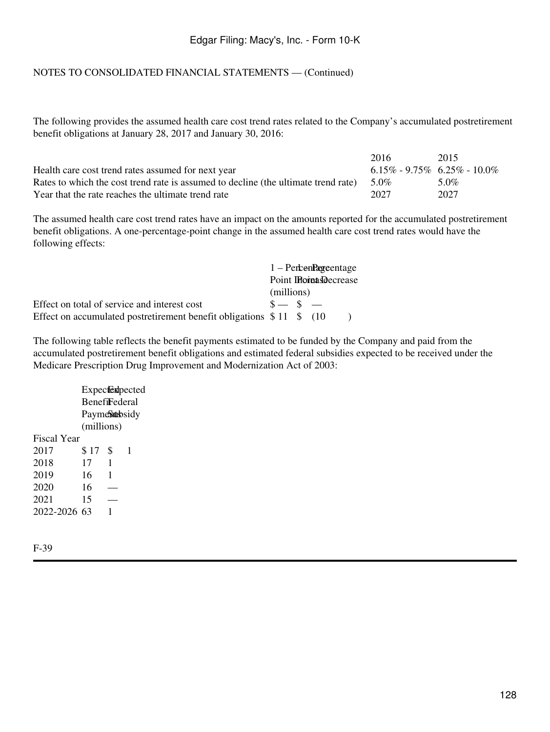## NOTES TO CONSOLIDATED FINANCIAL STATEMENTS — (Continued)

The following provides the assumed health care cost trend rates related to the Company's accumulated postretirement benefit obligations at January 28, 2017 and January 30, 2016:

|                                                                                    | 2016                              | 2015 |
|------------------------------------------------------------------------------------|-----------------------------------|------|
| Health care cost trend rates assumed for next year                                 | $6.15\% - 9.75\%$ 6.25\% - 10.0\% |      |
| Rates to which the cost trend rate is assumed to decline (the ultimate trend rate) | 5.0%                              | 5.0% |
| Year that the rate reaches the ultimate trend rate                                 | 2027                              | 2027 |

The assumed health care cost trend rates have an impact on the amounts reported for the accumulated postretirement benefit obligations. A one-percentage-point change in the assumed health care cost trend rates would have the following effects:

|                                                                |            | $1 -$ Percenes are neglected by $\alpha$ |  |
|----------------------------------------------------------------|------------|------------------------------------------|--|
|                                                                |            | Point <b>IRornas</b> Decrease            |  |
|                                                                | (millions) |                                          |  |
| Effect on total of service and interest cost                   | $s - s -$  |                                          |  |
| Effect on accumulated postretirement benefit obligations $$11$ |            | (10)                                     |  |

The following table reflects the benefit payments estimated to be funded by the Company and paid from the accumulated postretirement benefit obligations and estimated federal subsidies expected to be received under the Medicare Prescription Drug Improvement and Modernization Act of 2003:

|                    | <b>Expected</b> pected |    |   |  |  |  |
|--------------------|------------------------|----|---|--|--|--|
|                    | <b>BenefiFederal</b>   |    |   |  |  |  |
|                    | PaymeStubsidy          |    |   |  |  |  |
|                    | (millions)             |    |   |  |  |  |
| <b>Fiscal Year</b> |                        |    |   |  |  |  |
| 2017               | \$17                   | \$ | 1 |  |  |  |
| 2018               | 17                     | 1  |   |  |  |  |
| 2019               | 16                     | 1  |   |  |  |  |
| 2020               | 16                     |    |   |  |  |  |
| 2021               | 15                     |    |   |  |  |  |
| 2022-2026 63       |                        |    |   |  |  |  |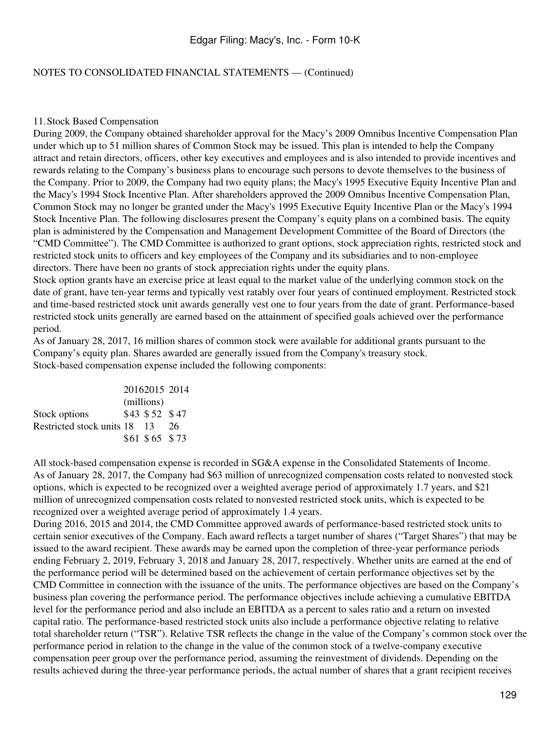### 11.Stock Based Compensation

During 2009, the Company obtained shareholder approval for the Macy's 2009 Omnibus Incentive Compensation Plan under which up to 51 million shares of Common Stock may be issued. This plan is intended to help the Company attract and retain directors, officers, other key executives and employees and is also intended to provide incentives and rewards relating to the Company's business plans to encourage such persons to devote themselves to the business of the Company. Prior to 2009, the Company had two equity plans; the Macy's 1995 Executive Equity Incentive Plan and the Macy's 1994 Stock Incentive Plan. After shareholders approved the 2009 Omnibus Incentive Compensation Plan, Common Stock may no longer be granted under the Macy's 1995 Executive Equity Incentive Plan or the Macy's 1994 Stock Incentive Plan. The following disclosures present the Company's equity plans on a combined basis. The equity plan is administered by the Compensation and Management Development Committee of the Board of Directors (the "CMD Committee"). The CMD Committee is authorized to grant options, stock appreciation rights, restricted stock and restricted stock units to officers and key employees of the Company and its subsidiaries and to non-employee directors. There have been no grants of stock appreciation rights under the equity plans.

Stock option grants have an exercise price at least equal to the market value of the underlying common stock on the date of grant, have ten-year terms and typically vest ratably over four years of continued employment. Restricted stock and time-based restricted stock unit awards generally vest one to four years from the date of grant. Performance-based restricted stock units generally are earned based on the attainment of specified goals achieved over the performance period.

As of January 28, 2017, 16 million shares of common stock were available for additional grants pursuant to the Company's equity plan. Shares awarded are generally issued from the Company's treasury stock. Stock-based compensation expense included the following components:

|                              | 20162015 2014  |    |
|------------------------------|----------------|----|
|                              | (millions)     |    |
| Stock options                | \$43 \$52 \$47 |    |
| Restricted stock units 18 13 |                | 26 |
|                              | \$61 \$65 \$73 |    |

All stock-based compensation expense is recorded in SG&A expense in the Consolidated Statements of Income. As of January 28, 2017, the Company had \$63 million of unrecognized compensation costs related to nonvested stock options, which is expected to be recognized over a weighted average period of approximately 1.7 years, and \$21 million of unrecognized compensation costs related to nonvested restricted stock units, which is expected to be recognized over a weighted average period of approximately 1.4 years.

During 2016, 2015 and 2014, the CMD Committee approved awards of performance-based restricted stock units to certain senior executives of the Company. Each award reflects a target number of shares ("Target Shares") that may be issued to the award recipient. These awards may be earned upon the completion of three-year performance periods ending February 2, 2019, February 3, 2018 and January 28, 2017, respectively. Whether units are earned at the end of the performance period will be determined based on the achievement of certain performance objectives set by the CMD Committee in connection with the issuance of the units. The performance objectives are based on the Company's business plan covering the performance period. The performance objectives include achieving a cumulative EBITDA level for the performance period and also include an EBITDA as a percent to sales ratio and a return on invested capital ratio. The performance-based restricted stock units also include a performance objective relating to relative total shareholder return ("TSR"). Relative TSR reflects the change in the value of the Company's common stock over the performance period in relation to the change in the value of the common stock of a twelve-company executive compensation peer group over the performance period, assuming the reinvestment of dividends. Depending on the results achieved during the three-year performance periods, the actual number of shares that a grant recipient receives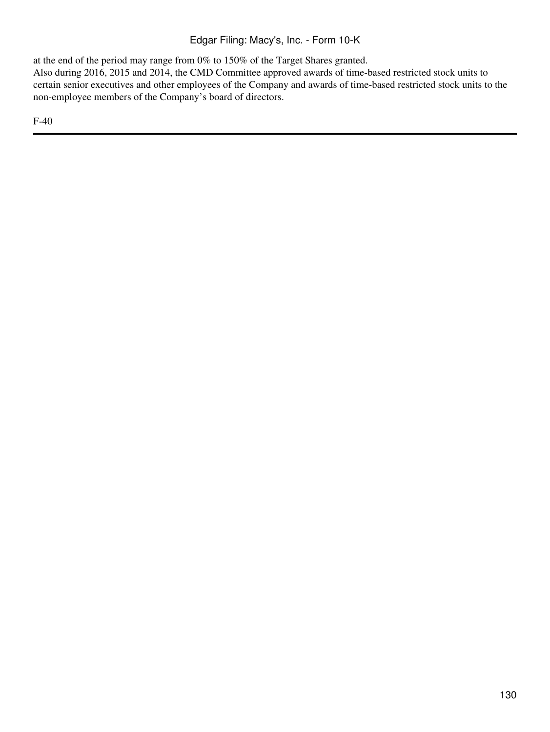at the end of the period may range from 0% to 150% of the Target Shares granted.

Also during 2016, 2015 and 2014, the CMD Committee approved awards of time-based restricted stock units to certain senior executives and other employees of the Company and awards of time-based restricted stock units to the non-employee members of the Company's board of directors.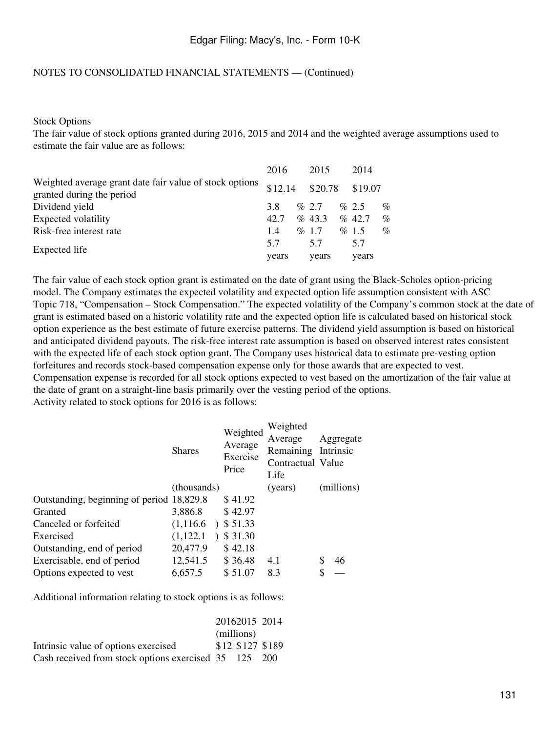#### Stock Options

The fair value of stock options granted during 2016, 2015 and 2014 and the weighted average assumptions used to estimate the fair value are as follows:

|                                                                                      | 2016    | 2015      | 2014     |      |
|--------------------------------------------------------------------------------------|---------|-----------|----------|------|
| Weighted average grant date fair value of stock options<br>granted during the period | \$12.14 | \$20.78   | \$19.07  |      |
| Dividend yield                                                                       | 3.8     | $\%$ 2.7  | $\%$ 2.5 | %    |
| <b>Expected volatility</b>                                                           | 42.7    | $\%$ 43.3 | % 42.7   | $\%$ |
| Risk-free interest rate                                                              | 1.4     | $\%$ 1.7  | %1.5     | $\%$ |
|                                                                                      | 57      | 5.7       | 5.7      |      |
| Expected life                                                                        | years   | years     | years    |      |

The fair value of each stock option grant is estimated on the date of grant using the Black-Scholes option-pricing model. The Company estimates the expected volatility and expected option life assumption consistent with ASC Topic 718, "Compensation – Stock Compensation." The expected volatility of the Company's common stock at the date of grant is estimated based on a historic volatility rate and the expected option life is calculated based on historical stock option experience as the best estimate of future exercise patterns. The dividend yield assumption is based on historical and anticipated dividend payouts. The risk-free interest rate assumption is based on observed interest rates consistent with the expected life of each stock option grant. The Company uses historical data to estimate pre-vesting option forfeitures and records stock-based compensation expense only for those awards that are expected to vest. Compensation expense is recorded for all stock options expected to vest based on the amortization of the fair value at the date of grant on a straight-line basis primarily over the vesting period of the options. Activity related to stock options for 2016 is as follows:

|                                           | <b>Shares</b> | Weighted<br>Average<br>Exercise<br>Price | Weighted<br>Average<br>Remaining<br>Contractual Value<br>Life | Aggregate<br>Intrinsic |
|-------------------------------------------|---------------|------------------------------------------|---------------------------------------------------------------|------------------------|
|                                           | (thousands)   |                                          | (years)                                                       | (millions)             |
| Outstanding, beginning of period 18,829.8 |               | \$41.92                                  |                                                               |                        |
| Granted                                   | 3,886.8       | \$42.97                                  |                                                               |                        |
| Canceled or forfeited                     | (1,116.6)     | \$51.33                                  |                                                               |                        |
| Exercised                                 | (1, 122.1)    | \$31.30                                  |                                                               |                        |
| Outstanding, end of period                | 20,477.9      | \$42.18                                  |                                                               |                        |
| Exercisable, end of period                | 12,541.5      | \$36.48                                  | 4.1                                                           | \$<br>46               |
| Options expected to vest                  | 6,657.5       | \$51.07                                  | 8.3                                                           | \$                     |
|                                           |               |                                          |                                                               |                        |

Additional information relating to stock options is as follows:

|                                                   |            | 20162015 2014    |     |  |  |  |
|---------------------------------------------------|------------|------------------|-----|--|--|--|
|                                                   | (millions) |                  |     |  |  |  |
| Intrinsic value of options exercised              |            | \$12 \$127 \$189 |     |  |  |  |
| Cash received from stock options exercised 35 125 |            |                  | 200 |  |  |  |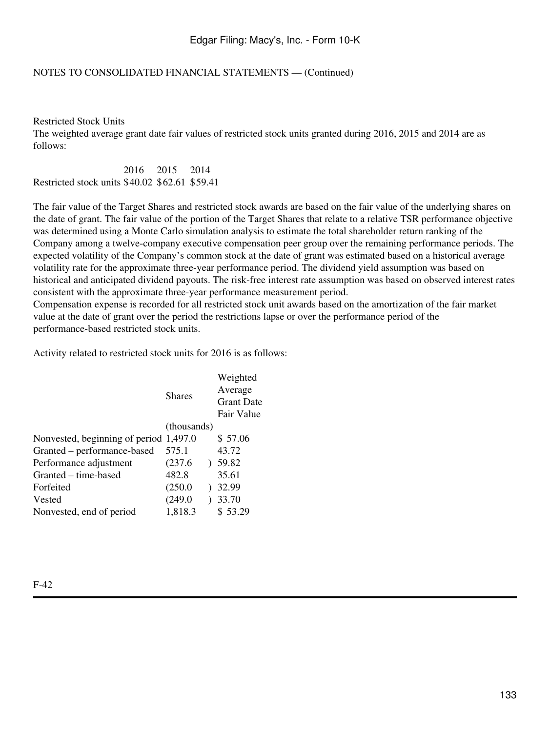Restricted Stock Units

The weighted average grant date fair values of restricted stock units granted during 2016, 2015 and 2014 are as follows:

2016 2015 2014 Restricted stock units \$40.02 \$62.61 \$59.41

The fair value of the Target Shares and restricted stock awards are based on the fair value of the underlying shares on the date of grant. The fair value of the portion of the Target Shares that relate to a relative TSR performance objective was determined using a Monte Carlo simulation analysis to estimate the total shareholder return ranking of the Company among a twelve-company executive compensation peer group over the remaining performance periods. The expected volatility of the Company's common stock at the date of grant was estimated based on a historical average volatility rate for the approximate three-year performance period. The dividend yield assumption was based on historical and anticipated dividend payouts. The risk-free interest rate assumption was based on observed interest rates consistent with the approximate three-year performance measurement period.

Compensation expense is recorded for all restricted stock unit awards based on the amortization of the fair market value at the date of grant over the period the restrictions lapse or over the performance period of the performance-based restricted stock units.

Activity related to restricted stock units for 2016 is as follows:

|                                        | <b>Shares</b> | Weighted<br>Average |
|----------------------------------------|---------------|---------------------|
|                                        |               | <b>Grant Date</b>   |
|                                        |               | Fair Value          |
|                                        | (thousands)   |                     |
| Nonvested, beginning of period 1,497.0 |               | \$ 57.06            |
| Granted – performance-based            | 575.1         | 43.72               |
| Performance adjustment                 | (237.6)       | 59.82               |
| Granted – time-based                   | 482.8         | 35.61               |
| Forfeited                              | (250.0)       | 32.99               |
| Vested                                 | (249.0)       | 33.70               |
| Nonvested, end of period               | 1,818.3       | \$53.29             |
|                                        |               |                     |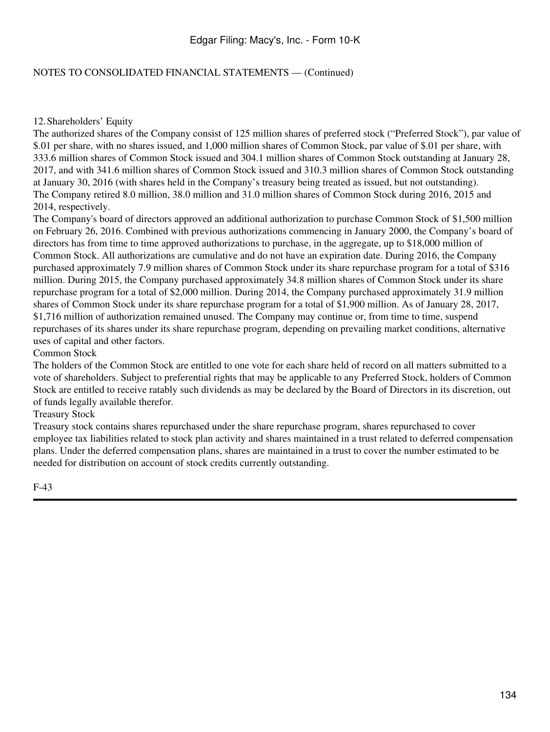## 12.Shareholders' Equity

The authorized shares of the Company consist of 125 million shares of preferred stock ("Preferred Stock"), par value of \$.01 per share, with no shares issued, and 1,000 million shares of Common Stock, par value of \$.01 per share, with 333.6 million shares of Common Stock issued and 304.1 million shares of Common Stock outstanding at January 28, 2017, and with 341.6 million shares of Common Stock issued and 310.3 million shares of Common Stock outstanding at January 30, 2016 (with shares held in the Company's treasury being treated as issued, but not outstanding). The Company retired 8.0 million, 38.0 million and 31.0 million shares of Common Stock during 2016, 2015 and 2014, respectively.

The Company's board of directors approved an additional authorization to purchase Common Stock of \$1,500 million on February 26, 2016. Combined with previous authorizations commencing in January 2000, the Company's board of directors has from time to time approved authorizations to purchase, in the aggregate, up to \$18,000 million of Common Stock. All authorizations are cumulative and do not have an expiration date. During 2016, the Company purchased approximately 7.9 million shares of Common Stock under its share repurchase program for a total of \$316 million. During 2015, the Company purchased approximately 34.8 million shares of Common Stock under its share repurchase program for a total of \$2,000 million. During 2014, the Company purchased approximately 31.9 million shares of Common Stock under its share repurchase program for a total of \$1,900 million. As of January 28, 2017, \$1,716 million of authorization remained unused. The Company may continue or, from time to time, suspend repurchases of its shares under its share repurchase program, depending on prevailing market conditions, alternative uses of capital and other factors.

## Common Stock

The holders of the Common Stock are entitled to one vote for each share held of record on all matters submitted to a vote of shareholders. Subject to preferential rights that may be applicable to any Preferred Stock, holders of Common Stock are entitled to receive ratably such dividends as may be declared by the Board of Directors in its discretion, out of funds legally available therefor.

## Treasury Stock

Treasury stock contains shares repurchased under the share repurchase program, shares repurchased to cover employee tax liabilities related to stock plan activity and shares maintained in a trust related to deferred compensation plans. Under the deferred compensation plans, shares are maintained in a trust to cover the number estimated to be needed for distribution on account of stock credits currently outstanding.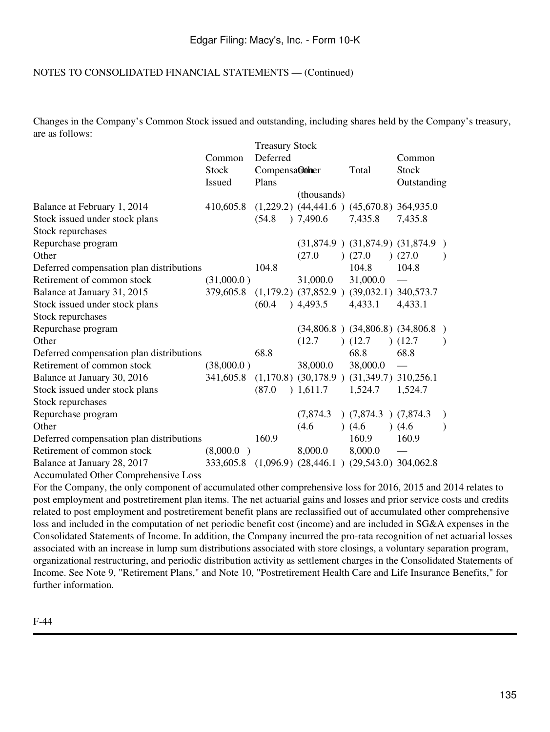Changes in the Company's Common Stock issued and outstanding, including shares held by the Company's treasury, are as follows:

|                                          |               | <b>Treasury Stock</b> |                                                   |           |             |               |
|------------------------------------------|---------------|-----------------------|---------------------------------------------------|-----------|-------------|---------------|
|                                          | Common        | Deferred              |                                                   |           | Common      |               |
|                                          | <b>Stock</b>  | Compensationer        |                                                   | Total     | Stock       |               |
|                                          | <b>Issued</b> | Plans                 |                                                   |           | Outstanding |               |
|                                          |               |                       | (thousands)                                       |           |             |               |
| Balance at February 1, 2014              | 410,605.8     |                       | $(1,229.2)$ $(44,441.6)$ $(45,670.8)$ 364,935.0   |           |             |               |
| Stock issued under stock plans           |               | (54.8)                | )7,490.6                                          | 7,435.8   | 7,435.8     |               |
| Stock repurchases                        |               |                       |                                                   |           |             |               |
| Repurchase program                       |               |                       | $(31,874.9)$ $(31,874.9)$ $(31,874.9)$            |           |             | $\lambda$     |
| Other                                    |               |                       | (27.0)                                            | (27.0)    | (27.0)      |               |
| Deferred compensation plan distributions |               | 104.8                 |                                                   | 104.8     | 104.8       |               |
| Retirement of common stock               | (31,000.0)    |                       | 31,000.0                                          | 31,000.0  |             |               |
| Balance at January 31, 2015              | 379,605.8     |                       | $(1,179.2)$ $(37,852.9)$ $(39,032.1)$ $340,573.7$ |           |             |               |
| Stock issued under stock plans           |               | (60.4)                | 4,493.5                                           | 4,433.1   | 4,433.1     |               |
| Stock repurchases                        |               |                       |                                                   |           |             |               |
| Repurchase program                       |               |                       | $(34,806.8)$ $(34,806.8)$ $(34,806.8)$            |           |             | $\rightarrow$ |
| Other                                    |               |                       | (12.7)                                            | (12.7)    | (12.7)      |               |
| Deferred compensation plan distributions |               | 68.8                  |                                                   | 68.8      | 68.8        |               |
| Retirement of common stock               | (38,000.0)    |                       | 38,000.0                                          | 38,000.0  |             |               |
| Balance at January 30, 2016              | 341,605.8     |                       | $(1,170.8)$ $(30,178.9)$ $(31,349.7)$ $310,256.1$ |           |             |               |
| Stock issued under stock plans           |               | (87.0)                | ) 1,611.7                                         | 1,524.7   | 1,524.7     |               |
| Stock repurchases                        |               |                       |                                                   |           |             |               |
| Repurchase program                       |               |                       | (7,874.3)                                         | (7,874.3) | (7,874.3)   | $\mathcal{Y}$ |
| Other                                    |               |                       | (4.6)                                             | (4.6)     | (4.6)       |               |
| Deferred compensation plan distributions |               | 160.9                 |                                                   | 160.9     | 160.9       |               |
| Retirement of common stock               | (8,000.0)     |                       | 8,000.0                                           | 8,000.0   |             |               |
| Balance at January 28, 2017              | 333,605.8     |                       | $(1,096.9)$ $(28,446.1)$ $(29,543.0)$ $304,062.8$ |           |             |               |
| security of Other Communicative Loss     |               |                       |                                                   |           |             |               |

Accumulated Other Comprehensive Loss

For the Company, the only component of accumulated other comprehensive loss for 2016, 2015 and 2014 relates to post employment and postretirement plan items. The net actuarial gains and losses and prior service costs and credits related to post employment and postretirement benefit plans are reclassified out of accumulated other comprehensive loss and included in the computation of net periodic benefit cost (income) and are included in SG&A expenses in the Consolidated Statements of Income. In addition, the Company incurred the pro-rata recognition of net actuarial losses associated with an increase in lump sum distributions associated with store closings, a voluntary separation program, organizational restructuring, and periodic distribution activity as settlement charges in the Consolidated Statements of Income. See Note 9, "Retirement Plans," and Note 10, "Postretirement Health Care and Life Insurance Benefits," for further information.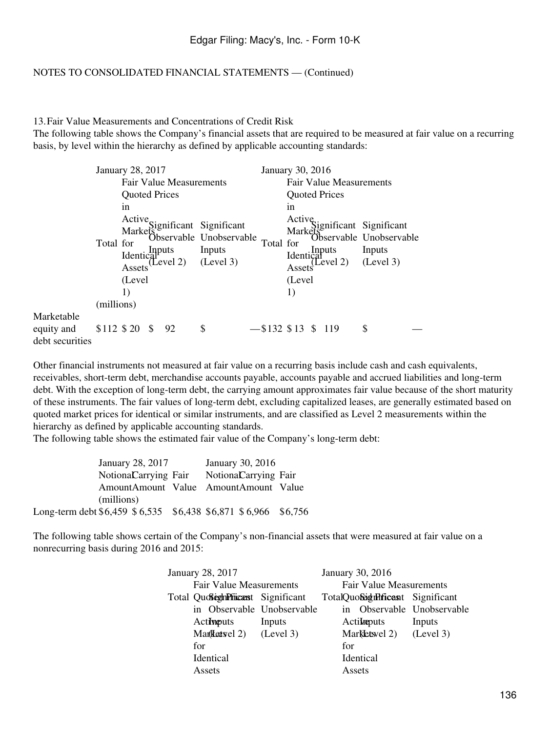### 13.Fair Value Measurements and Concentrations of Credit Risk

The following table shows the Company's financial assets that are required to be measured at fair value on a recurring basis, by level within the hierarchy as defined by applicable accounting standards:

|                               |                         | January 28, 2017                     |                                |                                                                    |           | January 30, 2016                                                     |                                                        |                                                                          |  |
|-------------------------------|-------------------------|--------------------------------------|--------------------------------|--------------------------------------------------------------------|-----------|----------------------------------------------------------------------|--------------------------------------------------------|--------------------------------------------------------------------------|--|
|                               |                         | <b>Quoted Prices</b><br>1n           | <b>Fair Value Measurements</b> |                                                                    |           | 1n                                                                   | <b>Fair Value Measurements</b><br><b>Quoted Prices</b> |                                                                          |  |
|                               | Total for<br>(millions) | Identical<br>Assets<br>(Level)<br>1) | Level $2)$                     | Active<br>Market<br>Boservable Unobservable<br>Inputs<br>(Level 3) | Total for | Active.<br>Markets<br>Inputs<br>Identical<br>Assets<br>(Level)<br>1) | (Level 2)                                              | ignificant Significant<br>Observable Unobservable<br>Inputs<br>(Level 3) |  |
| Marketable                    |                         |                                      |                                |                                                                    |           |                                                                      |                                                        |                                                                          |  |
| equity and<br>debt securities |                         | \$112\$320\$                         | 92                             | \$                                                                 |           | $-$ \$132 \$13 \$119                                                 |                                                        | \$                                                                       |  |

Other financial instruments not measured at fair value on a recurring basis include cash and cash equivalents, receivables, short-term debt, merchandise accounts payable, accounts payable and accrued liabilities and long-term debt. With the exception of long-term debt, the carrying amount approximates fair value because of the short maturity of these instruments. The fair values of long-term debt, excluding capitalized leases, are generally estimated based on quoted market prices for identical or similar instruments, and are classified as Level 2 measurements within the hierarchy as defined by applicable accounting standards.

The following table shows the estimated fair value of the Company's long-term debt:

| January 28, 2017                                               | January 30, 2016                      |  |
|----------------------------------------------------------------|---------------------------------------|--|
| NotionaCarrying Fair                                           | NotionaCarrying Fair                  |  |
|                                                                | AmountAmount Value AmountAmount Value |  |
| (millions)                                                     |                                       |  |
| Long-term debt \$6,459 \$6,535 \$6,438 \$6,871 \$6,966 \$6,756 |                                       |  |

The following table shows certain of the Company's non-financial assets that were measured at fair value on a nonrecurring basis during 2016 and 2015:

| January 28, 2017 |                                   |        | January 30, 2016 |                                   |                            |
|------------------|-----------------------------------|--------|------------------|-----------------------------------|----------------------------|
|                  | <b>Fair Value Measurements</b>    |        |                  | <b>Fair Value Measurements</b>    |                            |
|                  | Total QuoSeghPhicanst Significant |        |                  | TotalQuoSeighPricesst Significant |                            |
|                  | in Observable Unobservable        |        |                  |                                   | in Observable Unobservable |
|                  | Actimputs                         | Inputs |                  | Actilometric                      | Inputs                     |
|                  | Mar(Ketyel 2) $(Level 3)$         |        |                  | Marketwel 2) (Level 3)            |                            |
|                  | for                               |        | for              |                                   |                            |
|                  | <b>Identical</b>                  |        |                  | <b>Identical</b>                  |                            |
|                  | Assets                            |        | Assets           |                                   |                            |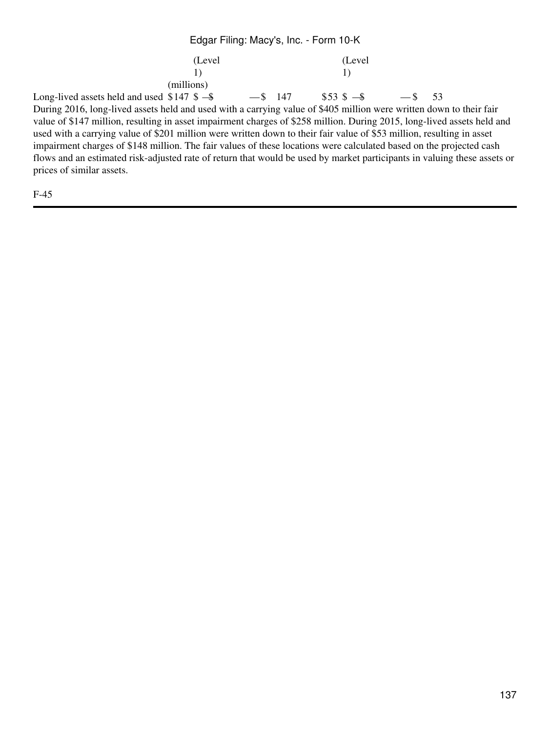| (Level)                                                                                                                  | (Level) |  |
|--------------------------------------------------------------------------------------------------------------------------|---------|--|
| $\left  \right $                                                                                                         |         |  |
| (millions)                                                                                                               |         |  |
| Long-lived assets held and used $$147 \text{ } $-$$ -\$ -\$ 147 \$53 \$ -\$ -\$ 53                                       |         |  |
| During 2016, long-lived assets held and used with a carrying value of \$405 million were written down to their fair      |         |  |
| value of \$147 million, resulting in asset impairment charges of \$258 million. During 2015, long-lived assets held and  |         |  |
| used with a carrying value of \$201 million were written down to their fair value of \$53 million, resulting in asset    |         |  |
| impairment charges of \$148 million. The fair values of these locations were calculated based on the projected cash      |         |  |
| flows and an estimated risk-adjusted rate of return that would be used by market participants in valuing these assets or |         |  |
| prices of similar assets.                                                                                                |         |  |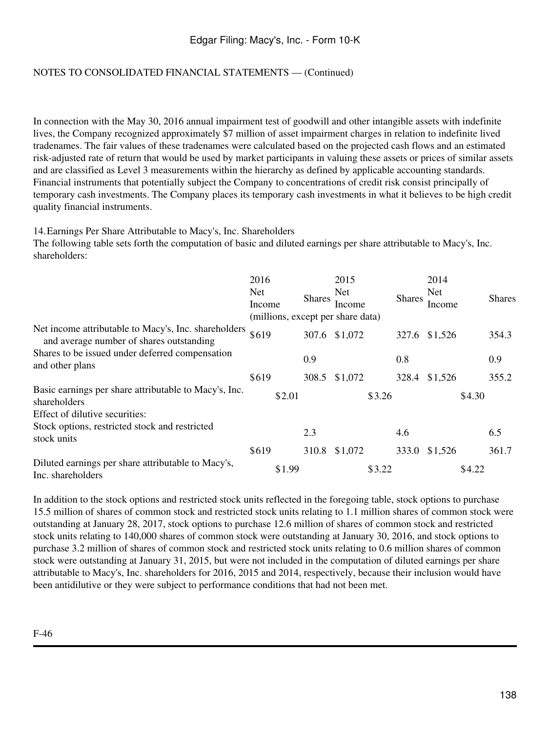In connection with the May 30, 2016 annual impairment test of goodwill and other intangible assets with indefinite lives, the Company recognized approximately \$7 million of asset impairment charges in relation to indefinite lived tradenames. The fair values of these tradenames were calculated based on the projected cash flows and an estimated risk-adjusted rate of return that would be used by market participants in valuing these assets or prices of similar assets and are classified as Level 3 measurements within the hierarchy as defined by applicable accounting standards. Financial instruments that potentially subject the Company to concentrations of credit risk consist principally of temporary cash investments. The Company places its temporary cash investments in what it believes to be high credit quality financial instruments.

14.Earnings Per Share Attributable to Macy's, Inc. Shareholders

The following table sets forth the computation of basic and diluted earnings per share attributable to Macy's, Inc. shareholders:

|                                                                                                  | 2016<br>Net<br>Income<br>(millions, except per share data) | <b>Shares</b> | 2015<br>Net.<br>Income |        | <b>Shares</b> | 2014<br><b>Net</b><br>Income |        | <b>Shares</b> |
|--------------------------------------------------------------------------------------------------|------------------------------------------------------------|---------------|------------------------|--------|---------------|------------------------------|--------|---------------|
| Net income attributable to Macy's, Inc. shareholders<br>and average number of shares outstanding | \$619                                                      |               | 307.6 \$1,072          |        |               | 327.6 \$1,526                |        | 354.3         |
| Shares to be issued under deferred compensation<br>and other plans                               |                                                            | 0.9           |                        |        | 0.8           |                              |        | 0.9           |
|                                                                                                  | \$619                                                      |               | 308.5 \$1,072          |        | 328.4         | \$1,526                      |        | 355.2         |
| Basic earnings per share attributable to Macy's, Inc.<br>shareholders                            | \$2.01                                                     |               |                        | \$3.26 |               |                              | \$4.30 |               |
| Effect of dilutive securities:                                                                   |                                                            |               |                        |        |               |                              |        |               |
| Stock options, restricted stock and restricted<br>stock units                                    |                                                            | 2.3           |                        |        | 4.6           |                              |        | 6.5           |
|                                                                                                  | \$619                                                      |               | 310.8 \$1,072          |        | 333.0         | \$1,526                      |        | 361.7         |
| Diluted earnings per share attributable to Macy's,<br>Inc. shareholders                          | \$1.99                                                     |               |                        | \$3.22 |               |                              | \$4.22 |               |

In addition to the stock options and restricted stock units reflected in the foregoing table, stock options to purchase 15.5 million of shares of common stock and restricted stock units relating to 1.1 million shares of common stock were outstanding at January 28, 2017, stock options to purchase 12.6 million of shares of common stock and restricted stock units relating to 140,000 shares of common stock were outstanding at January 30, 2016, and stock options to purchase 3.2 million of shares of common stock and restricted stock units relating to 0.6 million shares of common stock were outstanding at January 31, 2015, but were not included in the computation of diluted earnings per share attributable to Macy's, Inc. shareholders for 2016, 2015 and 2014, respectively, because their inclusion would have been antidilutive or they were subject to performance conditions that had not been met.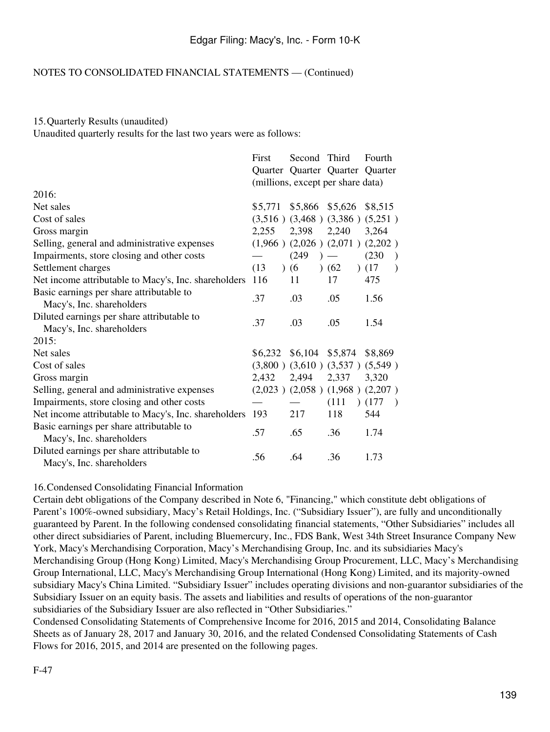#### 15.Quarterly Results (unaudited)

Unaudited quarterly results for the last two years were as follows:

|                                                                         | First   | Second Third                            |               | Fourth                 |
|-------------------------------------------------------------------------|---------|-----------------------------------------|---------------|------------------------|
|                                                                         |         | Quarter Quarter Quarter Quarter         |               |                        |
|                                                                         |         | (millions, except per share data)       |               |                        |
| 2016:                                                                   |         |                                         |               |                        |
| Net sales                                                               | \$5,771 | \$5,866 \$5,626                         |               | \$8,515                |
| Cost of sales                                                           |         | $(3,516)$ $(3,468)$ $(3,386)$ $(5,251)$ |               |                        |
| Gross margin                                                            | 2,255   | 2,398                                   | 2,240         | 3,264                  |
| Selling, general and administrative expenses                            |         | $(1,966)$ $(2,026)$ $(2,071)$ $(2,202)$ |               |                        |
| Impairments, store closing and other costs                              |         | (249)                                   | $)$ —         | (230)<br>$\rightarrow$ |
| Settlement charges                                                      | (13)    | (6)                                     | $(62)$ $(17)$ | $\rightarrow$          |
| Net income attributable to Macy's, Inc. shareholders                    | 116     | 11                                      | 17            | 475                    |
| Basic earnings per share attributable to<br>Macy's, Inc. shareholders   | .37     | .03                                     | .05           | 1.56                   |
| Diluted earnings per share attributable to<br>Macy's, Inc. shareholders | .37     | .03                                     | .05           | 1.54                   |
| 2015:                                                                   |         |                                         |               |                        |
| Net sales                                                               |         | \$6,232 \$6,104 \$5,874                 |               | \$8,869                |
| Cost of sales                                                           |         | $(3,800)$ $(3,610)$ $(3,537)$ $(5,549)$ |               |                        |
| Gross margin                                                            | 2,432   | 2,494                                   | 2,337         | 3,320                  |
| Selling, general and administrative expenses                            |         | $(2,023)$ $(2,058)$ $(1,968)$ $(2,207)$ |               |                        |
| Impairments, store closing and other costs                              |         |                                         | (111)         | (177)<br>$\rightarrow$ |
| Net income attributable to Macy's, Inc. shareholders                    | 193     | 217                                     | 118           | 544                    |
| Basic earnings per share attributable to<br>Macy's, Inc. shareholders   | .57     | .65                                     | .36           | 1.74                   |
| Diluted earnings per share attributable to<br>Macy's, Inc. shareholders | .56     | .64                                     | .36           | 1.73                   |

### 16.Condensed Consolidating Financial Information

Certain debt obligations of the Company described in Note 6, "Financing," which constitute debt obligations of Parent's 100%-owned subsidiary, Macy's Retail Holdings, Inc. ("Subsidiary Issuer"), are fully and unconditionally guaranteed by Parent. In the following condensed consolidating financial statements, "Other Subsidiaries" includes all other direct subsidiaries of Parent, including Bluemercury, Inc., FDS Bank, West 34th Street Insurance Company New York, Macy's Merchandising Corporation, Macy's Merchandising Group, Inc. and its subsidiaries Macy's Merchandising Group (Hong Kong) Limited, Macy's Merchandising Group Procurement, LLC, Macy's Merchandising Group International, LLC, Macy's Merchandising Group International (Hong Kong) Limited, and its majority-owned subsidiary Macy's China Limited. "Subsidiary Issuer" includes operating divisions and non-guarantor subsidiaries of the Subsidiary Issuer on an equity basis. The assets and liabilities and results of operations of the non-guarantor subsidiaries of the Subsidiary Issuer are also reflected in "Other Subsidiaries."

Condensed Consolidating Statements of Comprehensive Income for 2016, 2015 and 2014, Consolidating Balance Sheets as of January 28, 2017 and January 30, 2016, and the related Condensed Consolidating Statements of Cash Flows for 2016, 2015, and 2014 are presented on the following pages.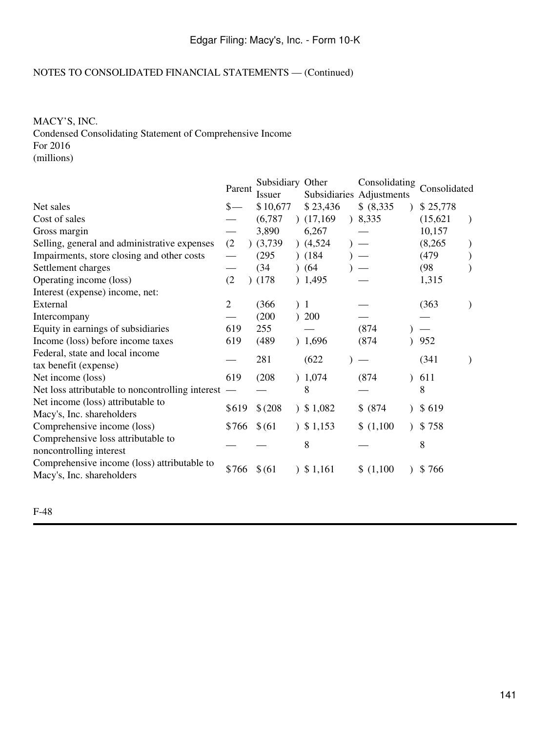MACY'S, INC. Condensed Consolidating Statement of Comprehensive Income For 2016 (millions)

|                                                  | Parent          |  | Subsidiary Other |           | Consolidating            |  | Consolidated |           |
|--------------------------------------------------|-----------------|--|------------------|-----------|--------------------------|--|--------------|-----------|
|                                                  |                 |  | <i>Issuer</i>    |           | Subsidiaries Adjustments |  |              |           |
| Net sales                                        | $\frac{\ }{s-}$ |  | \$10,677         | \$23,436  | \$ (8,335)               |  | \$25,778     |           |
| Cost of sales                                    |                 |  | (6,787)          | (17,169)  | 8,335                    |  | (15, 621)    | $\lambda$ |
| Gross margin                                     |                 |  | 3,890            | 6,267     |                          |  | 10,157       |           |
| Selling, general and administrative expenses     | (2)             |  | (3,739)          | (4,524)   |                          |  | (8,265)      |           |
| Impairments, store closing and other costs       |                 |  | (295)            | (184)     |                          |  | (479)        |           |
| Settlement charges                               |                 |  | (34)             | ) (64)    |                          |  | (98)         |           |
| Operating income (loss)                          | (2)             |  | (178)            | 1,495     |                          |  | 1,315        |           |
| Interest (expense) income, net:                  |                 |  |                  |           |                          |  |              |           |
| External                                         | $\overline{2}$  |  | (366)            | 1)        |                          |  | (363)        |           |
| Intercompany                                     |                 |  | (200)            | ) 200     |                          |  |              |           |
| Equity in earnings of subsidiaries               | 619             |  | 255              |           | (874)                    |  |              |           |
| Income (loss) before income taxes                | 619             |  | (489)            | ) 1,696   | (874)                    |  | 952          |           |
| Federal, state and local income                  |                 |  | 281              | (622)     |                          |  | (341)        |           |
| tax benefit (expense)                            |                 |  |                  |           |                          |  |              |           |
| Net income (loss)                                | 619             |  | (208)            | ) 1,074   | (874)                    |  | 611          |           |
| Net loss attributable to noncontrolling interest |                 |  |                  | 8         |                          |  | 8            |           |
| Net income (loss) attributable to                | \$619           |  | \$(208)          | 3,1,082   | \$ (874)                 |  | \$619        |           |
| Macy's, Inc. shareholders                        |                 |  |                  |           |                          |  |              |           |
| Comprehensive income (loss)                      | \$766           |  | \$ (61)          | 3, 1, 153 | \$(1,100)                |  | \$758        |           |
| Comprehensive loss attributable to               |                 |  |                  | 8         |                          |  | 8            |           |
| noncontrolling interest                          |                 |  |                  |           |                          |  |              |           |
| Comprehensive income (loss) attributable to      | \$766           |  | \$ (61)          | 3,1,161   | \$(1,100)                |  | \$766        |           |
| Macy's, Inc. shareholders                        |                 |  |                  |           |                          |  |              |           |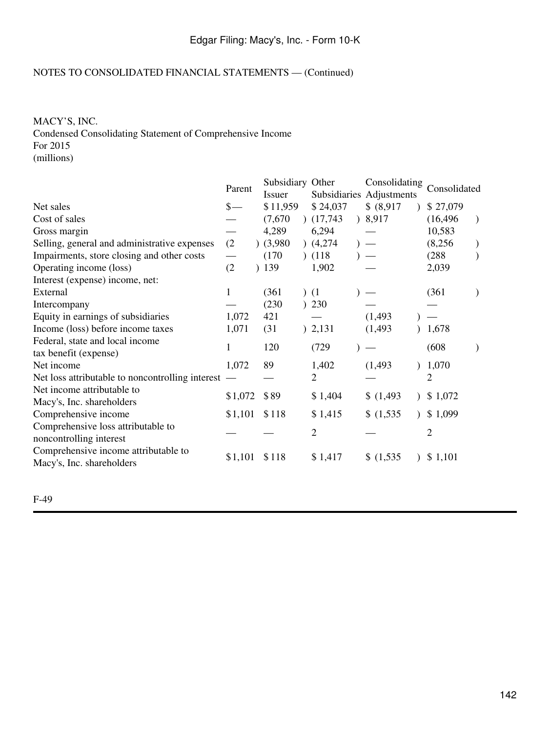MACY'S, INC. Condensed Consolidating Statement of Comprehensive Income For 2015 (millions)

|                                                  | Parent        | Subsidiary Other |  |                |  | Consolidating |                          | Consolidated |           |
|--------------------------------------------------|---------------|------------------|--|----------------|--|---------------|--------------------------|--------------|-----------|
|                                                  |               | Issuer           |  |                |  |               | Subsidiaries Adjustments |              |           |
| Net sales                                        | $\frac{1}{2}$ | \$11,959         |  | \$24,037       |  | \$ (8,917)    |                          | \$27,079     |           |
| Cost of sales                                    |               | (7,670)          |  | (17,743)       |  | 9.8,917       |                          | (16, 496)    | $\lambda$ |
| Gross margin                                     |               | 4,289            |  | 6,294          |  |               |                          | 10,583       |           |
| Selling, general and administrative expenses     | (2)           | (3,980)          |  | (4,274)        |  |               |                          | (8,256)      |           |
| Impairments, store closing and other costs       |               | (170)            |  | (118)          |  |               |                          | (288)        |           |
| Operating income (loss)                          | (2)           | ) 139            |  | 1,902          |  |               |                          | 2,039        |           |
| Interest (expense) income, net:                  |               |                  |  |                |  |               |                          |              |           |
| External                                         | 1             | (361)            |  | (1)            |  |               |                          | (361)        |           |
| Intercompany                                     |               | (230)            |  | ) 230          |  |               |                          |              |           |
| Equity in earnings of subsidiaries               | 1,072         | 421              |  |                |  | (1, 493)      |                          |              |           |
| Income (loss) before income taxes                | 1,071         | (31)             |  | ) 2,131        |  | (1, 493)      |                          | 1,678        |           |
| Federal, state and local income                  |               | 120              |  | (729)          |  |               |                          | (608)        |           |
| tax benefit (expense)                            |               |                  |  |                |  |               |                          |              |           |
| Net income                                       | 1,072         | 89               |  | 1,402          |  | (1, 493)      |                          | 1,070        |           |
| Net loss attributable to noncontrolling interest |               |                  |  | 2              |  |               |                          | 2            |           |
| Net income attributable to                       | \$1,072       | \$89             |  | \$1,404        |  | \$(1,493)     |                          | \$1,072      |           |
| Macy's, Inc. shareholders                        |               |                  |  |                |  |               |                          |              |           |
| Comprehensive income                             | \$1,101       | \$118            |  | \$1,415        |  | \$(1,535)     |                          | \$1,099      |           |
| Comprehensive loss attributable to               |               |                  |  | $\overline{2}$ |  |               |                          | 2            |           |
| noncontrolling interest                          |               |                  |  |                |  |               |                          |              |           |
| Comprehensive income attributable to             | \$1,101       | \$118            |  | \$1,417        |  | \$(1,535)     |                          | \$1,101      |           |
| Macy's, Inc. shareholders                        |               |                  |  |                |  |               |                          |              |           |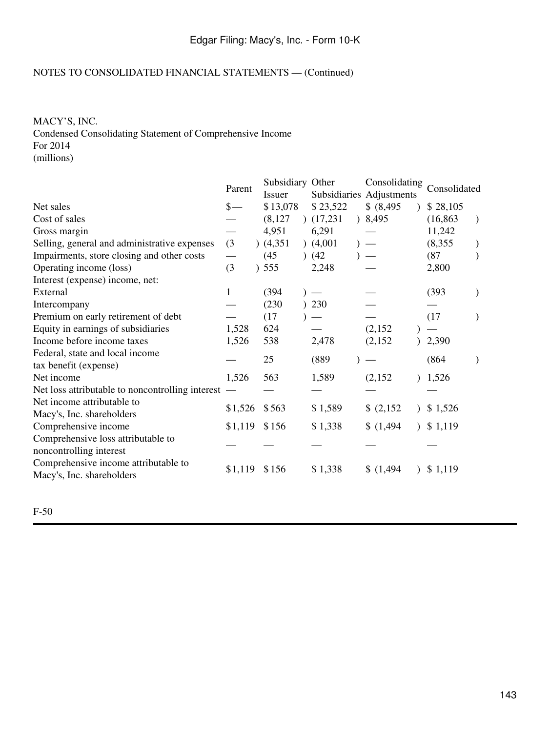MACY'S, INC. Condensed Consolidating Statement of Comprehensive Income For 2014 (millions)

|                                                                   |                 | Subsidiary Other |  |          | Consolidating            | Consolidated |           |
|-------------------------------------------------------------------|-----------------|------------------|--|----------|--------------------------|--------------|-----------|
|                                                                   | Parent          | Issuer           |  |          | Subsidiaries Adjustments |              |           |
| Net sales                                                         | $\frac{\ }{s-}$ | \$13,078         |  | \$23,522 | \$ (8,495)               | \$28,105     |           |
| Cost of sales                                                     |                 | (8,127)          |  | (17,231) | 8,495                    | (16, 863)    | $\lambda$ |
| Gross margin                                                      |                 | 4,951            |  | 6,291    |                          | 11,242       |           |
| Selling, general and administrative expenses                      | (3)             | (4,351)          |  | (4,001)  |                          | (8,355)      |           |
| Impairments, store closing and other costs                        |                 | (45)             |  | (42)     |                          | (87)         |           |
| Operating income (loss)                                           | (3)             | 555              |  | 2,248    |                          | 2,800        |           |
| Interest (expense) income, net:                                   |                 |                  |  |          |                          |              |           |
| External                                                          | 1               | (394)            |  |          |                          | (393)        |           |
| Intercompany                                                      |                 | (230)            |  | 230      |                          |              |           |
| Premium on early retirement of debt                               |                 | (17)             |  |          |                          | (17)         |           |
| Equity in earnings of subsidiaries                                | 1,528           | 624              |  |          | (2,152)                  |              |           |
| Income before income taxes                                        | 1,526           | 538              |  | 2,478    | (2,152)                  | 2,390        |           |
| Federal, state and local income<br>tax benefit (expense)          |                 | 25               |  | (889)    |                          | (864)        |           |
| Net income                                                        | 1,526           | 563              |  | 1,589    | (2,152)                  | 1,526        |           |
| Net loss attributable to noncontrolling interest                  |                 |                  |  |          |                          |              |           |
| Net income attributable to                                        |                 |                  |  |          |                          |              |           |
| Macy's, Inc. shareholders                                         | \$1,526         | \$563            |  | \$1,589  | \$(2,152)                | \$1,526      |           |
| Comprehensive income                                              | \$1,119         | \$156            |  | \$1,338  | \$(1,494)                | \$1,119      |           |
| Comprehensive loss attributable to<br>noncontrolling interest     |                 |                  |  |          |                          |              |           |
| Comprehensive income attributable to<br>Macy's, Inc. shareholders | \$1,119         | \$156            |  | \$1,338  | \$(1,494)                | \$1,119      |           |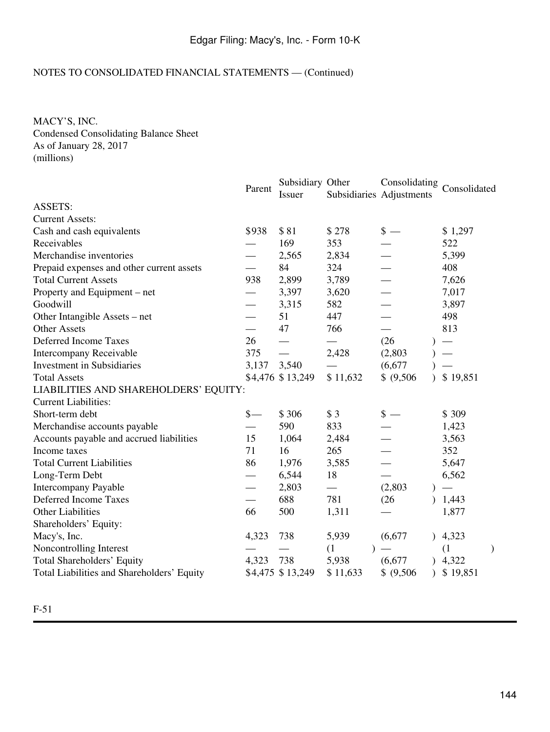# NOTES TO CONSOLIDATED FINANCIAL STATEMENTS — (Continued)

MACY'S, INC. Condensed Consolidating Balance Sheet As of January 28, 2017 (millions)

|                                            | Parent                   | Subsidiary Other<br>Issuer |          | Consolidating<br>Subsidiaries Adjustments | Consolidated     |
|--------------------------------------------|--------------------------|----------------------------|----------|-------------------------------------------|------------------|
| <b>ASSETS:</b>                             |                          |                            |          |                                           |                  |
| <b>Current Assets:</b>                     |                          |                            |          |                                           |                  |
| Cash and cash equivalents                  | \$938                    | \$81                       | \$278    | $\frac{1}{2}$                             | \$1,297          |
| Receivables                                |                          | 169                        | 353      |                                           | 522              |
| Merchandise inventories                    |                          | 2,565                      | 2,834    |                                           | 5,399            |
| Prepaid expenses and other current assets  |                          | 84                         | 324      |                                           | 408              |
| <b>Total Current Assets</b>                | 938                      | 2,899                      | 3,789    |                                           | 7,626            |
| Property and Equipment – net               |                          | 3,397                      | 3,620    |                                           | 7,017            |
| Goodwill                                   | $\overline{\phantom{0}}$ | 3,315                      | 582      |                                           | 3,897            |
| Other Intangible Assets – net              |                          | 51                         | 447      |                                           | 498              |
| <b>Other Assets</b>                        | $\overline{\phantom{0}}$ | 47                         | 766      |                                           | 813              |
| Deferred Income Taxes                      | 26                       | $\qquad \qquad$            |          | (26)                                      |                  |
| Intercompany Receivable                    | 375                      | $\equiv$                   | 2,428    | (2,803)                                   |                  |
| <b>Investment</b> in Subsidiaries          | 3,137                    | 3,540                      |          | (6,677)                                   |                  |
| <b>Total Assets</b>                        |                          | \$4,476 \$13,249           | \$11,632 | \$ (9,506)                                | \$19,851         |
| LIABILITIES AND SHAREHOLDERS' EQUITY:      |                          |                            |          |                                           |                  |
| <b>Current Liabilities:</b>                |                          |                            |          |                                           |                  |
| Short-term debt                            | $\frac{\ }{s-}$          | \$306                      | \$3      | $\frac{1}{2}$                             | \$309            |
| Merchandise accounts payable               |                          | 590                        | 833      |                                           | 1,423            |
| Accounts payable and accrued liabilities   | 15                       | 1,064                      | 2,484    |                                           | 3,563            |
| Income taxes                               | 71                       | 16                         | 265      |                                           | 352              |
| <b>Total Current Liabilities</b>           | 86                       | 1,976                      | 3,585    |                                           | 5,647            |
| Long-Term Debt                             |                          | 6,544                      | 18       |                                           | 6,562            |
| <b>Intercompany Payable</b>                |                          | 2,803                      |          | (2,803)                                   |                  |
| Deferred Income Taxes                      |                          | 688                        | 781      | (26)                                      | 1,443            |
| Other Liabilities                          | 66                       | 500                        | 1,311    |                                           | 1,877            |
| Shareholders' Equity:                      |                          |                            |          |                                           |                  |
| Macy's, Inc.                               | 4,323                    | 738                        | 5,939    | (6,677)                                   | 4,323            |
| Noncontrolling Interest                    |                          |                            | (1)      |                                           | (1)<br>$\lambda$ |
| <b>Total Shareholders' Equity</b>          | 4,323                    | 738                        | 5,938    | (6,677)<br>$\lambda$                      | 4,322            |
| Total Liabilities and Shareholders' Equity |                          | \$4,475 \$13,249           | \$11,633 | \$ (9,506)<br>$\lambda$                   | \$19,851         |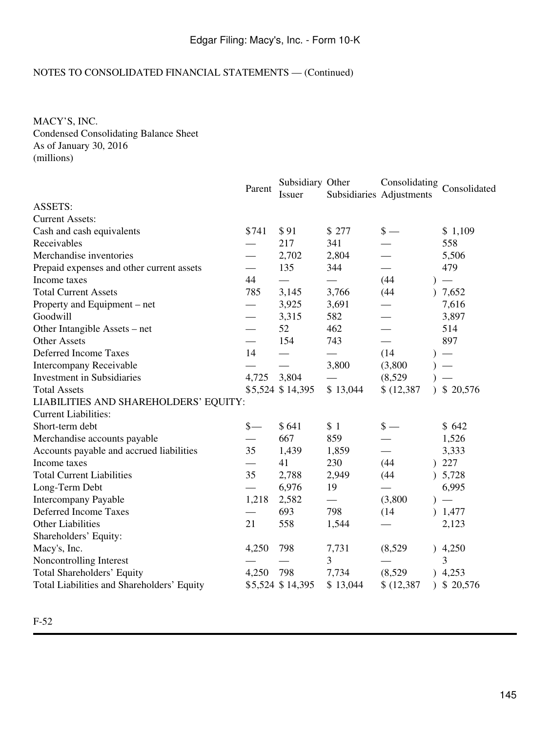MACY'S, INC. Condensed Consolidating Balance Sheet As of January 30, 2016 (millions)

|                                            | Parent                   | Subsidiary Other<br>Issuer |                 | Consolidating<br>Subsidiaries Adjustments | Consolidated |
|--------------------------------------------|--------------------------|----------------------------|-----------------|-------------------------------------------|--------------|
| <b>ASSETS:</b>                             |                          |                            |                 |                                           |              |
| <b>Current Assets:</b>                     |                          |                            |                 |                                           |              |
| Cash and cash equivalents                  | \$741                    | \$91                       | \$ 277          | $\frac{1}{2}$                             | \$1,109      |
| Receivables                                |                          | 217                        | 341             |                                           | 558          |
| Merchandise inventories                    |                          | 2,702                      | 2,804           |                                           | 5,506        |
| Prepaid expenses and other current assets  |                          | 135                        | 344             |                                           | 479          |
| Income taxes                               | 44                       |                            |                 | (44)                                      |              |
| <b>Total Current Assets</b>                | 785                      | 3,145                      | 3,766           | (44)                                      | 7,652        |
| Property and Equipment – net               |                          | 3,925                      | 3,691           |                                           | 7,616        |
| Goodwill                                   |                          | 3,315                      | 582             |                                           | 3,897        |
| Other Intangible Assets – net              |                          | 52                         | 462             |                                           | 514          |
| <b>Other Assets</b>                        |                          | 154                        | 743             |                                           | 897          |
| Deferred Income Taxes                      | 14                       |                            |                 | (14)                                      |              |
| Intercompany Receivable                    |                          |                            | 3,800           | (3,800)                                   |              |
| <b>Investment</b> in Subsidiaries          | 4,725                    | 3,804                      |                 | (8,529)                                   |              |
| <b>Total Assets</b>                        |                          | \$5,524 \$14,395           | \$13,044        | \$(12,387)                                | \$ 20,576    |
| LIABILITIES AND SHAREHOLDERS' EQUITY:      |                          |                            |                 |                                           |              |
| <b>Current Liabilities:</b>                |                          |                            |                 |                                           |              |
| Short-term debt                            | $s-$                     | \$641                      | \$1             | $\mathsf{s}$ —                            | \$642        |
| Merchandise accounts payable               |                          | 667                        | 859             |                                           | 1,526        |
| Accounts payable and accrued liabilities   | 35                       | 1,439                      | 1,859           |                                           | 3,333        |
| Income taxes                               | $\overline{\phantom{0}}$ | 41                         | 230             | (44)                                      | 227          |
| <b>Total Current Liabilities</b>           | 35                       | 2,788                      | 2,949           | (44)                                      | ) 5,728      |
| Long-Term Debt                             |                          | 6,976                      | 19              |                                           | 6,995        |
| <b>Intercompany Payable</b>                | 1,218                    | 2,582                      | $\qquad \qquad$ | (3,800)                                   |              |
| Deferred Income Taxes                      |                          | 693                        | 798             | (14)                                      | 1,477        |
| Other Liabilities                          | 21                       | 558                        | 1,544           |                                           | 2,123        |
| Shareholders' Equity:                      |                          |                            |                 |                                           |              |
| Macy's, Inc.                               | 4,250                    | 798                        | 7,731           | (8,529)                                   | ) 4,250      |
| Noncontrolling Interest                    |                          |                            | 3               |                                           | 3            |
| Total Shareholders' Equity                 | 4,250                    | 798                        | 7,734           | (8,529)                                   | ) 4,253      |
| Total Liabilities and Shareholders' Equity |                          | \$5,524 \$14,395           | \$13,044        | \$(12,387)<br>$\mathcal{L}$               | \$20,576     |

F-52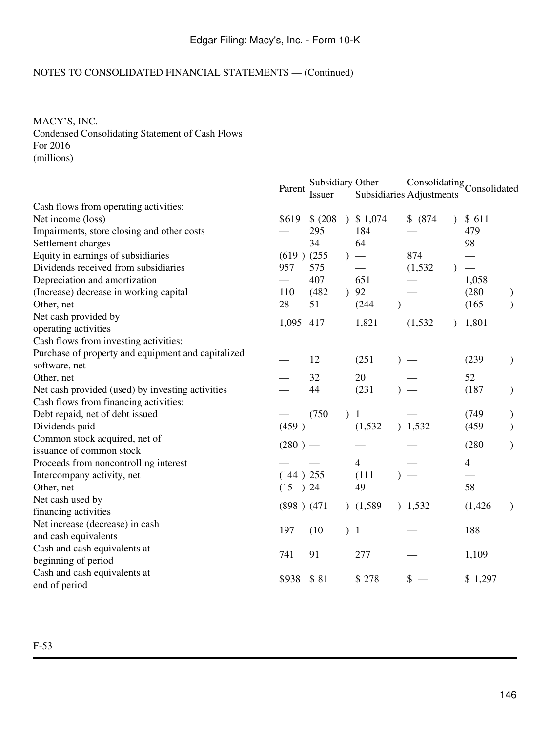MACY'S, INC. Condensed Consolidating Statement of Cash Flows For 2016 (millions)

|                                                    | Parent                | Subsidiary Other<br>Issuer |               | Subsidiaries Adjustments |  | Consolidating Consolidated |               |                |               |  |  |  |  |  |
|----------------------------------------------------|-----------------------|----------------------------|---------------|--------------------------|--|----------------------------|---------------|----------------|---------------|--|--|--|--|--|
| Cash flows from operating activities:              |                       |                            |               |                          |  |                            |               |                |               |  |  |  |  |  |
| Net income (loss)                                  | \$619                 | \$ (208)                   | $\lambda$     | \$1,074                  |  | \$ (874)                   | $\mathcal{L}$ | \$611          |               |  |  |  |  |  |
| Impairments, store closing and other costs         |                       | 295                        |               | 184                      |  |                            |               | 479            |               |  |  |  |  |  |
| Settlement charges                                 |                       | 34                         |               | 64                       |  |                            |               | 98             |               |  |  |  |  |  |
| Equity in earnings of subsidiaries                 | (619)                 | (255)                      |               |                          |  | 874                        |               |                |               |  |  |  |  |  |
| Dividends received from subsidiaries               | 957                   | 575                        |               | $\qquad \qquad$          |  | (1, 532)                   |               |                |               |  |  |  |  |  |
| Depreciation and amortization                      |                       | 407                        |               | 651                      |  |                            |               | 1,058          |               |  |  |  |  |  |
| (Increase) decrease in working capital             | 110                   | (482)                      |               | 92                       |  |                            |               | (280)          |               |  |  |  |  |  |
| Other, net                                         | 28                    | 51                         |               | (244)                    |  |                            |               | (165)          | $\mathcal{L}$ |  |  |  |  |  |
| Net cash provided by                               | 1,095                 | 417                        |               | 1,821                    |  | (1, 532)                   | $\lambda$     | 1,801          |               |  |  |  |  |  |
| operating activities                               |                       |                            |               |                          |  |                            |               |                |               |  |  |  |  |  |
| Cash flows from investing activities:              |                       |                            |               |                          |  |                            |               |                |               |  |  |  |  |  |
| Purchase of property and equipment and capitalized |                       | 12                         |               | (251)                    |  |                            |               | (239)          |               |  |  |  |  |  |
| software, net                                      |                       |                            |               |                          |  |                            |               |                | $\mathcal{L}$ |  |  |  |  |  |
| Other, net                                         |                       | 32                         |               | 20                       |  |                            |               | 52             |               |  |  |  |  |  |
| Net cash provided (used) by investing activities   |                       | 44                         |               | (231)                    |  |                            |               | (187)          | $\mathcal{E}$ |  |  |  |  |  |
| Cash flows from financing activities:              |                       |                            |               |                          |  |                            |               |                |               |  |  |  |  |  |
| Debt repaid, net of debt issued                    |                       | (750)                      | $\mathcal{L}$ | $\mathbf{1}$             |  |                            |               | (749)          |               |  |  |  |  |  |
| Dividends paid                                     | (459)                 | $\overline{\phantom{m}}$   |               | (1, 532)                 |  | 1,532                      |               | (459)          | $\mathcal{E}$ |  |  |  |  |  |
| Common stock acquired, net of                      | $(280)$ —             |                            |               |                          |  |                            |               | (280)          |               |  |  |  |  |  |
| issuance of common stock                           |                       |                            |               |                          |  |                            |               |                | $\mathcal{E}$ |  |  |  |  |  |
| Proceeds from noncontrolling interest              |                       |                            |               | $\overline{4}$           |  |                            |               | $\overline{4}$ |               |  |  |  |  |  |
| Intercompany activity, net                         | $(144)$ 255           |                            |               | (111)                    |  |                            |               |                |               |  |  |  |  |  |
| Other, net                                         | (15)<br>$\rightarrow$ | 24                         |               | 49                       |  |                            |               | 58             |               |  |  |  |  |  |
| Net cash used by                                   | $(898)$ $(471)$       |                            |               | (1,589)                  |  | 1,532                      |               | (1, 426)       | $\lambda$     |  |  |  |  |  |
| financing activities                               |                       |                            |               |                          |  |                            |               |                |               |  |  |  |  |  |
| Net increase (decrease) in cash                    | 197                   | (10)                       |               | $)$ 1                    |  |                            |               | 188            |               |  |  |  |  |  |
| and cash equivalents                               |                       |                            |               |                          |  |                            |               |                |               |  |  |  |  |  |
| Cash and cash equivalents at                       | 741                   | 91                         |               | 277                      |  |                            |               | 1,109          |               |  |  |  |  |  |
| beginning of period                                |                       |                            |               |                          |  |                            |               |                |               |  |  |  |  |  |
| Cash and cash equivalents at                       | \$938                 | \$81                       |               | \$278                    |  | \$                         |               | \$1,297        |               |  |  |  |  |  |
| end of period                                      |                       |                            |               |                          |  |                            |               |                |               |  |  |  |  |  |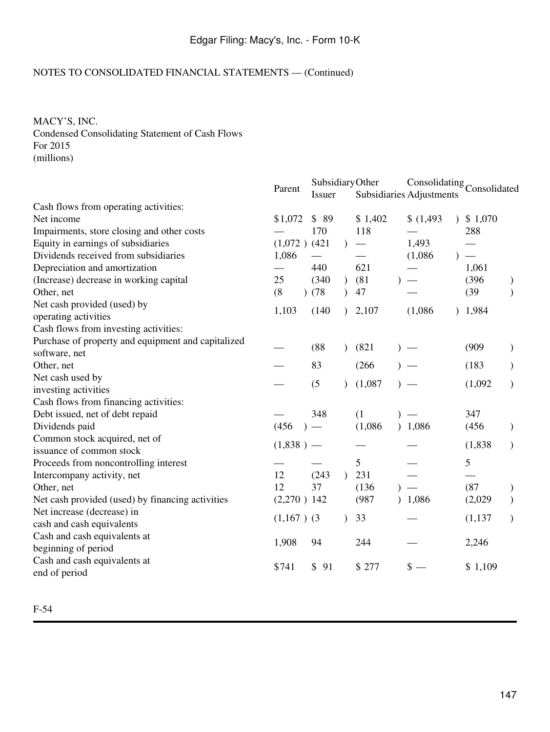MACY'S, INC. Condensed Consolidating Statement of Cash Flows For 2015 (millions)

|                                                    | Parent        | Issuer   | Subsidiary Other<br>Consolidating Consolidated<br>Subsidiaries Adjustments<br>\$1,402<br>\$(1,493)<br>$\mathcal{L}$<br>118<br>1,493<br>(1,086)<br>$\lambda$<br>621<br>(81)<br>$\mathcal{L}$<br>47<br>2,107<br>(1,086)<br>$\lambda$<br>(821)<br>$\lambda$ |         |  |         |  |                          |               |  |  |
|----------------------------------------------------|---------------|----------|----------------------------------------------------------------------------------------------------------------------------------------------------------------------------------------------------------------------------------------------------------|---------|--|---------|--|--------------------------|---------------|--|--|
| Cash flows from operating activities:              |               |          |                                                                                                                                                                                                                                                          |         |  |         |  |                          |               |  |  |
| Net income                                         | \$1,072       | \$89     |                                                                                                                                                                                                                                                          |         |  |         |  | \$1,070                  |               |  |  |
| Impairments, store closing and other costs         |               | 170      |                                                                                                                                                                                                                                                          |         |  |         |  | 288                      |               |  |  |
| Equity in earnings of subsidiaries                 | (1,072)       | (421)    |                                                                                                                                                                                                                                                          |         |  |         |  |                          |               |  |  |
| Dividends received from subsidiaries               | 1,086         |          |                                                                                                                                                                                                                                                          |         |  |         |  | $\overline{\phantom{0}}$ |               |  |  |
| Depreciation and amortization                      |               | 440      |                                                                                                                                                                                                                                                          |         |  |         |  | 1,061                    |               |  |  |
| (Increase) decrease in working capital             | 25            | (340)    |                                                                                                                                                                                                                                                          |         |  |         |  | (396)                    |               |  |  |
| Other, net                                         | (8)           | ) (78)   |                                                                                                                                                                                                                                                          |         |  |         |  | (39)                     | $\mathcal{E}$ |  |  |
| Net cash provided (used) by                        | 1,103         | (140)    |                                                                                                                                                                                                                                                          |         |  |         |  | 1,984                    |               |  |  |
| operating activities                               |               |          |                                                                                                                                                                                                                                                          |         |  |         |  |                          |               |  |  |
| Cash flows from investing activities:              |               |          |                                                                                                                                                                                                                                                          |         |  |         |  |                          |               |  |  |
| Purchase of property and equipment and capitalized |               | (88)     |                                                                                                                                                                                                                                                          |         |  |         |  | (909)                    |               |  |  |
| software, net                                      |               |          |                                                                                                                                                                                                                                                          |         |  |         |  |                          |               |  |  |
| Other, net                                         |               | 83       |                                                                                                                                                                                                                                                          | (266)   |  |         |  | (183)                    | $\lambda$     |  |  |
| Net cash used by                                   |               | (5)      |                                                                                                                                                                                                                                                          | (1,087) |  |         |  | (1,092)                  | $\mathcal{E}$ |  |  |
| investing activities                               |               |          |                                                                                                                                                                                                                                                          |         |  |         |  |                          |               |  |  |
| Cash flows from financing activities:              |               |          |                                                                                                                                                                                                                                                          |         |  |         |  |                          |               |  |  |
| Debt issued, net of debt repaid                    |               | 348      |                                                                                                                                                                                                                                                          | (1)     |  |         |  | 347                      |               |  |  |
| Dividends paid                                     | (456)         |          |                                                                                                                                                                                                                                                          | (1,086) |  | 1,086   |  | (456)                    | $\lambda$     |  |  |
| Common stock acquired, net of                      | $(1,838)$ –   |          |                                                                                                                                                                                                                                                          |         |  |         |  | (1,838)                  | $\mathcal{L}$ |  |  |
| issuance of common stock                           |               |          |                                                                                                                                                                                                                                                          |         |  |         |  |                          |               |  |  |
| Proceeds from noncontrolling interest              |               |          |                                                                                                                                                                                                                                                          | 5       |  |         |  | 5                        |               |  |  |
| Intercompany activity, net                         | 12            | (243)    | $\lambda$                                                                                                                                                                                                                                                | 231     |  |         |  |                          |               |  |  |
| Other, net                                         | 12            | 37       |                                                                                                                                                                                                                                                          | (136)   |  |         |  | (87)                     |               |  |  |
| Net cash provided (used) by financing activities   | $(2,270)$ 142 |          |                                                                                                                                                                                                                                                          | (987)   |  | ) 1,086 |  | (2,029)                  |               |  |  |
| Net increase (decrease) in                         | $(1,167)$ (3) |          | $\lambda$                                                                                                                                                                                                                                                | 33      |  |         |  | (1, 137)                 | $\lambda$     |  |  |
| cash and cash equivalents                          |               |          |                                                                                                                                                                                                                                                          |         |  |         |  |                          |               |  |  |
| Cash and cash equivalents at                       | 1,908         | 94       |                                                                                                                                                                                                                                                          | 244     |  |         |  | 2,246                    |               |  |  |
| beginning of period                                |               |          |                                                                                                                                                                                                                                                          |         |  |         |  |                          |               |  |  |
| Cash and cash equivalents at                       | \$741         | \$<br>91 |                                                                                                                                                                                                                                                          | \$277   |  | \$      |  | \$1,109                  |               |  |  |
| end of period                                      |               |          |                                                                                                                                                                                                                                                          |         |  |         |  |                          |               |  |  |
|                                                    |               |          |                                                                                                                                                                                                                                                          |         |  |         |  |                          |               |  |  |